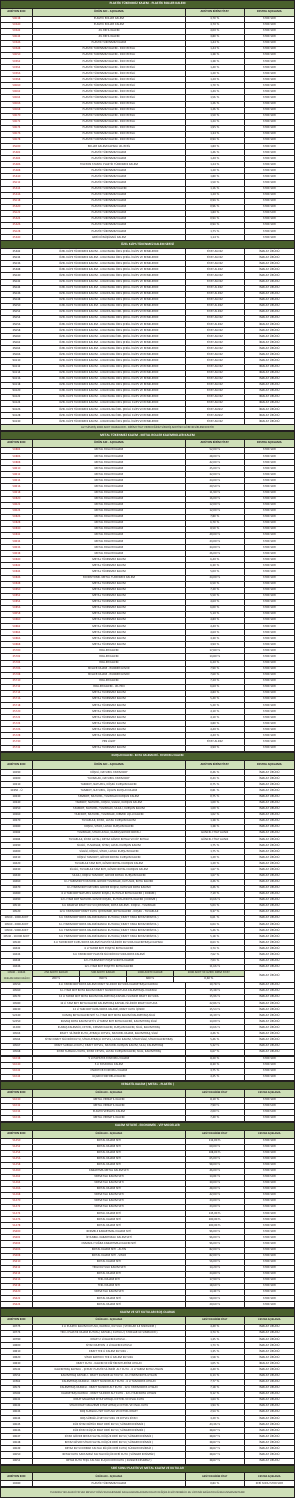| 50646<br>PLASTİK TÜKENMEZ KALEM<br>1,44 TL<br><b>STOK SOR</b><br>PLASTİK TÜKENMEZ KALEM - İNCE REFİLLİ<br>50648<br>1,44 TL<br><b>STOK SOR</b><br>PLASTİK TÜKENMEZ KALEM - İNCE REFİLLİ<br>50650<br>1,38 TL<br><b>STOK SOR</b><br>50652<br>PLASTİK TÜKENMEZ KALEM - İNCE REFİLLİ<br>1,38 TL<br><b>STOK SOR</b><br>50654<br>PLASTİK TÜKENMEZ KALEM - İNCE REFİLLİ<br>1,40 TL<br><b>STOK SOR</b><br>50656<br>PLASTİK TÜKENMEZ KALEM - İNCE REFİLLİ<br>1,20 TL<br><b>STOK SOR</b><br>50658<br>PLASTİK TÜKENMEZ KALEM - İNCE REFİLLİ<br>1,20 TL<br><b>STOK SOR</b><br>PLASTİK TÜKENMEZ KALEM - İNCE REFİLLİ<br><b>STOK SOR</b><br>50660<br>1,70 TL<br>PLASTİK TÜKENMEZ KALEM - İNCE REFİLLİ<br>50662<br><b>STOK SOR</b><br>1,46 TL<br>50664<br>PLASTİK TÜKENMEZ KALEM - İNCE REFİLLİ<br><b>STOK SOR</b><br>1,56 TL<br>50666<br>PLASTİK TÜKENMEZ KALEM - İNCE REFİLLİ<br><b>STOK SOR</b><br>1,26 TL<br>50668<br>PLASTİK TÜKENMEZ KALEM - İNCE REFİLLİ<br>1,26 TL<br><b>STOK SOR</b><br>PLASTİK TÜKENMEZ KALEM - İNCE REFİLLİ<br>1,50 TL<br><b>STOK SOR</b><br>50670<br>PLASTİK TÜKENMEZ KALEM - İNCE REFİLLİ<br>50672<br>1,24 TL<br><b>STOK SOR</b><br>PLASTİK TÜKENMEZ KALEM - İNCE REFİLLİ<br>50674<br>1,95 TL<br><b>STOK SOR</b><br>PLASTİK TÜKENMEZ KALEM - İNCE REFİLLİ<br>50676<br>1,34 TL<br><b>STOK SOR</b><br>50678<br>PLASTİK TÜKENMEZ KALEM - İNCE REFİLLİ<br>0,94 TL<br><b>STOK SOR</b><br>35600<br>ROLLER KALEM KAPAKLI JEL REFİL<br>1,80 TL<br><b>STOK SOR</b><br>PLASTİK TÜKENMEZ KALEM<br>35602<br>1,46 TL<br><b>STOK SOR</b><br>PLASTİK TÜKENMEZ KALEM<br>1,40 TL<br>35604<br><b>STOK SOR</b><br>TELEFON STANTLI PLASTİK TÜKENMEZ KALEM<br>35606<br>1,24 TL<br><b>STOK SOR</b><br>PLASTİK TÜKENMEZ KALEM<br>35608<br>1,20 TL<br><b>STOK SOR</b><br>35610<br>PLASTİK TÜKENMEZ KALEM<br>1,80 TL<br><b>STOK SOR</b><br>35612<br>PLASTİK TÜKENMEZ KALEM<br>1,50 TL<br><b>STOK SOR</b><br>PLASTİK TÜKENMEZ KALEM<br>35614<br>1,16 TL<br><b>STOK SOR</b><br>PLASTİK TÜKENMEZ KALEM<br>35616<br>1,20 TL<br><b>STOK SOR</b><br>35618<br>PLASTİK TÜKENMEZ KALEM<br>0,96 TL<br><b>STOK SOR</b><br>PLASTİK TÜKENMEZ KALEM<br>35620<br>0,96 TL<br><b>STOK SOR</b><br>35622<br>PLASTİK TÜKENMEZ KALEM<br>1,80 TL<br><b>STOK SOR</b><br>PLASTİK TÜKENMEZ KALEM<br>35624<br>0,94 TL<br><b>STOK SOR</b><br><b>STOK SOR</b><br>35626<br>PLASTİK TÜKENMEZ KALEM<br>0,94 TL<br>PLASTİK TÜKENMEZ KALEM<br><b>STOK SOR</b><br>35628<br>1,75 TL<br>GERİ DÖNÜŞÜMLÜ KALEM<br>35630<br>1,14 TL<br><b>STOK SOR</b><br>ÖZEL KLİPS TÜKENMEZ KALEM SERİSİ<br>ÖZEL KLİPS TÜKENMEZ KALEM - LOGONUZA ÖZEL ŞEKİLLİ KLİPS VE RENKLERDE<br>İMALAT ÜRÜNÜ<br>35632<br><b>FİYAT ALINIZ</b><br>İMALAT ÜRÜNÜ<br>35634<br>ÖZEL KLİPS TÜKENMEZ KALEM - LOGONUZA ÖZEL ŞEKİLLİ KLİPS VE RENKLERDE<br><b>FİYAT ALINIZ</b><br>İMALAT ÜRÜNÜ<br>35636<br>ÖZEL KLİPS TÜKENMEZ KALEM - LOGONUZA ÖZEL ŞEKİLLİ KLİPS VE RENKLERDE<br><b>FİYAT ALINIZ</b><br>İMALAT ÜRÜNÜ<br><b>FİYAT ALINIZ</b><br>35638<br>ÖZEL KLİPS TÜKENMEZ KALEM - LOGONUZA ÖZEL ŞEKİLLİ KLİPS VE RENKLERDE<br><b>FİYAT ALINIZ</b><br>İMALAT ÜRÜNÜ<br>35640<br>ÖZEL KLİPS TÜKENMEZ KALEM - LOGONUZA ÖZEL ŞEKİLLİ KLİPS VE RENKLERDE<br><b>FİYAT ALINIZ</b><br>İMALAT ÜRÜNÜ<br>ÖZEL KLİPS TÜKENMEZ KALEM - LOGONUZA ÖZEL ŞEKİLLİ KLİPS VE RENKLERDE<br>35642<br>İMALAT ÜRÜNÜ<br>ÖZEL KLİPS TÜKENMEZ KALEM - LOGONUZA ÖZEL ŞEKİLLİ KLİPS VE RENKLERDE<br><b>FİYAT ALINIZ</b><br>35644<br>İMALAT ÜRÜNÜ<br>ÖZEL KLİPS TÜKENMEZ KALEM - LOGONUZA ÖZEL ŞEKİLLİ KLİPS VE RENKLERDE<br><b>FİYAT ALINIZ</b><br>35646<br>ÖZEL KLİPS TÜKENMEZ KALEM - LOGONUZA ÖZEL ŞEKİLLİ KLİPS VE RENKLERDE<br><b>FİYAT ALINIZ</b><br>İMALAT ÜRÜNÜ<br>35648<br>35650<br>ÖZEL KLİPS TÜKENMEZ KALEM - LOGONUZA ÖZEL ŞEKİLLİ KLİPS VE RENKLERDE<br><b>FİYAT ALINIZ</b><br>İMALAT ÜRÜNÜ<br>İMALAT ÜRÜNÜ<br>35652<br>ÖZEL KLİPS TÜKENMEZ KALEM - LOGONUZA ÖZEL ŞEKİLLİ KLİPS VE RENKLERDE<br><b>FİYAT ALINIZ</b><br>35654<br>ÖZEL KLİPS TÜKENMEZ KALEM - LOGONUZA ÖZEL ŞEKİLLİ KLİPS VE RENKLERDE<br><b>FİYAT ALINIZ</b><br>İMALAT ÜRÜNÜ<br>35656<br>ÖZEL KLİPS TÜKENMEZ KALEM - LOGONUZA ÖZEL ŞEKİLLİ KLİPS VE RENKLERDE<br><b>FİYAT ALINIZ</b><br>İMALAT ÜRÜNÜ<br>35658<br>ÖZEL KLİPS TÜKENMEZ KALEM - LOGONUZA ÖZEL ŞEKİLLİ KLİPS VE RENKLERDE<br><b>FİYAT ALINIZ</b><br>İMALAT ÜRÜNÜ<br>ÖZEL KLİPS TÜKENMEZ KALEM - LOGONUZA ÖZEL ŞEKİLLİ KLİPS VE RENKLERDE<br><b>FİYAT ALINIZ</b><br>İMALAT ÜRÜNÜ<br>35660<br>35662<br>ÖZEL KLİPS TÜKENMEZ KALEM - LOGONUZA ÖZEL ŞEKİLLİ KLİPS VE RENKLERDE<br><b>FİYAT ALINIZ</b><br>İMALAT ÜRÜNÜ<br>ÖZEL KLİPS TÜKENMEZ KALEM - LOGONUZA ÖZEL ŞEKİLLİ KLİPS VE RENKLERDE<br><b>FİYAT ALINIZ</b><br>İMALAT ÜRÜNÜ<br>35664<br>ÖZEL KLİPS TÜKENMEZ KALEM - LOGONUZA ÖZEL ŞEKİLLİ KLİPS VE RENKLERDE<br><b>FİYAT ALINIZ</b><br>İMALAT ÜRÜNÜ<br>35666<br>İMALAT ÜRÜNÜ<br>ÖZEL KLİPS TÜKENMEZ KALEM - LOGONUZA ÖZEL ŞEKİLLİ KLİPS VE RENKLERDE<br>94110<br>FİYAT ALINIZ<br>ÖZEL KLİPS TÜKENMEZ KALEM - LOGONUZA ÖZEL ŞEKİLLİ KLİPS VE RENKLERDE<br><b>FİYAT ALINIZ</b><br>İMALAT ÜRÜNÜ<br>94112<br>94114<br>ÖZEL KLİPS TÜKENMEZ KALEM - LOGONUZA ÖZEL ŞEKİLLİ KLİPS VE RENKLERDE<br><b>FİYAT ALINIZ</b><br>İMALAT ÜRÜNÜ<br>İMALAT ÜRÜNÜ<br>94116<br>ÖZEL KLİPS TÜKENMEZ KALEM - LOGONUZA ÖZEL ŞEKİLLİ KLİPS VE RENKLERDE<br><b>FİYAT ALINIZ</b><br>İMALAT ÜRÜNÜ<br>94118<br>ÖZEL KLİPS TÜKENMEZ KALEM - LOGONUZA ÖZEL ŞEKİLLİ KLİPS VE RENKLERDE<br><b>FİYAT ALINIZ</b><br>İMALAT ÜRÜNÜ<br>ÖZEL KLİPS TÜKENMEZ KALEM - LOGONUZA ÖZEL ŞEKİLLİ KLİPS VE RENKLERDE<br><b>FİYAT ALINIZ</b><br>94120<br>İMALAT ÜRÜNÜ<br>94122<br>ÖZEL KLİPS TÜKENMEZ KALEM - LOGONUZA ÖZEL ŞEKİLLİ KLİPS VE RENKLERDE<br><b>FİYAT ALINIZ</b><br>İMALAT ÜRÜNÜ<br>ÖZEL KLİPS TÜKENMEZ KALEM - LOGONUZA ÖZEL ŞEKİLLİ KLİPS VE RENKLERDE<br><b>FİYAT ALINIZ</b><br>94124<br>ÖZEL KLİPS TÜKENMEZ KALEM - LOGONUZA ÖZEL ŞEKİLLİ KLİPS VE RENKLERDE<br>İMALAT ÜRÜNÜ<br>94126<br><b>FİYAT ALINIZ</b><br>ÖZEL KLİPS TÜKENMEZ KALEM - LOGONUZA ÖZEL ŞEKİLLİ KLİPS VE RENKLERDE<br>İMALAT ÜRÜNÜ<br>94128<br><b>FİYAT ALINIZ</b><br>ÖZEL KLİPS TÜKENMEZ KALEM - LOGONUZA ÖZEL ŞEKİLLİ KLİPS VE RENKLERDE<br><b>FİYAT ALINIZ</b><br>İMALAT ÜRÜNÜ<br>94130<br>ALT SİPARİS 2000 ADET OLMALIDIR - BİRİM FİYAT VERECEĞİNİZ SİPARİS ADETİNE GÖRE BELİRLENECEKTİR<br>METAL TÜKENMEZ KALEM - METAL ROLLER KALEMROLLER KALEM<br><b>AKSİYON KOD</b><br>ÜRÜN ADI - AÇIKLAMA<br><b>AKSIYON BIRIM FIYAT</b><br><b>EKSTRA ACIKLAMA</b><br>50804<br>METAL ROLLER KALEM<br>52,00 TL<br><b>STOK SOR</b><br>28,00 TL<br><b>STOK SOR</b><br>50806<br>METAL ROLLER KALEM<br>50808<br>METAL ROLLER KALEM<br>42,00 TL<br><b>STOK SOR</b><br>50810<br><b>STOK SOR</b><br>METAL ROLLER KALEM<br>25,00 TL<br>50812<br>METAL ROLLER KALEM<br>32,00 TL<br><b>STOK SOR</b><br><b>STOK SOR</b><br>50814<br>METAL ROLLER KALEM<br>24,00 TL<br>50816<br>METAL ROLLER KALEM<br>20,50 TL<br><b>STOK SOR</b><br>50818<br>11,90 TL<br><b>STOK SOR</b><br>METAL ROLLER KALEM<br>50820<br>16,00 TL<br><b>STOK SOR</b><br>METAL ROLLER KALEM<br>50822<br>METAL ROLLER KALEM<br>12,00 TL<br><b>STOK SOR</b><br>50824<br>METAL ROLLER KALEM<br>12,00 TL<br><b>STOK SOR</b><br>50826<br>METAL ROLLER KALEM<br>7,80 TL<br><b>STOK SOR</b><br>50828<br>METAL ROLLER KALEM<br>6,70 TL<br><b>STOK SOR</b><br>8,50 TL<br><b>STOK SOR</b><br>50830<br>METAL ROLLER KALEM<br>50832<br>49,00 TL<br><b>STOK SOR</b><br><b>METAL ROLLER KALEM</b><br>50834<br>METAL ROLLER KALEM<br>23,00 TL<br><b>STOK SOR</b><br>50836<br>METAL ROLLER KALEM<br>34,00 TL<br><b>STOK SOR</b><br>50838<br>METAL ROLLER KALEM<br>26,00 TL<br><b>STOK SOR</b><br>50840<br>6,40 TL<br><b>STOK SOR</b><br>METAL TÜKENMEZ KALEM<br>6,30 TL<br><b>STOK SOR</b><br>50842<br>METAL TÜKENMEZ KALEM<br>50844<br>5,00 TL<br><b>STOK SOR</b><br>METAL TÜKENMEZ KALEM<br>50846<br>FONKSİYONEL METAL TÜKENMEZ KALEM<br>24,00 TL<br><b>STOK SOR</b><br>6,50 TL<br>50848<br>METAL TÜKENMEZ KALEM<br><b>STOK SOR</b><br>50850<br>7,20 TL<br><b>STOK SOR</b><br>METAL TÜKENMEZ KALEM<br>50852<br>5,50 TL<br><b>STOK SOR</b><br>METAL TÜKENMEZ KALEM<br>50854<br>METAL TÜKENMEZ KALEM<br>4,60 TL<br><b>STOK SOR</b><br>50856<br>METAL TÜKENMEZ KALEM<br>6,00 TL<br><b>STOK SOR</b><br>50858<br>METAL TÜKENMEZ KALEM<br>5,10 TL<br><b>STOK SOR</b><br><b>STOK SOR</b><br>50860<br>METAL TÜKENMEZ KALEM<br>4,80 TL<br>50862<br><b>STOK SOR</b><br>METAL TÜKENMEZ KALEM<br>4,40 TL<br>50864<br>METAL TÜKENMEZ KALEM<br>4,60 TL<br><b>STOK SOR</b><br>50866<br>METAL TÜKENMEZ KALEM<br>3,30 TL<br><b>STOK SOR</b><br>50868<br>METAL TÜKENMEZ KALEM<br>3,90 TL<br><b>STOK SOR</b><br>35700<br>ROLLER KALEM<br>17,80 TL<br><b>STOK SOR</b><br>35702<br>ROLLER KALEM<br>13,80 TL<br><b>STOK SOR</b><br>35704<br>6,20 TL<br><b>STOK SOR</b><br>ROLLER KALEM<br>7,90 TL<br>35706<br>ROLLER KALEM - RUBBER GÖVDE<br><b>STOK SOR</b><br>35708<br>ROLLER KALEM - RUBBER GÖVDE<br>7,60 TL<br><b>STOK SOR</b><br>35710<br>ROLLER KALEM<br>7,20 TL<br><b>STOK SOR</b><br>35712<br>ROLLER KALEM - JEL PEN<br>6,60 TL<br><b>STOK SOR</b><br><b>STOK SOR</b><br>35714<br>METAL TÜKENMEZ KALEM<br>4,80 TL<br><b>STOK SOR</b><br>35716<br>METAL TÜKENMEZ KALEM<br>5,40 TL<br>35718<br>METAL TÜKENMEZ KALEM<br>5,20 TL<br><b>STOK SOR</b><br><b>STOK SOR</b><br>35720<br>METAL TÜKENMEZ KALEM<br>4,10 TL<br>35722<br>METAL TÜKENMEZ KALEM<br>4,10 TL<br><b>STOK SOR</b><br>35724<br>METAL TÜKENMEZ KALEM<br>3,80 TL<br><b>STOK SOR</b><br>35726<br>METAL TÜKENMEZ KALEM<br>4,40 TL<br><b>STOK SOR</b><br>35728<br>METAL TÜKENMEZ KALEM<br><b>STOK SOR</b><br>4,40 TL<br><b>FİYAT ALINIZ</b><br>35730<br>PEN LİGHT<br><b>STOK SOR</b><br>35732<br>METAL TÜKENMEZ KALEM<br><b>STOK SOR</b><br>3,90 TL<br>KURŞUN KALEM - BOYA KALEMLERİ - FOSFORLU KALEM<br><b>AKSİYON KOD</b><br>ÜRÜN ADI - AÇIKLAMA<br><b>AKSIYON BIRIM FIYAT</b><br><b>EKSTRA AÇIKLAMA</b><br>İMALAT ÜRÜNÜ<br>10290<br>KÖŞELİ, NATUREL YARIM BOY<br>0,46 TL<br>İMALAT ÜRÜNÜ<br>10300<br>YUVARLAK, NATUREL YARIM BOY<br>$0,43$ TL<br>TAMBOY, NATUREL, KÖŞELİ KURŞUN KALEM<br>İMALAT ÜRÜNÜ<br>10310<br>0,75 TL<br>10350 - Ü<br>İMALAT ÜRÜNÜ<br>TAMBOY, NATUREL, ÜÇGEN KURŞUN KALEM<br>0,81 TL<br>10330<br>TAMBOY, NATUREL, YUVARLAK KURŞUN KALEM<br>İMALAT ÜRÜNÜ<br>0,75 TL<br>10340<br>TAMBOY, NATUREL, KÖŞELİ, SİLGİLİ, KURŞUN KALEM<br>İMALAT ÜRÜNÜ<br>1,09 TL<br>10350<br>TAMBOY, NATUREL, YUVARLAK, SİLGİLİ, KURŞUN KALEM<br>İMALAT ÜRÜNÜ<br>1,09 TL<br>İMALAT ÜRÜNÜ<br>10360<br>TAM BOY, NATUREL, YUVARLAK, KIRMIZI UÇLU KALEM<br>1,02 TL<br>İMALAT ÜRÜNÜ<br>10370<br>YUVARLAK, SİYAH, LATALI KURŞUN KALEM<br>1,38 TL<br>KÖŞELİ, SİYAH, LATALI KURŞUN KALEM<br>İMALAT ÜRÜNÜ<br>10380<br>1,38 TL<br>YUVARLAK, SİYAH LATALI, GÜMÜŞ GÖVDE BOYALI<br>GÜNCEL FİYAT ALINIZ<br>İMALAT ÜRÜNÜ<br>10382<br>İMALAT ÜRÜNÜ<br>10384<br>YUVARLAK, SİYAH LATALI, BEYAZ GÖVDE BOYALI VE DİP BOYALI<br>GÜNCEL FİYAT ALINIZ<br>İMALAT ÜRÜNÜ<br>10390<br>SİLGİLİ, YUVARLAK, SİYAH, LATALI KURŞUN KALEM<br>1,75 TL<br>İMALAT ÜRÜNÜ<br>SİLGİLİ, KÖŞELİ, SİYAH, LATALI KURŞUN KALEM<br>10400<br>1,75 TL<br>İMALAT ÜRÜNÜ<br>10410<br>KÖŞELİ TAM BOY, GÖVDE BOYALI KURŞUN KALEM<br>1,29 TL<br>İMALAT ÜRÜNÜ<br>10420<br>YUVARLAK TAM BOY, GÖVDE BOYALI KURŞUN KALEM<br>1,29 TL<br>İMALAT ÜRÜNÜ<br>10430<br>SİLGİLİ, YUVARLAK TAM BOY, GÖVDE BOYALI KURŞUN KALEM<br>1,67 TL<br>İMALAT ÜRÜNÜ<br>10440<br>SİLGİLİ, KÖŞELİ TAM BOY, GÖVDE BOYALI KURŞUN KALEM<br>1,67 TL<br>6 LI YARIM BOY NATUREL GÖVDE YUVARLAK, KUTUSUZ, BOYA KALEMİ<br>İMALAT ÜRÜNÜ<br>10460<br>4,46 TL<br>İMALAT ÜRÜNÜ<br>6 LI YARIM BOY NATUREL GÖVDE KÖŞELİ, KUTUSUZ BOYA KALEMİ<br>10470<br>4,46 TL<br>İMALAT ÜRÜNÜ<br>10480<br>6 LI TAM BOY NATUREL GÖVDE KÖŞELİ, KUTUSUZ BOYA KALEMİ (DÖKME )<br>7,19 TL<br>İMALAT ÜRÜNÜ<br>12 LI TAM BOY NATUREL GÖVDE KÖSELİ, KUTUSUZ BOYA KALEMİ (DÖKME)<br>10490<br>13,66 TL<br>10510<br>6 LI BASKISIZ KRAFT KUTU İÇERİSİNDE, BOYA KALEMİ - KÖŞELİ - YUVARLAK<br>5,03 TL<br>İMALAT ÜRÜNÜ<br>İMALAT ÜRÜNÜ<br>10520<br>12 LI YARIM BOY KRAFT KUTU İÇERİSİNDE, BOYA KALEMİ - KÖŞELİ - YUVARLAK<br>9,37 TL<br>10530 - 1000 ADET<br>İMALAT ÜRÜNÜ<br>6 LI YARIM BOY BOYA KALEMİ BASKILI KUTUDA (KRAFT YADA BEYAZ BRİSTOL)<br>6,61 TL<br>İMALAT ÜRÜNÜ<br>10530 - 2000 ADET<br>6 LI YARIM BOY BOYA KALEMİ BASKILI KUTUDA (KRAFT YADA BEYAZ BRİSTOL)<br>6,04 TL<br>10530 - 5000 ADET<br>6 LI YARIM BOY BOYA KALEMİ BASKILI KUTUDA (KRAFT YADA BEYAZ BRİSTOL)<br>İMALAT ÜRÜNÜ<br>5,46 TL<br>İMALAT ÜRÜNÜ<br>10530 - 10.000 ADET<br>6 LI YARIM BOY BOYA KALEMİ BASKILI KUTUDA (KRAFT YADA BEYAZ BRİSTOL)<br>5,18 TL<br>10540<br>6 LI YARIM BOY KURU BOYA KALEMİ PLASTİK SİLİNDİR KUTUDA KALEMTRAŞLI KAPAKLI<br>İMALAT ÜRÜNÜ<br>8,63 TL<br>10442<br>6 LI YARIM BOY POŞETLİ BOYA KALEMİ<br>İMALAT ÜRÜNÜ<br>3,74 TL<br>İMALAT ÜRÜNÜ<br>10443<br>6 LI YARIM BOY PLASTİK SİLİNDİR KUTUDA BOYA KALEMİ<br>7,62 TL<br>İMALAT ÜRÜNÜ<br>10444<br>12 Lİ YARIM BOY POŞETLİ BOYA KALEMİ<br>7,03 TL<br>İMALAT ÜRÜNÜ<br>10446<br>12 Lİ TAM BOY POŞETTE BOYA KALEMİ<br>11,66 TL<br>10540 - 10443<br>500 ADETE KADAR<br>1000 ADETE KADAR<br>2000 ADET VE ÜZERİ BİRM FİYAT<br>250 ADETE KADAR<br>İMALAT ÜRÜNÜ<br>200 TL<br>$0,60$ TL<br>REKLAM BASKI KAĞIDI<br>350 TL<br>600 TL<br>İMALAT ÜRÜNÜ<br>10550<br>6 LI YARIM BOY BOYA KALEMİ KRAFT SİLİNDİR KUTUDA KALEMTRAŞLI KAPAKLI<br>10,78 TL<br>İMALAT ÜRÜNÜ<br>10560<br>6 LI TAM BOY BOYA KALEMİ KRAFT SİLİNDİR KUTUDA KALEMTRAŞLI KAPAKLI<br>15,38 TL<br>İMALAT ÜRÜNÜ<br>10570<br>12 Lİ YARIM BOY BOYA KALEMİ KALEMTIRAŞ KAPAKLI SİLİNDİR KRAFT KUTUDA<br>15,96 TL<br>İMALAT ÜRÜNÜ<br>10580<br>12 Lİ TAM BOY BOYA KALEMİ KALEMTIRAŞ KAPAKLI SİLİNDİR KRAFT KUTUDA<br>22,86 TL<br>İMALAT ÜRÜNÜ<br>10630<br>12 Lİ TAM BOY KURU BOYA KALEMİ, KRAFT KUTU İÇİNDE<br>15,53 TL<br>İMALAT ÜRÜNÜ<br>52240<br>KUMAŞ BOYA KALEM SETİ 5 Lİ TAM BOY BOYA KALEMİ KALEMTIRAŞ SİLGİ<br>16,39 TL<br>İMALAT ÜRÜNÜ<br>52250<br>KUMAŞ BOYA KALEM SETİ 5 Lİ YARIM BOY BOYA KALEMİ, KALEMTIRAŞ SİLGİ<br>14,09 TL<br>İMALAT ÜRÜNÜ<br>11200<br>KUMAŞ KALEMLİK, CETVEL, KIRMIZI KALEM, KURŞUN KALEM, SİLGİ, KALEMTIRAŞ<br>13,66 TL<br>KRAFT SİLİNDİR KUTU, AYRAÇLI CETVEL, NATUREL KALEM, KALEMTRAŞ, SİLGİ<br>İMALAT ÜRÜNÜ<br>10563<br>4,46 TL<br>10564<br>SİYAH KRAFT SİLİNDİR KUTU, SİYAH AYRAÇLI CETVEL, LATALI KALEM, SİYAH SİLGİ, SİYAH KALEMTIRAŞ<br>İMALAT ÜRÜNÜ<br>5,46 TL<br>İMALAT ÜRÜNÜ<br>10567<br>KRAFT SÜRGÜLÜ KUTU, KRAFT CETVEL, NATUREL KURSUN KALEM, SİLGİ, KALEMTIRAS<br>5,32 TL<br>İMALAT ÜRÜNÜ<br>10568<br>SİYAH SÜRGÜLÜ KUTU, SİYAH CETVEL, LATALI KURŞUN KALEM, SİLGİ, KALEMTIRAŞ<br>6,67 TL<br>5 Lİ PAPATYA FOSFORLU KALEM<br>51038<br>8,20 TL<br><b>STOK SOR</b><br>51040<br>5 Lİ FOSFORLU KALEM<br>8,30 TL<br><b>STOK SOR</b><br>51042<br>ENJEKTÖR FOSFORLU KALEM<br>3,75 TL<br><b>STOK SOR</b><br>51044<br>ÜÇGEN FOSFORLU KALEM<br><b>STOK SOR</b><br>4,25 TL<br>VERSATİL KALEM (METAL - PLASTİK)<br><b>AKSİYON BİRİM FİYAT</b><br><b>AKSİYON KOD</b><br>ÜRÜN ADI - AÇIKLAMA<br><b>EKSTRA AÇIKLAMA</b><br>51030<br>METAL VERSATİL KALEM<br><b>STOK SOR</b><br>8,10 TL<br>51032<br>METAL VERSATİL KALEM<br>7,90 TL<br><b>STOK SOR</b><br>PLASTİK VERSATİL KALEM<br>2,00 TL<br><b>STOK SOR</b><br>51034<br>51036<br>METAL VERSATIL KALEM<br>7,40 TL<br><b>STOK SOR</b><br>KALEM SETLERİ - EKONOMİK - VİP MODELLER<br>ÜRÜN ADI - AÇIKLAMA<br><b>AKSİYON KOD</b><br><b>AKSİYON BİRİM FİYAT</b><br><b>EKSTRA AÇIKLAMA</b><br>51450<br>METAL KALEM SETİ<br>112,00 TL<br><b>STOK SOR</b><br>51452<br>METAL KALEM SETİ<br>60,00 TL<br><b>STOK SOR</b><br>51454<br>METAL KALEM SETİ<br>108,00 TL<br><b>STOK SOR</b><br>51456<br>METAL KALEM SETİ<br>65,00 TL<br><b>STOK SOR</b><br>51458<br>METAL KALEM SETİ<br>98,00 TL<br><b>STOK SOR</b><br>51460<br>KABARTMA METAL KALEM SETİ<br>46,00 TL<br><b>STOK SOR</b><br>VERSATİLLİ KALEM SETİ<br>51462<br>14,00 TL<br><b>STOK SOR</b><br>51464<br>VERSATILLI KALEM SETI<br>30,00 TL<br><b>STOK SOR</b><br>51466<br>METAL KALEM SETİ<br>48,00 TL<br><b>STOK SOR</b><br>51468<br>VERSATILLI KALEM SETI<br>42,00 TL<br><b>STOK SOR</b><br>51470<br>VERSATILLI KALEM SETI<br>23,00 TL<br><b>STOK SOR</b><br>51472<br>VERSATILLI KALEM SETI<br>23,00 TL<br><b>STOK SOR</b><br>51474<br>METAL KALEM SETİ<br>135,00 TL<br><b>STOK SOR</b><br>51476<br>METAL KALEM SETİ<br>200,00 TL<br><b>STOK SOR</b><br>51478<br>200,00 TL<br><b>STOK SOR</b><br>METAL KALEM SETİ<br>35800<br>96,00 TL<br><b>STOK SOR</b><br>BESMELE KABARTMALI KALEM SETİ<br>35802<br><b>STOK SOR</b><br>İSTANBUL KABARTMALI KALEM SETİ<br>96,00 TL<br>35804<br>OSMANLI TUĞRA KABARTMALI KALEM SETİ<br>96,00 TL<br><b>STOK SOR</b><br>35806<br>METAL KALEM SETİ - ALTIN<br>82,00 TL<br><b>STOK SOR</b><br>35808<br>METAL KALEM SETİ - SİYAH<br>82,00 TL<br><b>STOK SOR</b><br>METAL KALEM SETİ<br>56,00 TL<br><b>STOK SOR</b><br>35810<br>35812<br>TEKLİ KUTULU KALEM SETİ<br><b>STOK SOR</b><br>14,20 TL<br>35814<br>METAL KALEM SETİ<br>24,80 TL<br><b>STOK SOR</b><br>TEKLİ KALEM SETİ<br>35816<br>17,90 TL<br><b>STOK SOR</b><br>TEKLİ KALEM SETİ<br>35818<br>18,60 TL<br><b>STOK SOR</b><br>35820<br>VERSATİLLİ KALEM SETİ<br>14,40 TL<br><b>STOK SOR</b><br>35822<br>METAL KALEM SETİ<br>58,00 TL<br><b>STOK SOR</b><br>35824<br>METAL KALEM SETİ<br><b>STOK SOR</b><br>20,60 TL<br>KALEM VE SET KUTULARI BOŞ OLARAK<br><b>AKSİYON KOD</b><br>ÜRÜN ADI - AÇIKLAMA<br><b>AKSİYON BİRİM FİYAT</b><br><b>EKSTRA AÇIKLAMA</b><br>10775<br>2 Lİ PLASTİK KALEM KUTUSU, KAPAKLI, KUTULU ( STOKLAR İLE SINIRLIDIR )<br>İMALAT ÜRÜNÜ<br>4,49 TL<br>İMALAT ÜRÜNÜ<br>10773<br>TEK Lİ PLASTİK KALEM KUTUSU, KAPAKLI, KUTULU ( STOKLAR İLE SINIRLIDIR )<br>3,74 TL<br>10790<br>KRAFT 2 Lİ KALEM KUTUSU -<br>İMALAT ÜRÜNÜ<br>1,35 TL<br>İMALAT ÜRÜNÜ<br>10800<br>SİYAH KARTON 2 Lİ KALEM KUTUSU<br>1,73 TL<br>KRAFT TEK Lİ KALEM KUTUSU -<br>İMALAT ÜRÜNÜ<br>10810<br>1,35 TL<br>SİYAH KARTON TEK Lİ KALEM KUTUSU<br>10820<br>İMALAT ÜRÜNÜ<br>1,58 TL<br>KRAFT KUTU - KALEM VE EĞİTİM SETLERİNE UYGUN<br>İMALAT ÜRÜNÜ<br>10830<br>1,05 TL<br>10542<br>KALEMTRAŞ KAPAKLI - ŞEFFAF PLASTİK SİLİNDİR ALT KUTU - 6 LI YARIM BOYA UYGUN<br>İMALAT ÜRÜNÜ<br>4,40 TL<br>KALEMTRAŞ KAPAKLI - KRAFT SİLİNDİR ALT KUTU - 6 LI YARIM BOYA UYGUN<br>İMALAT ÜRÜNÜ<br>10552<br>6,13 TL<br>İMALAT ÜRÜNÜ<br>10562<br>KALEMTRAŞ KAPAKLI - KRAFT SİLİNDİR ALT KUTU - 6 LI TAM BOYA UYGUN<br>7,77 TL<br>KALEMTRAŞ KAPAKLI - KRAFT SİLİNDİR ALT KUTU - 12 LI YARIM BOYA UYGUN<br>İMALAT ÜRÜNÜ<br>10572<br>7,18 TL<br>KALEMTRAŞ KAPAKLI - KRAFT SİLİNDİR ALT KUTU - 12 Lİ TAM BOYA UYGUN<br>İMALAT ÜRÜNÜ<br>10582<br>9,12 TL<br>İMALAT ÜRÜNÜ<br>KRAFT MALZEME KİTAP AYRAÇLI CETVEL VE OVAL KUTU<br>10641<br>1,64 TL<br>SİYAH KRAFT MALZEME KİTAP AYRAÇLI CETVEL VE OVAL KUTU<br>İMALAT ÜRÜNÜ<br>10642<br>1,94 TL<br>BOŞ SÜRGÜLÜ SET KUTUSU VE CETVEL KRAFT<br>İMALAT ÜRÜNÜ<br>2,54 TL<br>10643<br>BOŞ SÜRGÜLÜ SET KUTUSU VE CETVEL SİYAH<br>İMALAT ÜRÜNÜ<br>10644<br>3,29 TL<br>DÜZ SİYAH BÜYÜK EBAT DERİ KUTU ( SÜNGER KESİMSİZ )<br>İMALAT ÜRÜNÜ<br>10645<br>43,36 TL<br>İMALAT ÜRÜNÜ<br>DÜZ SİYAH KÜÇÜK EBAT DERİ KUTU ( SÜNGER KESİMSİZ )<br>10646<br>38,87 TL<br>SİYAH GÖVDE BEYAZ FALTALI KÜÇÜK DERİ KUTU ( SÜNGER KESİMSİZ )<br>İMALAT ÜRÜNÜ<br>10647<br>38,87 TL<br>İMALAT ÜRÜNÜ<br>BEYAZ GÖVDE SİYAH FALTALI KÜÇÜK DERİ KUTU (SÜNGER KESİMSİZ)<br>10648<br>38,87 TL<br>BEYAZ KUTU KIRMIZI FALTALI KÜÇÜK DERİ KUTU( SÜNGER KESİMSİZ)<br>İMALAT ÜRÜNÜ<br>10649<br>38,87 TL<br>BEYAZ KUTU SAKS MAVİ FALTALI KÜÇÜK DERİ KUTU ( SÜNGER KESİMSİZ )<br>İMALAT ÜRÜNÜ<br>10650<br>38,87 TL<br>BEYAZ KUTU YEŞİL FALTALI KÜÇÜK DERİ KUTU ( SÜNGER KESİMSİZ )<br>İMALAT ÜRÜNÜ<br>10651<br>38,87 TL<br>SERİ SONU PLASTİK VE METAL KALEM VE KUTULAR<br>ÜRÜN ADI - AÇIKLAMA<br><b>AKSİYON BİRİM FİYAT</b><br><b>AKSİYON KOD</b><br><b>EKSTRA AÇIKLAMA</b> | <b>AKSİYON KOD</b><br>50638<br>50640<br>50642<br>50644 | ÜRÜN ADI - AÇIKLAMA<br>PLASTIK ROLLER KALEM<br>PLASTIK ROLLER KALEM<br>JEL REFIL KALEM<br>JEL REFİL KALEM | <b>AKSIYON BIRIM FIYAT</b><br>3,70 TL<br>3,70 TL<br>4,00 TL<br>3,80 TL | <b>EKSTRA AÇIKLAMA</b><br><b>STOK SOR</b><br><b>STOK SOR</b><br><b>STOK SOR</b><br><b>STOK SOR</b> |
|----------------------------------------------------------------------------------------------------------------------------------------------------------------------------------------------------------------------------------------------------------------------------------------------------------------------------------------------------------------------------------------------------------------------------------------------------------------------------------------------------------------------------------------------------------------------------------------------------------------------------------------------------------------------------------------------------------------------------------------------------------------------------------------------------------------------------------------------------------------------------------------------------------------------------------------------------------------------------------------------------------------------------------------------------------------------------------------------------------------------------------------------------------------------------------------------------------------------------------------------------------------------------------------------------------------------------------------------------------------------------------------------------------------------------------------------------------------------------------------------------------------------------------------------------------------------------------------------------------------------------------------------------------------------------------------------------------------------------------------------------------------------------------------------------------------------------------------------------------------------------------------------------------------------------------------------------------------------------------------------------------------------------------------------------------------------------------------------------------------------------------------------------------------------------------------------------------------------------------------------------------------------------------------------------------------------------------------------------------------------------------------------------------------------------------------------------------------------------------------------------------------------------------------------------------------------------------------------------------------------------------------------------------------------------------------------------------------------------------------------------------------------------------------------------------------------------------------------------------------------------------------------------------------------------------------------------------------------------------------------------------------------------------------------------------------------------------------------------------------------------------------------------------------------------------------------------------------------------------------------------------------------------------------------------------------------------------------------------------------------------------------------------------------------------------------------------------------------------------------------------------------------------------------------------------------------------------------------------------------------------------------------------------------------------------------------------------------------------------------------------------------------------------------------------------------------------------------------------------------------------------------------------------------------------------------------------------------------------------------------------------------------------------------------------------------------------------------------------------------------------------------------------------------------------------------------------------------------------------------------------------------------------------------------------------------------------------------------------------------------------------------------------------------------------------------------------------------------------------------------------------------------------------------------------------------------------------------------------------------------------------------------------------------------------------------------------------------------------------------------------------------------------------------------------------------------------------------------------------------------------------------------------------------------------------------------------------------------------------------------------------------------------------------------------------------------------------------------------------------------------------------------------------------------------------------------------------------------------------------------------------------------------------------------------------------------------------------------------------------------------------------------------------------------------------------------------------------------------------------------------------------------------------------------------------------------------------------------------------------------------------------------------------------------------------------------------------------------------------------------------------------------------------------------------------------------------------------------------------------------------------------------------------------------------------------------------------------------------------------------------------------------------------------------------------------------------------------------------------------------------------------------------------------------------------------------------------------------------------------------------------------------------------------------------------------------------------------------------------------------------------------------------------------------------------------------------------------------------------------------------------------------------------------------------------------------------------------------------------------------------------------------------------------------------------------------------------------------------------------------------------------------------------------------------------------------------------------------------------------------------------------------------------------------------------------------------------------------------------------------------------------------------------------------------------------------------------------------------------------------------------------------------------------------------------------------------------------------------------------------------------------------------------------------------------------------------------------------------------------------------------------------------------------------------------------------------------------------------------------------------------------------------------------------------------------------------------------------------------------------------------------------------------------------------------------------------------------------------------------------------------------------------------------------------------------------------------------------------------------------------------------------------------------------------------------------------------------------------------------------------------------------------------------------------------------------------------------------------------------------------------------------------------------------------------------------------------------------------------------------------------------------------------------------------------------------------------------------------------------------------------------------------------------------------------------------------------------------------------------------------------------------------------------------------------------------------------------------------------------------------------------------------------------------------------------------------------------------------------------------------------------------------------------------------------------------------------------------------------------------------------------------------------------------------------------------------------------------------------------------------------------------------------------------------------------------------------------------------------------------------------------------------------------------------------------------------------------------------------------------------------------------------------------------------------------------------------------------------------------------------------------------------------------------------------------------------------------------------------------------------------------------------------------------------------------------------------------------------------------------------------------------------------------------------------------------------------------------------------------------------------------------------------------------------------------------------------------------------------------------------------------------------------------------------------------------------------------------------------------------------------------------------------------------------------------------------------------------------------------------------------------------------------------------------------------------------------------------------------------------------------------------------------------------------------------------------------------------------------------------------------------------------------------------------------------------------------------------------------------------------------------------------------------------------------------------------------------------------------------------------------------------------------------------------------------------------------------------------------------------------------------------------------------------------------------------------------------------------------------------------------------------------------------------------------------------------------------------------------------------------------------------------------------------------------------------------------------------------------------------------------------------------------------------------------------------------------------------------------------------------------------------------------------------------------------------------------------------------------------------------------------------------------------------------------------------------------------------------------------------------------------------------------------------------------------------------------------------------------------------------------------------------------------------------------------------------------------------------------------------------------------------------------------------------------------------------------------------------------------------------------------------------------------------------------------------------------------------------------------------------------------------------------------------------------------------------------------------------------------------------------------------------------------------------------------------------------------------------------------------------------------------------------------------------------------------------------------------------------------------------------------------------------------------------------------------------------------------------------------------------------------------------------------------------------------------------------------------------------------------------------------------------------------------------------------------------------------------------------------------------------------------------------------------------------------------------------------------------------------------------------------------------------------------------------------------------------------------------------------------------------------------------------------------------------------------------------------------------------------------------------------------------------------------------------------------------------------------------------------------------------------------------------------------------------------------------------------------------------------------------------------------------------------------------------------------------------------------------------------------------------------------------------------------------------------------------------------------------------------------------------------------------------------------------------------------------------------------------------------------------------------------------------------------------------------------------------------------------------------------------------------------------------------------------------------------------------------------------------------------------------------------------------------------------------------------------------------------------------------------------------------------------------------------------------------------------------------------------------------------------------------------------------------------------------------------------------------------------------------------------------------------------------------------------------------------------------------------------------------------------------------------------------------------------------------------------------------------------------------------------------------------------------------------------------------------------------------------------------------------------------------------------------------------------------------------------------------------------------------------------------------------------------------------------------------------------------------------------------------------------------------------------------------------------------------------------------------------------------------------------------------------------------------------------------------------------------------------------------------------------------------------------------------------------------------------------------------------------------------------------------------------------------------------------------------------------------------------------------------------------------------------------------------------------------------------------------------------------------------------------------------------------------------------------------------------------------------------------------------------------------------------------------------------------------------------------------------------------------------------------------------------------------------------------------------------------------------------------------------------------------------------------------------------------------------------------------------------------------------------------------------------------------------------------------------------------------------------------------------------------------------------------------------------------------------------------------------------------------------------------------------------------------------------------------------------------------------------------------------------------------------------------------------------------------------------------------------------------------------------------------------------------------------------------------------------------------------------------------------------------------------------------------------------------------------------------------------------------------------------------------------------------------------------------------------------------------------------------------------------------------------------------------------------------------------------------------------------------------------------------------------------------------------------------------------------------------------------------------------------------------------------------------------------------------------------------------------------------------------------------------------------------------------------------------------------------------------------------------------------------------------------------------------------------------------------------------------------------------------------------------------------------------------------------------------------------------------------------------------------------------------------------------------------------------------------------------------------------------------------------------------------------------------------------------------------------------------------------------------------------------------------------------------------------------------------------------------------------------------------------------------------------------------------------------------------------------------------------------------------------------------------------------------------------------------------------------------------------------------------------------------------------------------------------------------------------------------------------------------------------------------------------------------------------------------------------------------------------------------------------------------------------------------------------------------------------------------------------------------------------------------------------------------------------------------------------------------------------------------------------------------------------------------------------------------------------------------------------------------------------------------------------------------------------------------------------------------------------------------------------------------------------------------------------------------------------------------------------------------------------------------------------------------------------------------------------------------------------------------------------------------------------------------------------------------------------------------------------------------------------------------------------------------------------------------------------------------------------------------------------------------------------------------------------------------------------------------------------------------------------------------------------------------|--------------------------------------------------------|-----------------------------------------------------------------------------------------------------------|------------------------------------------------------------------------|----------------------------------------------------------------------------------------------------|
|                                                                                                                                                                                                                                                                                                                                                                                                                                                                                                                                                                                                                                                                                                                                                                                                                                                                                                                                                                                                                                                                                                                                                                                                                                                                                                                                                                                                                                                                                                                                                                                                                                                                                                                                                                                                                                                                                                                                                                                                                                                                                                                                                                                                                                                                                                                                                                                                                                                                                                                                                                                                                                                                                                                                                                                                                                                                                                                                                                                                                                                                                                                                                                                                                                                                                                                                                                                                                                                                                                                                                                                                                                                                                                                                                                                                                                                                                                                                                                                                                                                                                                                                                                                                                                                                                                                                                                                                                                                                                                                                                                                                                                                                                                                                                                                                                                                                                                                                                                                                                                                                                                                                                                                                                                                                                                                                                                                                                                                                                                                                                                                                                                                                                                                                                                                                                                                                                                                                                                                                                                                                                                                                                                                                                                                                                                                                                                                                                                                                                                                                                                                                                                                                                                                                                                                                                                                                                                                                                                                                                                                                                                                                                                                                                                                                                                                                                                                                                                                                                                                                                                                                                                                                                                                                                                                                                                                                                                                                                                                                                                                                                                                                                                                                                                                                                                                                                                                                                                                                                                                                                                                                                                                                                                                                                                                                                                                                                                                                                                                                                                                                                                                                                                                                                                                                                                                                                                                                                                                                                                                                                                                                                                                                                                                                                                                                                                                                                                                                                                                                                                                                                                                                                                                                                                                                                                                                                                                                                                                                                                                                                                                                                                                                                                                                                                                                                                                                                                                                                                                                                                                                                                                                                                                                                                                                                                                                                                                                                                                                                                                                                                                                                                                                                                                                                                                                                                                                                                                                                                                                                                                                                                                                                                                                                                                                                                                                                                                                                                                                                                                                                                                                                                                                                                                                                                                                                                                                                                                                                                                                                                                                                                                                                                                                                                                                                                                                                                                                                                                                                                                                                                                                                                                                                                                                                                                                                                                                                                                                                                                                                                                                                                                                                                                                                                                                                                                                                                                                                                                                                                                                                                                                                                                                                                                                                                                                                                                                                                                                                                                                                                                                                                                                                                                                                                                                                                                                                                                                                                                                                                                                                                                                                                                                                                                                                                                                                                                                                                                                                                                                                                                                                                                                                                                                                                                                                                                                                                                                                                                                                                                                                                                                                                                                                                                                                                                                                                                                                                                                                                                                                                                                                                                                                                                                                                                                                                                                                                                                                                                                                                                                                                                                                                                                                                                                                                                                                                                                                                                                                                                                                                                                                                                                                                                                                                                                                                                                                                                                                                                                                                                                                                                                                                                                                                                                                                                                                                                                                                                                                                                                                                                                                                                                                                                                                                                                                                                                                                                                                                                                                                                                                                                                                                                                                                                                                                                        |                                                        |                                                                                                           |                                                                        |                                                                                                    |
|                                                                                                                                                                                                                                                                                                                                                                                                                                                                                                                                                                                                                                                                                                                                                                                                                                                                                                                                                                                                                                                                                                                                                                                                                                                                                                                                                                                                                                                                                                                                                                                                                                                                                                                                                                                                                                                                                                                                                                                                                                                                                                                                                                                                                                                                                                                                                                                                                                                                                                                                                                                                                                                                                                                                                                                                                                                                                                                                                                                                                                                                                                                                                                                                                                                                                                                                                                                                                                                                                                                                                                                                                                                                                                                                                                                                                                                                                                                                                                                                                                                                                                                                                                                                                                                                                                                                                                                                                                                                                                                                                                                                                                                                                                                                                                                                                                                                                                                                                                                                                                                                                                                                                                                                                                                                                                                                                                                                                                                                                                                                                                                                                                                                                                                                                                                                                                                                                                                                                                                                                                                                                                                                                                                                                                                                                                                                                                                                                                                                                                                                                                                                                                                                                                                                                                                                                                                                                                                                                                                                                                                                                                                                                                                                                                                                                                                                                                                                                                                                                                                                                                                                                                                                                                                                                                                                                                                                                                                                                                                                                                                                                                                                                                                                                                                                                                                                                                                                                                                                                                                                                                                                                                                                                                                                                                                                                                                                                                                                                                                                                                                                                                                                                                                                                                                                                                                                                                                                                                                                                                                                                                                                                                                                                                                                                                                                                                                                                                                                                                                                                                                                                                                                                                                                                                                                                                                                                                                                                                                                                                                                                                                                                                                                                                                                                                                                                                                                                                                                                                                                                                                                                                                                                                                                                                                                                                                                                                                                                                                                                                                                                                                                                                                                                                                                                                                                                                                                                                                                                                                                                                                                                                                                                                                                                                                                                                                                                                                                                                                                                                                                                                                                                                                                                                                                                                                                                                                                                                                                                                                                                                                                                                                                                                                                                                                                                                                                                                                                                                                                                                                                                                                                                                                                                                                                                                                                                                                                                                                                                                                                                                                                                                                                                                                                                                                                                                                                                                                                                                                                                                                                                                                                                                                                                                                                                                                                                                                                                                                                                                                                                                                                                                                                                                                                                                                                                                                                                                                                                                                                                                                                                                                                                                                                                                                                                                                                                                                                                                                                                                                                                                                                                                                                                                                                                                                                                                                                                                                                                                                                                                                                                                                                                                                                                                                                                                                                                                                                                                                                                                                                                                                                                                                                                                                                                                                                                                                                                                                                                                                                                                                                                                                                                                                                                                                                                                                                                                                                                                                                                                                                                                                                                                                                                                                                                                                                                                                                                                                                                                                                                                                                                                                                                                                                                                                                                                                                                                                                                                                                                                                                                                                                                                                                                                                                                                                                                                                                                                                                                                                                                                                                                                                                                                                                                                                                                                                        |                                                        |                                                                                                           |                                                                        |                                                                                                    |
|                                                                                                                                                                                                                                                                                                                                                                                                                                                                                                                                                                                                                                                                                                                                                                                                                                                                                                                                                                                                                                                                                                                                                                                                                                                                                                                                                                                                                                                                                                                                                                                                                                                                                                                                                                                                                                                                                                                                                                                                                                                                                                                                                                                                                                                                                                                                                                                                                                                                                                                                                                                                                                                                                                                                                                                                                                                                                                                                                                                                                                                                                                                                                                                                                                                                                                                                                                                                                                                                                                                                                                                                                                                                                                                                                                                                                                                                                                                                                                                                                                                                                                                                                                                                                                                                                                                                                                                                                                                                                                                                                                                                                                                                                                                                                                                                                                                                                                                                                                                                                                                                                                                                                                                                                                                                                                                                                                                                                                                                                                                                                                                                                                                                                                                                                                                                                                                                                                                                                                                                                                                                                                                                                                                                                                                                                                                                                                                                                                                                                                                                                                                                                                                                                                                                                                                                                                                                                                                                                                                                                                                                                                                                                                                                                                                                                                                                                                                                                                                                                                                                                                                                                                                                                                                                                                                                                                                                                                                                                                                                                                                                                                                                                                                                                                                                                                                                                                                                                                                                                                                                                                                                                                                                                                                                                                                                                                                                                                                                                                                                                                                                                                                                                                                                                                                                                                                                                                                                                                                                                                                                                                                                                                                                                                                                                                                                                                                                                                                                                                                                                                                                                                                                                                                                                                                                                                                                                                                                                                                                                                                                                                                                                                                                                                                                                                                                                                                                                                                                                                                                                                                                                                                                                                                                                                                                                                                                                                                                                                                                                                                                                                                                                                                                                                                                                                                                                                                                                                                                                                                                                                                                                                                                                                                                                                                                                                                                                                                                                                                                                                                                                                                                                                                                                                                                                                                                                                                                                                                                                                                                                                                                                                                                                                                                                                                                                                                                                                                                                                                                                                                                                                                                                                                                                                                                                                                                                                                                                                                                                                                                                                                                                                                                                                                                                                                                                                                                                                                                                                                                                                                                                                                                                                                                                                                                                                                                                                                                                                                                                                                                                                                                                                                                                                                                                                                                                                                                                                                                                                                                                                                                                                                                                                                                                                                                                                                                                                                                                                                                                                                                                                                                                                                                                                                                                                                                                                                                                                                                                                                                                                                                                                                                                                                                                                                                                                                                                                                                                                                                                                                                                                                                                                                                                                                                                                                                                                                                                                                                                                                                                                                                                                                                                                                                                                                                                                                                                                                                                                                                                                                                                                                                                                                                                                                                                                                                                                                                                                                                                                                                                                                                                                                                                                                                                                                                                                                                                                                                                                                                                                                                                                                                                                                                                                                                                                                                                                                                                                                                                                                                                                                                                                                                                                                                                                                                                                                        |                                                        |                                                                                                           |                                                                        |                                                                                                    |
|                                                                                                                                                                                                                                                                                                                                                                                                                                                                                                                                                                                                                                                                                                                                                                                                                                                                                                                                                                                                                                                                                                                                                                                                                                                                                                                                                                                                                                                                                                                                                                                                                                                                                                                                                                                                                                                                                                                                                                                                                                                                                                                                                                                                                                                                                                                                                                                                                                                                                                                                                                                                                                                                                                                                                                                                                                                                                                                                                                                                                                                                                                                                                                                                                                                                                                                                                                                                                                                                                                                                                                                                                                                                                                                                                                                                                                                                                                                                                                                                                                                                                                                                                                                                                                                                                                                                                                                                                                                                                                                                                                                                                                                                                                                                                                                                                                                                                                                                                                                                                                                                                                                                                                                                                                                                                                                                                                                                                                                                                                                                                                                                                                                                                                                                                                                                                                                                                                                                                                                                                                                                                                                                                                                                                                                                                                                                                                                                                                                                                                                                                                                                                                                                                                                                                                                                                                                                                                                                                                                                                                                                                                                                                                                                                                                                                                                                                                                                                                                                                                                                                                                                                                                                                                                                                                                                                                                                                                                                                                                                                                                                                                                                                                                                                                                                                                                                                                                                                                                                                                                                                                                                                                                                                                                                                                                                                                                                                                                                                                                                                                                                                                                                                                                                                                                                                                                                                                                                                                                                                                                                                                                                                                                                                                                                                                                                                                                                                                                                                                                                                                                                                                                                                                                                                                                                                                                                                                                                                                                                                                                                                                                                                                                                                                                                                                                                                                                                                                                                                                                                                                                                                                                                                                                                                                                                                                                                                                                                                                                                                                                                                                                                                                                                                                                                                                                                                                                                                                                                                                                                                                                                                                                                                                                                                                                                                                                                                                                                                                                                                                                                                                                                                                                                                                                                                                                                                                                                                                                                                                                                                                                                                                                                                                                                                                                                                                                                                                                                                                                                                                                                                                                                                                                                                                                                                                                                                                                                                                                                                                                                                                                                                                                                                                                                                                                                                                                                                                                                                                                                                                                                                                                                                                                                                                                                                                                                                                                                                                                                                                                                                                                                                                                                                                                                                                                                                                                                                                                                                                                                                                                                                                                                                                                                                                                                                                                                                                                                                                                                                                                                                                                                                                                                                                                                                                                                                                                                                                                                                                                                                                                                                                                                                                                                                                                                                                                                                                                                                                                                                                                                                                                                                                                                                                                                                                                                                                                                                                                                                                                                                                                                                                                                                                                                                                                                                                                                                                                                                                                                                                                                                                                                                                                                                                                                                                                                                                                                                                                                                                                                                                                                                                                                                                                                                                                                                                                                                                                                                                                                                                                                                                                                                                                                                                                                                                                                                                                                                                                                                                                                                                                                                                                                                                                                                                                                                                                        |                                                        |                                                                                                           |                                                                        |                                                                                                    |
|                                                                                                                                                                                                                                                                                                                                                                                                                                                                                                                                                                                                                                                                                                                                                                                                                                                                                                                                                                                                                                                                                                                                                                                                                                                                                                                                                                                                                                                                                                                                                                                                                                                                                                                                                                                                                                                                                                                                                                                                                                                                                                                                                                                                                                                                                                                                                                                                                                                                                                                                                                                                                                                                                                                                                                                                                                                                                                                                                                                                                                                                                                                                                                                                                                                                                                                                                                                                                                                                                                                                                                                                                                                                                                                                                                                                                                                                                                                                                                                                                                                                                                                                                                                                                                                                                                                                                                                                                                                                                                                                                                                                                                                                                                                                                                                                                                                                                                                                                                                                                                                                                                                                                                                                                                                                                                                                                                                                                                                                                                                                                                                                                                                                                                                                                                                                                                                                                                                                                                                                                                                                                                                                                                                                                                                                                                                                                                                                                                                                                                                                                                                                                                                                                                                                                                                                                                                                                                                                                                                                                                                                                                                                                                                                                                                                                                                                                                                                                                                                                                                                                                                                                                                                                                                                                                                                                                                                                                                                                                                                                                                                                                                                                                                                                                                                                                                                                                                                                                                                                                                                                                                                                                                                                                                                                                                                                                                                                                                                                                                                                                                                                                                                                                                                                                                                                                                                                                                                                                                                                                                                                                                                                                                                                                                                                                                                                                                                                                                                                                                                                                                                                                                                                                                                                                                                                                                                                                                                                                                                                                                                                                                                                                                                                                                                                                                                                                                                                                                                                                                                                                                                                                                                                                                                                                                                                                                                                                                                                                                                                                                                                                                                                                                                                                                                                                                                                                                                                                                                                                                                                                                                                                                                                                                                                                                                                                                                                                                                                                                                                                                                                                                                                                                                                                                                                                                                                                                                                                                                                                                                                                                                                                                                                                                                                                                                                                                                                                                                                                                                                                                                                                                                                                                                                                                                                                                                                                                                                                                                                                                                                                                                                                                                                                                                                                                                                                                                                                                                                                                                                                                                                                                                                                                                                                                                                                                                                                                                                                                                                                                                                                                                                                                                                                                                                                                                                                                                                                                                                                                                                                                                                                                                                                                                                                                                                                                                                                                                                                                                                                                                                                                                                                                                                                                                                                                                                                                                                                                                                                                                                                                                                                                                                                                                                                                                                                                                                                                                                                                                                                                                                                                                                                                                                                                                                                                                                                                                                                                                                                                                                                                                                                                                                                                                                                                                                                                                                                                                                                                                                                                                                                                                                                                                                                                                                                                                                                                                                                                                                                                                                                                                                                                                                                                                                                                                                                                                                                                                                                                                                                                                                                                                                                                                                                                                                                                                                                                                                                                                                                                                                                                                                                                                                                                                                                                                                                                        |                                                        |                                                                                                           |                                                                        |                                                                                                    |
|                                                                                                                                                                                                                                                                                                                                                                                                                                                                                                                                                                                                                                                                                                                                                                                                                                                                                                                                                                                                                                                                                                                                                                                                                                                                                                                                                                                                                                                                                                                                                                                                                                                                                                                                                                                                                                                                                                                                                                                                                                                                                                                                                                                                                                                                                                                                                                                                                                                                                                                                                                                                                                                                                                                                                                                                                                                                                                                                                                                                                                                                                                                                                                                                                                                                                                                                                                                                                                                                                                                                                                                                                                                                                                                                                                                                                                                                                                                                                                                                                                                                                                                                                                                                                                                                                                                                                                                                                                                                                                                                                                                                                                                                                                                                                                                                                                                                                                                                                                                                                                                                                                                                                                                                                                                                                                                                                                                                                                                                                                                                                                                                                                                                                                                                                                                                                                                                                                                                                                                                                                                                                                                                                                                                                                                                                                                                                                                                                                                                                                                                                                                                                                                                                                                                                                                                                                                                                                                                                                                                                                                                                                                                                                                                                                                                                                                                                                                                                                                                                                                                                                                                                                                                                                                                                                                                                                                                                                                                                                                                                                                                                                                                                                                                                                                                                                                                                                                                                                                                                                                                                                                                                                                                                                                                                                                                                                                                                                                                                                                                                                                                                                                                                                                                                                                                                                                                                                                                                                                                                                                                                                                                                                                                                                                                                                                                                                                                                                                                                                                                                                                                                                                                                                                                                                                                                                                                                                                                                                                                                                                                                                                                                                                                                                                                                                                                                                                                                                                                                                                                                                                                                                                                                                                                                                                                                                                                                                                                                                                                                                                                                                                                                                                                                                                                                                                                                                                                                                                                                                                                                                                                                                                                                                                                                                                                                                                                                                                                                                                                                                                                                                                                                                                                                                                                                                                                                                                                                                                                                                                                                                                                                                                                                                                                                                                                                                                                                                                                                                                                                                                                                                                                                                                                                                                                                                                                                                                                                                                                                                                                                                                                                                                                                                                                                                                                                                                                                                                                                                                                                                                                                                                                                                                                                                                                                                                                                                                                                                                                                                                                                                                                                                                                                                                                                                                                                                                                                                                                                                                                                                                                                                                                                                                                                                                                                                                                                                                                                                                                                                                                                                                                                                                                                                                                                                                                                                                                                                                                                                                                                                                                                                                                                                                                                                                                                                                                                                                                                                                                                                                                                                                                                                                                                                                                                                                                                                                                                                                                                                                                                                                                                                                                                                                                                                                                                                                                                                                                                                                                                                                                                                                                                                                                                                                                                                                                                                                                                                                                                                                                                                                                                                                                                                                                                                                                                                                                                                                                                                                                                                                                                                                                                                                                                                                                                                                                                                                                                                                                                                                                                                                                                                                                                                                                                                                                                                                        |                                                        |                                                                                                           |                                                                        |                                                                                                    |
|                                                                                                                                                                                                                                                                                                                                                                                                                                                                                                                                                                                                                                                                                                                                                                                                                                                                                                                                                                                                                                                                                                                                                                                                                                                                                                                                                                                                                                                                                                                                                                                                                                                                                                                                                                                                                                                                                                                                                                                                                                                                                                                                                                                                                                                                                                                                                                                                                                                                                                                                                                                                                                                                                                                                                                                                                                                                                                                                                                                                                                                                                                                                                                                                                                                                                                                                                                                                                                                                                                                                                                                                                                                                                                                                                                                                                                                                                                                                                                                                                                                                                                                                                                                                                                                                                                                                                                                                                                                                                                                                                                                                                                                                                                                                                                                                                                                                                                                                                                                                                                                                                                                                                                                                                                                                                                                                                                                                                                                                                                                                                                                                                                                                                                                                                                                                                                                                                                                                                                                                                                                                                                                                                                                                                                                                                                                                                                                                                                                                                                                                                                                                                                                                                                                                                                                                                                                                                                                                                                                                                                                                                                                                                                                                                                                                                                                                                                                                                                                                                                                                                                                                                                                                                                                                                                                                                                                                                                                                                                                                                                                                                                                                                                                                                                                                                                                                                                                                                                                                                                                                                                                                                                                                                                                                                                                                                                                                                                                                                                                                                                                                                                                                                                                                                                                                                                                                                                                                                                                                                                                                                                                                                                                                                                                                                                                                                                                                                                                                                                                                                                                                                                                                                                                                                                                                                                                                                                                                                                                                                                                                                                                                                                                                                                                                                                                                                                                                                                                                                                                                                                                                                                                                                                                                                                                                                                                                                                                                                                                                                                                                                                                                                                                                                                                                                                                                                                                                                                                                                                                                                                                                                                                                                                                                                                                                                                                                                                                                                                                                                                                                                                                                                                                                                                                                                                                                                                                                                                                                                                                                                                                                                                                                                                                                                                                                                                                                                                                                                                                                                                                                                                                                                                                                                                                                                                                                                                                                                                                                                                                                                                                                                                                                                                                                                                                                                                                                                                                                                                                                                                                                                                                                                                                                                                                                                                                                                                                                                                                                                                                                                                                                                                                                                                                                                                                                                                                                                                                                                                                                                                                                                                                                                                                                                                                                                                                                                                                                                                                                                                                                                                                                                                                                                                                                                                                                                                                                                                                                                                                                                                                                                                                                                                                                                                                                                                                                                                                                                                                                                                                                                                                                                                                                                                                                                                                                                                                                                                                                                                                                                                                                                                                                                                                                                                                                                                                                                                                                                                                                                                                                                                                                                                                                                                                                                                                                                                                                                                                                                                                                                                                                                                                                                                                                                                                                                                                                                                                                                                                                                                                                                                                                                                                                                                                                                                                                                                                                                                                                                                                                                                                                                                                                                                                                                                                                                                                        |                                                        |                                                                                                           |                                                                        |                                                                                                    |
|                                                                                                                                                                                                                                                                                                                                                                                                                                                                                                                                                                                                                                                                                                                                                                                                                                                                                                                                                                                                                                                                                                                                                                                                                                                                                                                                                                                                                                                                                                                                                                                                                                                                                                                                                                                                                                                                                                                                                                                                                                                                                                                                                                                                                                                                                                                                                                                                                                                                                                                                                                                                                                                                                                                                                                                                                                                                                                                                                                                                                                                                                                                                                                                                                                                                                                                                                                                                                                                                                                                                                                                                                                                                                                                                                                                                                                                                                                                                                                                                                                                                                                                                                                                                                                                                                                                                                                                                                                                                                                                                                                                                                                                                                                                                                                                                                                                                                                                                                                                                                                                                                                                                                                                                                                                                                                                                                                                                                                                                                                                                                                                                                                                                                                                                                                                                                                                                                                                                                                                                                                                                                                                                                                                                                                                                                                                                                                                                                                                                                                                                                                                                                                                                                                                                                                                                                                                                                                                                                                                                                                                                                                                                                                                                                                                                                                                                                                                                                                                                                                                                                                                                                                                                                                                                                                                                                                                                                                                                                                                                                                                                                                                                                                                                                                                                                                                                                                                                                                                                                                                                                                                                                                                                                                                                                                                                                                                                                                                                                                                                                                                                                                                                                                                                                                                                                                                                                                                                                                                                                                                                                                                                                                                                                                                                                                                                                                                                                                                                                                                                                                                                                                                                                                                                                                                                                                                                                                                                                                                                                                                                                                                                                                                                                                                                                                                                                                                                                                                                                                                                                                                                                                                                                                                                                                                                                                                                                                                                                                                                                                                                                                                                                                                                                                                                                                                                                                                                                                                                                                                                                                                                                                                                                                                                                                                                                                                                                                                                                                                                                                                                                                                                                                                                                                                                                                                                                                                                                                                                                                                                                                                                                                                                                                                                                                                                                                                                                                                                                                                                                                                                                                                                                                                                                                                                                                                                                                                                                                                                                                                                                                                                                                                                                                                                                                                                                                                                                                                                                                                                                                                                                                                                                                                                                                                                                                                                                                                                                                                                                                                                                                                                                                                                                                                                                                                                                                                                                                                                                                                                                                                                                                                                                                                                                                                                                                                                                                                                                                                                                                                                                                                                                                                                                                                                                                                                                                                                                                                                                                                                                                                                                                                                                                                                                                                                                                                                                                                                                                                                                                                                                                                                                                                                                                                                                                                                                                                                                                                                                                                                                                                                                                                                                                                                                                                                                                                                                                                                                                                                                                                                                                                                                                                                                                                                                                                                                                                                                                                                                                                                                                                                                                                                                                                                                                                                                                                                                                                                                                                                                                                                                                                                                                                                                                                                                                                                                                                                                                                                                                                                                                                                                                                                                                                                                                                                                                                        |                                                        |                                                                                                           |                                                                        |                                                                                                    |
|                                                                                                                                                                                                                                                                                                                                                                                                                                                                                                                                                                                                                                                                                                                                                                                                                                                                                                                                                                                                                                                                                                                                                                                                                                                                                                                                                                                                                                                                                                                                                                                                                                                                                                                                                                                                                                                                                                                                                                                                                                                                                                                                                                                                                                                                                                                                                                                                                                                                                                                                                                                                                                                                                                                                                                                                                                                                                                                                                                                                                                                                                                                                                                                                                                                                                                                                                                                                                                                                                                                                                                                                                                                                                                                                                                                                                                                                                                                                                                                                                                                                                                                                                                                                                                                                                                                                                                                                                                                                                                                                                                                                                                                                                                                                                                                                                                                                                                                                                                                                                                                                                                                                                                                                                                                                                                                                                                                                                                                                                                                                                                                                                                                                                                                                                                                                                                                                                                                                                                                                                                                                                                                                                                                                                                                                                                                                                                                                                                                                                                                                                                                                                                                                                                                                                                                                                                                                                                                                                                                                                                                                                                                                                                                                                                                                                                                                                                                                                                                                                                                                                                                                                                                                                                                                                                                                                                                                                                                                                                                                                                                                                                                                                                                                                                                                                                                                                                                                                                                                                                                                                                                                                                                                                                                                                                                                                                                                                                                                                                                                                                                                                                                                                                                                                                                                                                                                                                                                                                                                                                                                                                                                                                                                                                                                                                                                                                                                                                                                                                                                                                                                                                                                                                                                                                                                                                                                                                                                                                                                                                                                                                                                                                                                                                                                                                                                                                                                                                                                                                                                                                                                                                                                                                                                                                                                                                                                                                                                                                                                                                                                                                                                                                                                                                                                                                                                                                                                                                                                                                                                                                                                                                                                                                                                                                                                                                                                                                                                                                                                                                                                                                                                                                                                                                                                                                                                                                                                                                                                                                                                                                                                                                                                                                                                                                                                                                                                                                                                                                                                                                                                                                                                                                                                                                                                                                                                                                                                                                                                                                                                                                                                                                                                                                                                                                                                                                                                                                                                                                                                                                                                                                                                                                                                                                                                                                                                                                                                                                                                                                                                                                                                                                                                                                                                                                                                                                                                                                                                                                                                                                                                                                                                                                                                                                                                                                                                                                                                                                                                                                                                                                                                                                                                                                                                                                                                                                                                                                                                                                                                                                                                                                                                                                                                                                                                                                                                                                                                                                                                                                                                                                                                                                                                                                                                                                                                                                                                                                                                                                                                                                                                                                                                                                                                                                                                                                                                                                                                                                                                                                                                                                                                                                                                                                                                                                                                                                                                                                                                                                                                                                                                                                                                                                                                                                                                                                                                                                                                                                                                                                                                                                                                                                                                                                                                                                                                                                                                                                                                                                                                                                                                                                                                                                                                                                                                                                                        |                                                        |                                                                                                           |                                                                        |                                                                                                    |
|                                                                                                                                                                                                                                                                                                                                                                                                                                                                                                                                                                                                                                                                                                                                                                                                                                                                                                                                                                                                                                                                                                                                                                                                                                                                                                                                                                                                                                                                                                                                                                                                                                                                                                                                                                                                                                                                                                                                                                                                                                                                                                                                                                                                                                                                                                                                                                                                                                                                                                                                                                                                                                                                                                                                                                                                                                                                                                                                                                                                                                                                                                                                                                                                                                                                                                                                                                                                                                                                                                                                                                                                                                                                                                                                                                                                                                                                                                                                                                                                                                                                                                                                                                                                                                                                                                                                                                                                                                                                                                                                                                                                                                                                                                                                                                                                                                                                                                                                                                                                                                                                                                                                                                                                                                                                                                                                                                                                                                                                                                                                                                                                                                                                                                                                                                                                                                                                                                                                                                                                                                                                                                                                                                                                                                                                                                                                                                                                                                                                                                                                                                                                                                                                                                                                                                                                                                                                                                                                                                                                                                                                                                                                                                                                                                                                                                                                                                                                                                                                                                                                                                                                                                                                                                                                                                                                                                                                                                                                                                                                                                                                                                                                                                                                                                                                                                                                                                                                                                                                                                                                                                                                                                                                                                                                                                                                                                                                                                                                                                                                                                                                                                                                                                                                                                                                                                                                                                                                                                                                                                                                                                                                                                                                                                                                                                                                                                                                                                                                                                                                                                                                                                                                                                                                                                                                                                                                                                                                                                                                                                                                                                                                                                                                                                                                                                                                                                                                                                                                                                                                                                                                                                                                                                                                                                                                                                                                                                                                                                                                                                                                                                                                                                                                                                                                                                                                                                                                                                                                                                                                                                                                                                                                                                                                                                                                                                                                                                                                                                                                                                                                                                                                                                                                                                                                                                                                                                                                                                                                                                                                                                                                                                                                                                                                                                                                                                                                                                                                                                                                                                                                                                                                                                                                                                                                                                                                                                                                                                                                                                                                                                                                                                                                                                                                                                                                                                                                                                                                                                                                                                                                                                                                                                                                                                                                                                                                                                                                                                                                                                                                                                                                                                                                                                                                                                                                                                                                                                                                                                                                                                                                                                                                                                                                                                                                                                                                                                                                                                                                                                                                                                                                                                                                                                                                                                                                                                                                                                                                                                                                                                                                                                                                                                                                                                                                                                                                                                                                                                                                                                                                                                                                                                                                                                                                                                                                                                                                                                                                                                                                                                                                                                                                                                                                                                                                                                                                                                                                                                                                                                                                                                                                                                                                                                                                                                                                                                                                                                                                                                                                                                                                                                                                                                                                                                                                                                                                                                                                                                                                                                                                                                                                                                                                                                                                                                                                                                                                                                                                                                                                                                                                                                                                                                                                                                                                                                                        |                                                        |                                                                                                           |                                                                        |                                                                                                    |
|                                                                                                                                                                                                                                                                                                                                                                                                                                                                                                                                                                                                                                                                                                                                                                                                                                                                                                                                                                                                                                                                                                                                                                                                                                                                                                                                                                                                                                                                                                                                                                                                                                                                                                                                                                                                                                                                                                                                                                                                                                                                                                                                                                                                                                                                                                                                                                                                                                                                                                                                                                                                                                                                                                                                                                                                                                                                                                                                                                                                                                                                                                                                                                                                                                                                                                                                                                                                                                                                                                                                                                                                                                                                                                                                                                                                                                                                                                                                                                                                                                                                                                                                                                                                                                                                                                                                                                                                                                                                                                                                                                                                                                                                                                                                                                                                                                                                                                                                                                                                                                                                                                                                                                                                                                                                                                                                                                                                                                                                                                                                                                                                                                                                                                                                                                                                                                                                                                                                                                                                                                                                                                                                                                                                                                                                                                                                                                                                                                                                                                                                                                                                                                                                                                                                                                                                                                                                                                                                                                                                                                                                                                                                                                                                                                                                                                                                                                                                                                                                                                                                                                                                                                                                                                                                                                                                                                                                                                                                                                                                                                                                                                                                                                                                                                                                                                                                                                                                                                                                                                                                                                                                                                                                                                                                                                                                                                                                                                                                                                                                                                                                                                                                                                                                                                                                                                                                                                                                                                                                                                                                                                                                                                                                                                                                                                                                                                                                                                                                                                                                                                                                                                                                                                                                                                                                                                                                                                                                                                                                                                                                                                                                                                                                                                                                                                                                                                                                                                                                                                                                                                                                                                                                                                                                                                                                                                                                                                                                                                                                                                                                                                                                                                                                                                                                                                                                                                                                                                                                                                                                                                                                                                                                                                                                                                                                                                                                                                                                                                                                                                                                                                                                                                                                                                                                                                                                                                                                                                                                                                                                                                                                                                                                                                                                                                                                                                                                                                                                                                                                                                                                                                                                                                                                                                                                                                                                                                                                                                                                                                                                                                                                                                                                                                                                                                                                                                                                                                                                                                                                                                                                                                                                                                                                                                                                                                                                                                                                                                                                                                                                                                                                                                                                                                                                                                                                                                                                                                                                                                                                                                                                                                                                                                                                                                                                                                                                                                                                                                                                                                                                                                                                                                                                                                                                                                                                                                                                                                                                                                                                                                                                                                                                                                                                                                                                                                                                                                                                                                                                                                                                                                                                                                                                                                                                                                                                                                                                                                                                                                                                                                                                                                                                                                                                                                                                                                                                                                                                                                                                                                                                                                                                                                                                                                                                                                                                                                                                                                                                                                                                                                                                                                                                                                                                                                                                                                                                                                                                                                                                                                                                                                                                                                                                                                                                                                                                                                                                                                                                                                                                                                                                                                                                                                                                                                                                                                                        |                                                        |                                                                                                           |                                                                        |                                                                                                    |
|                                                                                                                                                                                                                                                                                                                                                                                                                                                                                                                                                                                                                                                                                                                                                                                                                                                                                                                                                                                                                                                                                                                                                                                                                                                                                                                                                                                                                                                                                                                                                                                                                                                                                                                                                                                                                                                                                                                                                                                                                                                                                                                                                                                                                                                                                                                                                                                                                                                                                                                                                                                                                                                                                                                                                                                                                                                                                                                                                                                                                                                                                                                                                                                                                                                                                                                                                                                                                                                                                                                                                                                                                                                                                                                                                                                                                                                                                                                                                                                                                                                                                                                                                                                                                                                                                                                                                                                                                                                                                                                                                                                                                                                                                                                                                                                                                                                                                                                                                                                                                                                                                                                                                                                                                                                                                                                                                                                                                                                                                                                                                                                                                                                                                                                                                                                                                                                                                                                                                                                                                                                                                                                                                                                                                                                                                                                                                                                                                                                                                                                                                                                                                                                                                                                                                                                                                                                                                                                                                                                                                                                                                                                                                                                                                                                                                                                                                                                                                                                                                                                                                                                                                                                                                                                                                                                                                                                                                                                                                                                                                                                                                                                                                                                                                                                                                                                                                                                                                                                                                                                                                                                                                                                                                                                                                                                                                                                                                                                                                                                                                                                                                                                                                                                                                                                                                                                                                                                                                                                                                                                                                                                                                                                                                                                                                                                                                                                                                                                                                                                                                                                                                                                                                                                                                                                                                                                                                                                                                                                                                                                                                                                                                                                                                                                                                                                                                                                                                                                                                                                                                                                                                                                                                                                                                                                                                                                                                                                                                                                                                                                                                                                                                                                                                                                                                                                                                                                                                                                                                                                                                                                                                                                                                                                                                                                                                                                                                                                                                                                                                                                                                                                                                                                                                                                                                                                                                                                                                                                                                                                                                                                                                                                                                                                                                                                                                                                                                                                                                                                                                                                                                                                                                                                                                                                                                                                                                                                                                                                                                                                                                                                                                                                                                                                                                                                                                                                                                                                                                                                                                                                                                                                                                                                                                                                                                                                                                                                                                                                                                                                                                                                                                                                                                                                                                                                                                                                                                                                                                                                                                                                                                                                                                                                                                                                                                                                                                                                                                                                                                                                                                                                                                                                                                                                                                                                                                                                                                                                                                                                                                                                                                                                                                                                                                                                                                                                                                                                                                                                                                                                                                                                                                                                                                                                                                                                                                                                                                                                                                                                                                                                                                                                                                                                                                                                                                                                                                                                                                                                                                                                                                                                                                                                                                                                                                                                                                                                                                                                                                                                                                                                                                                                                                                                                                                                                                                                                                                                                                                                                                                                                                                                                                                                                                                                                                                                                                                                                                                                                                                                                                                                                                                                                                                                                                                                                                                                        |                                                        |                                                                                                           |                                                                        |                                                                                                    |
|                                                                                                                                                                                                                                                                                                                                                                                                                                                                                                                                                                                                                                                                                                                                                                                                                                                                                                                                                                                                                                                                                                                                                                                                                                                                                                                                                                                                                                                                                                                                                                                                                                                                                                                                                                                                                                                                                                                                                                                                                                                                                                                                                                                                                                                                                                                                                                                                                                                                                                                                                                                                                                                                                                                                                                                                                                                                                                                                                                                                                                                                                                                                                                                                                                                                                                                                                                                                                                                                                                                                                                                                                                                                                                                                                                                                                                                                                                                                                                                                                                                                                                                                                                                                                                                                                                                                                                                                                                                                                                                                                                                                                                                                                                                                                                                                                                                                                                                                                                                                                                                                                                                                                                                                                                                                                                                                                                                                                                                                                                                                                                                                                                                                                                                                                                                                                                                                                                                                                                                                                                                                                                                                                                                                                                                                                                                                                                                                                                                                                                                                                                                                                                                                                                                                                                                                                                                                                                                                                                                                                                                                                                                                                                                                                                                                                                                                                                                                                                                                                                                                                                                                                                                                                                                                                                                                                                                                                                                                                                                                                                                                                                                                                                                                                                                                                                                                                                                                                                                                                                                                                                                                                                                                                                                                                                                                                                                                                                                                                                                                                                                                                                                                                                                                                                                                                                                                                                                                                                                                                                                                                                                                                                                                                                                                                                                                                                                                                                                                                                                                                                                                                                                                                                                                                                                                                                                                                                                                                                                                                                                                                                                                                                                                                                                                                                                                                                                                                                                                                                                                                                                                                                                                                                                                                                                                                                                                                                                                                                                                                                                                                                                                                                                                                                                                                                                                                                                                                                                                                                                                                                                                                                                                                                                                                                                                                                                                                                                                                                                                                                                                                                                                                                                                                                                                                                                                                                                                                                                                                                                                                                                                                                                                                                                                                                                                                                                                                                                                                                                                                                                                                                                                                                                                                                                                                                                                                                                                                                                                                                                                                                                                                                                                                                                                                                                                                                                                                                                                                                                                                                                                                                                                                                                                                                                                                                                                                                                                                                                                                                                                                                                                                                                                                                                                                                                                                                                                                                                                                                                                                                                                                                                                                                                                                                                                                                                                                                                                                                                                                                                                                                                                                                                                                                                                                                                                                                                                                                                                                                                                                                                                                                                                                                                                                                                                                                                                                                                                                                                                                                                                                                                                                                                                                                                                                                                                                                                                                                                                                                                                                                                                                                                                                                                                                                                                                                                                                                                                                                                                                                                                                                                                                                                                                                                                                                                                                                                                                                                                                                                                                                                                                                                                                                                                                                                                                                                                                                                                                                                                                                                                                                                                                                                                                                                                                                                                                                                                                                                                                                                                                                                                                                                                                                                                                                                                                                                        |                                                        |                                                                                                           |                                                                        |                                                                                                    |
|                                                                                                                                                                                                                                                                                                                                                                                                                                                                                                                                                                                                                                                                                                                                                                                                                                                                                                                                                                                                                                                                                                                                                                                                                                                                                                                                                                                                                                                                                                                                                                                                                                                                                                                                                                                                                                                                                                                                                                                                                                                                                                                                                                                                                                                                                                                                                                                                                                                                                                                                                                                                                                                                                                                                                                                                                                                                                                                                                                                                                                                                                                                                                                                                                                                                                                                                                                                                                                                                                                                                                                                                                                                                                                                                                                                                                                                                                                                                                                                                                                                                                                                                                                                                                                                                                                                                                                                                                                                                                                                                                                                                                                                                                                                                                                                                                                                                                                                                                                                                                                                                                                                                                                                                                                                                                                                                                                                                                                                                                                                                                                                                                                                                                                                                                                                                                                                                                                                                                                                                                                                                                                                                                                                                                                                                                                                                                                                                                                                                                                                                                                                                                                                                                                                                                                                                                                                                                                                                                                                                                                                                                                                                                                                                                                                                                                                                                                                                                                                                                                                                                                                                                                                                                                                                                                                                                                                                                                                                                                                                                                                                                                                                                                                                                                                                                                                                                                                                                                                                                                                                                                                                                                                                                                                                                                                                                                                                                                                                                                                                                                                                                                                                                                                                                                                                                                                                                                                                                                                                                                                                                                                                                                                                                                                                                                                                                                                                                                                                                                                                                                                                                                                                                                                                                                                                                                                                                                                                                                                                                                                                                                                                                                                                                                                                                                                                                                                                                                                                                                                                                                                                                                                                                                                                                                                                                                                                                                                                                                                                                                                                                                                                                                                                                                                                                                                                                                                                                                                                                                                                                                                                                                                                                                                                                                                                                                                                                                                                                                                                                                                                                                                                                                                                                                                                                                                                                                                                                                                                                                                                                                                                                                                                                                                                                                                                                                                                                                                                                                                                                                                                                                                                                                                                                                                                                                                                                                                                                                                                                                                                                                                                                                                                                                                                                                                                                                                                                                                                                                                                                                                                                                                                                                                                                                                                                                                                                                                                                                                                                                                                                                                                                                                                                                                                                                                                                                                                                                                                                                                                                                                                                                                                                                                                                                                                                                                                                                                                                                                                                                                                                                                                                                                                                                                                                                                                                                                                                                                                                                                                                                                                                                                                                                                                                                                                                                                                                                                                                                                                                                                                                                                                                                                                                                                                                                                                                                                                                                                                                                                                                                                                                                                                                                                                                                                                                                                                                                                                                                                                                                                                                                                                                                                                                                                                                                                                                                                                                                                                                                                                                                                                                                                                                                                                                                                                                                                                                                                                                                                                                                                                                                                                                                                                                                                                                                                                                                                                                                                                                                                                                                                                                                                                                                                                                                                                                                                        |                                                        |                                                                                                           |                                                                        |                                                                                                    |
|                                                                                                                                                                                                                                                                                                                                                                                                                                                                                                                                                                                                                                                                                                                                                                                                                                                                                                                                                                                                                                                                                                                                                                                                                                                                                                                                                                                                                                                                                                                                                                                                                                                                                                                                                                                                                                                                                                                                                                                                                                                                                                                                                                                                                                                                                                                                                                                                                                                                                                                                                                                                                                                                                                                                                                                                                                                                                                                                                                                                                                                                                                                                                                                                                                                                                                                                                                                                                                                                                                                                                                                                                                                                                                                                                                                                                                                                                                                                                                                                                                                                                                                                                                                                                                                                                                                                                                                                                                                                                                                                                                                                                                                                                                                                                                                                                                                                                                                                                                                                                                                                                                                                                                                                                                                                                                                                                                                                                                                                                                                                                                                                                                                                                                                                                                                                                                                                                                                                                                                                                                                                                                                                                                                                                                                                                                                                                                                                                                                                                                                                                                                                                                                                                                                                                                                                                                                                                                                                                                                                                                                                                                                                                                                                                                                                                                                                                                                                                                                                                                                                                                                                                                                                                                                                                                                                                                                                                                                                                                                                                                                                                                                                                                                                                                                                                                                                                                                                                                                                                                                                                                                                                                                                                                                                                                                                                                                                                                                                                                                                                                                                                                                                                                                                                                                                                                                                                                                                                                                                                                                                                                                                                                                                                                                                                                                                                                                                                                                                                                                                                                                                                                                                                                                                                                                                                                                                                                                                                                                                                                                                                                                                                                                                                                                                                                                                                                                                                                                                                                                                                                                                                                                                                                                                                                                                                                                                                                                                                                                                                                                                                                                                                                                                                                                                                                                                                                                                                                                                                                                                                                                                                                                                                                                                                                                                                                                                                                                                                                                                                                                                                                                                                                                                                                                                                                                                                                                                                                                                                                                                                                                                                                                                                                                                                                                                                                                                                                                                                                                                                                                                                                                                                                                                                                                                                                                                                                                                                                                                                                                                                                                                                                                                                                                                                                                                                                                                                                                                                                                                                                                                                                                                                                                                                                                                                                                                                                                                                                                                                                                                                                                                                                                                                                                                                                                                                                                                                                                                                                                                                                                                                                                                                                                                                                                                                                                                                                                                                                                                                                                                                                                                                                                                                                                                                                                                                                                                                                                                                                                                                                                                                                                                                                                                                                                                                                                                                                                                                                                                                                                                                                                                                                                                                                                                                                                                                                                                                                                                                                                                                                                                                                                                                                                                                                                                                                                                                                                                                                                                                                                                                                                                                                                                                                                                                                                                                                                                                                                                                                                                                                                                                                                                                                                                                                                                                                                                                                                                                                                                                                                                                                                                                                                                                                                                                                                                                                                                                                                                                                                                                                                                                                                                                                                                                                                                                                                        |                                                        |                                                                                                           |                                                                        |                                                                                                    |
|                                                                                                                                                                                                                                                                                                                                                                                                                                                                                                                                                                                                                                                                                                                                                                                                                                                                                                                                                                                                                                                                                                                                                                                                                                                                                                                                                                                                                                                                                                                                                                                                                                                                                                                                                                                                                                                                                                                                                                                                                                                                                                                                                                                                                                                                                                                                                                                                                                                                                                                                                                                                                                                                                                                                                                                                                                                                                                                                                                                                                                                                                                                                                                                                                                                                                                                                                                                                                                                                                                                                                                                                                                                                                                                                                                                                                                                                                                                                                                                                                                                                                                                                                                                                                                                                                                                                                                                                                                                                                                                                                                                                                                                                                                                                                                                                                                                                                                                                                                                                                                                                                                                                                                                                                                                                                                                                                                                                                                                                                                                                                                                                                                                                                                                                                                                                                                                                                                                                                                                                                                                                                                                                                                                                                                                                                                                                                                                                                                                                                                                                                                                                                                                                                                                                                                                                                                                                                                                                                                                                                                                                                                                                                                                                                                                                                                                                                                                                                                                                                                                                                                                                                                                                                                                                                                                                                                                                                                                                                                                                                                                                                                                                                                                                                                                                                                                                                                                                                                                                                                                                                                                                                                                                                                                                                                                                                                                                                                                                                                                                                                                                                                                                                                                                                                                                                                                                                                                                                                                                                                                                                                                                                                                                                                                                                                                                                                                                                                                                                                                                                                                                                                                                                                                                                                                                                                                                                                                                                                                                                                                                                                                                                                                                                                                                                                                                                                                                                                                                                                                                                                                                                                                                                                                                                                                                                                                                                                                                                                                                                                                                                                                                                                                                                                                                                                                                                                                                                                                                                                                                                                                                                                                                                                                                                                                                                                                                                                                                                                                                                                                                                                                                                                                                                                                                                                                                                                                                                                                                                                                                                                                                                                                                                                                                                                                                                                                                                                                                                                                                                                                                                                                                                                                                                                                                                                                                                                                                                                                                                                                                                                                                                                                                                                                                                                                                                                                                                                                                                                                                                                                                                                                                                                                                                                                                                                                                                                                                                                                                                                                                                                                                                                                                                                                                                                                                                                                                                                                                                                                                                                                                                                                                                                                                                                                                                                                                                                                                                                                                                                                                                                                                                                                                                                                                                                                                                                                                                                                                                                                                                                                                                                                                                                                                                                                                                                                                                                                                                                                                                                                                                                                                                                                                                                                                                                                                                                                                                                                                                                                                                                                                                                                                                                                                                                                                                                                                                                                                                                                                                                                                                                                                                                                                                                                                                                                                                                                                                                                                                                                                                                                                                                                                                                                                                                                                                                                                                                                                                                                                                                                                                                                                                                                                                                                                                                                                                                                                                                                                                                                                                                                                                                                                                                                                                                                                                                                        |                                                        |                                                                                                           |                                                                        |                                                                                                    |
|                                                                                                                                                                                                                                                                                                                                                                                                                                                                                                                                                                                                                                                                                                                                                                                                                                                                                                                                                                                                                                                                                                                                                                                                                                                                                                                                                                                                                                                                                                                                                                                                                                                                                                                                                                                                                                                                                                                                                                                                                                                                                                                                                                                                                                                                                                                                                                                                                                                                                                                                                                                                                                                                                                                                                                                                                                                                                                                                                                                                                                                                                                                                                                                                                                                                                                                                                                                                                                                                                                                                                                                                                                                                                                                                                                                                                                                                                                                                                                                                                                                                                                                                                                                                                                                                                                                                                                                                                                                                                                                                                                                                                                                                                                                                                                                                                                                                                                                                                                                                                                                                                                                                                                                                                                                                                                                                                                                                                                                                                                                                                                                                                                                                                                                                                                                                                                                                                                                                                                                                                                                                                                                                                                                                                                                                                                                                                                                                                                                                                                                                                                                                                                                                                                                                                                                                                                                                                                                                                                                                                                                                                                                                                                                                                                                                                                                                                                                                                                                                                                                                                                                                                                                                                                                                                                                                                                                                                                                                                                                                                                                                                                                                                                                                                                                                                                                                                                                                                                                                                                                                                                                                                                                                                                                                                                                                                                                                                                                                                                                                                                                                                                                                                                                                                                                                                                                                                                                                                                                                                                                                                                                                                                                                                                                                                                                                                                                                                                                                                                                                                                                                                                                                                                                                                                                                                                                                                                                                                                                                                                                                                                                                                                                                                                                                                                                                                                                                                                                                                                                                                                                                                                                                                                                                                                                                                                                                                                                                                                                                                                                                                                                                                                                                                                                                                                                                                                                                                                                                                                                                                                                                                                                                                                                                                                                                                                                                                                                                                                                                                                                                                                                                                                                                                                                                                                                                                                                                                                                                                                                                                                                                                                                                                                                                                                                                                                                                                                                                                                                                                                                                                                                                                                                                                                                                                                                                                                                                                                                                                                                                                                                                                                                                                                                                                                                                                                                                                                                                                                                                                                                                                                                                                                                                                                                                                                                                                                                                                                                                                                                                                                                                                                                                                                                                                                                                                                                                                                                                                                                                                                                                                                                                                                                                                                                                                                                                                                                                                                                                                                                                                                                                                                                                                                                                                                                                                                                                                                                                                                                                                                                                                                                                                                                                                                                                                                                                                                                                                                                                                                                                                                                                                                                                                                                                                                                                                                                                                                                                                                                                                                                                                                                                                                                                                                                                                                                                                                                                                                                                                                                                                                                                                                                                                                                                                                                                                                                                                                                                                                                                                                                                                                                                                                                                                                                                                                                                                                                                                                                                                                                                                                                                                                                                                                                                                                                                                                                                                                                                                                                                                                                                                                                                                                                                                                                                                                                        |                                                        |                                                                                                           |                                                                        |                                                                                                    |
|                                                                                                                                                                                                                                                                                                                                                                                                                                                                                                                                                                                                                                                                                                                                                                                                                                                                                                                                                                                                                                                                                                                                                                                                                                                                                                                                                                                                                                                                                                                                                                                                                                                                                                                                                                                                                                                                                                                                                                                                                                                                                                                                                                                                                                                                                                                                                                                                                                                                                                                                                                                                                                                                                                                                                                                                                                                                                                                                                                                                                                                                                                                                                                                                                                                                                                                                                                                                                                                                                                                                                                                                                                                                                                                                                                                                                                                                                                                                                                                                                                                                                                                                                                                                                                                                                                                                                                                                                                                                                                                                                                                                                                                                                                                                                                                                                                                                                                                                                                                                                                                                                                                                                                                                                                                                                                                                                                                                                                                                                                                                                                                                                                                                                                                                                                                                                                                                                                                                                                                                                                                                                                                                                                                                                                                                                                                                                                                                                                                                                                                                                                                                                                                                                                                                                                                                                                                                                                                                                                                                                                                                                                                                                                                                                                                                                                                                                                                                                                                                                                                                                                                                                                                                                                                                                                                                                                                                                                                                                                                                                                                                                                                                                                                                                                                                                                                                                                                                                                                                                                                                                                                                                                                                                                                                                                                                                                                                                                                                                                                                                                                                                                                                                                                                                                                                                                                                                                                                                                                                                                                                                                                                                                                                                                                                                                                                                                                                                                                                                                                                                                                                                                                                                                                                                                                                                                                                                                                                                                                                                                                                                                                                                                                                                                                                                                                                                                                                                                                                                                                                                                                                                                                                                                                                                                                                                                                                                                                                                                                                                                                                                                                                                                                                                                                                                                                                                                                                                                                                                                                                                                                                                                                                                                                                                                                                                                                                                                                                                                                                                                                                                                                                                                                                                                                                                                                                                                                                                                                                                                                                                                                                                                                                                                                                                                                                                                                                                                                                                                                                                                                                                                                                                                                                                                                                                                                                                                                                                                                                                                                                                                                                                                                                                                                                                                                                                                                                                                                                                                                                                                                                                                                                                                                                                                                                                                                                                                                                                                                                                                                                                                                                                                                                                                                                                                                                                                                                                                                                                                                                                                                                                                                                                                                                                                                                                                                                                                                                                                                                                                                                                                                                                                                                                                                                                                                                                                                                                                                                                                                                                                                                                                                                                                                                                                                                                                                                                                                                                                                                                                                                                                                                                                                                                                                                                                                                                                                                                                                                                                                                                                                                                                                                                                                                                                                                                                                                                                                                                                                                                                                                                                                                                                                                                                                                                                                                                                                                                                                                                                                                                                                                                                                                                                                                                                                                                                                                                                                                                                                                                                                                                                                                                                                                                                                                                                                                                                                                                                                                                                                                                                                                                                                                                                                                                                                                                                                        |                                                        |                                                                                                           |                                                                        |                                                                                                    |
|                                                                                                                                                                                                                                                                                                                                                                                                                                                                                                                                                                                                                                                                                                                                                                                                                                                                                                                                                                                                                                                                                                                                                                                                                                                                                                                                                                                                                                                                                                                                                                                                                                                                                                                                                                                                                                                                                                                                                                                                                                                                                                                                                                                                                                                                                                                                                                                                                                                                                                                                                                                                                                                                                                                                                                                                                                                                                                                                                                                                                                                                                                                                                                                                                                                                                                                                                                                                                                                                                                                                                                                                                                                                                                                                                                                                                                                                                                                                                                                                                                                                                                                                                                                                                                                                                                                                                                                                                                                                                                                                                                                                                                                                                                                                                                                                                                                                                                                                                                                                                                                                                                                                                                                                                                                                                                                                                                                                                                                                                                                                                                                                                                                                                                                                                                                                                                                                                                                                                                                                                                                                                                                                                                                                                                                                                                                                                                                                                                                                                                                                                                                                                                                                                                                                                                                                                                                                                                                                                                                                                                                                                                                                                                                                                                                                                                                                                                                                                                                                                                                                                                                                                                                                                                                                                                                                                                                                                                                                                                                                                                                                                                                                                                                                                                                                                                                                                                                                                                                                                                                                                                                                                                                                                                                                                                                                                                                                                                                                                                                                                                                                                                                                                                                                                                                                                                                                                                                                                                                                                                                                                                                                                                                                                                                                                                                                                                                                                                                                                                                                                                                                                                                                                                                                                                                                                                                                                                                                                                                                                                                                                                                                                                                                                                                                                                                                                                                                                                                                                                                                                                                                                                                                                                                                                                                                                                                                                                                                                                                                                                                                                                                                                                                                                                                                                                                                                                                                                                                                                                                                                                                                                                                                                                                                                                                                                                                                                                                                                                                                                                                                                                                                                                                                                                                                                                                                                                                                                                                                                                                                                                                                                                                                                                                                                                                                                                                                                                                                                                                                                                                                                                                                                                                                                                                                                                                                                                                                                                                                                                                                                                                                                                                                                                                                                                                                                                                                                                                                                                                                                                                                                                                                                                                                                                                                                                                                                                                                                                                                                                                                                                                                                                                                                                                                                                                                                                                                                                                                                                                                                                                                                                                                                                                                                                                                                                                                                                                                                                                                                                                                                                                                                                                                                                                                                                                                                                                                                                                                                                                                                                                                                                                                                                                                                                                                                                                                                                                                                                                                                                                                                                                                                                                                                                                                                                                                                                                                                                                                                                                                                                                                                                                                                                                                                                                                                                                                                                                                                                                                                                                                                                                                                                                                                                                                                                                                                                                                                                                                                                                                                                                                                                                                                                                                                                                                                                                                                                                                                                                                                                                                                                                                                                                                                                                                                                                                                                                                                                                                                                                                                                                                                                                                                                                                                                                                                                                        |                                                        |                                                                                                           |                                                                        |                                                                                                    |
|                                                                                                                                                                                                                                                                                                                                                                                                                                                                                                                                                                                                                                                                                                                                                                                                                                                                                                                                                                                                                                                                                                                                                                                                                                                                                                                                                                                                                                                                                                                                                                                                                                                                                                                                                                                                                                                                                                                                                                                                                                                                                                                                                                                                                                                                                                                                                                                                                                                                                                                                                                                                                                                                                                                                                                                                                                                                                                                                                                                                                                                                                                                                                                                                                                                                                                                                                                                                                                                                                                                                                                                                                                                                                                                                                                                                                                                                                                                                                                                                                                                                                                                                                                                                                                                                                                                                                                                                                                                                                                                                                                                                                                                                                                                                                                                                                                                                                                                                                                                                                                                                                                                                                                                                                                                                                                                                                                                                                                                                                                                                                                                                                                                                                                                                                                                                                                                                                                                                                                                                                                                                                                                                                                                                                                                                                                                                                                                                                                                                                                                                                                                                                                                                                                                                                                                                                                                                                                                                                                                                                                                                                                                                                                                                                                                                                                                                                                                                                                                                                                                                                                                                                                                                                                                                                                                                                                                                                                                                                                                                                                                                                                                                                                                                                                                                                                                                                                                                                                                                                                                                                                                                                                                                                                                                                                                                                                                                                                                                                                                                                                                                                                                                                                                                                                                                                                                                                                                                                                                                                                                                                                                                                                                                                                                                                                                                                                                                                                                                                                                                                                                                                                                                                                                                                                                                                                                                                                                                                                                                                                                                                                                                                                                                                                                                                                                                                                                                                                                                                                                                                                                                                                                                                                                                                                                                                                                                                                                                                                                                                                                                                                                                                                                                                                                                                                                                                                                                                                                                                                                                                                                                                                                                                                                                                                                                                                                                                                                                                                                                                                                                                                                                                                                                                                                                                                                                                                                                                                                                                                                                                                                                                                                                                                                                                                                                                                                                                                                                                                                                                                                                                                                                                                                                                                                                                                                                                                                                                                                                                                                                                                                                                                                                                                                                                                                                                                                                                                                                                                                                                                                                                                                                                                                                                                                                                                                                                                                                                                                                                                                                                                                                                                                                                                                                                                                                                                                                                                                                                                                                                                                                                                                                                                                                                                                                                                                                                                                                                                                                                                                                                                                                                                                                                                                                                                                                                                                                                                                                                                                                                                                                                                                                                                                                                                                                                                                                                                                                                                                                                                                                                                                                                                                                                                                                                                                                                                                                                                                                                                                                                                                                                                                                                                                                                                                                                                                                                                                                                                                                                                                                                                                                                                                                                                                                                                                                                                                                                                                                                                                                                                                                                                                                                                                                                                                                                                                                                                                                                                                                                                                                                                                                                                                                                                                                                                                                                                                                                                                                                                                                                                                                                                                                                                                                                                                                                                                        |                                                        |                                                                                                           |                                                                        |                                                                                                    |
|                                                                                                                                                                                                                                                                                                                                                                                                                                                                                                                                                                                                                                                                                                                                                                                                                                                                                                                                                                                                                                                                                                                                                                                                                                                                                                                                                                                                                                                                                                                                                                                                                                                                                                                                                                                                                                                                                                                                                                                                                                                                                                                                                                                                                                                                                                                                                                                                                                                                                                                                                                                                                                                                                                                                                                                                                                                                                                                                                                                                                                                                                                                                                                                                                                                                                                                                                                                                                                                                                                                                                                                                                                                                                                                                                                                                                                                                                                                                                                                                                                                                                                                                                                                                                                                                                                                                                                                                                                                                                                                                                                                                                                                                                                                                                                                                                                                                                                                                                                                                                                                                                                                                                                                                                                                                                                                                                                                                                                                                                                                                                                                                                                                                                                                                                                                                                                                                                                                                                                                                                                                                                                                                                                                                                                                                                                                                                                                                                                                                                                                                                                                                                                                                                                                                                                                                                                                                                                                                                                                                                                                                                                                                                                                                                                                                                                                                                                                                                                                                                                                                                                                                                                                                                                                                                                                                                                                                                                                                                                                                                                                                                                                                                                                                                                                                                                                                                                                                                                                                                                                                                                                                                                                                                                                                                                                                                                                                                                                                                                                                                                                                                                                                                                                                                                                                                                                                                                                                                                                                                                                                                                                                                                                                                                                                                                                                                                                                                                                                                                                                                                                                                                                                                                                                                                                                                                                                                                                                                                                                                                                                                                                                                                                                                                                                                                                                                                                                                                                                                                                                                                                                                                                                                                                                                                                                                                                                                                                                                                                                                                                                                                                                                                                                                                                                                                                                                                                                                                                                                                                                                                                                                                                                                                                                                                                                                                                                                                                                                                                                                                                                                                                                                                                                                                                                                                                                                                                                                                                                                                                                                                                                                                                                                                                                                                                                                                                                                                                                                                                                                                                                                                                                                                                                                                                                                                                                                                                                                                                                                                                                                                                                                                                                                                                                                                                                                                                                                                                                                                                                                                                                                                                                                                                                                                                                                                                                                                                                                                                                                                                                                                                                                                                                                                                                                                                                                                                                                                                                                                                                                                                                                                                                                                                                                                                                                                                                                                                                                                                                                                                                                                                                                                                                                                                                                                                                                                                                                                                                                                                                                                                                                                                                                                                                                                                                                                                                                                                                                                                                                                                                                                                                                                                                                                                                                                                                                                                                                                                                                                                                                                                                                                                                                                                                                                                                                                                                                                                                                                                                                                                                                                                                                                                                                                                                                                                                                                                                                                                                                                                                                                                                                                                                                                                                                                                                                                                                                                                                                                                                                                                                                                                                                                                                                                                                                                                                                                                                                                                                                                                                                                                                                                                                                                                                                                                                                                                        |                                                        |                                                                                                           |                                                                        |                                                                                                    |
|                                                                                                                                                                                                                                                                                                                                                                                                                                                                                                                                                                                                                                                                                                                                                                                                                                                                                                                                                                                                                                                                                                                                                                                                                                                                                                                                                                                                                                                                                                                                                                                                                                                                                                                                                                                                                                                                                                                                                                                                                                                                                                                                                                                                                                                                                                                                                                                                                                                                                                                                                                                                                                                                                                                                                                                                                                                                                                                                                                                                                                                                                                                                                                                                                                                                                                                                                                                                                                                                                                                                                                                                                                                                                                                                                                                                                                                                                                                                                                                                                                                                                                                                                                                                                                                                                                                                                                                                                                                                                                                                                                                                                                                                                                                                                                                                                                                                                                                                                                                                                                                                                                                                                                                                                                                                                                                                                                                                                                                                                                                                                                                                                                                                                                                                                                                                                                                                                                                                                                                                                                                                                                                                                                                                                                                                                                                                                                                                                                                                                                                                                                                                                                                                                                                                                                                                                                                                                                                                                                                                                                                                                                                                                                                                                                                                                                                                                                                                                                                                                                                                                                                                                                                                                                                                                                                                                                                                                                                                                                                                                                                                                                                                                                                                                                                                                                                                                                                                                                                                                                                                                                                                                                                                                                                                                                                                                                                                                                                                                                                                                                                                                                                                                                                                                                                                                                                                                                                                                                                                                                                                                                                                                                                                                                                                                                                                                                                                                                                                                                                                                                                                                                                                                                                                                                                                                                                                                                                                                                                                                                                                                                                                                                                                                                                                                                                                                                                                                                                                                                                                                                                                                                                                                                                                                                                                                                                                                                                                                                                                                                                                                                                                                                                                                                                                                                                                                                                                                                                                                                                                                                                                                                                                                                                                                                                                                                                                                                                                                                                                                                                                                                                                                                                                                                                                                                                                                                                                                                                                                                                                                                                                                                                                                                                                                                                                                                                                                                                                                                                                                                                                                                                                                                                                                                                                                                                                                                                                                                                                                                                                                                                                                                                                                                                                                                                                                                                                                                                                                                                                                                                                                                                                                                                                                                                                                                                                                                                                                                                                                                                                                                                                                                                                                                                                                                                                                                                                                                                                                                                                                                                                                                                                                                                                                                                                                                                                                                                                                                                                                                                                                                                                                                                                                                                                                                                                                                                                                                                                                                                                                                                                                                                                                                                                                                                                                                                                                                                                                                                                                                                                                                                                                                                                                                                                                                                                                                                                                                                                                                                                                                                                                                                                                                                                                                                                                                                                                                                                                                                                                                                                                                                                                                                                                                                                                                                                                                                                                                                                                                                                                                                                                                                                                                                                                                                                                                                                                                                                                                                                                                                                                                                                                                                                                                                                                                                                                                                                                                                                                                                                                                                                                                                                                                                                                                                                                                                        |                                                        |                                                                                                           |                                                                        |                                                                                                    |
|                                                                                                                                                                                                                                                                                                                                                                                                                                                                                                                                                                                                                                                                                                                                                                                                                                                                                                                                                                                                                                                                                                                                                                                                                                                                                                                                                                                                                                                                                                                                                                                                                                                                                                                                                                                                                                                                                                                                                                                                                                                                                                                                                                                                                                                                                                                                                                                                                                                                                                                                                                                                                                                                                                                                                                                                                                                                                                                                                                                                                                                                                                                                                                                                                                                                                                                                                                                                                                                                                                                                                                                                                                                                                                                                                                                                                                                                                                                                                                                                                                                                                                                                                                                                                                                                                                                                                                                                                                                                                                                                                                                                                                                                                                                                                                                                                                                                                                                                                                                                                                                                                                                                                                                                                                                                                                                                                                                                                                                                                                                                                                                                                                                                                                                                                                                                                                                                                                                                                                                                                                                                                                                                                                                                                                                                                                                                                                                                                                                                                                                                                                                                                                                                                                                                                                                                                                                                                                                                                                                                                                                                                                                                                                                                                                                                                                                                                                                                                                                                                                                                                                                                                                                                                                                                                                                                                                                                                                                                                                                                                                                                                                                                                                                                                                                                                                                                                                                                                                                                                                                                                                                                                                                                                                                                                                                                                                                                                                                                                                                                                                                                                                                                                                                                                                                                                                                                                                                                                                                                                                                                                                                                                                                                                                                                                                                                                                                                                                                                                                                                                                                                                                                                                                                                                                                                                                                                                                                                                                                                                                                                                                                                                                                                                                                                                                                                                                                                                                                                                                                                                                                                                                                                                                                                                                                                                                                                                                                                                                                                                                                                                                                                                                                                                                                                                                                                                                                                                                                                                                                                                                                                                                                                                                                                                                                                                                                                                                                                                                                                                                                                                                                                                                                                                                                                                                                                                                                                                                                                                                                                                                                                                                                                                                                                                                                                                                                                                                                                                                                                                                                                                                                                                                                                                                                                                                                                                                                                                                                                                                                                                                                                                                                                                                                                                                                                                                                                                                                                                                                                                                                                                                                                                                                                                                                                                                                                                                                                                                                                                                                                                                                                                                                                                                                                                                                                                                                                                                                                                                                                                                                                                                                                                                                                                                                                                                                                                                                                                                                                                                                                                                                                                                                                                                                                                                                                                                                                                                                                                                                                                                                                                                                                                                                                                                                                                                                                                                                                                                                                                                                                                                                                                                                                                                                                                                                                                                                                                                                                                                                                                                                                                                                                                                                                                                                                                                                                                                                                                                                                                                                                                                                                                                                                                                                                                                                                                                                                                                                                                                                                                                                                                                                                                                                                                                                                                                                                                                                                                                                                                                                                                                                                                                                                                                                                                                                                                                                                                                                                                                                                                                                                                                                                                                                                                                                                                                                        |                                                        |                                                                                                           |                                                                        |                                                                                                    |
|                                                                                                                                                                                                                                                                                                                                                                                                                                                                                                                                                                                                                                                                                                                                                                                                                                                                                                                                                                                                                                                                                                                                                                                                                                                                                                                                                                                                                                                                                                                                                                                                                                                                                                                                                                                                                                                                                                                                                                                                                                                                                                                                                                                                                                                                                                                                                                                                                                                                                                                                                                                                                                                                                                                                                                                                                                                                                                                                                                                                                                                                                                                                                                                                                                                                                                                                                                                                                                                                                                                                                                                                                                                                                                                                                                                                                                                                                                                                                                                                                                                                                                                                                                                                                                                                                                                                                                                                                                                                                                                                                                                                                                                                                                                                                                                                                                                                                                                                                                                                                                                                                                                                                                                                                                                                                                                                                                                                                                                                                                                                                                                                                                                                                                                                                                                                                                                                                                                                                                                                                                                                                                                                                                                                                                                                                                                                                                                                                                                                                                                                                                                                                                                                                                                                                                                                                                                                                                                                                                                                                                                                                                                                                                                                                                                                                                                                                                                                                                                                                                                                                                                                                                                                                                                                                                                                                                                                                                                                                                                                                                                                                                                                                                                                                                                                                                                                                                                                                                                                                                                                                                                                                                                                                                                                                                                                                                                                                                                                                                                                                                                                                                                                                                                                                                                                                                                                                                                                                                                                                                                                                                                                                                                                                                                                                                                                                                                                                                                                                                                                                                                                                                                                                                                                                                                                                                                                                                                                                                                                                                                                                                                                                                                                                                                                                                                                                                                                                                                                                                                                                                                                                                                                                                                                                                                                                                                                                                                                                                                                                                                                                                                                                                                                                                                                                                                                                                                                                                                                                                                                                                                                                                                                                                                                                                                                                                                                                                                                                                                                                                                                                                                                                                                                                                                                                                                                                                                                                                                                                                                                                                                                                                                                                                                                                                                                                                                                                                                                                                                                                                                                                                                                                                                                                                                                                                                                                                                                                                                                                                                                                                                                                                                                                                                                                                                                                                                                                                                                                                                                                                                                                                                                                                                                                                                                                                                                                                                                                                                                                                                                                                                                                                                                                                                                                                                                                                                                                                                                                                                                                                                                                                                                                                                                                                                                                                                                                                                                                                                                                                                                                                                                                                                                                                                                                                                                                                                                                                                                                                                                                                                                                                                                                                                                                                                                                                                                                                                                                                                                                                                                                                                                                                                                                                                                                                                                                                                                                                                                                                                                                                                                                                                                                                                                                                                                                                                                                                                                                                                                                                                                                                                                                                                                                                                                                                                                                                                                                                                                                                                                                                                                                                                                                                                                                                                                                                                                                                                                                                                                                                                                                                                                                                                                                                                                                                                                                                                                                                                                                                                                                                                                                                                                                                                                                                                                                                                        |                                                        |                                                                                                           |                                                                        |                                                                                                    |
|                                                                                                                                                                                                                                                                                                                                                                                                                                                                                                                                                                                                                                                                                                                                                                                                                                                                                                                                                                                                                                                                                                                                                                                                                                                                                                                                                                                                                                                                                                                                                                                                                                                                                                                                                                                                                                                                                                                                                                                                                                                                                                                                                                                                                                                                                                                                                                                                                                                                                                                                                                                                                                                                                                                                                                                                                                                                                                                                                                                                                                                                                                                                                                                                                                                                                                                                                                                                                                                                                                                                                                                                                                                                                                                                                                                                                                                                                                                                                                                                                                                                                                                                                                                                                                                                                                                                                                                                                                                                                                                                                                                                                                                                                                                                                                                                                                                                                                                                                                                                                                                                                                                                                                                                                                                                                                                                                                                                                                                                                                                                                                                                                                                                                                                                                                                                                                                                                                                                                                                                                                                                                                                                                                                                                                                                                                                                                                                                                                                                                                                                                                                                                                                                                                                                                                                                                                                                                                                                                                                                                                                                                                                                                                                                                                                                                                                                                                                                                                                                                                                                                                                                                                                                                                                                                                                                                                                                                                                                                                                                                                                                                                                                                                                                                                                                                                                                                                                                                                                                                                                                                                                                                                                                                                                                                                                                                                                                                                                                                                                                                                                                                                                                                                                                                                                                                                                                                                                                                                                                                                                                                                                                                                                                                                                                                                                                                                                                                                                                                                                                                                                                                                                                                                                                                                                                                                                                                                                                                                                                                                                                                                                                                                                                                                                                                                                                                                                                                                                                                                                                                                                                                                                                                                                                                                                                                                                                                                                                                                                                                                                                                                                                                                                                                                                                                                                                                                                                                                                                                                                                                                                                                                                                                                                                                                                                                                                                                                                                                                                                                                                                                                                                                                                                                                                                                                                                                                                                                                                                                                                                                                                                                                                                                                                                                                                                                                                                                                                                                                                                                                                                                                                                                                                                                                                                                                                                                                                                                                                                                                                                                                                                                                                                                                                                                                                                                                                                                                                                                                                                                                                                                                                                                                                                                                                                                                                                                                                                                                                                                                                                                                                                                                                                                                                                                                                                                                                                                                                                                                                                                                                                                                                                                                                                                                                                                                                                                                                                                                                                                                                                                                                                                                                                                                                                                                                                                                                                                                                                                                                                                                                                                                                                                                                                                                                                                                                                                                                                                                                                                                                                                                                                                                                                                                                                                                                                                                                                                                                                                                                                                                                                                                                                                                                                                                                                                                                                                                                                                                                                                                                                                                                                                                                                                                                                                                                                                                                                                                                                                                                                                                                                                                                                                                                                                                                                                                                                                                                                                                                                                                                                                                                                                                                                                                                                                                                                                                                                                                                                                                                                                                                                                                                                                                                                                                                                                                                        |                                                        |                                                                                                           |                                                                        |                                                                                                    |
|                                                                                                                                                                                                                                                                                                                                                                                                                                                                                                                                                                                                                                                                                                                                                                                                                                                                                                                                                                                                                                                                                                                                                                                                                                                                                                                                                                                                                                                                                                                                                                                                                                                                                                                                                                                                                                                                                                                                                                                                                                                                                                                                                                                                                                                                                                                                                                                                                                                                                                                                                                                                                                                                                                                                                                                                                                                                                                                                                                                                                                                                                                                                                                                                                                                                                                                                                                                                                                                                                                                                                                                                                                                                                                                                                                                                                                                                                                                                                                                                                                                                                                                                                                                                                                                                                                                                                                                                                                                                                                                                                                                                                                                                                                                                                                                                                                                                                                                                                                                                                                                                                                                                                                                                                                                                                                                                                                                                                                                                                                                                                                                                                                                                                                                                                                                                                                                                                                                                                                                                                                                                                                                                                                                                                                                                                                                                                                                                                                                                                                                                                                                                                                                                                                                                                                                                                                                                                                                                                                                                                                                                                                                                                                                                                                                                                                                                                                                                                                                                                                                                                                                                                                                                                                                                                                                                                                                                                                                                                                                                                                                                                                                                                                                                                                                                                                                                                                                                                                                                                                                                                                                                                                                                                                                                                                                                                                                                                                                                                                                                                                                                                                                                                                                                                                                                                                                                                                                                                                                                                                                                                                                                                                                                                                                                                                                                                                                                                                                                                                                                                                                                                                                                                                                                                                                                                                                                                                                                                                                                                                                                                                                                                                                                                                                                                                                                                                                                                                                                                                                                                                                                                                                                                                                                                                                                                                                                                                                                                                                                                                                                                                                                                                                                                                                                                                                                                                                                                                                                                                                                                                                                                                                                                                                                                                                                                                                                                                                                                                                                                                                                                                                                                                                                                                                                                                                                                                                                                                                                                                                                                                                                                                                                                                                                                                                                                                                                                                                                                                                                                                                                                                                                                                                                                                                                                                                                                                                                                                                                                                                                                                                                                                                                                                                                                                                                                                                                                                                                                                                                                                                                                                                                                                                                                                                                                                                                                                                                                                                                                                                                                                                                                                                                                                                                                                                                                                                                                                                                                                                                                                                                                                                                                                                                                                                                                                                                                                                                                                                                                                                                                                                                                                                                                                                                                                                                                                                                                                                                                                                                                                                                                                                                                                                                                                                                                                                                                                                                                                                                                                                                                                                                                                                                                                                                                                                                                                                                                                                                                                                                                                                                                                                                                                                                                                                                                                                                                                                                                                                                                                                                                                                                                                                                                                                                                                                                                                                                                                                                                                                                                                                                                                                                                                                                                                                                                                                                                                                                                                                                                                                                                                                                                                                                                                                                                                                                                                                                                                                                                                                                                                                                                                                                                                                                                                                                                                                        |                                                        |                                                                                                           |                                                                        |                                                                                                    |
|                                                                                                                                                                                                                                                                                                                                                                                                                                                                                                                                                                                                                                                                                                                                                                                                                                                                                                                                                                                                                                                                                                                                                                                                                                                                                                                                                                                                                                                                                                                                                                                                                                                                                                                                                                                                                                                                                                                                                                                                                                                                                                                                                                                                                                                                                                                                                                                                                                                                                                                                                                                                                                                                                                                                                                                                                                                                                                                                                                                                                                                                                                                                                                                                                                                                                                                                                                                                                                                                                                                                                                                                                                                                                                                                                                                                                                                                                                                                                                                                                                                                                                                                                                                                                                                                                                                                                                                                                                                                                                                                                                                                                                                                                                                                                                                                                                                                                                                                                                                                                                                                                                                                                                                                                                                                                                                                                                                                                                                                                                                                                                                                                                                                                                                                                                                                                                                                                                                                                                                                                                                                                                                                                                                                                                                                                                                                                                                                                                                                                                                                                                                                                                                                                                                                                                                                                                                                                                                                                                                                                                                                                                                                                                                                                                                                                                                                                                                                                                                                                                                                                                                                                                                                                                                                                                                                                                                                                                                                                                                                                                                                                                                                                                                                                                                                                                                                                                                                                                                                                                                                                                                                                                                                                                                                                                                                                                                                                                                                                                                                                                                                                                                                                                                                                                                                                                                                                                                                                                                                                                                                                                                                                                                                                                                                                                                                                                                                                                                                                                                                                                                                                                                                                                                                                                                                                                                                                                                                                                                                                                                                                                                                                                                                                                                                                                                                                                                                                                                                                                                                                                                                                                                                                                                                                                                                                                                                                                                                                                                                                                                                                                                                                                                                                                                                                                                                                                                                                                                                                                                                                                                                                                                                                                                                                                                                                                                                                                                                                                                                                                                                                                                                                                                                                                                                                                                                                                                                                                                                                                                                                                                                                                                                                                                                                                                                                                                                                                                                                                                                                                                                                                                                                                                                                                                                                                                                                                                                                                                                                                                                                                                                                                                                                                                                                                                                                                                                                                                                                                                                                                                                                                                                                                                                                                                                                                                                                                                                                                                                                                                                                                                                                                                                                                                                                                                                                                                                                                                                                                                                                                                                                                                                                                                                                                                                                                                                                                                                                                                                                                                                                                                                                                                                                                                                                                                                                                                                                                                                                                                                                                                                                                                                                                                                                                                                                                                                                                                                                                                                                                                                                                                                                                                                                                                                                                                                                                                                                                                                                                                                                                                                                                                                                                                                                                                                                                                                                                                                                                                                                                                                                                                                                                                                                                                                                                                                                                                                                                                                                                                                                                                                                                                                                                                                                                                                                                                                                                                                                                                                                                                                                                                                                                                                                                                                                                                                                                                                                                                                                                                                                                                                                                                                                                                                                                                                                                                        |                                                        |                                                                                                           |                                                                        |                                                                                                    |
|                                                                                                                                                                                                                                                                                                                                                                                                                                                                                                                                                                                                                                                                                                                                                                                                                                                                                                                                                                                                                                                                                                                                                                                                                                                                                                                                                                                                                                                                                                                                                                                                                                                                                                                                                                                                                                                                                                                                                                                                                                                                                                                                                                                                                                                                                                                                                                                                                                                                                                                                                                                                                                                                                                                                                                                                                                                                                                                                                                                                                                                                                                                                                                                                                                                                                                                                                                                                                                                                                                                                                                                                                                                                                                                                                                                                                                                                                                                                                                                                                                                                                                                                                                                                                                                                                                                                                                                                                                                                                                                                                                                                                                                                                                                                                                                                                                                                                                                                                                                                                                                                                                                                                                                                                                                                                                                                                                                                                                                                                                                                                                                                                                                                                                                                                                                                                                                                                                                                                                                                                                                                                                                                                                                                                                                                                                                                                                                                                                                                                                                                                                                                                                                                                                                                                                                                                                                                                                                                                                                                                                                                                                                                                                                                                                                                                                                                                                                                                                                                                                                                                                                                                                                                                                                                                                                                                                                                                                                                                                                                                                                                                                                                                                                                                                                                                                                                                                                                                                                                                                                                                                                                                                                                                                                                                                                                                                                                                                                                                                                                                                                                                                                                                                                                                                                                                                                                                                                                                                                                                                                                                                                                                                                                                                                                                                                                                                                                                                                                                                                                                                                                                                                                                                                                                                                                                                                                                                                                                                                                                                                                                                                                                                                                                                                                                                                                                                                                                                                                                                                                                                                                                                                                                                                                                                                                                                                                                                                                                                                                                                                                                                                                                                                                                                                                                                                                                                                                                                                                                                                                                                                                                                                                                                                                                                                                                                                                                                                                                                                                                                                                                                                                                                                                                                                                                                                                                                                                                                                                                                                                                                                                                                                                                                                                                                                                                                                                                                                                                                                                                                                                                                                                                                                                                                                                                                                                                                                                                                                                                                                                                                                                                                                                                                                                                                                                                                                                                                                                                                                                                                                                                                                                                                                                                                                                                                                                                                                                                                                                                                                                                                                                                                                                                                                                                                                                                                                                                                                                                                                                                                                                                                                                                                                                                                                                                                                                                                                                                                                                                                                                                                                                                                                                                                                                                                                                                                                                                                                                                                                                                                                                                                                                                                                                                                                                                                                                                                                                                                                                                                                                                                                                                                                                                                                                                                                                                                                                                                                                                                                                                                                                                                                                                                                                                                                                                                                                                                                                                                                                                                                                                                                                                                                                                                                                                                                                                                                                                                                                                                                                                                                                                                                                                                                                                                                                                                                                                                                                                                                                                                                                                                                                                                                                                                                                                                                                                                                                                                                                                                                                                                                                                                                                                                                                                                                                                                                        |                                                        |                                                                                                           |                                                                        |                                                                                                    |
|                                                                                                                                                                                                                                                                                                                                                                                                                                                                                                                                                                                                                                                                                                                                                                                                                                                                                                                                                                                                                                                                                                                                                                                                                                                                                                                                                                                                                                                                                                                                                                                                                                                                                                                                                                                                                                                                                                                                                                                                                                                                                                                                                                                                                                                                                                                                                                                                                                                                                                                                                                                                                                                                                                                                                                                                                                                                                                                                                                                                                                                                                                                                                                                                                                                                                                                                                                                                                                                                                                                                                                                                                                                                                                                                                                                                                                                                                                                                                                                                                                                                                                                                                                                                                                                                                                                                                                                                                                                                                                                                                                                                                                                                                                                                                                                                                                                                                                                                                                                                                                                                                                                                                                                                                                                                                                                                                                                                                                                                                                                                                                                                                                                                                                                                                                                                                                                                                                                                                                                                                                                                                                                                                                                                                                                                                                                                                                                                                                                                                                                                                                                                                                                                                                                                                                                                                                                                                                                                                                                                                                                                                                                                                                                                                                                                                                                                                                                                                                                                                                                                                                                                                                                                                                                                                                                                                                                                                                                                                                                                                                                                                                                                                                                                                                                                                                                                                                                                                                                                                                                                                                                                                                                                                                                                                                                                                                                                                                                                                                                                                                                                                                                                                                                                                                                                                                                                                                                                                                                                                                                                                                                                                                                                                                                                                                                                                                                                                                                                                                                                                                                                                                                                                                                                                                                                                                                                                                                                                                                                                                                                                                                                                                                                                                                                                                                                                                                                                                                                                                                                                                                                                                                                                                                                                                                                                                                                                                                                                                                                                                                                                                                                                                                                                                                                                                                                                                                                                                                                                                                                                                                                                                                                                                                                                                                                                                                                                                                                                                                                                                                                                                                                                                                                                                                                                                                                                                                                                                                                                                                                                                                                                                                                                                                                                                                                                                                                                                                                                                                                                                                                                                                                                                                                                                                                                                                                                                                                                                                                                                                                                                                                                                                                                                                                                                                                                                                                                                                                                                                                                                                                                                                                                                                                                                                                                                                                                                                                                                                                                                                                                                                                                                                                                                                                                                                                                                                                                                                                                                                                                                                                                                                                                                                                                                                                                                                                                                                                                                                                                                                                                                                                                                                                                                                                                                                                                                                                                                                                                                                                                                                                                                                                                                                                                                                                                                                                                                                                                                                                                                                                                                                                                                                                                                                                                                                                                                                                                                                                                                                                                                                                                                                                                                                                                                                                                                                                                                                                                                                                                                                                                                                                                                                                                                                                                                                                                                                                                                                                                                                                                                                                                                                                                                                                                                                                                                                                                                                                                                                                                                                                                                                                                                                                                                                                                                                                                                                                                                                                                                                                                                                                                                                                                                                                                                                                                                                        |                                                        |                                                                                                           |                                                                        |                                                                                                    |
|                                                                                                                                                                                                                                                                                                                                                                                                                                                                                                                                                                                                                                                                                                                                                                                                                                                                                                                                                                                                                                                                                                                                                                                                                                                                                                                                                                                                                                                                                                                                                                                                                                                                                                                                                                                                                                                                                                                                                                                                                                                                                                                                                                                                                                                                                                                                                                                                                                                                                                                                                                                                                                                                                                                                                                                                                                                                                                                                                                                                                                                                                                                                                                                                                                                                                                                                                                                                                                                                                                                                                                                                                                                                                                                                                                                                                                                                                                                                                                                                                                                                                                                                                                                                                                                                                                                                                                                                                                                                                                                                                                                                                                                                                                                                                                                                                                                                                                                                                                                                                                                                                                                                                                                                                                                                                                                                                                                                                                                                                                                                                                                                                                                                                                                                                                                                                                                                                                                                                                                                                                                                                                                                                                                                                                                                                                                                                                                                                                                                                                                                                                                                                                                                                                                                                                                                                                                                                                                                                                                                                                                                                                                                                                                                                                                                                                                                                                                                                                                                                                                                                                                                                                                                                                                                                                                                                                                                                                                                                                                                                                                                                                                                                                                                                                                                                                                                                                                                                                                                                                                                                                                                                                                                                                                                                                                                                                                                                                                                                                                                                                                                                                                                                                                                                                                                                                                                                                                                                                                                                                                                                                                                                                                                                                                                                                                                                                                                                                                                                                                                                                                                                                                                                                                                                                                                                                                                                                                                                                                                                                                                                                                                                                                                                                                                                                                                                                                                                                                                                                                                                                                                                                                                                                                                                                                                                                                                                                                                                                                                                                                                                                                                                                                                                                                                                                                                                                                                                                                                                                                                                                                                                                                                                                                                                                                                                                                                                                                                                                                                                                                                                                                                                                                                                                                                                                                                                                                                                                                                                                                                                                                                                                                                                                                                                                                                                                                                                                                                                                                                                                                                                                                                                                                                                                                                                                                                                                                                                                                                                                                                                                                                                                                                                                                                                                                                                                                                                                                                                                                                                                                                                                                                                                                                                                                                                                                                                                                                                                                                                                                                                                                                                                                                                                                                                                                                                                                                                                                                                                                                                                                                                                                                                                                                                                                                                                                                                                                                                                                                                                                                                                                                                                                                                                                                                                                                                                                                                                                                                                                                                                                                                                                                                                                                                                                                                                                                                                                                                                                                                                                                                                                                                                                                                                                                                                                                                                                                                                                                                                                                                                                                                                                                                                                                                                                                                                                                                                                                                                                                                                                                                                                                                                                                                                                                                                                                                                                                                                                                                                                                                                                                                                                                                                                                                                                                                                                                                                                                                                                                                                                                                                                                                                                                                                                                                                                                                                                                                                                                                                                                                                                                                                                                                                                                                                                                                                                        |                                                        |                                                                                                           |                                                                        |                                                                                                    |
|                                                                                                                                                                                                                                                                                                                                                                                                                                                                                                                                                                                                                                                                                                                                                                                                                                                                                                                                                                                                                                                                                                                                                                                                                                                                                                                                                                                                                                                                                                                                                                                                                                                                                                                                                                                                                                                                                                                                                                                                                                                                                                                                                                                                                                                                                                                                                                                                                                                                                                                                                                                                                                                                                                                                                                                                                                                                                                                                                                                                                                                                                                                                                                                                                                                                                                                                                                                                                                                                                                                                                                                                                                                                                                                                                                                                                                                                                                                                                                                                                                                                                                                                                                                                                                                                                                                                                                                                                                                                                                                                                                                                                                                                                                                                                                                                                                                                                                                                                                                                                                                                                                                                                                                                                                                                                                                                                                                                                                                                                                                                                                                                                                                                                                                                                                                                                                                                                                                                                                                                                                                                                                                                                                                                                                                                                                                                                                                                                                                                                                                                                                                                                                                                                                                                                                                                                                                                                                                                                                                                                                                                                                                                                                                                                                                                                                                                                                                                                                                                                                                                                                                                                                                                                                                                                                                                                                                                                                                                                                                                                                                                                                                                                                                                                                                                                                                                                                                                                                                                                                                                                                                                                                                                                                                                                                                                                                                                                                                                                                                                                                                                                                                                                                                                                                                                                                                                                                                                                                                                                                                                                                                                                                                                                                                                                                                                                                                                                                                                                                                                                                                                                                                                                                                                                                                                                                                                                                                                                                                                                                                                                                                                                                                                                                                                                                                                                                                                                                                                                                                                                                                                                                                                                                                                                                                                                                                                                                                                                                                                                                                                                                                                                                                                                                                                                                                                                                                                                                                                                                                                                                                                                                                                                                                                                                                                                                                                                                                                                                                                                                                                                                                                                                                                                                                                                                                                                                                                                                                                                                                                                                                                                                                                                                                                                                                                                                                                                                                                                                                                                                                                                                                                                                                                                                                                                                                                                                                                                                                                                                                                                                                                                                                                                                                                                                                                                                                                                                                                                                                                                                                                                                                                                                                                                                                                                                                                                                                                                                                                                                                                                                                                                                                                                                                                                                                                                                                                                                                                                                                                                                                                                                                                                                                                                                                                                                                                                                                                                                                                                                                                                                                                                                                                                                                                                                                                                                                                                                                                                                                                                                                                                                                                                                                                                                                                                                                                                                                                                                                                                                                                                                                                                                                                                                                                                                                                                                                                                                                                                                                                                                                                                                                                                                                                                                                                                                                                                                                                                                                                                                                                                                                                                                                                                                                                                                                                                                                                                                                                                                                                                                                                                                                                                                                                                                                                                                                                                                                                                                                                                                                                                                                                                                                                                                                                                                                                                                                                                                                                                                                                                                                                                                                                                                                                                                                                                                                        |                                                        |                                                                                                           |                                                                        |                                                                                                    |
|                                                                                                                                                                                                                                                                                                                                                                                                                                                                                                                                                                                                                                                                                                                                                                                                                                                                                                                                                                                                                                                                                                                                                                                                                                                                                                                                                                                                                                                                                                                                                                                                                                                                                                                                                                                                                                                                                                                                                                                                                                                                                                                                                                                                                                                                                                                                                                                                                                                                                                                                                                                                                                                                                                                                                                                                                                                                                                                                                                                                                                                                                                                                                                                                                                                                                                                                                                                                                                                                                                                                                                                                                                                                                                                                                                                                                                                                                                                                                                                                                                                                                                                                                                                                                                                                                                                                                                                                                                                                                                                                                                                                                                                                                                                                                                                                                                                                                                                                                                                                                                                                                                                                                                                                                                                                                                                                                                                                                                                                                                                                                                                                                                                                                                                                                                                                                                                                                                                                                                                                                                                                                                                                                                                                                                                                                                                                                                                                                                                                                                                                                                                                                                                                                                                                                                                                                                                                                                                                                                                                                                                                                                                                                                                                                                                                                                                                                                                                                                                                                                                                                                                                                                                                                                                                                                                                                                                                                                                                                                                                                                                                                                                                                                                                                                                                                                                                                                                                                                                                                                                                                                                                                                                                                                                                                                                                                                                                                                                                                                                                                                                                                                                                                                                                                                                                                                                                                                                                                                                                                                                                                                                                                                                                                                                                                                                                                                                                                                                                                                                                                                                                                                                                                                                                                                                                                                                                                                                                                                                                                                                                                                                                                                                                                                                                                                                                                                                                                                                                                                                                                                                                                                                                                                                                                                                                                                                                                                                                                                                                                                                                                                                                                                                                                                                                                                                                                                                                                                                                                                                                                                                                                                                                                                                                                                                                                                                                                                                                                                                                                                                                                                                                                                                                                                                                                                                                                                                                                                                                                                                                                                                                                                                                                                                                                                                                                                                                                                                                                                                                                                                                                                                                                                                                                                                                                                                                                                                                                                                                                                                                                                                                                                                                                                                                                                                                                                                                                                                                                                                                                                                                                                                                                                                                                                                                                                                                                                                                                                                                                                                                                                                                                                                                                                                                                                                                                                                                                                                                                                                                                                                                                                                                                                                                                                                                                                                                                                                                                                                                                                                                                                                                                                                                                                                                                                                                                                                                                                                                                                                                                                                                                                                                                                                                                                                                                                                                                                                                                                                                                                                                                                                                                                                                                                                                                                                                                                                                                                                                                                                                                                                                                                                                                                                                                                                                                                                                                                                                                                                                                                                                                                                                                                                                                                                                                                                                                                                                                                                                                                                                                                                                                                                                                                                                                                                                                                                                                                                                                                                                                                                                                                                                                                                                                                                                                                                                                                                                                                                                                                                                                                                                                                                                                                                                                                                                                                                        |                                                        |                                                                                                           |                                                                        |                                                                                                    |
|                                                                                                                                                                                                                                                                                                                                                                                                                                                                                                                                                                                                                                                                                                                                                                                                                                                                                                                                                                                                                                                                                                                                                                                                                                                                                                                                                                                                                                                                                                                                                                                                                                                                                                                                                                                                                                                                                                                                                                                                                                                                                                                                                                                                                                                                                                                                                                                                                                                                                                                                                                                                                                                                                                                                                                                                                                                                                                                                                                                                                                                                                                                                                                                                                                                                                                                                                                                                                                                                                                                                                                                                                                                                                                                                                                                                                                                                                                                                                                                                                                                                                                                                                                                                                                                                                                                                                                                                                                                                                                                                                                                                                                                                                                                                                                                                                                                                                                                                                                                                                                                                                                                                                                                                                                                                                                                                                                                                                                                                                                                                                                                                                                                                                                                                                                                                                                                                                                                                                                                                                                                                                                                                                                                                                                                                                                                                                                                                                                                                                                                                                                                                                                                                                                                                                                                                                                                                                                                                                                                                                                                                                                                                                                                                                                                                                                                                                                                                                                                                                                                                                                                                                                                                                                                                                                                                                                                                                                                                                                                                                                                                                                                                                                                                                                                                                                                                                                                                                                                                                                                                                                                                                                                                                                                                                                                                                                                                                                                                                                                                                                                                                                                                                                                                                                                                                                                                                                                                                                                                                                                                                                                                                                                                                                                                                                                                                                                                                                                                                                                                                                                                                                                                                                                                                                                                                                                                                                                                                                                                                                                                                                                                                                                                                                                                                                                                                                                                                                                                                                                                                                                                                                                                                                                                                                                                                                                                                                                                                                                                                                                                                                                                                                                                                                                                                                                                                                                                                                                                                                                                                                                                                                                                                                                                                                                                                                                                                                                                                                                                                                                                                                                                                                                                                                                                                                                                                                                                                                                                                                                                                                                                                                                                                                                                                                                                                                                                                                                                                                                                                                                                                                                                                                                                                                                                                                                                                                                                                                                                                                                                                                                                                                                                                                                                                                                                                                                                                                                                                                                                                                                                                                                                                                                                                                                                                                                                                                                                                                                                                                                                                                                                                                                                                                                                                                                                                                                                                                                                                                                                                                                                                                                                                                                                                                                                                                                                                                                                                                                                                                                                                                                                                                                                                                                                                                                                                                                                                                                                                                                                                                                                                                                                                                                                                                                                                                                                                                                                                                                                                                                                                                                                                                                                                                                                                                                                                                                                                                                                                                                                                                                                                                                                                                                                                                                                                                                                                                                                                                                                                                                                                                                                                                                                                                                                                                                                                                                                                                                                                                                                                                                                                                                                                                                                                                                                                                                                                                                                                                                                                                                                                                                                                                                                                                                                                                                                                                                                                                                                                                                                                                                                                                                                                                                                                                                                                                                        |                                                        |                                                                                                           |                                                                        |                                                                                                    |
|                                                                                                                                                                                                                                                                                                                                                                                                                                                                                                                                                                                                                                                                                                                                                                                                                                                                                                                                                                                                                                                                                                                                                                                                                                                                                                                                                                                                                                                                                                                                                                                                                                                                                                                                                                                                                                                                                                                                                                                                                                                                                                                                                                                                                                                                                                                                                                                                                                                                                                                                                                                                                                                                                                                                                                                                                                                                                                                                                                                                                                                                                                                                                                                                                                                                                                                                                                                                                                                                                                                                                                                                                                                                                                                                                                                                                                                                                                                                                                                                                                                                                                                                                                                                                                                                                                                                                                                                                                                                                                                                                                                                                                                                                                                                                                                                                                                                                                                                                                                                                                                                                                                                                                                                                                                                                                                                                                                                                                                                                                                                                                                                                                                                                                                                                                                                                                                                                                                                                                                                                                                                                                                                                                                                                                                                                                                                                                                                                                                                                                                                                                                                                                                                                                                                                                                                                                                                                                                                                                                                                                                                                                                                                                                                                                                                                                                                                                                                                                                                                                                                                                                                                                                                                                                                                                                                                                                                                                                                                                                                                                                                                                                                                                                                                                                                                                                                                                                                                                                                                                                                                                                                                                                                                                                                                                                                                                                                                                                                                                                                                                                                                                                                                                                                                                                                                                                                                                                                                                                                                                                                                                                                                                                                                                                                                                                                                                                                                                                                                                                                                                                                                                                                                                                                                                                                                                                                                                                                                                                                                                                                                                                                                                                                                                                                                                                                                                                                                                                                                                                                                                                                                                                                                                                                                                                                                                                                                                                                                                                                                                                                                                                                                                                                                                                                                                                                                                                                                                                                                                                                                                                                                                                                                                                                                                                                                                                                                                                                                                                                                                                                                                                                                                                                                                                                                                                                                                                                                                                                                                                                                                                                                                                                                                                                                                                                                                                                                                                                                                                                                                                                                                                                                                                                                                                                                                                                                                                                                                                                                                                                                                                                                                                                                                                                                                                                                                                                                                                                                                                                                                                                                                                                                                                                                                                                                                                                                                                                                                                                                                                                                                                                                                                                                                                                                                                                                                                                                                                                                                                                                                                                                                                                                                                                                                                                                                                                                                                                                                                                                                                                                                                                                                                                                                                                                                                                                                                                                                                                                                                                                                                                                                                                                                                                                                                                                                                                                                                                                                                                                                                                                                                                                                                                                                                                                                                                                                                                                                                                                                                                                                                                                                                                                                                                                                                                                                                                                                                                                                                                                                                                                                                                                                                                                                                                                                                                                                                                                                                                                                                                                                                                                                                                                                                                                                                                                                                                                                                                                                                                                                                                                                                                                                                                                                                                                                                                                                                                                                                                                                                                                                                                                                                                                                                                                                                                                                                        |                                                        |                                                                                                           |                                                                        |                                                                                                    |
|                                                                                                                                                                                                                                                                                                                                                                                                                                                                                                                                                                                                                                                                                                                                                                                                                                                                                                                                                                                                                                                                                                                                                                                                                                                                                                                                                                                                                                                                                                                                                                                                                                                                                                                                                                                                                                                                                                                                                                                                                                                                                                                                                                                                                                                                                                                                                                                                                                                                                                                                                                                                                                                                                                                                                                                                                                                                                                                                                                                                                                                                                                                                                                                                                                                                                                                                                                                                                                                                                                                                                                                                                                                                                                                                                                                                                                                                                                                                                                                                                                                                                                                                                                                                                                                                                                                                                                                                                                                                                                                                                                                                                                                                                                                                                                                                                                                                                                                                                                                                                                                                                                                                                                                                                                                                                                                                                                                                                                                                                                                                                                                                                                                                                                                                                                                                                                                                                                                                                                                                                                                                                                                                                                                                                                                                                                                                                                                                                                                                                                                                                                                                                                                                                                                                                                                                                                                                                                                                                                                                                                                                                                                                                                                                                                                                                                                                                                                                                                                                                                                                                                                                                                                                                                                                                                                                                                                                                                                                                                                                                                                                                                                                                                                                                                                                                                                                                                                                                                                                                                                                                                                                                                                                                                                                                                                                                                                                                                                                                                                                                                                                                                                                                                                                                                                                                                                                                                                                                                                                                                                                                                                                                                                                                                                                                                                                                                                                                                                                                                                                                                                                                                                                                                                                                                                                                                                                                                                                                                                                                                                                                                                                                                                                                                                                                                                                                                                                                                                                                                                                                                                                                                                                                                                                                                                                                                                                                                                                                                                                                                                                                                                                                                                                                                                                                                                                                                                                                                                                                                                                                                                                                                                                                                                                                                                                                                                                                                                                                                                                                                                                                                                                                                                                                                                                                                                                                                                                                                                                                                                                                                                                                                                                                                                                                                                                                                                                                                                                                                                                                                                                                                                                                                                                                                                                                                                                                                                                                                                                                                                                                                                                                                                                                                                                                                                                                                                                                                                                                                                                                                                                                                                                                                                                                                                                                                                                                                                                                                                                                                                                                                                                                                                                                                                                                                                                                                                                                                                                                                                                                                                                                                                                                                                                                                                                                                                                                                                                                                                                                                                                                                                                                                                                                                                                                                                                                                                                                                                                                                                                                                                                                                                                                                                                                                                                                                                                                                                                                                                                                                                                                                                                                                                                                                                                                                                                                                                                                                                                                                                                                                                                                                                                                                                                                                                                                                                                                                                                                                                                                                                                                                                                                                                                                                                                                                                                                                                                                                                                                                                                                                                                                                                                                                                                                                                                                                                                                                                                                                                                                                                                                                                                                                                                                                                                                                                                                                                                                                                                                                                                                                                                                                                                                                                                                                                                                                                        |                                                        |                                                                                                           |                                                                        |                                                                                                    |
|                                                                                                                                                                                                                                                                                                                                                                                                                                                                                                                                                                                                                                                                                                                                                                                                                                                                                                                                                                                                                                                                                                                                                                                                                                                                                                                                                                                                                                                                                                                                                                                                                                                                                                                                                                                                                                                                                                                                                                                                                                                                                                                                                                                                                                                                                                                                                                                                                                                                                                                                                                                                                                                                                                                                                                                                                                                                                                                                                                                                                                                                                                                                                                                                                                                                                                                                                                                                                                                                                                                                                                                                                                                                                                                                                                                                                                                                                                                                                                                                                                                                                                                                                                                                                                                                                                                                                                                                                                                                                                                                                                                                                                                                                                                                                                                                                                                                                                                                                                                                                                                                                                                                                                                                                                                                                                                                                                                                                                                                                                                                                                                                                                                                                                                                                                                                                                                                                                                                                                                                                                                                                                                                                                                                                                                                                                                                                                                                                                                                                                                                                                                                                                                                                                                                                                                                                                                                                                                                                                                                                                                                                                                                                                                                                                                                                                                                                                                                                                                                                                                                                                                                                                                                                                                                                                                                                                                                                                                                                                                                                                                                                                                                                                                                                                                                                                                                                                                                                                                                                                                                                                                                                                                                                                                                                                                                                                                                                                                                                                                                                                                                                                                                                                                                                                                                                                                                                                                                                                                                                                                                                                                                                                                                                                                                                                                                                                                                                                                                                                                                                                                                                                                                                                                                                                                                                                                                                                                                                                                                                                                                                                                                                                                                                                                                                                                                                                                                                                                                                                                                                                                                                                                                                                                                                                                                                                                                                                                                                                                                                                                                                                                                                                                                                                                                                                                                                                                                                                                                                                                                                                                                                                                                                                                                                                                                                                                                                                                                                                                                                                                                                                                                                                                                                                                                                                                                                                                                                                                                                                                                                                                                                                                                                                                                                                                                                                                                                                                                                                                                                                                                                                                                                                                                                                                                                                                                                                                                                                                                                                                                                                                                                                                                                                                                                                                                                                                                                                                                                                                                                                                                                                                                                                                                                                                                                                                                                                                                                                                                                                                                                                                                                                                                                                                                                                                                                                                                                                                                                                                                                                                                                                                                                                                                                                                                                                                                                                                                                                                                                                                                                                                                                                                                                                                                                                                                                                                                                                                                                                                                                                                                                                                                                                                                                                                                                                                                                                                                                                                                                                                                                                                                                                                                                                                                                                                                                                                                                                                                                                                                                                                                                                                                                                                                                                                                                                                                                                                                                                                                                                                                                                                                                                                                                                                                                                                                                                                                                                                                                                                                                                                                                                                                                                                                                                                                                                                                                                                                                                                                                                                                                                                                                                                                                                                                                                                                                                                                                                                                                                                                                                                                                                                                                                                                                                                                                                                        |                                                        |                                                                                                           |                                                                        |                                                                                                    |
|                                                                                                                                                                                                                                                                                                                                                                                                                                                                                                                                                                                                                                                                                                                                                                                                                                                                                                                                                                                                                                                                                                                                                                                                                                                                                                                                                                                                                                                                                                                                                                                                                                                                                                                                                                                                                                                                                                                                                                                                                                                                                                                                                                                                                                                                                                                                                                                                                                                                                                                                                                                                                                                                                                                                                                                                                                                                                                                                                                                                                                                                                                                                                                                                                                                                                                                                                                                                                                                                                                                                                                                                                                                                                                                                                                                                                                                                                                                                                                                                                                                                                                                                                                                                                                                                                                                                                                                                                                                                                                                                                                                                                                                                                                                                                                                                                                                                                                                                                                                                                                                                                                                                                                                                                                                                                                                                                                                                                                                                                                                                                                                                                                                                                                                                                                                                                                                                                                                                                                                                                                                                                                                                                                                                                                                                                                                                                                                                                                                                                                                                                                                                                                                                                                                                                                                                                                                                                                                                                                                                                                                                                                                                                                                                                                                                                                                                                                                                                                                                                                                                                                                                                                                                                                                                                                                                                                                                                                                                                                                                                                                                                                                                                                                                                                                                                                                                                                                                                                                                                                                                                                                                                                                                                                                                                                                                                                                                                                                                                                                                                                                                                                                                                                                                                                                                                                                                                                                                                                                                                                                                                                                                                                                                                                                                                                                                                                                                                                                                                                                                                                                                                                                                                                                                                                                                                                                                                                                                                                                                                                                                                                                                                                                                                                                                                                                                                                                                                                                                                                                                                                                                                                                                                                                                                                                                                                                                                                                                                                                                                                                                                                                                                                                                                                                                                                                                                                                                                                                                                                                                                                                                                                                                                                                                                                                                                                                                                                                                                                                                                                                                                                                                                                                                                                                                                                                                                                                                                                                                                                                                                                                                                                                                                                                                                                                                                                                                                                                                                                                                                                                                                                                                                                                                                                                                                                                                                                                                                                                                                                                                                                                                                                                                                                                                                                                                                                                                                                                                                                                                                                                                                                                                                                                                                                                                                                                                                                                                                                                                                                                                                                                                                                                                                                                                                                                                                                                                                                                                                                                                                                                                                                                                                                                                                                                                                                                                                                                                                                                                                                                                                                                                                                                                                                                                                                                                                                                                                                                                                                                                                                                                                                                                                                                                                                                                                                                                                                                                                                                                                                                                                                                                                                                                                                                                                                                                                                                                                                                                                                                                                                                                                                                                                                                                                                                                                                                                                                                                                                                                                                                                                                                                                                                                                                                                                                                                                                                                                                                                                                                                                                                                                                                                                                                                                                                                                                                                                                                                                                                                                                                                                                                                                                                                                                                                                                                                                                                                                                                                                                                                                                                                                                                                                                                                                                                                                                                        |                                                        |                                                                                                           |                                                                        |                                                                                                    |
|                                                                                                                                                                                                                                                                                                                                                                                                                                                                                                                                                                                                                                                                                                                                                                                                                                                                                                                                                                                                                                                                                                                                                                                                                                                                                                                                                                                                                                                                                                                                                                                                                                                                                                                                                                                                                                                                                                                                                                                                                                                                                                                                                                                                                                                                                                                                                                                                                                                                                                                                                                                                                                                                                                                                                                                                                                                                                                                                                                                                                                                                                                                                                                                                                                                                                                                                                                                                                                                                                                                                                                                                                                                                                                                                                                                                                                                                                                                                                                                                                                                                                                                                                                                                                                                                                                                                                                                                                                                                                                                                                                                                                                                                                                                                                                                                                                                                                                                                                                                                                                                                                                                                                                                                                                                                                                                                                                                                                                                                                                                                                                                                                                                                                                                                                                                                                                                                                                                                                                                                                                                                                                                                                                                                                                                                                                                                                                                                                                                                                                                                                                                                                                                                                                                                                                                                                                                                                                                                                                                                                                                                                                                                                                                                                                                                                                                                                                                                                                                                                                                                                                                                                                                                                                                                                                                                                                                                                                                                                                                                                                                                                                                                                                                                                                                                                                                                                                                                                                                                                                                                                                                                                                                                                                                                                                                                                                                                                                                                                                                                                                                                                                                                                                                                                                                                                                                                                                                                                                                                                                                                                                                                                                                                                                                                                                                                                                                                                                                                                                                                                                                                                                                                                                                                                                                                                                                                                                                                                                                                                                                                                                                                                                                                                                                                                                                                                                                                                                                                                                                                                                                                                                                                                                                                                                                                                                                                                                                                                                                                                                                                                                                                                                                                                                                                                                                                                                                                                                                                                                                                                                                                                                                                                                                                                                                                                                                                                                                                                                                                                                                                                                                                                                                                                                                                                                                                                                                                                                                                                                                                                                                                                                                                                                                                                                                                                                                                                                                                                                                                                                                                                                                                                                                                                                                                                                                                                                                                                                                                                                                                                                                                                                                                                                                                                                                                                                                                                                                                                                                                                                                                                                                                                                                                                                                                                                                                                                                                                                                                                                                                                                                                                                                                                                                                                                                                                                                                                                                                                                                                                                                                                                                                                                                                                                                                                                                                                                                                                                                                                                                                                                                                                                                                                                                                                                                                                                                                                                                                                                                                                                                                                                                                                                                                                                                                                                                                                                                                                                                                                                                                                                                                                                                                                                                                                                                                                                                                                                                                                                                                                                                                                                                                                                                                                                                                                                                                                                                                                                                                                                                                                                                                                                                                                                                                                                                                                                                                                                                                                                                                                                                                                                                                                                                                                                                                                                                                                                                                                                                                                                                                                                                                                                                                                                                                                                                                                                                                                                                                                                                                                                                                                                                                                                                                                                                                                                                        |                                                        |                                                                                                           |                                                                        |                                                                                                    |
|                                                                                                                                                                                                                                                                                                                                                                                                                                                                                                                                                                                                                                                                                                                                                                                                                                                                                                                                                                                                                                                                                                                                                                                                                                                                                                                                                                                                                                                                                                                                                                                                                                                                                                                                                                                                                                                                                                                                                                                                                                                                                                                                                                                                                                                                                                                                                                                                                                                                                                                                                                                                                                                                                                                                                                                                                                                                                                                                                                                                                                                                                                                                                                                                                                                                                                                                                                                                                                                                                                                                                                                                                                                                                                                                                                                                                                                                                                                                                                                                                                                                                                                                                                                                                                                                                                                                                                                                                                                                                                                                                                                                                                                                                                                                                                                                                                                                                                                                                                                                                                                                                                                                                                                                                                                                                                                                                                                                                                                                                                                                                                                                                                                                                                                                                                                                                                                                                                                                                                                                                                                                                                                                                                                                                                                                                                                                                                                                                                                                                                                                                                                                                                                                                                                                                                                                                                                                                                                                                                                                                                                                                                                                                                                                                                                                                                                                                                                                                                                                                                                                                                                                                                                                                                                                                                                                                                                                                                                                                                                                                                                                                                                                                                                                                                                                                                                                                                                                                                                                                                                                                                                                                                                                                                                                                                                                                                                                                                                                                                                                                                                                                                                                                                                                                                                                                                                                                                                                                                                                                                                                                                                                                                                                                                                                                                                                                                                                                                                                                                                                                                                                                                                                                                                                                                                                                                                                                                                                                                                                                                                                                                                                                                                                                                                                                                                                                                                                                                                                                                                                                                                                                                                                                                                                                                                                                                                                                                                                                                                                                                                                                                                                                                                                                                                                                                                                                                                                                                                                                                                                                                                                                                                                                                                                                                                                                                                                                                                                                                                                                                                                                                                                                                                                                                                                                                                                                                                                                                                                                                                                                                                                                                                                                                                                                                                                                                                                                                                                                                                                                                                                                                                                                                                                                                                                                                                                                                                                                                                                                                                                                                                                                                                                                                                                                                                                                                                                                                                                                                                                                                                                                                                                                                                                                                                                                                                                                                                                                                                                                                                                                                                                                                                                                                                                                                                                                                                                                                                                                                                                                                                                                                                                                                                                                                                                                                                                                                                                                                                                                                                                                                                                                                                                                                                                                                                                                                                                                                                                                                                                                                                                                                                                                                                                                                                                                                                                                                                                                                                                                                                                                                                                                                                                                                                                                                                                                                                                                                                                                                                                                                                                                                                                                                                                                                                                                                                                                                                                                                                                                                                                                                                                                                                                                                                                                                                                                                                                                                                                                                                                                                                                                                                                                                                                                                                                                                                                                                                                                                                                                                                                                                                                                                                                                                                                                                                                                                                                                                                                                                                                                                                                                                                                                                                                                                                                                                                        |                                                        |                                                                                                           |                                                                        |                                                                                                    |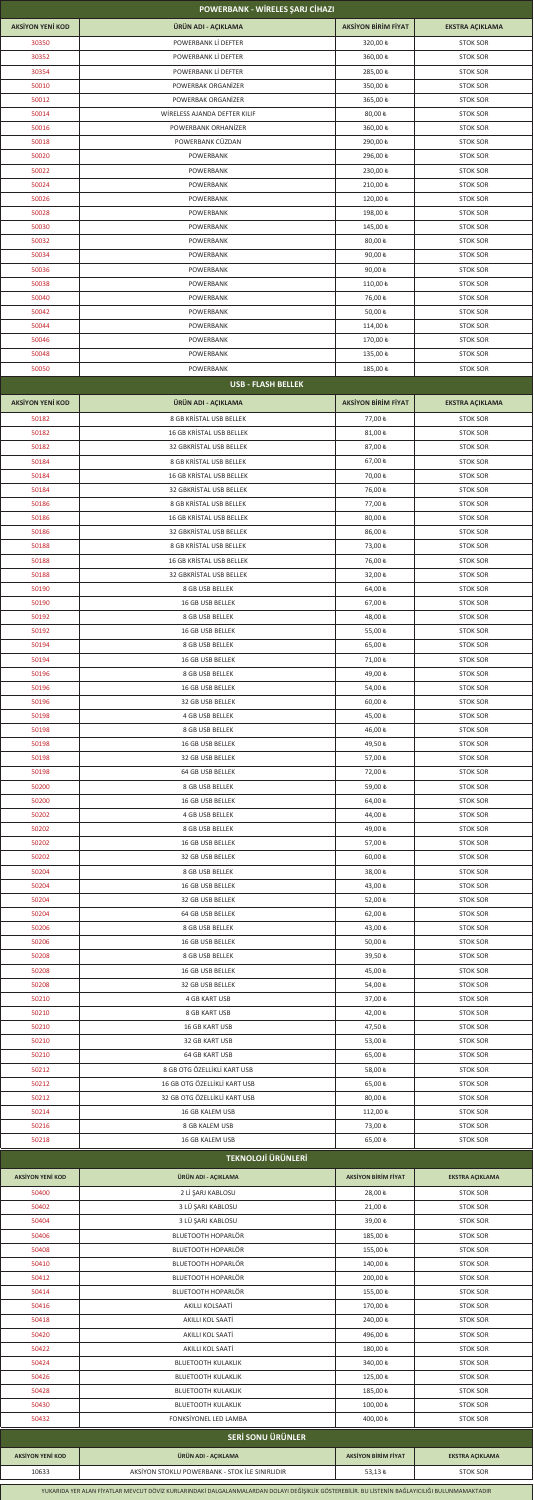**POWERBANK - WIRELES ŞARJ CİHAZI** 

| <b>AKSİYON YENİ KOD</b>          | ÜRÜN ADI - AÇIKLAMA                                                   | <b>AKSİYON BİRİM FİYAT</b>                        | <b>EKSTRA AÇIKLAMA</b>                    |
|----------------------------------|-----------------------------------------------------------------------|---------------------------------------------------|-------------------------------------------|
| 30350<br>30352                   | POWERBANK Lİ DEFTER<br>POWERBANK Lİ DEFTER                            | 320,00 ₺<br>360,00 ₺                              | <b>STOK SOR</b><br><b>STOK SOR</b>        |
| 30354                            | POWERBANK Lİ DEFTER                                                   | 285,00 ₺                                          | <b>STOK SOR</b>                           |
| 50010                            | POWERBAK ORGANIZER                                                    | 350,00 ₺                                          | <b>STOK SOR</b>                           |
| 50012<br>50014                   | POWERBAK ORGANIZER<br>WIRELESS AJANDA DEFTER KILIF                    | 365,00 ₺<br>80,00 ₺                               | <b>STOK SOR</b><br><b>STOK SOR</b>        |
| 50016                            | POWERBANK ORHANIZER                                                   | 360,00 ₺                                          | <b>STOK SOR</b>                           |
| 50018<br>50020                   | POWERBANK CÜZDAN<br>POWERBANK                                         | 290,00 ₺<br>296,00 ₺                              | <b>STOK SOR</b><br><b>STOK SOR</b>        |
| 50022                            | POWERBANK                                                             | 230,00 ₺                                          | <b>STOK SOR</b>                           |
| 50024                            | POWERBANK                                                             | 210,00 ₺                                          | <b>STOK SOR</b>                           |
| 50026<br>50028                   | POWERBANK<br>POWERBANK                                                | 120,00 ₺<br>198,00 ₺                              | <b>STOK SOR</b><br><b>STOK SOR</b>        |
| 50030                            | POWERBANK                                                             | 145,00 ₺                                          | <b>STOK SOR</b>                           |
| 50032<br>50034                   | POWERBANK<br>POWERBANK                                                | 80,00 ₺<br>90,00 ₺                                | <b>STOK SOR</b><br><b>STOK SOR</b>        |
| 50036                            | POWERBANK                                                             | 90,00 ₺                                           | <b>STOK SOR</b>                           |
| 50038                            | POWERBANK                                                             | 110,00₺                                           | <b>STOK SOR</b>                           |
| 50040<br>50042                   | POWERBANK<br>POWERBANK                                                | 76,00 ₺<br>50,00 ₺                                | <b>STOK SOR</b><br><b>STOK SOR</b>        |
| 50044                            | POWERBANK                                                             | 114,00 ₺                                          | <b>STOK SOR</b>                           |
| 50046<br>50048                   | POWERBANK<br>POWERBANK                                                | 170,00 ₺<br>135,00 ₺                              | <b>STOK SOR</b><br><b>STOK SOR</b>        |
| 50050                            | POWERBANK                                                             | 185,00 ₺                                          | <b>STOK SOR</b>                           |
|                                  | <b>USB - FLASH BELLEK</b>                                             |                                                   |                                           |
| <b>AKSİYON YENİ KOD</b>          | ÜRÜN ADI - AÇIKLAMA                                                   | <b>AKSİYON BİRİM FİYAT</b>                        | <b>EKSTRA AÇIKLAMA</b>                    |
| 50182<br>50182                   | 8 GB KRİSTAL USB BELLEK<br>16 GB KRİSTAL USB BELLEK                   | 77,00 ₺<br>81,00 ₺                                | <b>STOK SOR</b><br><b>STOK SOR</b>        |
| 50182                            | 32 GBKRISTAL USB BELLEK                                               | 87,00 ₺                                           | <b>STOK SOR</b>                           |
| 50184<br>50184                   | 8 GB KRİSTAL USB BELLEK<br>16 GB KRİSTAL USB BELLEK                   | 67,00 ₺<br>70,00 ₺                                | <b>STOK SOR</b><br><b>STOK SOR</b>        |
| 50184                            | 32 GBKRİSTAL USB BELLEK                                               | 76,00 ₺                                           | <b>STOK SOR</b>                           |
| 50186                            | 8 GB KRİSTAL USB BELLEK                                               | 77,00 ₺                                           | <b>STOK SOR</b>                           |
| 50186<br>50186                   | 16 GB KRİSTAL USB BELLEK<br>32 GBKRISTAL USB BELLEK                   | 80,00 ₺<br>86,00 ₺                                | <b>STOK SOR</b><br><b>STOK SOR</b>        |
| 50188                            | 8 GB KRISTAL USB BELLEK                                               | 73,00 ₺                                           | <b>STOK SOR</b>                           |
| 50188<br>50188                   | <b>16 GB KRİSTAL USB BELLEK</b><br>32 GBKRİSTAL USB BELLEK            | 76,00 ₺<br>32,00 ₺                                | <b>STOK SOR</b><br><b>STOK SOR</b>        |
| 50190                            | 8 GB USB BELLEK                                                       | 64,00 ₺                                           | <b>STOK SOR</b>                           |
| 50190                            | 16 GB USB BELLEK                                                      | 67,00 ₺                                           | <b>STOK SOR</b>                           |
| 50192<br>50192                   | 8 GB USB BELLEK<br>16 GB USB BELLEK                                   | 48,00 ₺<br>55,00 ₺                                | <b>STOK SOR</b><br><b>STOK SOR</b>        |
| 50194                            | 8 GB USB BELLEK                                                       | 65,00 ₺                                           | <b>STOK SOR</b>                           |
| 50194<br>50196                   | 16 GB USB BELLEK<br>8 GB USB BELLEK                                   | 71,00 ₺<br>49,00 ₺                                | <b>STOK SOR</b><br><b>STOK SOR</b>        |
| 50196                            | 16 GB USB BELLEK                                                      | 54,00も                                            | <b>STOK SOR</b>                           |
| 50196<br>50198                   | 32 GB USB BELLEK<br>4 GB USB BELLEK                                   | 60,00 ₺<br>45,00 ₺                                | <b>STOK SOR</b><br><b>STOK SOR</b>        |
| 50198                            | 8 GB USB BELLEK                                                       | 46,00 ₺                                           | <b>STOK SOR</b>                           |
| 50198<br>50198                   | 16 GB USB BELLEK<br>32 GB USB BELLEK                                  | 49,50 ₺<br>57,00 ₺                                | <b>STOK SOR</b><br><b>STOK SOR</b>        |
| 50198                            | 64 GB USB BELLEK                                                      | 72,00 ₺                                           | <b>STOK SOR</b>                           |
| 50200                            | 8 GB USB BELLEK                                                       | 59,00も                                            | <b>STOK SOR</b>                           |
| 50200<br>50202                   | 16 GB USB BELLEK<br>4 GB USB BELLEK                                   | 64,00 ₺<br>44,00 ₺                                | <b>STOK SOR</b><br><b>STOK SOR</b>        |
| 50202                            | 8 GB USB BELLEK                                                       | 49,00 ₺                                           | <b>STOK SOR</b>                           |
| 50202<br>50202                   | 16 GB USB BELLEK<br>32 GB USB BELLEK                                  | 57,00 ₺<br>60,00 ₺                                | <b>STOK SOR</b><br><b>STOK SOR</b>        |
| 50204                            | 8 GB USB BELLEK                                                       | 38,00 ₺                                           | <b>STOK SOR</b>                           |
| 50204<br>50204                   | 16 GB USB BELLEK<br>32 GB USB BELLEK                                  | 43,00 ₺<br>52,00 ₺                                | <b>STOK SOR</b><br><b>STOK SOR</b>        |
| 50204                            | 64 GB USB BELLEK                                                      | 62,00 ₺                                           | <b>STOK SOR</b>                           |
| 50206                            | 8 GB USB BELLEK                                                       | 43,00 ₺                                           | <b>STOK SOR</b>                           |
| 50206<br>50208                   | 16 GB USB BELLEK<br>8 GB USB BELLEK                                   | 50,00 ₺<br>39,50も                                 | <b>STOK SOR</b><br><b>STOK SOR</b>        |
| 50208                            | 16 GB USB BELLEK                                                      | 45,00 ₺                                           | <b>STOK SOR</b>                           |
| 50208<br>50210                   | 32 GB USB BELLEK<br><b>4 GB KART USB</b>                              | 54,00 ₺<br>37,00も                                 | <b>STOK SOR</b><br><b>STOK SOR</b>        |
| 50210                            | 8 GB KART USB                                                         | 42,00 ₺                                           | <b>STOK SOR</b>                           |
| 50210<br>50210                   | <b>16 GB KART USB</b><br>32 GB KART USB                               | 47,50₺<br>53,00 ₺                                 | <b>STOK SOR</b><br><b>STOK SOR</b>        |
| 50210                            | <b>64 GB KART USB</b>                                                 | 65,00 ₺                                           | <b>STOK SOR</b>                           |
| 50212<br>50212                   | 8 GB OTG ÖZELLİKLİ KART USB<br>16 GB OTG ÖZELLİKLİ KART USB           | 58,00 ₺<br>65,00 ₺                                | <b>STOK SOR</b><br><b>STOK SOR</b>        |
| 50212                            | 32 GB OTG ÖZELLİKLİ KART USB                                          | 80,00 ₺                                           | <b>STOK SOR</b>                           |
| 50214                            | 16 GB KALEM USB                                                       | 112,00 ₺                                          | <b>STOK SOR</b>                           |
| 50216<br>50218                   | 8 GB KALEM USB<br>16 GB KALEM USB                                     | 73,00 ₺<br>65,00 ₺                                | <b>STOK SOR</b><br><b>STOK SOR</b>        |
|                                  | <b>TEKNOLOJI ÜRÜNLERI</b>                                             |                                                   |                                           |
| <b>AKSİYON YENİ KOD</b>          | ÜRÜN ADI - AÇIKLAMA                                                   | <b>AKSİYON BİRİM FİYAT</b>                        | <b>EKSTRA AÇIKLAMA</b>                    |
| 50400                            | 2 Lİ ŞARJ KABLOSU                                                     | 28,00 ₺                                           | <b>STOK SOR</b>                           |
| 50402<br>50404                   | 3 LÜ ŞARJ KABLOSU<br>3 LÜ ŞARJ KABLOSU                                | 21,00 ₺<br>39,00 ₺                                | <b>STOK SOR</b><br><b>STOK SOR</b>        |
| 50406                            | BLUETOOTH HOPARLÖR                                                    | 185,00 ₺                                          | <b>STOK SOR</b>                           |
| 50408<br>50410                   | <b>BLUETOOTH HOPARLÖR</b><br>BLUETOOTH HOPARLÖR                       | 155,00 ₺<br>140,00 ₺                              | <b>STOK SOR</b><br><b>STOK SOR</b>        |
| 50412                            | BLUETOOTH HOPARLÖR                                                    | 200,00 ₺                                          | <b>STOK SOR</b>                           |
| 50414<br>50416                   | <b>BLUETOOTH HOPARLÖR</b><br>AKILLI KOLSAATİ                          | 155,00 ₺<br>170,00 も                              | <b>STOK SOR</b><br><b>STOK SOR</b>        |
| 50418                            | AKILLI KOL SAATİ                                                      | 240,00 ₺                                          | <b>STOK SOR</b>                           |
| 50420<br>50422                   | AKILLI KOL SAATİ<br>AKILLI KOL SAATİ                                  | 496,00 ₺<br>180,00 ₺                              | <b>STOK SOR</b><br><b>STOK SOR</b>        |
| 50424                            | <b>BLUETOOTH KULAKLIK</b>                                             | 340,00 ₺                                          | <b>STOK SOR</b>                           |
| 50426                            | <b>BLUETOOTH KULAKLIK</b>                                             | 125,00 ₺                                          | <b>STOK SOR</b>                           |
| 50428<br>50430                   | <b>BLUETOOTH KULAKLIK</b><br><b>BLUETOOTH KULAKLIK</b>                | 185,00 ₺<br>100,00₺                               | <b>STOK SOR</b><br><b>STOK SOR</b>        |
| 50432                            | FONKSİYONEL LED LAMBA                                                 | 400,00 ₺                                          | <b>STOK SOR</b>                           |
|                                  | <b>SERİ SONU ÜRÜNLER</b>                                              |                                                   |                                           |
| <b>AKSİYON YENİ KOD</b><br>10633 | ÜRÜN ADI - AÇIKLAMA<br>AKSİYON STOKLU POWERBANK - STOK İLE SINIRLIDIR | <b>AKSİYON BİRİM FİYAT</b><br>$53,13 \; \text{*}$ | <b>EKSTRA AÇIKLAMA</b><br><b>STOK SOR</b> |
|                                  |                                                                       |                                                   |                                           |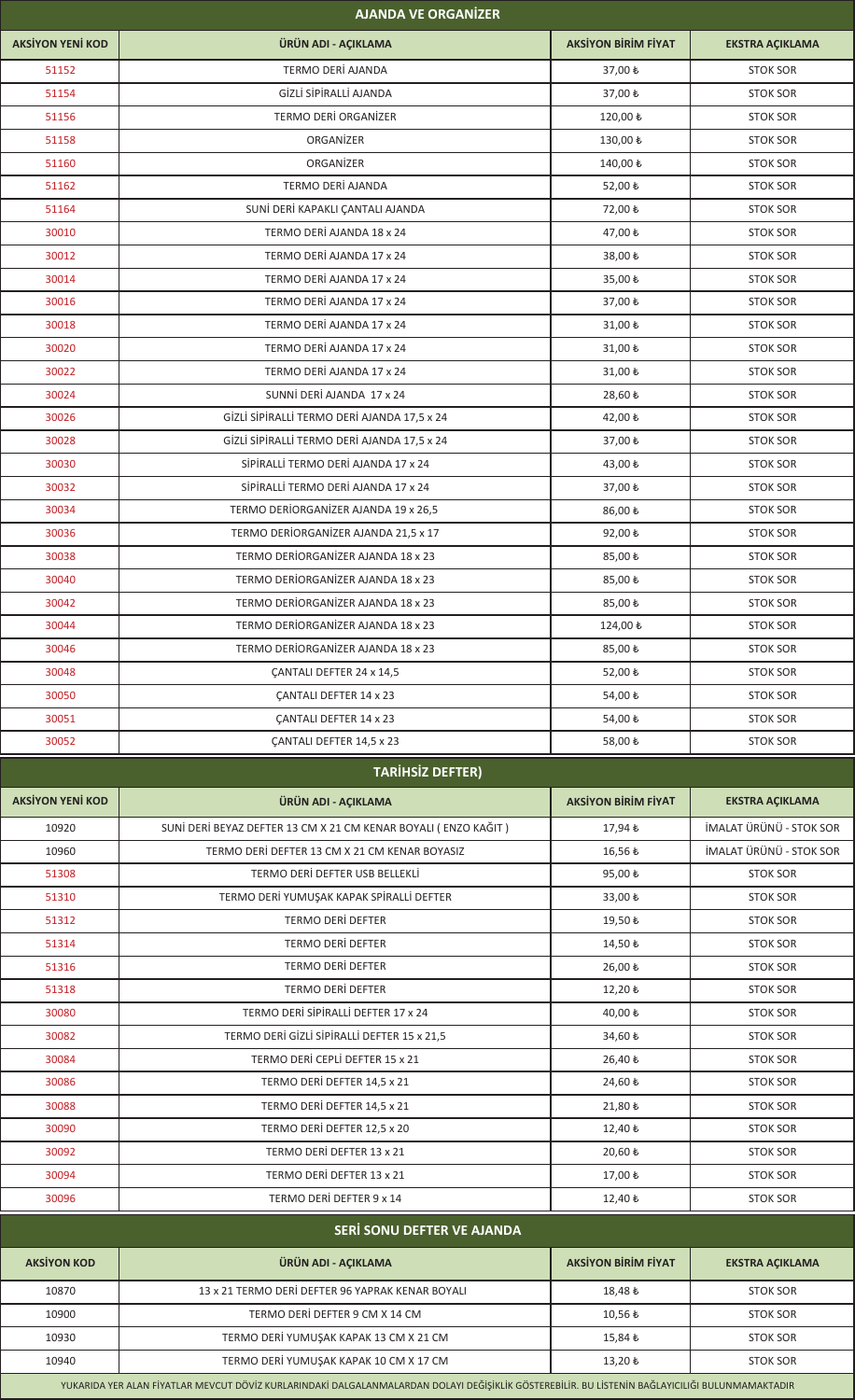|                         | <b>AJANDA VE ORGANIZER</b>                                                                                                                      |                            |                         |
|-------------------------|-------------------------------------------------------------------------------------------------------------------------------------------------|----------------------------|-------------------------|
| <b>AKSİYON YENİ KOD</b> | ÜRÜN ADI - AÇIKLAMA                                                                                                                             | <b>AKSİYON BİRİM FİYAT</b> | <b>EKSTRA AÇIKLAMA</b>  |
| 51152                   | TERMO DERÍ AJANDA                                                                                                                               | 37,00 ₺                    | <b>STOK SOR</b>         |
| 51154                   | GİZLİ SİPİRALLİ AJANDA                                                                                                                          | 37,00 ₺                    | <b>STOK SOR</b>         |
| 51156                   | <b>TERMO DERİ ORGANİZER</b>                                                                                                                     | 120,00 ₺                   | <b>STOK SOR</b>         |
| 51158                   | ORGANIZER                                                                                                                                       | 130,00 ₺                   | <b>STOK SOR</b>         |
| 51160                   | ORGANIZER                                                                                                                                       | 140,00 ₺                   | <b>STOK SOR</b>         |
| 51162                   | TERMO DERÍ AJANDA                                                                                                                               | 52,00 ₺                    | <b>STOK SOR</b>         |
| 51164                   | SUNİ DERİ KAPAKLI ÇANTALI AJANDA                                                                                                                | 72,00 ₺                    | <b>STOK SOR</b>         |
| 30010                   | TERMO DERÍ AJANDA 18 x 24                                                                                                                       | 47,00 ₺                    | <b>STOK SOR</b>         |
| 30012                   | TERMO DERÍ AJANDA 17 x 24                                                                                                                       | 38,00 ₺                    | <b>STOK SOR</b>         |
| 30014                   | TERMO DERÍ AJANDA 17 x 24                                                                                                                       | 35,00 ₺                    | <b>STOK SOR</b>         |
| 30016                   | TERMO DERÍ AJANDA 17 x 24                                                                                                                       | 37,00 ₺                    | <b>STOK SOR</b>         |
| 30018                   | TERMO DERÍ AJANDA 17 x 24                                                                                                                       | 31,00 ₺                    | <b>STOK SOR</b>         |
| 30020                   | TERMO DERÍ AJANDA 17 x 24                                                                                                                       | 31,00 ₺                    | <b>STOK SOR</b>         |
| 30022                   | TERMO DERÍ AJANDA 17 x 24                                                                                                                       | 31,00 ₺                    | <b>STOK SOR</b>         |
| 30024                   | SUNNİ DERİ AJANDA 17 x 24                                                                                                                       | 28,60 ₺                    | <b>STOK SOR</b>         |
| 30026                   | GİZLİ SİPİRALLİ TERMO DERİ AJANDA 17,5 x 24                                                                                                     | 42,00 ₺                    | <b>STOK SOR</b>         |
| 30028                   | GİZLİ SİPİRALLİ TERMO DERİ AJANDA 17,5 x 24                                                                                                     | 37,00 ₺                    | <b>STOK SOR</b>         |
| 30030                   | SİPİRALLİ TERMO DERİ AJANDA 17 x 24                                                                                                             | 43,00 ₺                    | <b>STOK SOR</b>         |
| 30032                   | SİPİRALLİ TERMO DERİ AJANDA 17 x 24                                                                                                             | 37,00 ₺                    | <b>STOK SOR</b>         |
| 30034                   | TERMO DERÍORGANÍZER AJANDA 19 x 26,5                                                                                                            | 86,00 ₺                    | <b>STOK SOR</b>         |
| 30036                   | TERMO DERÍORGANÍZER AJANDA 21,5 x 17                                                                                                            | 92,00 ₺                    | <b>STOK SOR</b>         |
| 30038                   | TERMO DERIORGANIZER AJANDA 18 x 23                                                                                                              | 85,00 ₺                    | <b>STOK SOR</b>         |
| 30040                   | TERMO DERIORGANIZER AJANDA 18 x 23                                                                                                              | 85,00 ₺                    | <b>STOK SOR</b>         |
| 30042                   | TERMO DERÍORGANÍZER AJANDA 18 x 23                                                                                                              | 85,00 ₺                    | <b>STOK SOR</b>         |
| 30044                   | TERMO DERIORGANIZER AJANDA 18 x 23                                                                                                              | 124,00 ₺                   | <b>STOK SOR</b>         |
| 30046                   | TERMO DERIORGANIZER AJANDA 18 x 23                                                                                                              | 85,00 ₺                    | <b>STOK SOR</b>         |
| 30048                   | CANTALI DEFTER 24 x 14,5                                                                                                                        | 52,00 ₺                    | <b>STOK SOR</b>         |
| 30050                   | <b>ÇANTALI DEFTER 14 x 23</b>                                                                                                                   | 54,00 も                    | <b>STOK SOR</b>         |
| 30051                   | <b>CANTALI DEFTER 14 x 23</b>                                                                                                                   | 54,00 ₺                    | <b>STOK SOR</b>         |
| 30052                   | <b>ÇANTALI DEFTER 14,5 x 23</b>                                                                                                                 | 58,00 ₺                    | <b>STOK SOR</b>         |
|                         |                                                                                                                                                 |                            |                         |
|                         | <b>TARIHSIZ DEFTER)</b>                                                                                                                         |                            |                         |
| <b>AKSİYON YENİ KOD</b> | ÜRÜN ADI - AÇIKLAMA                                                                                                                             | <b>AKSİYON BİRİM FİYAT</b> | <b>EKSTRA AÇIKLAMA</b>  |
| 10920                   | SUNİ DERİ BEYAZ DEFTER 13 CM X 21 CM KENAR BOYALI (ENZO KAĞIT)                                                                                  | 17,94 ₺                    | İMALAT ÜRÜNÜ - STOK SOR |
| 10960                   | TERMO DERÍ DEFTER 13 CM X 21 CM KENAR BOYASIZ                                                                                                   | 16,56も                     | İMALAT ÜRÜNÜ - STOK SOR |
| 51308                   | TERMO DERİ DEFTER USB BELLEKLİ                                                                                                                  | 95,00 ₺                    | <b>STOK SOR</b>         |
| 51310                   | TERMO DERİ YUMUŞAK KAPAK SPİRALLİ DEFTER                                                                                                        | 33,00 ₺                    | <b>STOK SOR</b>         |
| 51312                   | <b>TERMO DERİ DEFTER</b>                                                                                                                        | 19,50 ₺                    | <b>STOK SOR</b>         |
| 51314                   | <b>TERMO DERİ DEFTER</b>                                                                                                                        | 14,50 ₺                    | <b>STOK SOR</b>         |
| 51316                   | <b>TERMO DERİ DEFTER</b>                                                                                                                        | 26,00 ₺                    | <b>STOK SOR</b>         |
| 51318                   | <b>TERMO DERİ DEFTER</b>                                                                                                                        | 12,20 ₺                    | <b>STOK SOR</b>         |
| 30080                   | TERMO DERÍ SÍPIRALLI DEFTER 17 x 24                                                                                                             | 40,00 ₺                    | <b>STOK SOR</b>         |
| 30082                   | TERMO DERİ GİZLİ SİPİRALLİ DEFTER 15 x 21,5                                                                                                     | 34,60 ₺                    | <b>STOK SOR</b>         |
| 30084                   | TERMO DERÍ CEPLÍ DEFTER 15 x 21                                                                                                                 | 26,40 ₺                    | <b>STOK SOR</b>         |
| 30086                   | TERMO DERİ DEFTER 14,5 x 21                                                                                                                     | 24,60 ₺                    | <b>STOK SOR</b>         |
| 30088                   | TERMO DERİ DEFTER 14,5 x 21                                                                                                                     | 21,80 ₺                    | <b>STOK SOR</b>         |
| 30090                   | TERMO DERİ DEFTER 12,5 x 20                                                                                                                     | 12,40 ₺                    | <b>STOK SOR</b>         |
| 30092                   | TERMO DERÍ DEFTER 13 x 21                                                                                                                       | 20,60 ₺                    | <b>STOK SOR</b>         |
| 30094                   | TERMO DERÍ DEFTER 13 x 21                                                                                                                       | 17,00 ₺                    | <b>STOK SOR</b>         |
| 30096                   | TERMO DERÍ DEFTER 9 x 14                                                                                                                        | 12,40 ₺                    | <b>STOK SOR</b>         |
|                         |                                                                                                                                                 |                            |                         |
|                         | SERİ SONU DEFTER VE AJANDA                                                                                                                      |                            |                         |
| <b>AKSIYON KOD</b>      | ÜRÜN ADI - AÇIKLAMA                                                                                                                             | <b>AKSİYON BİRİM FİYAT</b> | <b>EKSTRA AÇIKLAMA</b>  |
| 10870                   | 13 x 21 TERMO DERÍ DEFTER 96 YAPRAK KENAR BOYALI                                                                                                | 18,48も                     | <b>STOK SOR</b>         |
| 10900                   | TERMO DERÍ DEFTER 9 CM X 14 CM                                                                                                                  | 10,56 ₺                    | <b>STOK SOR</b>         |
| 10930                   | TERMO DERİ YUMUŞAK KAPAK 13 CM X 21 CM                                                                                                          | 15,84 ₺                    | <b>STOK SOR</b>         |
| 10940                   | TERMO DERİ YUMUŞAK KAPAK 10 CM X 17 CM                                                                                                          | 13,20 ₺                    | <b>STOK SOR</b>         |
|                         | YUKARIDA YER ALAN FİYATLAR MEVCUT DÖVİZ KURLARINDAKİ DALGALANMALARDAN DOLAYI DEĞİŞİKLİK GÖSTEREBİLİR. BU LİSTENİN BAĞLAYICILIĞI BULUNMAMAKTADIR |                            |                         |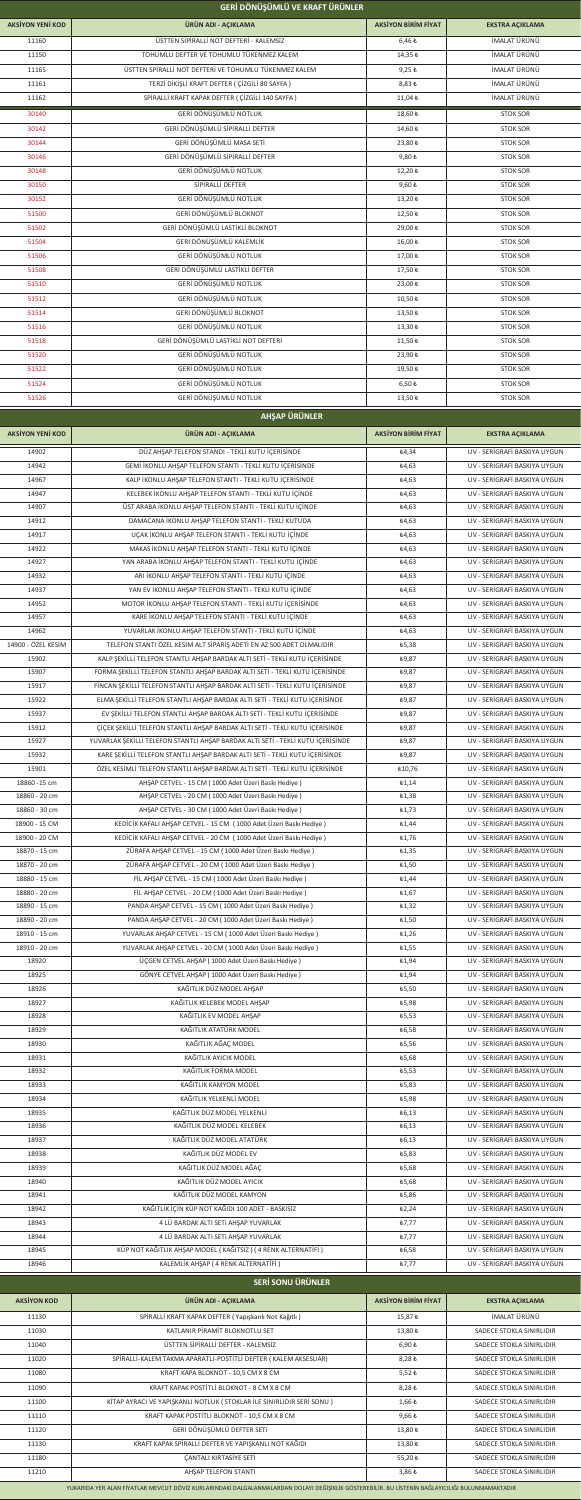| <b>AKSİYON YENİ KOD</b> | ÜRÜN ADI - AÇIKLAMA                                   | <b>AKSİYON BİRİM FİYAT</b>  | <b>EKSTRA AÇIKLAMA</b> |
|-------------------------|-------------------------------------------------------|-----------------------------|------------------------|
| 11160                   | ÜSTTEN SİPİRALLİ NOT DEFTERİ - KALEMSİZ               | $6,46 \text{ t}$            | İMALAT ÜRÜNÜ           |
| 11150                   | TOHUMLU DEFTER VE TOHUMLU TÜKENMEZ KALEM              | 14,35 ₺                     | İMALAT ÜRÜNÜ           |
| 11165                   | ÜSTTEN SPİRALLİ NOT DEFTERİ VE TOHUMLU TÜKENMEZ KALEM | 9,25 $\pm$                  | İMALAT ÜRÜNÜ           |
| 11161                   | TERZİ DİKİŞLİ KRAFT DEFTER (ÇİZGİLİ 80 SAYFA)         | $8,83 \text{ } \frac{1}{2}$ | İMALAT ÜRÜNÜ           |
| 11162                   | SPİRALLİ KRAFT KAPAK DEFTER (ÇİZGİLİ 140 SAYFA)       | 11,04も                      | İMALAT ÜRÜNÜ           |
| 30140                   | GERİ DÖNÜŞÜMLÜ NOTLUK                                 | 18,60 ₺                     | <b>STOK SOR</b>        |
| 30142                   | GERİ DÖNÜŞÜMLÜ SİPİRALLİ DEFTER                       | 14,60 ₺                     | <b>STOK SOR</b>        |
| 30144                   | GERİ DÖNÜŞÜMLÜ MASA SETİ                              | 23,80 ₺                     | <b>STOK SOR</b>        |
| 30146                   | GERİ DÖNÜŞÜMLÜ SİPİRALLİ DEFTER                       | 9,80 $\pm$                  | <b>STOK SOR</b>        |
| 30148                   | GERİ DÖNÜŞÜMLÜ NOTLUK                                 | 12,20 ₺                     | <b>STOK SOR</b>        |
| 30150                   | SİPİRALLİ DEFTER                                      | 9,60 $\pm$                  | <b>STOK SOR</b>        |
| 30152                   | GERİ DÖNÜŞÜMLÜ NOTLUK                                 | 13,20₺                      | <b>STOK SOR</b>        |
| 51500                   | GERİ DÖNÜŞÜMLÜ BLOKNOT                                | 12,50 ₺                     | <b>STOK SOR</b>        |
| 51502                   | GERİ DÖNÜŞÜMLÜ LASTİKLİ BLOKNOT                       | 29,00 ₺                     | <b>STOK SOR</b>        |
| 51504                   | GERİ DÖNÜŞÜMLÜ KALEMLİK                               | 16,00 ₺                     | <b>STOK SOR</b>        |
| 51506                   | GERİ DÖNÜŞÜMLÜ NOTLUK                                 | 17,00 ₺                     | <b>STOK SOR</b>        |
| 51508                   | GERİ DÖNÜŞÜMLÜ LASTİKLİ DEFTER                        | 17,50 ₺                     | <b>STOK SOR</b>        |
| 51510                   | GERİ DÖNÜŞÜMLÜ NOTLUK                                 | 23,00 ₺                     | <b>STOK SOR</b>        |
| 51512                   | GERİ DÖNÜŞÜMLÜ NOTLUK                                 | 10,50 ₺                     | <b>STOK SOR</b>        |
| 51514                   | GERİ DÖNÜŞÜMLÜ BLOKNOT                                | 13,50 ₺                     | <b>STOK SOR</b>        |
| 51516                   | GERİ DÖNÜŞÜMLÜ NOTLUK                                 | 13,30 ₺                     | <b>STOK SOR</b>        |
| 51518                   | GERİ DÖNÜŞÜMLÜ LASTİKLİ NOT DEFTERİ                   | 11,50 ₺                     | <b>STOK SOR</b>        |
| 51520                   | GERİ DÖNÜŞÜMLÜ NOTLUK                                 | 23,90 ₺                     | <b>STOK SOR</b>        |
| 51522                   | GERİ DÖNÜŞÜMLÜ NOTLUK                                 | 19,50 ₺                     | <b>STOK SOR</b>        |
| 51524                   | GERİ DÖNÜŞÜMLÜ NOTLUK                                 | 6,50 k                      | <b>STOK SOR</b>        |
| 51526                   | GERİ DÖNÜŞÜMLÜ NOTLUK                                 | 13,50 ₺                     | <b>STOK SOR</b>        |

**GER7 DÖNÜbÜMLÜ VE KRAFT ÜRÜNLER**

| AHŞAP ÜRÜNLER |
|---------------|
|               |

| <b>AKSİYON YENİ KOD</b>        | ÜRÜN ADI - AÇIKLAMA                                                                                                                                           | <b>AKSİYON BİRİM FİYAT</b>                   | <b>EKSTRA AÇIKLAMA</b>                                       |
|--------------------------------|---------------------------------------------------------------------------------------------------------------------------------------------------------------|----------------------------------------------|--------------------------------------------------------------|
| 14902                          | DÜZ AHSAP TELEFON STANDI - TEKLİ KUTU İÇERİSİNDE                                                                                                              | <b>£4,34</b>                                 | UV - SERİGRAFİ BASKIYA UYGUN                                 |
| 14942                          | GEMİ İKONLU AHŞAP TELEFON STANTI - TEKLİ KUTU İÇERİSİNDE                                                                                                      | <b>£4,63</b>                                 | UV - SERİGRAFİ BASKIYA UYGUN                                 |
| 14967                          | KALP İKONLU AHŞAP TELEFON STANTI - TEKLİ KUTU İÇERİSİNDE                                                                                                      | <b>£4,63</b>                                 | UV - SERİGRAFİ BASKIYA UYGUN                                 |
| 14947                          | KELEBEK İKONLU AHŞAP TELEFON STANTI - TEKLİ KUTU İÇİNDE                                                                                                       | <b>£4,63</b>                                 | UV - SERİGRAFİ BASKIYA UYGUN                                 |
| 14907                          | ÜST ARABA İKONLU AHŞAP TELEFON STANTI - TEKLİ KUTU İÇİNDE                                                                                                     | <b>£4,63</b>                                 | UV - SERİGRAFİ BASKIYA UYGUN                                 |
| 14912<br>14917                 | DAMACANA İKONLU AHŞAP TELEFON STANTI - TEKLİ KUTUDA<br>UÇAK İKONLU AHŞAP TELEFON STANTI - TEKLİ KUTU İÇİNDE                                                   | <b>£4,63</b><br><b>£4,63</b>                 | UV - SERİGRAFİ BASKIYA UYGUN<br>UV - SERİGRAFİ BASKIYA UYGUN |
| 14922                          | MAKAS İKONLU AHŞAP TELEFON STANTI - TEKLİ KUTU İÇİNDE                                                                                                         | <b>£4,63</b>                                 | UV - SERİGRAFİ BASKIYA UYGUN                                 |
| 14927                          | YAN ARABA İKONLU AHŞAP TELEFON STANTI - TEKLİ KUTU İÇİNDE                                                                                                     | <b>£4,63</b>                                 | UV - SERİGRAFİ BASKIYA UYGUN                                 |
| 14932                          | ARI İKONLU AHŞAP TELEFON STANTI - TEKLİ KUTU İÇİNDE                                                                                                           | <b>£4,63</b>                                 | UV - SERİGRAFİ BASKIYA UYGUN                                 |
| 14937                          | YAN EV İKONLU AHŞAP TELEFON STANTI - TEKLİ KUTU İÇİNDE                                                                                                        | <b>£4,63</b>                                 | UV - SERİGRAFİ BASKIYA UYGUN                                 |
| 14952                          | MOTOR İKONLU AHŞAP TELEFON STANTI - TEKLİ KUTU İÇERİSİNDE                                                                                                     | <b>£4,63</b>                                 | UV - SERİGRAFİ BASKIYA UYGUN                                 |
| 14957                          | KARE İKONLU AHŞAP TELEFON STANTI - TEKLİ KUTU İÇİNDE                                                                                                          | <b>£4,63</b>                                 | UV - SERİGRAFİ BASKIYA UYGUN                                 |
| 14962                          | YUVARLAK İKONLU AHSAP TELEFON STANTI - TEKLİ KUTU İCİNDE                                                                                                      | <b>£4,63</b>                                 | UV - SERİGRAFİ BASKIYA UYGUN                                 |
| 14900 - ÖZEL KESİM             | TELEFON STANTI ÖZEL KESİM ALT SİPARİŞ ADETİ EN AZ 500 ADET OLMALIDIR                                                                                          | <b>£5,38</b>                                 | UV - SERİGRAFİ BASKIYA UYGUN                                 |
| 15902                          | KALP ŞEKİLLİ TELEFON STANTLI AHŞAP BARDAK ALTI SETİ - TEKLİ KUTU İÇERİSİNDE                                                                                   | <b>£9,87</b>                                 | UV - SERİGRAFİ BASKIYA UYGUN                                 |
| 15907<br>15917                 | FORMA ŞEKİLLİ TELEFON STANTLI AHŞAP BARDAK ALTI SETİ - TEKLİ KUTU İÇERİSİNDE<br>FİNCAN ŞEKİLLİ TELEFON STANTLI AHŞAP BARDAK ALTI SETİ - TEKLİ KUTU İÇERİSİNDE | <b>£9,87</b><br><b>£9,87</b>                 | UV - SERİGRAFİ BASKIYA UYGUN<br>UV - SERİGRAFİ BASKIYA UYGUN |
| 15922                          | ELMA ŞEKİLLİ TELEFON STANTLI AHŞAP BARDAK ALTI SETİ - TEKLİ KUTU İÇERİSİNDE                                                                                   | <b>£9,87</b>                                 | UV - SERİGRAFİ BASKIYA UYGUN                                 |
| 15937                          | EV ŞEKİLLİ TELEFON STANTLI AHŞAP BARDAK ALTI SETİ - TEKLİ KUTU İÇERİSİNDE                                                                                     | <b>£9,87</b>                                 | UV - SERİGRAFİ BASKIYA UYGUN                                 |
| 15912                          | ÇİÇEK ŞEKİLLİ TELEFON STANTLI AHŞAP BARDAK ALTI SETİ - TEKLİ KUTU İÇERİSİNDE                                                                                  | <b>£9,87</b>                                 | UV - SERİGRAFİ BASKIYA UYGUN                                 |
| 15927                          | YUVARLAK ŞEKİLLİ TELEFON STANTLI AHŞAP BARDAK ALTI SETİ - TEKLİ KUTU İÇERİSİNDE                                                                               | <b>£9,87</b>                                 | UV - SERİGRAFİ BASKIYA UYGUN                                 |
| 15932                          | KARE ŞEKİLLİ TELEFON STANTLI AHŞAP BARDAK ALTI SETİ - TEKLİ KUTU İÇERİSİNDE                                                                                   | <b>£9,87</b>                                 | UV - SERİGRAFİ BASKIYA UYGUN                                 |
| 15901                          | ÖZEL KESİMLİ TELEFON STANTLI AHŞAP BARDAK ALTI SETİ - TEKLİ KUTU İÇERİSİNDE                                                                                   | ₺10,76                                       | UV - SERİGRAFİ BASKIYA UYGUN                                 |
| 18860 - 15 cm                  | AHŞAP CETVEL - 15 CM (1000 Adet Üzeri Baskı Hediye)                                                                                                           | £1,14                                        | UV - SERİGRAFİ BASKIYA UYGUN                                 |
| 18860 - 20 cm                  | AHŞAP CETVEL - 20 CM (1000 Adet Üzeri Baskı Hediye)                                                                                                           | <b>£1,38</b>                                 | UV - SERİGRAFİ BASKIYA UYGUN                                 |
| 18860 - 30 cm                  | AHŞAP CETVEL - 30 CM (1000 Adet Üzeri Baskı Hediye)                                                                                                           | £1,73                                        | UV - SERİGRAFİ BASKIYA UYGUN                                 |
| 18900 - 15 CM                  | KEDİCİK KAFALI AHŞAP CETVEL - 15 CM (1000 Adet Üzeri Baskı Hediye)                                                                                            | <b>£1,44</b>                                 | UV - SERİGRAFİ BASKIYA UYGUN                                 |
| 18900 - 20 CM<br>18870 - 15 cm | KEDİCİK KAFALI AHŞAP CETVEL - 20 CM (1000 Adet Üzeri Baskı Hediye)<br>ZÜRAFA AHSAP CETVEL - 15 CM (1000 Adet Üzeri Baskı Hediye)                              | <b>£1,76</b><br><b>£1,35</b>                 | UV - SERİGRAFİ BASKIYA UYGUN<br>UV - SERİGRAFİ BASKIYA UYGUN |
| 18870 - 20 cm                  | ZÜRAFA AHŞAP CETVEL - 20 CM (1000 Adet Üzeri Baskı Hediye)                                                                                                    | \$1,50                                       | UV - SERİGRAFİ BASKIYA UYGUN                                 |
| 18880 - 15 cm                  | FİL AHŞAP CETVEL - 15 CM (1000 Adet Üzeri Baskı Hediye)                                                                                                       | <b>£1,44</b>                                 | UV - SERİGRAFİ BASKIYA UYGUN                                 |
| 18880 - 20 cm                  | FİL AHŞAP CETVEL - 20 CM (1000 Adet Üzeri Baskı Hediye)                                                                                                       | <b>£1,67</b>                                 | UV - SERİGRAFİ BASKIYA UYGUN                                 |
| 18890 - 15 cm                  | PANDA AHSAP CETVEL - 15 CM (1000 Adet Üzeri Baskı Hediye)                                                                                                     | £1,32                                        | UV - SERİGRAFİ BASKIYA UYGUN                                 |
| 18890 - 20 cm                  | PANDA AHŞAP CETVEL - 20 CM (1000 Adet Üzeri Baskı Hediye)                                                                                                     | <b>£1,50</b>                                 | UV - SERİGRAFİ BASKIYA UYGUN                                 |
| 18910 - 15 cm                  | YUVARLAK AHŞAP CETVEL - 15 CM (1000 Adet Üzeri Baskı Hediye)                                                                                                  | <b>£1,26</b>                                 | UV - SERİGRAFİ BASKIYA UYGUN                                 |
| 18910 - 20 cm                  | YUVARLAK AHŞAP CETVEL - 20 CM (1000 Adet Üzeri Baskı Hediye)                                                                                                  | <b>£1,55</b>                                 | UV - SERİGRAFİ BASKIYA UYGUN                                 |
| 18920                          | ÜÇGEN CETVEL AHŞAP (1000 Adet Üzeri Baskı Hediye)                                                                                                             | <b>£1,94</b>                                 | UV - SERİGRAFİ BASKIYA UYGUN                                 |
| 18925                          | GÖNYE CETVEL AHSAP (1000 Adet Üzeri Baskı Hediye)                                                                                                             | <b>£1,94</b>                                 | UV - SERİGRAFİ BASKIYA UYGUN                                 |
| 18926<br>18927                 | KAĞITLIK DÜZ MODEL AHŞAP<br>KAĞITLIK KELEBEK MODEL AHŞAP                                                                                                      | <b>£5,50</b><br><b>£5,98</b>                 | UV - SERİGRAFİ BASKIYA UYGUN<br>UV - SERİGRAFİ BASKIYA UYGUN |
| 18928                          | KAĞITLIK EV MODEL AHŞAP                                                                                                                                       | <b>£5,53</b>                                 | UV - SERİGRAFİ BASKIYA UYGUN                                 |
| 18929                          | KAĞITLIK ATATÜRK MODEL                                                                                                                                        | <b>£6,58</b>                                 | UV - SERİGRAFİ BASKIYA UYGUN                                 |
| 18930                          | KAĞITLIK AĞAÇ MODEL                                                                                                                                           | <b>£5,56</b>                                 | UV - SERİGRAFİ BASKIYA UYGUN                                 |
| 18931                          | KAĞITLIK AYICIK MODEL                                                                                                                                         | <b>£5,68</b>                                 | UV - SERİGRAFİ BASKIYA UYGUN                                 |
| 18932                          | KAĞITLIK FORMA MODEL                                                                                                                                          | <b>£5,53</b>                                 | UV - SERİGRAFİ BASKIYA UYGUN                                 |
| 18933                          | KAĞITLIK KAMYON MODEL                                                                                                                                         | <b>£5,83</b>                                 | UV - SERİGRAFİ BASKIYA UYGUN                                 |
| 18934                          | KAĞITLIK YELKENLİ MODEL                                                                                                                                       | <b>£5,98</b>                                 | UV - SERİGRAFİ BASKIYA UYGUN                                 |
| 18935                          | KAĞITLIK DÜZ MODEL YELKENLİ                                                                                                                                   | $\text{\pounds}6,13$                         | UV - SERİGRAFİ BASKIYA UYGUN                                 |
| 18936<br>18937                 | KAĞITLIK DÜZ MODEL KELEBEK<br>KAĞITLIK DÜZ MODEL ATATÜRK                                                                                                      | $\text{\pounds}6,13$<br>$\text{\pounds}6,13$ | UV - SERİGRAFİ BASKIYA UYGUN<br>UV - SERİGRAFİ BASKIYA UYGUN |
| 18938                          | KAĞITLIK DÜZ MODEL EV                                                                                                                                         | <b>£5,83</b>                                 | UV - SERİGRAFİ BASKIYA UYGUN                                 |
| 18939                          | KAĞITLIK DÜZ MODEL AĞAC                                                                                                                                       | ₺5,68                                        | UV - SERİGRAFİ BASKIYA UYGUN                                 |
| 18940                          | KAĞITLIK DÜZ MODEL AYICIK                                                                                                                                     | <b>£5,68</b>                                 | UV - SERİGRAFİ BASKIYA UYGUN                                 |
| 18941                          | KAĞITLIK DÜZ MODEL KAMYON                                                                                                                                     | <b>£5,86</b>                                 | UV - SERİGRAFİ BASKIYA UYGUN                                 |
| 18942                          | KAĞITLIK İÇİN KÜP NOT KAĞIDI 100 ADET - BASKISIZ                                                                                                              | $\text{\pounds}2,24$                         | UV - SERİGRAFİ BASKIYA UYGUN                                 |
| 18943                          | 4 LÜ BARDAK ALTI SETI AHŞAP YUVARLAK                                                                                                                          | £7,77                                        | UV - SERİGRAFİ BASKIYA UYGUN                                 |
| 18944                          | 4 LÜ BARDAK ALTI SETI AHSAP YUVARLAK                                                                                                                          | £7,77                                        | UV - SERİGRAFİ BASKIYA UYGUN                                 |
| 18945                          | KÜP NOT KAĞITLIK AHŞAP MODEL (KAĞITSIZ) (4 RENK ALTERNATİFİ)                                                                                                  | <b>£6,58</b>                                 | UV - SERİGRAFİ BASKIYA UYGUN                                 |
| 18946                          | KALEMLİK AHŞAP (4 RENK ALTERNATİFİ)                                                                                                                           | £7,77                                        | UV - SERİGRAFİ BASKIYA UYGUN                                 |
|                                | <b>SERİ SONU ÜRÜNLER</b>                                                                                                                                      |                                              |                                                              |
| <b>AKSIYON KOD</b>             | ÜRÜN ADI - AÇIKLAMA                                                                                                                                           | <b>AKSIYON BIRIM FIYAT</b>                   | <b>EKSTRA AÇIKLAMA</b>                                       |
| 11130                          | SPİRALLİ KRAFT KAPAK DEFTER (Yapışkanlı Not Kağıtlı)                                                                                                          | 15,87 ₺                                      | İMALAT ÜRÜNÜ                                                 |
| 11030                          | KATLANIR PİRAMİT BLOKNOTLU SET                                                                                                                                | 13,80 ₺                                      | SADECE STOKLA SINIRLIDIR                                     |
| 11040                          | ÜSTTEN SİPİRALLİ DEFTER - KALEMSİZ                                                                                                                            | $6,90 \text{ t}$                             | SADECE STOKLA SINIRLIDIR                                     |
| 11020                          | SPİRALLİ-KALEM TAKMA APARATLI-POSTİTLİ DEFTER (KALEM AKSESUAR)                                                                                                | 8,28も                                        | SADECE STOKLA SINIRLIDIR                                     |
| 11080                          | KRAFT KAPA BLOKNOT - 10,5 CM X 8 CM                                                                                                                           | $5,52 \; \text{t}$                           | SADECE STOKLA SINIRLIDIR                                     |
| 11090                          | KRAFT KAPAK POSTİTLİ BLOKNOT - 8 CM X 8 CM                                                                                                                    | 8,28も                                        | SADECE STOKLA SINIRLIDIR                                     |
| 11100                          | KİTAP AYRACI VE YAPIŞKANLI NOTLUK ( STOKLAR İLE SINIRLIDIR SERİ SONU )                                                                                        | $1,66 \t\t\th$                               | SADECE STOKLA SINIRLIDIR                                     |
| 11110                          | KRAFT KAPAK POSTITLI BLOKNOT - 10,5 CM X 8 CM                                                                                                                 | $9,66 \text{ t}$                             | SADECE STOKLA SINIRLIDIR                                     |
| 11120<br>11130                 | GERİ DÖNÜŞÜMLÜ DEFTER SETI<br>KRAFT KAPAK SPİRALLİ DEFTER VE YAPIŞKANLI NOT KAĞIDI                                                                            | 13,80 ₺<br>13,80 ₺                           | SADECE STOKLA SINIRLIDIR<br>SADECE STOKLA SINIRLIDIR         |
| 11180                          | <b>CANTALI KIRTASİYE SETİ</b>                                                                                                                                 | 55,20も                                       | SADECE STOKLA SINIRLIDIR                                     |
| 11210                          | AHŞAP TELEFON STANTI                                                                                                                                          | $3,86 \text{ } \frac{1}{2}$                  | SADECE STOKLA SINIRLIDIR                                     |
|                                |                                                                                                                                                               |                                              |                                                              |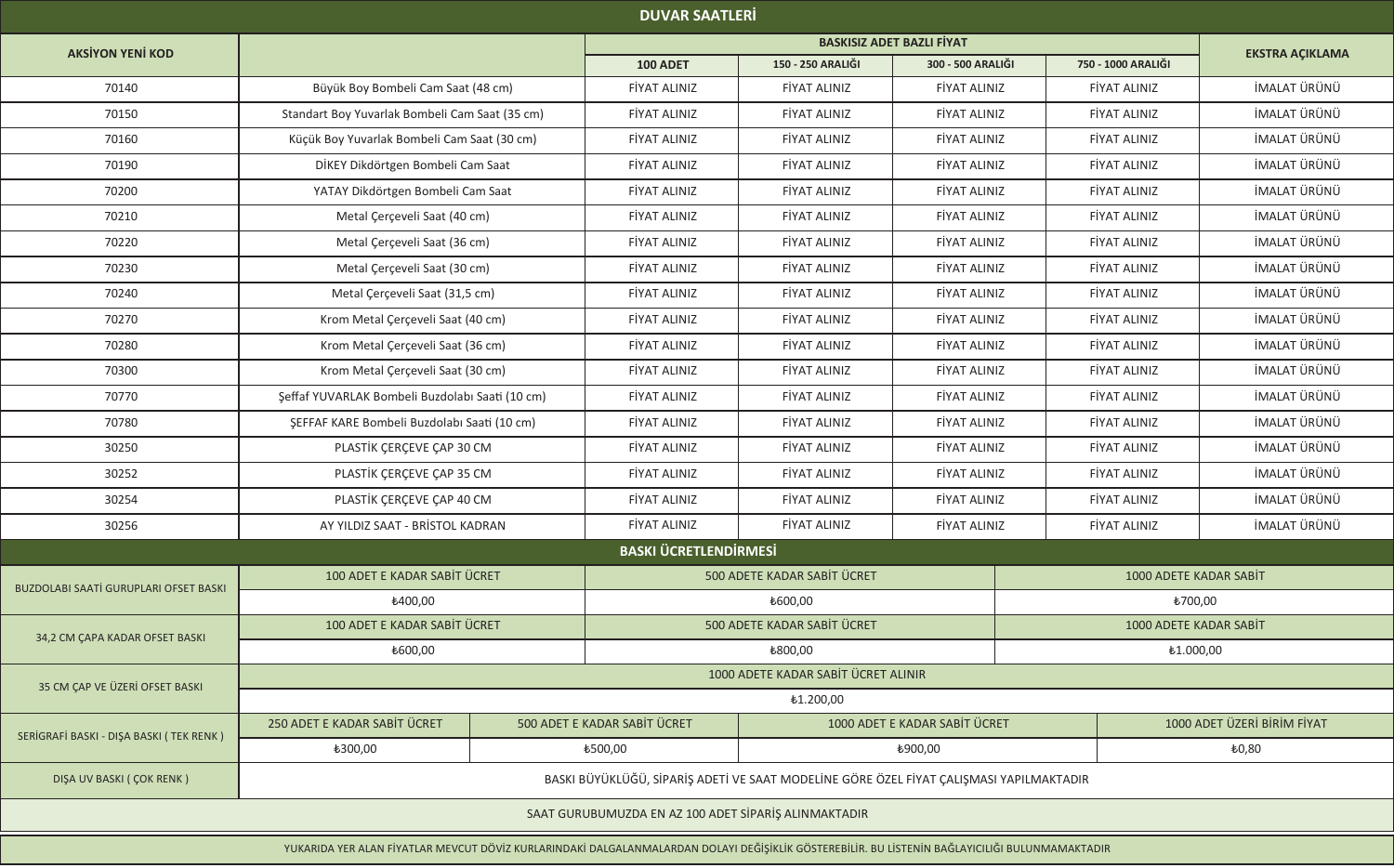|                                                                                                                     |                                                            |          | <b>DUVAR SAATLERI</b>                                |                                     |                               |                        |                             |
|---------------------------------------------------------------------------------------------------------------------|------------------------------------------------------------|----------|------------------------------------------------------|-------------------------------------|-------------------------------|------------------------|-----------------------------|
| <b>AKSİYON YENİ KOD</b>                                                                                             | <b>BASKISIZ ADET BAZLI FİYAT</b><br><b>EKSTRA ACIKLAMA</b> |          |                                                      |                                     |                               |                        |                             |
|                                                                                                                     |                                                            | 100 ADET | 150 - 250 ARALIĞI                                    | 300 - 500 ARALIĞI                   | 750 - 1000 ARALIĞI            |                        |                             |
| 70140                                                                                                               | Büyük Boy Bombeli Cam Saat (48 cm)                         |          | FİYAT ALINIZ                                         | FİYAT ALINIZ                        | FİYAT ALINIZ                  | <b>FİYAT ALINIZ</b>    | İMALAT ÜRÜNÜ                |
| 70150                                                                                                               | Standart Boy Yuvarlak Bombeli Cam Saat (35 cm)             |          | <b>FİYAT ALINIZ</b>                                  | <b>FİYAT ALINIZ</b>                 | FİYAT ALINIZ                  | <b>FİYAT ALINIZ</b>    | İMALAT ÜRÜNÜ                |
| 70160                                                                                                               | Küçük Boy Yuvarlak Bombeli Cam Saat (30 cm)                |          | <b>FİYAT ALINIZ</b>                                  | <b>FİYAT ALINIZ</b>                 | FİYAT ALINIZ                  | <b>FİYAT ALINIZ</b>    | İMALAT ÜRÜNÜ                |
| 70190                                                                                                               | DİKEY Dikdörtgen Bombeli Cam Saat                          |          | <b>FİYAT ALINIZ</b>                                  | FİYAT ALINIZ                        | FİYAT ALINIZ                  | <b>FİYAT ALINIZ</b>    | İMALAT ÜRÜNÜ                |
| 70200                                                                                                               | YATAY Dikdörtgen Bombeli Cam Saat                          |          | FİYAT ALINIZ                                         | <b>FİYAT ALINIZ</b>                 | FİYAT ALINIZ                  | <b>FİYAT ALINIZ</b>    | İMALAT ÜRÜNÜ                |
| 70210                                                                                                               | Metal Çerçeveli Saat (40 cm)                               |          | FİYAT ALINIZ                                         | <b>FİYAT ALINIZ</b>                 | FİYAT ALINIZ                  | <b>FİYAT ALINIZ</b>    | İMALAT ÜRÜNÜ                |
| 70220                                                                                                               | Metal Çerçeveli Saat (36 cm)                               |          | <b>FİYAT ALINIZ</b>                                  | <b>FİYAT ALINIZ</b>                 | FİYAT ALINIZ                  | <b>FİYAT ALINIZ</b>    | İMALAT ÜRÜNÜ                |
| 70230                                                                                                               | Metal Cerceveli Saat (30 cm)                               |          | FİYAT ALINIZ                                         | <b>FİYAT ALINIZ</b>                 | FİYAT ALINIZ                  | <b>FİYAT ALINIZ</b>    | İMALAT ÜRÜNÜ                |
| 70240                                                                                                               | Metal Cerceveli Saat (31,5 cm)                             |          | <b>FİYAT ALINIZ</b>                                  | FİYAT ALINIZ                        | <b>FİYAT ALINIZ</b>           | <b>FİYAT ALINIZ</b>    | İMALAT ÜRÜNÜ                |
| 70270                                                                                                               | Krom Metal Cerceveli Saat (40 cm)                          |          | <b>FİYAT ALINIZ</b>                                  | <b>FİYAT ALINIZ</b>                 | FİYAT ALINIZ                  | <b>FİYAT ALINIZ</b>    | İMALAT ÜRÜNÜ                |
| 70280                                                                                                               | Krom Metal Cerceveli Saat (36 cm)                          |          | <b>FİYAT ALINIZ</b>                                  | <b>FİYAT ALINIZ</b>                 | FİYAT ALINIZ                  | <b>FİYAT ALINIZ</b>    | İMALAT ÜRÜNÜ                |
| 70300                                                                                                               | Krom Metal Çerçeveli Saat (30 cm)                          |          | FİYAT ALINIZ                                         | FİYAT ALINIZ                        | <b>FİYAT ALINIZ</b>           | <b>FİYAT ALINIZ</b>    | İMALAT ÜRÜNÜ                |
| 70770                                                                                                               | Seffaf YUVARLAK Bombeli Buzdolabı Saati (10 cm)            |          | FİYAT ALINIZ                                         | <b>FİYAT ALINIZ</b>                 | FİYAT ALINIZ                  | <b>FİYAT ALINIZ</b>    | İMALAT ÜRÜNÜ                |
| 70780                                                                                                               | SEFFAF KARE Bombeli Buzdolabı Saati (10 cm)                |          | FİYAT ALINIZ                                         | <b>FİYAT ALINIZ</b>                 | FİYAT ALINIZ                  | <b>FİYAT ALINIZ</b>    | İMALAT ÜRÜNÜ                |
| 30250                                                                                                               | PLASTIK CERCEVE CAP 30 CM                                  |          | <b>FİYAT ALINIZ</b>                                  | FİYAT ALINIZ                        | FİYAT ALINIZ                  | <b>FİYAT ALINIZ</b>    | İMALAT ÜRÜNÜ                |
| 30252                                                                                                               | PLASTIK CERCEVE CAP 35 CM                                  |          | FİYAT ALINIZ                                         | <b>FİYAT ALINIZ</b>                 | FİYAT ALINIZ                  | <b>FİYAT ALINIZ</b>    | İMALAT ÜRÜNÜ                |
| 30254                                                                                                               | PLASTIK CERCEVE CAP 40 CM                                  |          | FİYAT ALINIZ                                         | <b>FİYAT ALINIZ</b>                 | FİYAT ALINIZ                  | <b>FİYAT ALINIZ</b>    | İMALAT ÜRÜNÜ                |
| 30256                                                                                                               | AY YILDIZ SAAT - BRİSTOL KADRAN                            |          | FİYAT ALINIZ                                         | <b>FİYAT ALINIZ</b>                 | FİYAT ALINIZ                  | <b>FİYAT ALINIZ</b>    | İMALAT ÜRÜNÜ                |
|                                                                                                                     |                                                            |          | <b>BASKI ÜCRETLENDİRMESİ</b>                         |                                     |                               |                        |                             |
| <b>BUZDOLABI SAATİ GURUPLARI OFSET BASKI</b>                                                                        | 100 ADET E KADAR SABİT ÜCRET                               |          |                                                      | 500 ADETE KADAR SABİT ÜCRET         |                               | 1000 ADETE KADAR SABİT |                             |
|                                                                                                                     | £400.00                                                    |          |                                                      | ₺600.00                             |                               | ₺700.00                |                             |
| 34,2 CM CAPA KADAR OFSET BASKI                                                                                      | 100 ADET E KADAR SABİT ÜCRET                               |          |                                                      | 500 ADETE KADAR SABİT ÜCRET         |                               | 1000 ADETE KADAR SABİT |                             |
|                                                                                                                     | ₺600,00                                                    |          |                                                      | ₺800,00                             |                               | ₺1.000,00              |                             |
| 35 CM CAP VE ÜZERİ OFSET BASKI                                                                                      |                                                            |          |                                                      | 1000 ADETE KADAR SABİT ÜCRET ALINIR |                               |                        |                             |
|                                                                                                                     |                                                            |          |                                                      | ₺1,200.00                           |                               |                        |                             |
| SERİGRAFİ BASKI - DIŞA BASKI (TEK RENK)                                                                             | 250 ADET E KADAR SABİT ÜCRET                               |          | 500 ADET E KADAR SABİT ÜCRET                         |                                     | 1000 ADET E KADAR SABİT ÜCRET |                        | 1000 ADET ÜZERİ BİRİM FİYAT |
|                                                                                                                     | ₺300,00                                                    |          | ₺500,00<br>₺900.00                                   |                                     |                               | ₺0,80                  |                             |
| BASKI BÜYÜKLÜĞÜ, SİPARİS ADETİ VE SAAT MODELİNE GÖRE ÖZEL FİYAT CALISMASI YAPILMAKTADIR<br>DIŞA UV BASKI (ÇOK RENK) |                                                            |          |                                                      |                                     |                               |                        |                             |
|                                                                                                                     |                                                            |          | SAAT GURUBUMUZDA EN AZ 100 ADET SÍPARÍS ALINMAKTADIR |                                     |                               |                        |                             |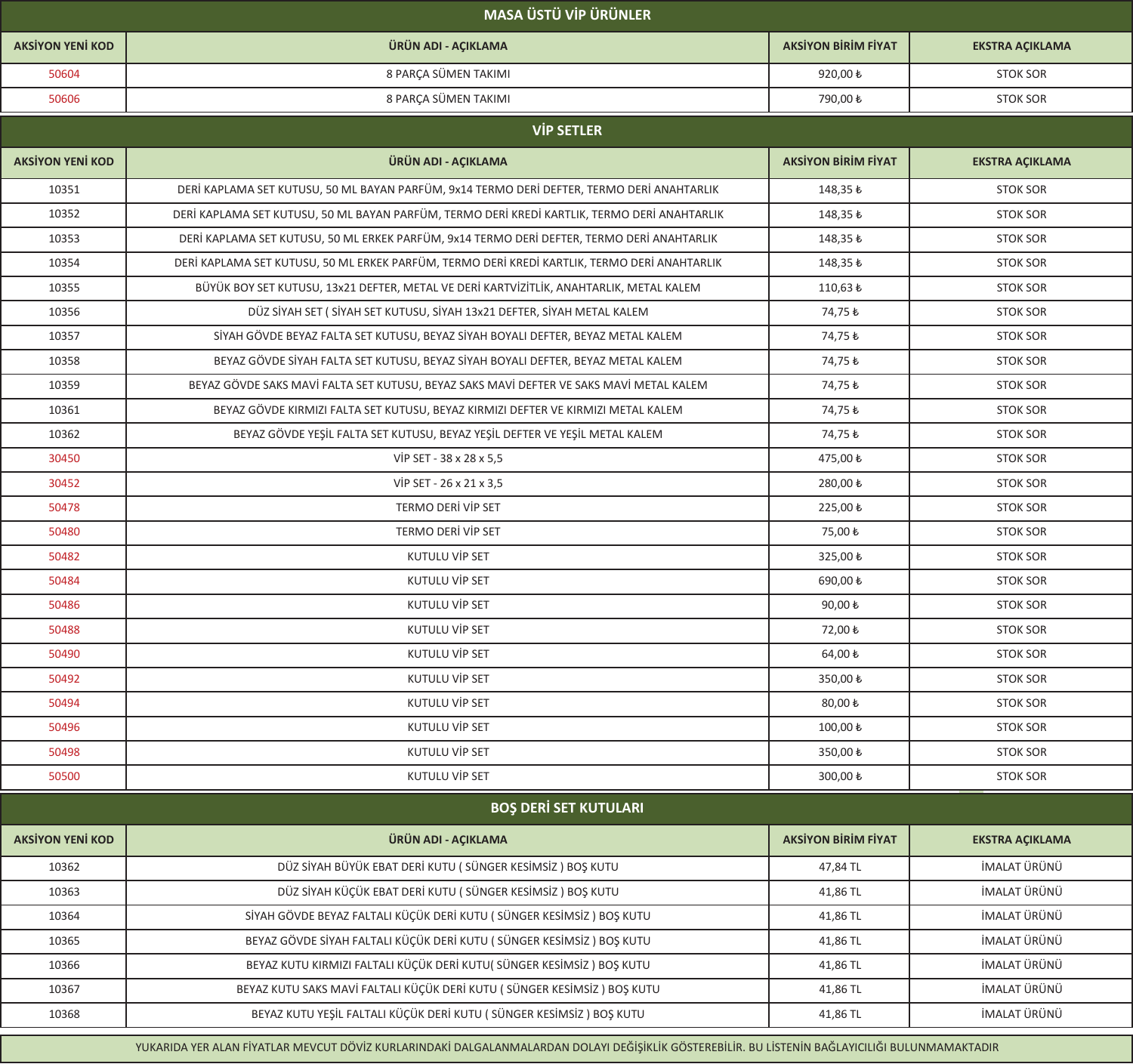| MASA ÜSTÜ VİP ÜRÜNLER   |                                                                                              |                            |                        |  |
|-------------------------|----------------------------------------------------------------------------------------------|----------------------------|------------------------|--|
| <b>AKSİYON YENİ KOD</b> | ÜRÜN ADI - AÇIKLAMA                                                                          | <b>AKSİYON BİRİM FİYAT</b> | <b>EKSTRA AÇIKLAMA</b> |  |
| 50604                   | 8 PARCA SÜMEN TAKIMI                                                                         | 920,00 ₺                   | <b>STOK SOR</b>        |  |
| 50606                   | 8 PARÇA SÜMEN TAKIMI                                                                         | 790,00 ₺                   | <b>STOK SOR</b>        |  |
|                         | <b>VIP SETLER</b>                                                                            |                            |                        |  |
| <b>AKSİYON YENİ KOD</b> | ÜRÜN ADI - AÇIKLAMA                                                                          | <b>AKSIYON BIRIM FIYAT</b> | <b>EKSTRA AÇIKLAMA</b> |  |
| 10351                   | DERİ KAPLAMA SET KUTUSU, 50 ML BAYAN PARFÜM, 9x14 TERMO DERİ DEFTER, TERMO DERİ ANAHTARLIK   | 148,35 ₺                   | <b>STOK SOR</b>        |  |
| 10352                   | DERİ KAPLAMA SET KUTUSU, 50 ML BAYAN PARFÜM, TERMO DERİ KREDİ KARTLIK, TERMO DERİ ANAHTARLIK | 148,35 ₺                   | <b>STOK SOR</b>        |  |
| 10353                   | DERİ KAPLAMA SET KUTUSU, 50 ML ERKEK PARFÜM, 9x14 TERMO DERİ DEFTER, TERMO DERİ ANAHTARLIK   | 148,35 ₺                   | <b>STOK SOR</b>        |  |
| 10354                   | DERİ KAPLAMA SET KUTUSU, 50 ML ERKEK PARFÜM, TERMO DERİ KREDİ KARTLIK, TERMO DERİ ANAHTARLIK | 148,35 ₺                   | <b>STOK SOR</b>        |  |
| 10355                   | BÜYÜK BOY SET KUTUSU, 13x21 DEFTER, METAL VE DERİ KARTVİZİTLİK, ANAHTARLIK, METAL KALEM      | 110,63 ₺                   | <b>STOK SOR</b>        |  |
| 10356                   | DÜZ SİYAH SET ( SİYAH SET KUTUSU, SİYAH 13x21 DEFTER, SİYAH METAL KALEM                      | 74,75 ₺                    | <b>STOK SOR</b>        |  |
| 10357                   | SİYAH GÖVDE BEYAZ FALTA SET KUTUSU, BEYAZ SİYAH BOYALI DEFTER, BEYAZ METAL KALEM             | 74,75 ₺                    | <b>STOK SOR</b>        |  |
| 10358                   | BEYAZ GÖVDE SİYAH FALTA SET KUTUSU, BEYAZ SİYAH BOYALI DEFTER, BEYAZ METAL KALEM             | 74,75 ₺                    | <b>STOK SOR</b>        |  |
| 10359                   | BEYAZ GÖVDE SAKS MAVİ FALTA SET KUTUSU, BEYAZ SAKS MAVİ DEFTER VE SAKS MAVİ METAL KALEM      | 74,75 ₺                    | <b>STOK SOR</b>        |  |
| 10361                   | BEYAZ GÖVDE KIRMIZI FALTA SET KUTUSU, BEYAZ KIRMIZI DEFTER VE KIRMIZI METAL KALEM            | 74,75 ₺                    | <b>STOK SOR</b>        |  |
| 10362                   | BEYAZ GÖVDE YESİL FALTA SET KUTUSU, BEYAZ YESİL DEFTER VE YESİL METAL KALEM                  | 74,75 ₺                    | <b>STOK SOR</b>        |  |
| 30450                   | VİP SET - 38 x 28 x 5,5                                                                      | 475,00 ₺                   | <b>STOK SOR</b>        |  |
| 30452                   | VİP SET - 26 x 21 x 3,5                                                                      | 280,00 ₺                   | <b>STOK SOR</b>        |  |
| 50478                   | TERMO DERÍ VÍP SET                                                                           | 225,00 ₺                   | <b>STOK SOR</b>        |  |
| 50480                   | TERMO DERÍ VÍP SET                                                                           | 75,00 ₺                    | <b>STOK SOR</b>        |  |
| 50482                   | KUTULU VİP SET                                                                               | 325,00 ₺                   | <b>STOK SOR</b>        |  |
| 50484                   | KUTULU VİP SET                                                                               | 690,00 ₺                   | <b>STOK SOR</b>        |  |
| 50486                   | KUTULU VİP SET                                                                               | 90,00 ₺                    | <b>STOK SOR</b>        |  |
| 50488                   | KUTULU VİP SET                                                                               | 72,00 ₺                    | <b>STOK SOR</b>        |  |
| 50490                   | KUTULU VİP SET                                                                               | 64,00 ₺                    | <b>STOK SOR</b>        |  |
| 50492                   | KUTULU VİP SET                                                                               | 350,00 ₺                   | <b>STOK SOR</b>        |  |
| 50494                   | KUTULU VİP SET                                                                               | 80,00 ₺                    | <b>STOK SOR</b>        |  |
| 50496                   | KUTULU VİP SET                                                                               | 100,00 ₺                   | <b>STOK SOR</b>        |  |
| 50498                   | KUTULU VİP SET                                                                               | 350,00 ₺                   | <b>STOK SOR</b>        |  |
| 50500                   | KUTULU VİP SET                                                                               | 300,00 ₺                   | <b>STOK SOR</b>        |  |
|                         | <b>BOŞ DERİ SET KUTULARI</b>                                                                 |                            |                        |  |
| <b>AKSIYON YENI KOD</b> | ÜRÜN ADI - AÇIKLAMA                                                                          | <b>AKSIYON BIRIM FIYAT</b> | <b>EKSTRA AÇIKLAMA</b> |  |
| 10362                   | DÜZ SİYAH BÜYÜK EBAT DERİ KUTU ( SÜNGER KESİMSİZ ) BOŞ KUTU                                  | 47,84 TL                   | İMALAT ÜRÜNÜ           |  |
| 10363                   | DÜZ SİYAH KÜÇÜK EBAT DERİ KUTU ( SÜNGER KESİMSİZ ) BOŞ KUTU                                  | 41,86 TL                   | İMALAT ÜRÜNÜ           |  |
| 10364                   | SİYAH GÖVDE BEYAZ FALTALI KÜÇÜK DERİ KUTU ( SÜNGER KESİMSİZ ) BOŞ KUTU                       | 41,86 TL                   | İMALAT ÜRÜNÜ           |  |
| 10365                   | BEYAZ GÖVDE SİYAH FALTALI KÜÇÜK DERİ KUTU ( SÜNGER KESİMSİZ ) BOŞ KUTU                       | 41,86 TL                   | İMALAT ÜRÜNÜ           |  |
| 10366                   | BEYAZ KUTU KIRMIZI FALTALI KÜÇÜK DERİ KUTU( SÜNGER KESİMSİZ ) BOŞ KUTU                       | 41,86 TL                   | İMALAT ÜRÜNÜ           |  |
| 10367                   | BEYAZ KUTU SAKS MAVİ FALTALI KÜÇÜK DERİ KUTU ( SÜNGER KESİMSİZ ) BOŞ KUTU                    | 41,86 TL                   | İMALAT ÜRÜNÜ           |  |
| 10368                   | BEYAZ KUTU YEŞİL FALTALI KÜÇÜK DERİ KUTU ( SÜNGER KESİMSİZ ) BOŞ KUTU                        | 41,86 TL                   | İMALAT ÜRÜNÜ           |  |
|                         |                                                                                              |                            |                        |  |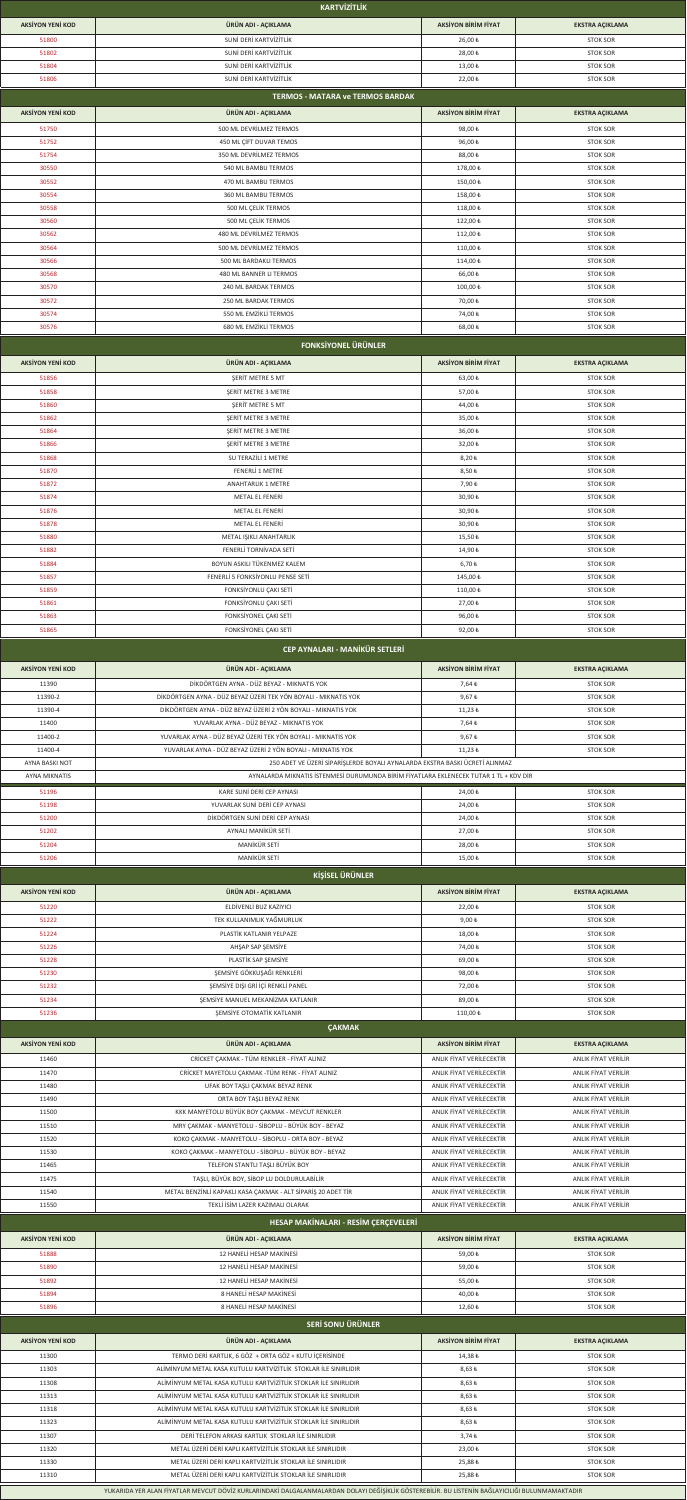| <b>AKSİYON YENİ KOD</b> | ÜRÜN ADI - AÇIKLAMA                     | <b>AKSİYON BİRİM FİYAT</b>  | <b>EKSTRA AÇIKLAMA</b> |
|-------------------------|-----------------------------------------|-----------------------------|------------------------|
| 51800                   | SUNİ DERİ KARTVİZİTLİK                  | 26,00 ₺                     | <b>STOK SOR</b>        |
| 51802                   | SUNİ DERİ KARTVİZİTLİK                  | 28,00 ₺                     | <b>STOK SOR</b>        |
| 51804                   | SUNİ DERİ KARTVİZİTLİK                  | 13,00 ₺                     | <b>STOK SOR</b>        |
| 51806                   | SUNİ DERİ KARTVİZİTLİK                  | 22,00 ₺                     | <b>STOK SOR</b>        |
|                         | <b>TERMOS - MATARA ve TERMOS BARDAK</b> |                             |                        |
| <b>AKSİYON YENİ KOD</b> | ÜRÜN ADI - AÇIKLAMA                     | <b>AKSİYON BİRİM FİYAT</b>  | <b>EKSTRA AÇIKLAMA</b> |
| 51750                   | 500 ML DEVRİLMEZ TERMOS                 | 98,00 ₺                     | <b>STOK SOR</b>        |
| 51752                   | 450 ML ÇİFT DUVAR TEMOS                 | 96,00 ₺                     | <b>STOK SOR</b>        |
| 51754                   | 350 ML DEVRİLMEZ TERMOS                 | 88,00 ₺                     | <b>STOK SOR</b>        |
| 30550                   | 540 ML BAMBU TERMOS                     | 178,00 ₺                    | <b>STOK SOR</b>        |
| 30552                   | 470 ML BAMBU TERMOS                     | 150,00 ₺                    | <b>STOK SOR</b>        |
| 30554                   | 360 ML BAMBU TERMOS                     | 158,00 ₺                    | <b>STOK SOR</b>        |
| 30558                   | 500 ML ÇELİK TERMOS                     | 118,00 ₺                    | <b>STOK SOR</b>        |
| 30560                   | 500 ML ÇELİK TERMOS                     | 122,00 ₺                    | <b>STOK SOR</b>        |
| 30562                   | 480 ML DEVRİLMEZ TERMOS                 | 112,00 ₺                    | <b>STOK SOR</b>        |
| 30564                   | 500 ML DEVRİLMEZ TERMOS                 | 110,00 ₺                    | <b>STOK SOR</b>        |
| 30566                   | 500 ML BARDAKLI TERMOS                  | 114,00 ₺                    | <b>STOK SOR</b>        |
| 30568                   | 480 ML BANNER LI TERMOS                 | 66,00 ₺                     | <b>STOK SOR</b>        |
| 30570                   | 240 ML BARDAK TERMOS                    | 100,00 ₺                    | <b>STOK SOR</b>        |
| 30572                   | 250 ML BARDAK TERMOS                    | 70,00 ₺                     | <b>STOK SOR</b>        |
| 30574                   | 550 ML EMZİKLİ TERMOS                   | 74,00 ₺                     | <b>STOK SOR</b>        |
| 30576                   | 680 ML EMZİKLİ TERMOS                   | 68,00 ₺                     | <b>STOK SOR</b>        |
|                         | <b>FONKSİYONEL ÜRÜNLER</b>              |                             |                        |
| <b>AKSİYON YENİ KOD</b> | ÜRÜN ADI - AÇIKLAMA                     | <b>AKSİYON BİRİM FİYAT</b>  | <b>EKSTRA AÇIKLAMA</b> |
| 51856                   | <b>SERIT METRE 5 MT</b>                 | 63,00 ₺                     | <b>STOK SOR</b>        |
| 51858                   | ŞERİT METRE 3 METRE                     | 57,00 ₺                     | <b>STOK SOR</b>        |
| 51860                   | <b>ŞERİT METRE 5 MT</b>                 | 44,00 ₺                     | <b>STOK SOR</b>        |
| 51862                   | SERIT METRE 3 METRE                     | 35,00 ₺                     | <b>STOK SOR</b>        |
| 51864                   | ŞERİT METRE 3 METRE                     | 36,00 ₺                     | <b>STOK SOR</b>        |
| 51866                   | SERIT METRE 3 METRE                     | 32,00 ₺                     | <b>STOK SOR</b>        |
| 51868                   | SU TERAZİLİ 1 METRE                     | $8,20 \text{ } \frac{1}{2}$ | <b>STOK SOR</b>        |
| 51870                   | FENERLİ 1 METRE                         | 8,50 k                      | <b>STOK SOR</b>        |
| 51872                   | <b>ANAHTARLIK 1 METRE</b>               | 7,90 ₺                      | <b>STOK SOR</b>        |
| 51874                   | METAL EL FENERÍ                         | 30,90 ₺                     | <b>STOK SOR</b>        |
| 51876                   | METAL EL FENERÍ                         | 30,90 ₺                     | <b>STOK SOR</b>        |

KARTVÍZÍTLÍK

| 51876 | METAL EL FENERÍ                  | 30,90 ₺  | <b>STOK SOR</b> |
|-------|----------------------------------|----------|-----------------|
| 51878 | METAL EL FENERÍ                  | 30,90 ₺  | <b>STOK SOR</b> |
| 51880 | METAL ISIKLI ANAHTARLIK          | 15,50₺   | <b>STOK SOR</b> |
| 51882 | FENERLİ TORNİVADA SETİ           | 14,90 ₺  | <b>STOK SOR</b> |
| 51884 | BOYUN ASKILI TÜKENMEZ KALEM      | 6,70 k   | <b>STOK SOR</b> |
| 51857 | FENERLİ 5 FONKSİYONLU PENSE SETİ | 145,00 ₺ | <b>STOK SOR</b> |
| 51859 | FONKSİYONLU ÇAKI SETİ            | 110,00 ₺ | <b>STOK SOR</b> |
| 51861 | FONKSİYONLU ÇAKI SETİ            | 27,00 ₺  | <b>STOK SOR</b> |
| 51863 | FONKSİYONEL ÇAKI SETİ            | 96,00 ₺  | <b>STOK SOR</b> |
| 51865 | FONKSİYONEL ÇAKI SETİ            | 92,00 ₺  | <b>STOK SOR</b> |

| CEP AYNALARI - MANİKÜR SETLERİ |                                                                                       |                            |                        |  |
|--------------------------------|---------------------------------------------------------------------------------------|----------------------------|------------------------|--|
| <b>AKSİYON YENİ KOD</b>        | ÜRÜN ADI - AÇIKLAMA                                                                   | <b>AKSİYON BİRİM FİYAT</b> | <b>EKSTRA AÇIKLAMA</b> |  |
| 11390                          | DİKDÖRTGEN AYNA - DÜZ BEYAZ - MIKNATIS YOK                                            | 7,64 ₺                     | <b>STOK SOR</b>        |  |
| 11390-2                        | DİKDÖRTGEN AYNA - DÜZ BEYAZ ÜZERİ TEK YÖN BOYALI - MIKNATIS YOK                       | 9.67 k                     | <b>STOK SOR</b>        |  |
| 11390-4                        | DİKDÖRTGEN AYNA - DÜZ BEYAZ ÜZERİ 2 YÖN BOYALI - MIKNATIS YOK                         | 11,23 k                    | <b>STOK SOR</b>        |  |
| 11400                          | YUVARLAK AYNA - DÜZ BEYAZ - MIKNATIS YOK                                              | 7,64 ₺                     | <b>STOK SOR</b>        |  |
| 11400-2                        | YUVARLAK AYNA - DÜZ BEYAZ ÜZERİ TEK YÖN BOYALI - MIKNATIS YOK                         | 9,67 k                     | <b>STOK SOR</b>        |  |
| 11400-4                        | YUVARLAK AYNA - DÜZ BEYAZ ÜZERİ 2 YÖN BOYALI - MIKNATIS YOK                           | 11,23 k                    | <b>STOK SOR</b>        |  |
| AYNA BASKI NOT                 | 250 ADET VE ÜZERİ SİPARİŞLERDE BOYALI AYNALARDA EKSTRA BASKI ÜCRETİ ALINMAZ           |                            |                        |  |
| <b>AYNA MIKNATIS</b>           | AYNALARDA MIKNATIS İSTENMESİ DURUMUNDA BİRİM FİYATLARA EKLENECEK TUTAR 1 TL + KDV DİR |                            |                        |  |
| 51196                          | KARE SUNİ DERİ CEP AYNASI                                                             | 24,00 ₺                    | <b>STOK SOR</b>        |  |
| 51198                          | YUVARLAK SUNİ DERİ CEP AYNASI                                                         | 24,00 ₺                    | <b>STOK SOR</b>        |  |
| 51200                          | DİKDÖRTGEN SUNİ DERİ CEP AYNASI                                                       | 24,00 ₺                    | <b>STOK SOR</b>        |  |
| 51202                          | AYNALI MANİKÜR SETİ                                                                   | 27,00 ₺                    | <b>STOK SOR</b>        |  |
| 51204                          | MANİKÜR SETİ                                                                          | 28,00 ₺                    | <b>STOK SOR</b>        |  |
| 51206                          | MANİKÜR SETİ                                                                          | 15,00 ₺                    | <b>STOK SOR</b>        |  |
|                                | KİŞİSEL ÜRÜNLER                                                                       |                            |                        |  |
| <b>AKSİYON YENİ KOD</b>        | ÜRÜN ADI - AÇIKLAMA                                                                   | <b>AKSİYON BİRİM FİYAT</b> | <b>EKSTRA AÇIKLAMA</b> |  |
| 51220                          | ELDİVENLİ BUZ KAZIYICI                                                                | 22,00 ₺                    | <b>STOK SOR</b>        |  |
| 51222                          | TEK KULLANIMLIK YAĞMURLUK                                                             | 9,00 $\pm$                 | <b>STOK SOR</b>        |  |
| 51224                          | PLASTIK KATLANIR YELPAZE                                                              | 18,00 ₺                    | <b>STOK SOR</b>        |  |
| 51226                          | AHŞAP SAP ŞEMSİYE                                                                     | 74,00 ₺                    | <b>STOK SOR</b>        |  |
| 51228                          | PLASTIK SAP SEMSIYE                                                                   | 69,00 ₺                    | <b>STOK SOR</b>        |  |
| 51230                          | SEMSİYE GÖKKUŞAĞI RENKLERİ                                                            | 98,00 ₺                    | <b>STOK SOR</b>        |  |
| 51232                          | SEMSİYE DIŞI GRİ İÇİ RENKLİ PANEL                                                     | 72,00 ₺                    | <b>STOK SOR</b>        |  |
| 51234                          | SEMSİYE MANUEL MEKANİZMA KATLANIR                                                     | 89,00 ₺                    | <b>STOK SOR</b>        |  |

 $\overline{a}$ 

l,

 $\overline{a}$ 

ł  $\overline{\phantom{0}}$ L

51236

 $110,00 k$ 

STOK SOR

ŞEMSİYE OTOMATİK KATLANIR

| <b>AKSİYON YENİ KOD</b> | ÜRÜN ADI - AÇIKLAMA                                             | <b>AKSİYON BİRİM FİYAT</b> | <b>EKSTRA AÇIKLAMA</b>     |
|-------------------------|-----------------------------------------------------------------|----------------------------|----------------------------|
| 11460                   | CRİCKET ÇAKMAK - TÜM RENKLER - FİYAT ALINIZ                     | ANLIK FİYAT VERİLECEKTİR   | <b>ANLIK FIYAT VERILIR</b> |
| 11470                   | CRİCKET MAYETOLU ÇAKMAK - TÜM RENK - FİYAT ALINIZ               | ANLIK FİYAT VERİLECEKTİR   | ANLIK FİYAT VERİLİR        |
| 11480                   | UFAK BOY TASLI ÇAKMAK BEYAZ RENK                                | ANLIK FİYAT VERİLECEKTİR   | ANLIK FİYAT VERİLİR        |
| 11490                   | ORTA BOY TAŞLI BEYAZ RENK                                       | ANLIK FİYAT VERİLECEKTİR   | ANLIK FİYAT VERİLİR        |
| 11500                   | KKK MANYETOLU BÜYÜK BOY ÇAKMAK - MEVCUT RENKLER                 | ANLIK FİYAT VERİLECEKTİR   | ANLIK FİYAT VERİLİR        |
| 11510                   | MRY CAKMAK - MANYETOLU - SİBOPLU - BÜYÜK BOY - BEYAZ            | ANLIK FİYAT VERİLECEKTİR   | <b>ANLIK FIYAT VERILIR</b> |
| 11520                   | KOKO ÇAKMAK - MANYETOLU - SİBOPLU - ORTA BOY - BEYAZ            | ANLIK FİYAT VERİLECEKTİR   | ANLIK FİYAT VERİLİR        |
| 11530                   | KOKO ÇAKMAK - MANYETOLU - SİBOPLU - BÜYÜK BOY - BEYAZ           | ANLIK FİYAT VERİLECEKTİR   | ANLIK FİYAT VERİLİR        |
| 11465                   | TELEFON STANTLI TAŞLI BÜYÜK BOY                                 | ANLIK FİYAT VERİLECEKTİR   | <b>ANLIK FIYAT VERILIR</b> |
| 11475                   | TAŞLI, BÜYÜK BOY, SİBOP LU DOLDURULABİLİR                       | ANLIK FİYAT VERİLECEKTİR   | ANLIK FİYAT VERİLİR        |
| 11540                   | METAL BENZİNLİ KAPAKLI KASA ÇAKMAK - ALT SİPARİŞ 20 ADET TİR    | ANLIK FİYAT VERİLECEKTİR   | ANLIK FİYAT VERİLİR        |
| 11550                   | TEKLİ İSİM LAZER KAZIMALI OLARAK                                | ANLIK FİYAT VERİLECEKTİR   | ANLIK FİYAT VERİLİR        |
|                         | HESAP MAKİNALARI - RESİM ÇERÇEVELERİ                            |                            |                            |
| <b>AKSİYON YENİ KOD</b> | ÜRÜN ADI - AÇIKLAMA                                             | <b>AKSİYON BİRİM FİYAT</b> | <b>EKSTRA AÇIKLAMA</b>     |
| 51888                   | 12 HANELİ HESAP MAKİNESİ                                        | 59,00 ₺                    | <b>STOK SOR</b>            |
| 51890                   | 12 HANELİ HESAP MAKİNESİ                                        | 59,00 ₺                    | <b>STOK SOR</b>            |
| 51892                   | 12 HANELİ HESAP MAKİNESİ                                        | 55,00 ₺                    | <b>STOK SOR</b>            |
| 51894                   | 8 HANELİ HESAP MAKİNESİ                                         | 40,00 ₺                    | <b>STOK SOR</b>            |
| 51896                   | 8 HANELİ HESAP MAKİNESİ                                         | 12,60 ₺                    | <b>STOK SOR</b>            |
|                         | SERİ SONU ÜRÜNLER                                               |                            |                            |
| <b>AKSİYON YENİ KOD</b> | ÜRÜN ADI - AÇIKLAMA                                             | <b>AKSİYON BİRİM FİYAT</b> | <b>EKSTRA AÇIKLAMA</b>     |
| 11300                   | TERMO DERİ KARTLIK, 6 GÖZ + ORTA GÖZ + KUTU İÇERİSİNDE          | 14,38 ₺                    | <b>STOK SOR</b>            |
| 11303                   | ALİMİNYUM METAL KASA KUTULU KARTVİZİTLİK STOKLAR İLE SINIRLIDIR | 8,63 k                     | <b>STOK SOR</b>            |
| 11308                   | ALİMİNYUM METAL KASA KUTULU KARTVİZİTLİK STOKLAR İLE SINIRLIDIR | $8,63 \t{t}$               | <b>STOK SOR</b>            |
| 11313                   | ALİMİNYUM METAL KASA KUTULU KARTVİZİTLİK STOKLAR İLE SINIRLIDIR | 8,63 k                     | <b>STOK SOR</b>            |
| 11318                   | ALİMİNYUM METAL KASA KUTULU KARTVİZİTLİK STOKLAR İLE SINIRLIDIR | 8,63 k                     | <b>STOK SOR</b>            |
| 11323                   | ALİMİNYUM METAL KASA KUTULU KARTVİZİTLİK STOKLAR İLE SINIRLIDIR | $8,63 \t{t}$               | <b>STOK SOR</b>            |
| 11307                   | DERİ TELEFON ARKASI KARTLIK STOKLAR İLE SINIRLIDIR              | 3,74k                      | <b>STOK SOR</b>            |
| 11320                   | METAL ÜZERİ DERİ KAPLI KARTVİZİTLİK STOKLAR İLE SINIRLIDIR      | 23,00 ₺                    | <b>STOK SOR</b>            |
| 11330                   | METAL ÜZERİ DERİ KAPLI KARTVİZİTLİK STOKLAR İLE SINIRLIDIR      | 25,88 ₺                    | <b>STOK SOR</b>            |
| 11310                   | METAL ÜZERİ DERİ KAPLI KARTVİZİTLİK STOKLAR İLE SINIRLIDIR      | 25,88 ₺                    | <b>STOK SOR</b>            |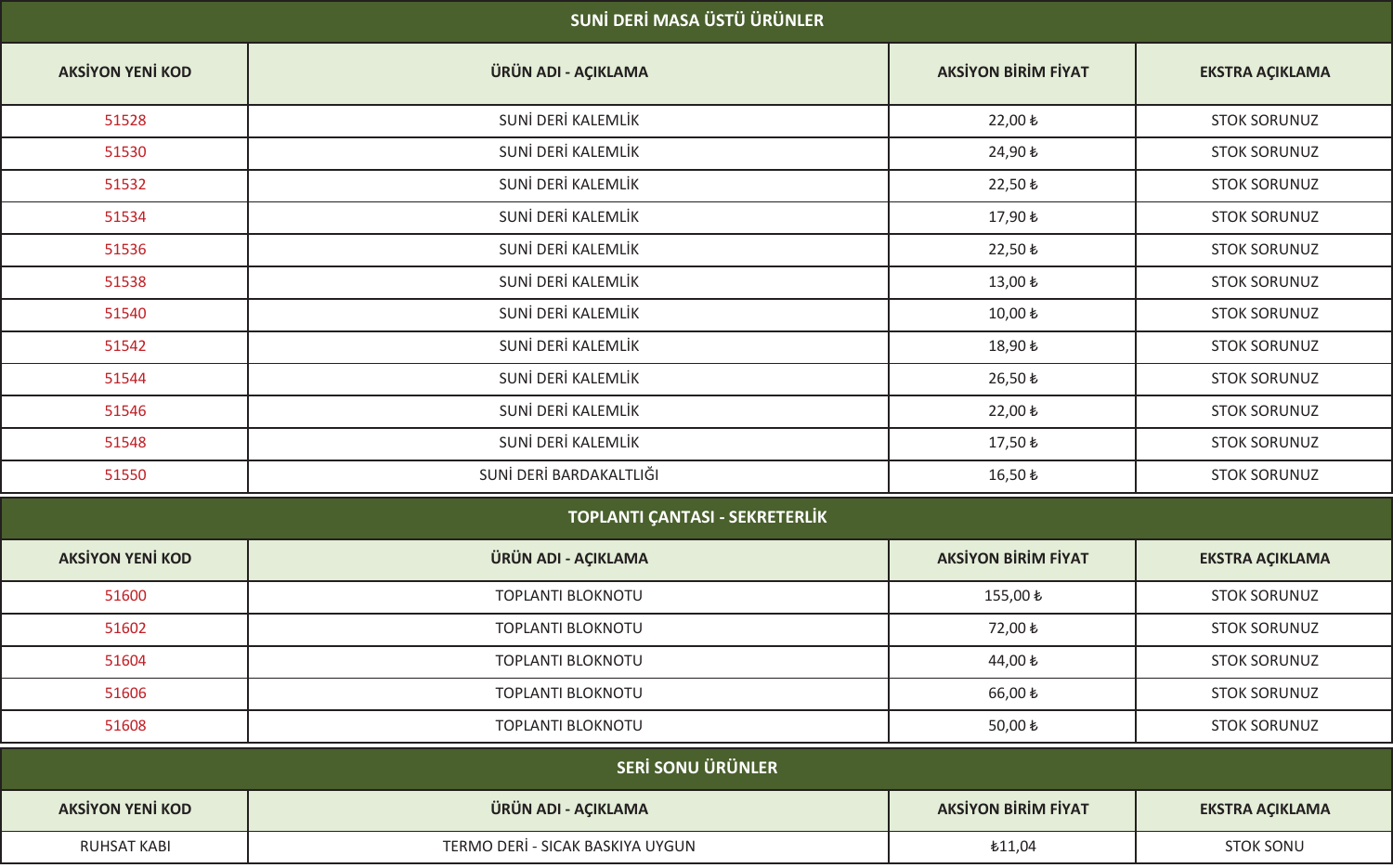|                         | SUNİ DERİ MASA ÜSTÜ ÜRÜNLER      |                            |                        |
|-------------------------|----------------------------------|----------------------------|------------------------|
| <b>AKSİYON YENİ KOD</b> | ÜRÜN ADI - AÇIKLAMA              | <b>AKSİYON BİRİM FİYAT</b> | <b>EKSTRA AÇIKLAMA</b> |
| 51528                   | SUNİ DERİ KALEMLİK               | 22,00 ₺                    | <b>STOK SORUNUZ</b>    |
| 51530                   | SUNİ DERİ KALEMLİK               | 24,90 ₺                    | <b>STOK SORUNUZ</b>    |
| 51532                   | SUNİ DERİ KALEMLİK               | 22,50 ₺                    | <b>STOK SORUNUZ</b>    |
| 51534                   | SUNİ DERİ KALEMLİK               | 17,90 ₺                    | <b>STOK SORUNUZ</b>    |
| 51536                   | SUNİ DERİ KALEMLİK               | 22,50 ₺                    | <b>STOK SORUNUZ</b>    |
| 51538                   | SUNİ DERİ KALEMLİK               | 13,00 ₺                    | <b>STOK SORUNUZ</b>    |
| 51540                   | SUNİ DERİ KALEMLİK               | 10,00 ₺                    | <b>STOK SORUNUZ</b>    |
| 51542                   | SUNİ DERİ KALEMLİK               | 18,90 ₺                    | <b>STOK SORUNUZ</b>    |
| 51544                   | SUNİ DERİ KALEMLİK               | 26,50 ₺                    | <b>STOK SORUNUZ</b>    |
| 51546                   | SUNİ DERİ KALEMLİK               | 22,00 ₺                    | <b>STOK SORUNUZ</b>    |
| 51548                   | SUNİ DERİ KALEMLİK               | 17,50 ₺                    | <b>STOK SORUNUZ</b>    |
| 51550                   | SUNİ DERİ BARDAKALTLIĞI          | 16,50 ₺                    | <b>STOK SORUNUZ</b>    |
|                         | TOPLANTI ÇANTASI - SEKRETERLİK   |                            |                        |
| <b>AKSİYON YENİ KOD</b> | ÜRÜN ADI - AÇIKLAMA              | <b>AKSİYON BİRİM FİYAT</b> | <b>EKSTRA AÇIKLAMA</b> |
| 51600                   | TOPLANTI BLOKNOTU                | 155,00 ₺                   | <b>STOK SORUNUZ</b>    |
| 51602                   | TOPLANTI BLOKNOTU                | 72,00 ₺                    | <b>STOK SORUNUZ</b>    |
| 51604                   | <b>TOPLANTI BLOKNOTU</b>         | 44,00 ₺                    | <b>STOK SORUNUZ</b>    |
| 51606                   | <b>TOPLANTI BLOKNOTU</b>         | 66,00 ₺                    | <b>STOK SORUNUZ</b>    |
| 51608                   | <b>TOPLANTI BLOKNOTU</b>         | 50,00 ₺                    | <b>STOK SORUNUZ</b>    |
|                         | SERİ SONU ÜRÜNLER                |                            |                        |
| <b>AKSİYON YENİ KOD</b> | ÜRÜN ADI - AÇIKLAMA              | <b>AKSİYON BİRİM FİYAT</b> | <b>EKSTRA AÇIKLAMA</b> |
| <b>RUHSAT KABI</b>      | TERMO DERİ - SICAK BASKIYA UYGUN | <b>£11,04</b>              | <b>STOK SONU</b>       |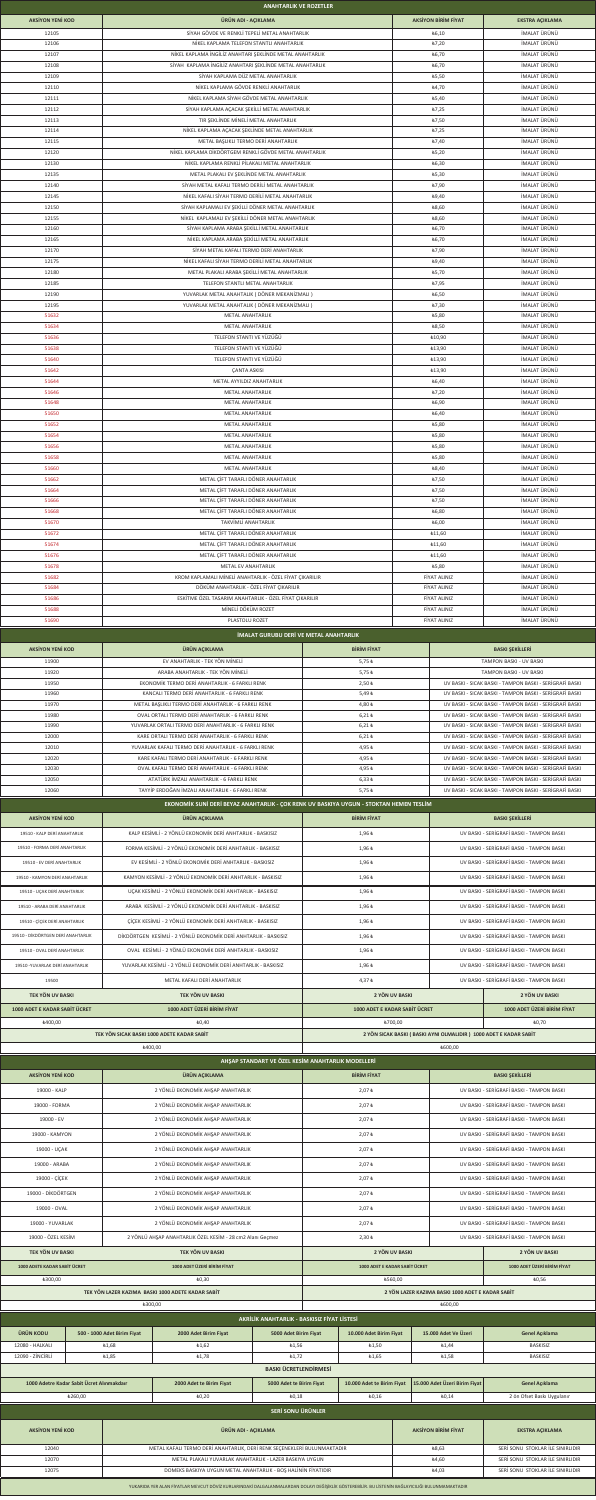| <b>AKSİYON YENİ KOD</b> | ÜRÜN AÇIKLAMA                                         | <b>BİRİM FİYAT</b>  | <b>BASKI SEKİLLERİ</b>                                  |
|-------------------------|-------------------------------------------------------|---------------------|---------------------------------------------------------|
| 11900                   | EV ANAHTARLIK - TEK YÖN MİNELİ                        | 5,756               | TAMPON BASKI - UV BASKI                                 |
| 11920                   | ARABA ANAHTARLIK - TEK YÖN MİNELİ                     | 5,756               | TAMPON BASKI - UV BASKI                                 |
| 11950                   | EKONOMÍK TERMO DERÍ ANAHTARLIK - 6 FARKLI RENK        | $2,50+$             | UV BASKI - SICAK BASKI - TAMPON BASKI - SERİGRAFİ BASKI |
| 11960                   | KANCALI TERMO DERİ ANAHTARLIK - 6 FARKLI RENK         | $5,49*$             | UV BASKI - SICAK BASKI - TAMPON BASKI - SERİGRAFİ BASKI |
| 11970                   | METAL BAŞLIKLI TERMO DERİ ANAHTARLIK - 6 FARKLI RENK  | $4.80*$             | UV BASKI - SICAK BASKI - TAMPON BASKI - SERİGRAFİ BASKI |
| 11980                   | OVAL ORTALI TERMO DERÍ ANAHTARLIK - 6 FARKLI RENK     | $6,21 \text{ t}$    | UV BASKI - SICAK BASKI - TAMPON BASKI - SERİGRAFİ BASKI |
| 11990                   | YUVARLAK ORTALI TERMO DERİ ANAHTARLIK - 6 FARKLI RENK | $6,21 \text{ } \pm$ | UV BASKI - SICAK BASKI - TAMPON BASKI - SERİGRAFİ BASKI |
| 12000                   | KARE ORTALI TERMO DERİ ANAHTARLIK - 6 FARKLI RENK     | $6,21 \text{ } \pm$ | UV BASKI - SICAK BASKI - TAMPON BASKI - SERİGRAFİ BASKI |
| 12010                   | YUVARLAK KAFALI TERMO DERİ ANAHTARLIK - 6 FARKLI RENK | 4,95 ₺              | UV BASKI - SICAK BASKI - TAMPON BASKI - SERİGRAFİ BASKI |
| 12020                   | KARE KAFALI TERMO DERİ ANAHTARLIK - 6 FARKLI RENK     | 4,95 ₺              | UV BASKI - SICAK BASKI - TAMPON BASKI - SERİGRAFİ BASKI |
| 12030                   | OVAL KAFALI TERMO DERİ ANAHTARLIK - 6 FARKLI RENK     | 4,95 ₺              | UV BASKI - SICAK BASKI - TAMPON BASKI - SERİGRAFİ BASKI |
| 12050                   | ATATÜRK İMZALI ANAHTARLIK - 6 FARKLI RENK             | 6,3316              | UV BASKI - SICAK BASKI - TAMPON BASKI - SERİGRAFİ BASKI |
| 12060                   | TAYYİP ERDOĞAN İMZALI ANAHTARLIK - 6 FARKLI RENK      | 5,756               | UV BASKI - SICAK BASKI - TAMPON BASKI - SERİGRAFİ BASKI |

**EKONOMIK SUNI DERI BEYAZ ANAHTARLIK - ÇOK RENK UV BASKIYA UYGUN - STOKTAN HEMEN TESLİM** AKSİYON YENİ KOD **NAZIYON BASKI ŞEKİLLERİ ÜRÜN AÇIKLAMA B**IRIM BIRIM BIRIM FİYAT BIRIM FİYAT BASKI ŞEKİLLERI **19510 - KALP DERI ANAHTARLIK KALP KESIMLİ - 2 YÖNLÜ EKONOMİK DERİ ANHTARLIK - BASKISIZ 1,96 € 1,96 € UV BASKI - SERİGRAFİ BASKI - TAMPON BASKI** FORMA KESÍMLÍ - 2 YÖNLÜ EKONOMÍK DERÍ ANHTARLIK - BASKISIZ **andan az ASKISIZ DERFI ANHTARLIK - BASKI - SER** OV BASKI - SERÍGRAFÍ BASKI - TAMPON BASKI 19510 - FORMA DERÍ ANAHTARLIK 19510 - EV DERÍ ANAHTARLIK EV KESİMLİ - 2 YÖNLÜ EKONOMİK DERİ ANHTARLIK - BASKISIZ  $1,96 \; \texttt{\&}$ UV BASKI - SERİGRAFİ BASKI - TAMPON BASKI **19510 - KAMYON DERÎ ANAHTARLIK KAMYON KESÎMLÎ - 2 YÖNLÜ EKONOMÎK DERÎ ANHTARLIK - BASKISIZ 1,96 4 € 1,96 € UV BASKI - SERÎGRAFÎ BASKI - TAMPON BASKI** 19510 - UÇAK DERİ ANAHTARLIK UÇAK KESİMLİ - 2 YÖNLÜ EKONOMİK DERİ ANHTARLIK - BASKISIZ 1,96 ₺ UV BASKI - SERİGRAFİ BASKI - TAMPON BASKI  $\Box$ 

|                         | <b>ANAHTARLIK VE ROZETLER</b>                            |                            |                              |
|-------------------------|----------------------------------------------------------|----------------------------|------------------------------|
| <b>AKSİYON YENİ KOD</b> | ÜRÜN ADI - AÇIKLAMA                                      | <b>AKSİYON BİRİM FİYAT</b> | <b>EKSTRA AÇIKLAMA</b>       |
| 12105                   | SİYAH GÖVDE VE RENKLİ TEPELİ METAL ANAHTARLIK            | ₺6,10                      | İMALAT ÜRÜNÜ                 |
| 12106                   | NİKEL KAPLAMA TELEFON STANTLI ANAHTARLIK                 | ₺7,20                      | İMALAT ÜRÜNÜ                 |
| 12107                   | NİKEL KAPLAMA İNGİLİZ ANAHTARI ŞEKLİNDE METAL ANAHTARLIK | ₺6,70                      | İMALAT ÜRÜNÜ                 |
| 12108                   | SİYAH KAPLAMA İNGİLİZ ANAHTARI ŞEKLİNDE METAL ANAHTARLIK | ₺6,70                      | İMALAT ÜRÜNÜ                 |
| 12109                   | SİYAH KAPLAMA DÜZ METAL ANAHTARLIK                       | <b>£5,50</b>               | İMALAT ÜRÜNÜ                 |
| 12110                   | NİKEL KAPLAMA GÖVDE RENKLİ ANAHTARLIK                    | ₺4,70                      | İMALAT ÜRÜNÜ                 |
| 12111                   | NİKEL KAPLAMA SİYAH GÖVDE METAL ANAHTARLIK               | ₺5,40                      | İMALAT ÜRÜNÜ                 |
| 12112                   | SİYAH KAPLAMA AÇACAK ŞEKİLLİ METAL ANAHTARLIK            | ₺7,25                      | İMALAT ÜRÜNÜ                 |
| 12113                   | TIR ŞEKLİNDE MİNELİ METAL ANAHTARLIK                     | <b>£7,50</b>               | İMALAT ÜRÜNÜ                 |
| 12114                   | NİKEL KAPLAMA AÇACAK ŞEKLİNDE METAL ANAHTARLIK           | ₺7,25                      | İMALAT ÜRÜNÜ                 |
| 12115                   | METAL BAŞLIKLI TERMO DERİ ANAHTARLIK                     | ₺7,40                      | İMALAT ÜRÜNÜ                 |
| 12120                   | NİKEL KAPLAMA DİKDÖRTGEM RENKLİ GÖVDE METAL ANAHTARLIK   | ₺5,20                      | İMALAT ÜRÜNÜ                 |
| 12130                   | NİKEL KAPLAMA RENKLİ PİLAKALI METAL ANAHTARLIK           | ₺6,30                      | İMALAT ÜRÜNÜ                 |
| 12135                   | METAL PLAKALI EV ŞEKLİNDE METAL ANAHTARLIK               | ₺5,30                      | İMALAT ÜRÜNÜ                 |
| 12140                   | SİYAH METAL KAFALI TERMO DERİLİ METAL ANAHTARLIK         | ₺7,90                      | İMALAT ÜRÜNÜ                 |
| 12145                   | NİKEL KAFALI SİYAH TERMO DERİLİ METAL ANAHTARLIK         | ₺9,40                      | İMALAT ÜRÜNÜ                 |
| 12150                   | SİYAH KAPLAMALI EV ŞEKİLLİ DÖNER METAL ANAHTARLIK        | ₺8,60                      | İMALAT ÜRÜNÜ                 |
| 12155                   | NİKEL KAPLAMALI EV ŞEKİLLİ DÖNER METAL ANAHTARLIK        | ₺8,60                      | İMALAT ÜRÜNÜ                 |
| 12160                   | SİYAH KAPLAMA ARABA ŞEKİLLİ METAL ANAHTARLIK             | ₺6,70                      | İMALAT ÜRÜNÜ                 |
| 12165                   | NİKEL KAPLAMA ARABA ŞEKİLLİ METAL ANAHTARLIK             | ₺6,70                      | İMALAT ÜRÜNÜ                 |
| 12170                   | SİYAH METAL KAFALI TERMO DERİ ANAHTARLIK                 | ₺7,90                      | İMALAT ÜRÜNÜ                 |
| 12175                   | NİKEL KAFALI SİYAH TERMO DERİLİ METAL ANAHTARLIK         | ₺9,40                      | İMALAT ÜRÜNÜ                 |
| 12180                   | METAL PLAKALI ARABA ŞEKİLLİ METAL ANAHTARLIK             | ₺5,70                      | İMALAT ÜRÜNÜ                 |
| 12185                   | TELEFON STANTLI METAL ANAHTARLIK                         | ₺7,95                      | İMALAT ÜRÜNÜ                 |
| 12190                   | YUVARLAK METAL ANAHTALIK (DÖNER MEKANİZMALI)             | ₺6,50                      | İMALAT ÜRÜNÜ                 |
| 12195                   | YUVARLAK METAL ANAHTALIK (DÖNER MEKANİZMALI)             | ₺7,30                      | İMALAT ÜRÜNÜ                 |
| 51632                   | METAL ANAHTARLIK                                         | ₺5,80                      | İMALAT ÜRÜNÜ<br>İMALAT ÜRÜNÜ |
| 51634<br>51636          | METAL ANAHTARLIK<br>TELEFON STANTI VE YÜZÜĞÜ             | ₺8,50<br>₺10,90            | İMALAT ÜRÜNÜ                 |
| 51638                   | TELEFON STANTI VE YÜZÜĞÜ                                 | <b>£13,90</b>              | İMALAT ÜRÜNÜ                 |
| 51640                   | TELEFON STANTI VE YÜZÜĞÜ                                 | <b>£13,90</b>              | İMALAT ÜRÜNÜ                 |
| 51642                   | ÇANTA ASKISI                                             | <b>£13,90</b>              | İMALAT ÜRÜNÜ                 |
| 51644                   | METAL AYYILDIZ ANAHTARLIK                                | ₺6,40                      | İMALAT ÜRÜNÜ                 |
| 51646                   | METAL ANAHTARLIK                                         | ₺7,20                      | İMALAT ÜRÜNÜ                 |
| 51648                   | METAL ANAHTARLIK                                         | ₺6,90                      | İMALAT ÜRÜNÜ                 |
| 51650                   | METAL ANAHTARLIK                                         | ₺6,40                      | İMALAT ÜRÜNÜ                 |
| 51652                   | METAL ANAHTARLIK                                         | ₺5,80                      | İMALAT ÜRÜNÜ                 |
| 51654                   | METAL ANAHTARLIK                                         | ₺5,80                      | İMALAT ÜRÜNÜ                 |
| 51656                   | METAL ANAHTARLIK                                         | <b>£5,80</b>               | İMALAT ÜRÜNÜ                 |
| 51658                   | METAL ANAHTARLIK                                         | ₺5,80                      | İMALAT ÜRÜNÜ                 |
| 51660                   | METAL ANAHTARLIK                                         | ₺8,40                      | İMALAT ÜRÜNÜ                 |
| 51662                   | METAL ÇİFT TARAFLI DÖNER ANAHTARLIK                      | ₺7,50                      | İMALAT ÜRÜNÜ                 |
| 51664                   | METAL ÇİFT TARAFLI DÖNER ANAHTARLIK                      | ₺7,50                      | İMALAT ÜRÜNÜ                 |
| 51666                   | METAL ÇİFT TARAFLI DÖNER ANAHTARLIK                      | ₺7,50                      | İMALAT ÜRÜNÜ                 |
| 51668                   | METAL ÇİFT TARAFLI DÖNER ANAHTARLIK                      | ₺6,80                      | İMALAT ÜRÜNÜ                 |
| 51670                   | TAKVİMLİ ANAHTARLIK                                      | ₺6,00                      | İMALAT ÜRÜNÜ                 |
| 51672                   | METAL ÇİFT TARAFLI DÖNER ANAHTARLIK                      | <b>£11,60</b>              | İMALAT ÜRÜNÜ                 |
| 51674                   | METAL ÇİFT TARAFLI DÖNER ANAHTARLIK                      | <b>£11,60</b>              | İMALAT ÜRÜNÜ                 |
| 51676                   | METAL ÇİFT TARAFLI DÖNER ANAHTARLIK                      | <b>£11,60</b>              | İMALAT ÜRÜNÜ                 |
| 51678                   | METAL EV ANAHTARLIK                                      | ₺5,80                      | İMALAT ÜRÜNÜ                 |
| 51682                   | KROM KAPLAMALI MİNELİ ANAHTARLIK - ÖZEL FİYAT ÇIKARILIR  | FİYAT ALINIZ               | İMALAT ÜRÜNÜ                 |
| 51684                   | DÖKÜM ANAHTARLIK - ÖZEL FİYAT ÇIKARILIR                  | FİYAT ALINIZ               | İMALAT ÜRÜNÜ                 |
| 51686                   | ESKİTME ÖZEL TASARIM ANAHTARLIK - ÖZEL FİYAT ÇIKARILIR   | <b>FİYAT ALINIZ</b>        | İMALAT ÜRÜNÜ                 |
| 51688                   | MİNELİ DÖKÜM ROZET                                       | FİYAT ALINIZ               | İMALAT ÜRÜNÜ                 |
| 51690                   | PLASTOLU ROZET                                           | FİYAT ALINIZ               | İMALAT ÜRÜNÜ                 |
|                         | <b>IMALAT GURUBU DERİ VE METAL ANAHTARLIK</b>            |                            |                              |

| 19510 - ARABA DERİ ANAHTARLIK             |         |                             | ARABA KESİMLİ - 2 YÖNLÜ EKONOMİK DERİ ANHTARLIK - BASKISIZ                                                                                      |                                                   |              | 1,96 も                        |  |                                                                                                                                                                                                                                                                                                                                                                                                                                                                                                                                                                                                                                                                                                  | UV BASKI - SERİGRAFİ BASKI - TAMPON BASKI |  |  |
|-------------------------------------------|---------|-----------------------------|-------------------------------------------------------------------------------------------------------------------------------------------------|---------------------------------------------------|--------------|-------------------------------|--|--------------------------------------------------------------------------------------------------------------------------------------------------------------------------------------------------------------------------------------------------------------------------------------------------------------------------------------------------------------------------------------------------------------------------------------------------------------------------------------------------------------------------------------------------------------------------------------------------------------------------------------------------------------------------------------------------|-------------------------------------------|--|--|
| 19510 - ÇİÇEK DERİ ANAHTARLIK             |         |                             | CİÇEK KESİMLİ - 2 YÖNLÜ EKONOMİK DERİ ANHTARLIK - BASKISIZ                                                                                      |                                                   |              | 1,96 ₺                        |  |                                                                                                                                                                                                                                                                                                                                                                                                                                                                                                                                                                                                                                                                                                  | UV BASKI - SERİGRAFİ BASKI - TAMPON BASKI |  |  |
| 19510 - DİKDÖRTGEN DERİ ANAHTARLIK        |         |                             | DİKDÖRTGEN KESİMLİ - 2 YÖNLÜ EKONOMİK DERİ ANHTARLIK - BASKISIZ                                                                                 |                                                   |              | 1,96 も                        |  |                                                                                                                                                                                                                                                                                                                                                                                                                                                                                                                                                                                                                                                                                                  | UV BASKI - SERİGRAFİ BASKI - TAMPON BASKI |  |  |
| 19510 - OVAL DERİ ANAHTARLIK              |         |                             | OVAL KESİMLİ - 2 YÖNLÜ EKONOMİK DERİ ANHTARLIK - BASKISIZ                                                                                       |                                                   |              | 1,96 も                        |  |                                                                                                                                                                                                                                                                                                                                                                                                                                                                                                                                                                                                                                                                                                  | UV BASKI - SERİGRAFİ BASKI - TAMPON BASKI |  |  |
| 19510 - YUVARLAK DERİ ANAHTARLIK          |         |                             | YUVARLAK KESİMLİ - 2 YÖNLÜ EKONOMİK DERİ ANHTARLIK - BASKISIZ                                                                                   |                                                   |              | 1,96 ₺                        |  |                                                                                                                                                                                                                                                                                                                                                                                                                                                                                                                                                                                                                                                                                                  | UV BASKI - SERİGRAFİ BASKI - TAMPON BASKI |  |  |
| 19500                                     |         |                             | METAL KAFALI DERİ ANAHTARLIK                                                                                                                    |                                                   |              | 4,376                         |  |                                                                                                                                                                                                                                                                                                                                                                                                                                                                                                                                                                                                                                                                                                  | UV BASKI - SERİGRAFİ BASKI - TAMPON BASKI |  |  |
| <b>TEK YÖN UV BASKI</b>                   |         |                             | <b>TEK YÖN UV BASKI</b>                                                                                                                         |                                                   |              | 2 YÖN UV BASKI                |  | 2 YÖN UV BASKI<br>1000 ADET ÜZERİ BİRİM FİYAT<br>₺0,70<br>2 YÖN SICAK BASKI (BASKI AYNI OLMALIDIR) 1000 ADET E KADAR SABİT<br>₺600,00<br><b>BASKI ŞEKİLLERİ</b><br>UV BASKI - SERİGRAFİ BASKI - TAMPON BASKI<br>UV BASKI - SERİGRAFİ BASKI - TAMPON BASKI<br>UV BASKI - SERİGRAFİ BASKI - TAMPON BASKI<br>UV BASKI - SERİGRAFİ BASKI - TAMPON BASKI<br>UV BASKI - SERİGRAFİ BASKI - TAMPON BASKI<br>UV BASKI - SERİGRAFİ BASKI - TAMPON BASKI<br>UV BASKI - SERİGRAFİ BASKI - TAMPON BASKI<br>UV BASKI - SERİGRAFİ BASKI - TAMPON BASKI<br>UV BASKI - SERİGRAFİ BASKI - TAMPON BASKI<br>UV BASKI - SERİGRAFİ BASKI - TAMPON BASKI<br>UV BASKI - SERİGRAFİ BASKI - TAMPON BASKI<br>2 YÖN UV BASKI |                                           |  |  |
| 1000 ADET E KADAR SABİT ÜCRET             |         |                             | 1000 ADET ÜZERİ BİRİM FİYAT                                                                                                                     |                                                   |              | 1000 ADET E KADAR SABİT ÜCRET |  |                                                                                                                                                                                                                                                                                                                                                                                                                                                                                                                                                                                                                                                                                                  |                                           |  |  |
| ₺400,00                                   |         |                             | ₺0,40                                                                                                                                           |                                                   |              | ₺700,00                       |  |                                                                                                                                                                                                                                                                                                                                                                                                                                                                                                                                                                                                                                                                                                  |                                           |  |  |
|                                           |         |                             | TEK YÖN SICAK BASKI 1000 ADETE KADAR SABİT                                                                                                      |                                                   |              |                               |  |                                                                                                                                                                                                                                                                                                                                                                                                                                                                                                                                                                                                                                                                                                  |                                           |  |  |
|                                           |         | ₺400,00                     |                                                                                                                                                 |                                                   |              |                               |  |                                                                                                                                                                                                                                                                                                                                                                                                                                                                                                                                                                                                                                                                                                  |                                           |  |  |
|                                           |         |                             |                                                                                                                                                 | AHŞAP STANDART VE ÖZEL KESİM ANAHTARLIK MODELLERİ |              |                               |  |                                                                                                                                                                                                                                                                                                                                                                                                                                                                                                                                                                                                                                                                                                  |                                           |  |  |
| <b>AKSİYON YENİ KOD</b>                   |         |                             | ÜRÜN AÇIKLAMA                                                                                                                                   |                                                   |              | <b>BİRİM FİYAT</b>            |  |                                                                                                                                                                                                                                                                                                                                                                                                                                                                                                                                                                                                                                                                                                  |                                           |  |  |
| 19000 - KALP                              |         |                             | 2 YÖNLÜ EKONOMİK AHŞAP ANAHTARLIK                                                                                                               |                                                   |              | 2,07 ₺                        |  |                                                                                                                                                                                                                                                                                                                                                                                                                                                                                                                                                                                                                                                                                                  |                                           |  |  |
| 19000 - FORMA                             |         |                             | 2 YÖNLÜ EKONOMİK AHŞAP ANAHTARLIK                                                                                                               |                                                   |              | 2,07 ₺                        |  |                                                                                                                                                                                                                                                                                                                                                                                                                                                                                                                                                                                                                                                                                                  |                                           |  |  |
| 19000 - EV                                |         |                             | 2 YÖNLÜ EKONOMİK AHŞAP ANAHTARLIK                                                                                                               |                                                   |              | $2,07*$                       |  |                                                                                                                                                                                                                                                                                                                                                                                                                                                                                                                                                                                                                                                                                                  |                                           |  |  |
| 19000 - KAMYON                            |         |                             | 2 YÖNLÜ EKONOMİK AHŞAP ANAHTARLIK                                                                                                               |                                                   | $2,07$ $\pm$ |                               |  |                                                                                                                                                                                                                                                                                                                                                                                                                                                                                                                                                                                                                                                                                                  |                                           |  |  |
| 19000 - UÇAK                              |         |                             | 2 YÖNLÜ EKONOMİK AHŞAP ANAHTARLIK                                                                                                               |                                                   |              | $2,07*$                       |  |                                                                                                                                                                                                                                                                                                                                                                                                                                                                                                                                                                                                                                                                                                  |                                           |  |  |
| 19000 - ARABA                             |         |                             | 2 YÖNLÜ EKONOMİK AHŞAP ANAHTARLIK                                                                                                               |                                                   |              | $2,07$ $\pm$                  |  |                                                                                                                                                                                                                                                                                                                                                                                                                                                                                                                                                                                                                                                                                                  |                                           |  |  |
| 19000 - ÇİÇEK                             |         |                             | 2 YÖNLÜ EKONOMİK AHŞAP ANAHTARLIK                                                                                                               |                                                   |              | $2,07$ $\pm$                  |  |                                                                                                                                                                                                                                                                                                                                                                                                                                                                                                                                                                                                                                                                                                  |                                           |  |  |
| 19000 - DİKDÖRTGEN                        |         |                             | 2 YÖNLÜ EKONOMİK AHŞAP ANAHTARLIK                                                                                                               |                                                   |              | 2,07 ₺                        |  |                                                                                                                                                                                                                                                                                                                                                                                                                                                                                                                                                                                                                                                                                                  |                                           |  |  |
| 19000 - OVAL                              |         |                             | 2 YÖNLÜ EKONOMİK AHŞAP ANAHTARLIK                                                                                                               |                                                   |              | $2,07$ $\pm$                  |  |                                                                                                                                                                                                                                                                                                                                                                                                                                                                                                                                                                                                                                                                                                  |                                           |  |  |
| 19000 - YUVARLAK                          |         |                             | 2 YÖNLÜ EKONOMİK AHŞAP ANAHTARLIK                                                                                                               |                                                   |              | 2,07 ₺                        |  |                                                                                                                                                                                                                                                                                                                                                                                                                                                                                                                                                                                                                                                                                                  |                                           |  |  |
| 19000 - ÖZEL KESİM                        |         |                             | 2 YÖNLÜ AHŞAP ANAHTARLIK ÖZEL KESİM - 28 cm2 Alanı Geçmez                                                                                       |                                                   |              | $2,30*$                       |  |                                                                                                                                                                                                                                                                                                                                                                                                                                                                                                                                                                                                                                                                                                  |                                           |  |  |
| <b>TEK YÖN UV BASKI</b>                   |         |                             | <b>TEK YÖN UV BASKI</b>                                                                                                                         |                                                   |              | 2 YÖN UV BASKI                |  |                                                                                                                                                                                                                                                                                                                                                                                                                                                                                                                                                                                                                                                                                                  |                                           |  |  |
| 1000 ADETE KADAR SABİT ÜCRET              |         |                             | 1000 ADET ÜZERİ BİRİM FİYAT                                                                                                                     |                                                   |              | 1000 ADET E KADAR SABİT ÜCRET |  |                                                                                                                                                                                                                                                                                                                                                                                                                                                                                                                                                                                                                                                                                                  | 1000 ADET ÜZERİ BİRİM FİYAT               |  |  |
| ₺300,00                                   |         |                             | ₺0,30                                                                                                                                           |                                                   |              | ₺560,00                       |  |                                                                                                                                                                                                                                                                                                                                                                                                                                                                                                                                                                                                                                                                                                  | ₺0,56                                     |  |  |
|                                           |         |                             | TEK YÖN LAZER KAZIMA BASKI 1000 ADETE KADAR SABİT                                                                                               |                                                   |              |                               |  | 2 YÖN LAZER KAZIMA BASKI 1000 ADET E KADAR SABİT                                                                                                                                                                                                                                                                                                                                                                                                                                                                                                                                                                                                                                                 |                                           |  |  |
|                                           |         | ₺300,00                     |                                                                                                                                                 |                                                   |              |                               |  | ₺600,00                                                                                                                                                                                                                                                                                                                                                                                                                                                                                                                                                                                                                                                                                          |                                           |  |  |
|                                           |         |                             |                                                                                                                                                 | AKRİLİK ANAHTARLIK - BASKISIZ FİYAT LİSTESİ       |              |                               |  |                                                                                                                                                                                                                                                                                                                                                                                                                                                                                                                                                                                                                                                                                                  |                                           |  |  |
| <b>ÜRÜN KODU</b>                          |         | 500 - 1000 Adet Birim Fiyat | 2000 Adet Birim Fiyat                                                                                                                           | 5000 Adet Birim Fiyat                             |              | 10.000 Adet Birim Fiyat       |  | 15.000 Adet Ve Üzeri                                                                                                                                                                                                                                                                                                                                                                                                                                                                                                                                                                                                                                                                             | Genel Açıklama                            |  |  |
| 12080 - HALKALI                           |         | <b>£1,68</b>                | ₺1,62                                                                                                                                           | <b>\$1,56</b>                                     |              | <b>\$1,50</b>                 |  | <b>£1,44</b>                                                                                                                                                                                                                                                                                                                                                                                                                                                                                                                                                                                                                                                                                     | <b>BASKISIZ</b>                           |  |  |
| 12090 - ZİNCİRLİ                          |         | <b>£1,85</b>                | <b>£1,78</b>                                                                                                                                    | <b>\$1,72</b><br><b>BASKI ÜCRETLENDİRMESİ</b>     |              | <b>£1,65</b>                  |  | <b>£1,58</b>                                                                                                                                                                                                                                                                                                                                                                                                                                                                                                                                                                                                                                                                                     | <b>BASKISIZ</b>                           |  |  |
|                                           |         |                             |                                                                                                                                                 |                                                   |              |                               |  |                                                                                                                                                                                                                                                                                                                                                                                                                                                                                                                                                                                                                                                                                                  |                                           |  |  |
| 1000 Adetre Kadar Sabit Ücret Alınmakdaır |         |                             | 2000 Adet te Birim Fiyat                                                                                                                        | 5000 Adet te Birim Fiyat                          |              | 10.000 Adet te Birim Fiyat    |  | 15.000 Adet Üzeri Birim Fiyat                                                                                                                                                                                                                                                                                                                                                                                                                                                                                                                                                                                                                                                                    | <b>Genel Açıklama</b>                     |  |  |
|                                           | ₺260,00 |                             | ₺0,20                                                                                                                                           | ₺0,18                                             |              | ₺0,16                         |  | <b>£0,14</b>                                                                                                                                                                                                                                                                                                                                                                                                                                                                                                                                                                                                                                                                                     | 2 ön Ofset Baskı Uygulanır                |  |  |
|                                           |         |                             |                                                                                                                                                 | SERİ SONU ÜRÜNLER                                 |              |                               |  |                                                                                                                                                                                                                                                                                                                                                                                                                                                                                                                                                                                                                                                                                                  |                                           |  |  |
| <b>AKSİYON YENİ KOD</b>                   |         |                             | ÜRÜN ADI - AÇIKLAMA                                                                                                                             |                                                   |              |                               |  | <b>AKSIYON BIRIM FIYAT</b>                                                                                                                                                                                                                                                                                                                                                                                                                                                                                                                                                                                                                                                                       | <b>EKSTRA AÇIKLAMA</b>                    |  |  |
| 12040                                     |         |                             | METAL KAFALI TERMO DERİ ANAHTARLIK, DERİ RENK SEÇENEKLERİ BULUNMAKTADIR                                                                         |                                                   |              |                               |  | ₺8,63                                                                                                                                                                                                                                                                                                                                                                                                                                                                                                                                                                                                                                                                                            | SERİ SONU STOKLAR İLE SINIRLIDIR          |  |  |
| 12070                                     |         |                             | METAL PLAKALI YUVARLAK ANAHTARLIK - LAZER BASKIYA UYGUN                                                                                         |                                                   |              |                               |  | <b>£4,60</b>                                                                                                                                                                                                                                                                                                                                                                                                                                                                                                                                                                                                                                                                                     | SERİ SONU STOKLAR İLE SINIRLIDIR          |  |  |
| 12075                                     |         |                             | DOMEKS BASKIYA UYGUN METAL ANAHTARLIK - BOS HALİNİN FİYATIDIR                                                                                   |                                                   |              |                               |  | <b>£4,03</b>                                                                                                                                                                                                                                                                                                                                                                                                                                                                                                                                                                                                                                                                                     | SERİ SONU STOKLAR İLE SINIRLIDIR          |  |  |
|                                           |         |                             | YUKARIDA YER ALAN FİYATLAR MEVCUT DÖVİZ KURLARINDAKİ DALGALANMALARDAN DOLAYI DEĞİŞİKLİK GÖSTEREBİLİR. BU LİSTENİN BAĞLAYICILIĞI BULUNMAMAKTADIR |                                                   |              |                               |  |                                                                                                                                                                                                                                                                                                                                                                                                                                                                                                                                                                                                                                                                                                  |                                           |  |  |

Ī

٦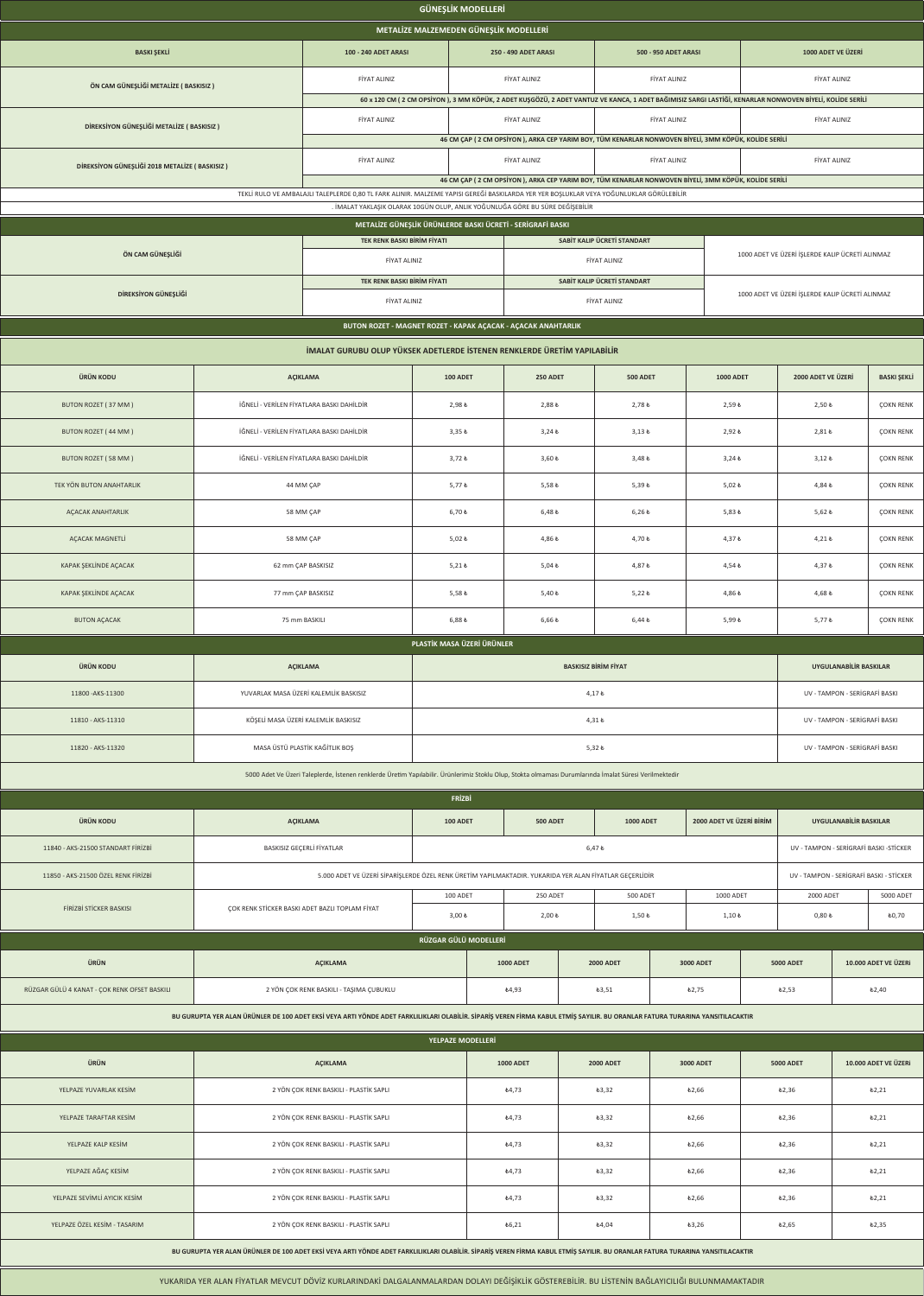| <b>BASKI ŞEKLİ</b>                               |                                                                                                                                                                                                                                                                                                                                                                                                                                                                                                                                                                                                                                                                                                                                                                                                                                                                                                                                                                                                                                                                                                                                                                                                                                                                                                                                                                                                                                                                                                                                                                                                                                                                                                                                                                                                                                                                                                                                                                                                                                                                                                                                                                                                                                                                                                                                                                                                                                                                                                                                                                                                                                                                                                                                                                                                                                                                                                                                                                                                                                                                                                                                                                                                                                                                                                                                                                                                                                                                   | 100 - 240 ADET ARASI                                                                                                                                                          |  |                |  |                |                |  |  |                  |  |                      |  |
|--------------------------------------------------|-------------------------------------------------------------------------------------------------------------------------------------------------------------------------------------------------------------------------------------------------------------------------------------------------------------------------------------------------------------------------------------------------------------------------------------------------------------------------------------------------------------------------------------------------------------------------------------------------------------------------------------------------------------------------------------------------------------------------------------------------------------------------------------------------------------------------------------------------------------------------------------------------------------------------------------------------------------------------------------------------------------------------------------------------------------------------------------------------------------------------------------------------------------------------------------------------------------------------------------------------------------------------------------------------------------------------------------------------------------------------------------------------------------------------------------------------------------------------------------------------------------------------------------------------------------------------------------------------------------------------------------------------------------------------------------------------------------------------------------------------------------------------------------------------------------------------------------------------------------------------------------------------------------------------------------------------------------------------------------------------------------------------------------------------------------------------------------------------------------------------------------------------------------------------------------------------------------------------------------------------------------------------------------------------------------------------------------------------------------------------------------------------------------------------------------------------------------------------------------------------------------------------------------------------------------------------------------------------------------------------------------------------------------------------------------------------------------------------------------------------------------------------------------------------------------------------------------------------------------------------------------------------------------------------------------------------------------------------------------------------------------------------------------------------------------------------------------------------------------------------------------------------------------------------------------------------------------------------------------------------------------------------------------------------------------------------------------------------------------------------------------------------------------------------------------------------------------------|-------------------------------------------------------------------------------------------------------------------------------------------------------------------------------|--|----------------|--|----------------|----------------|--|--|------------------|--|----------------------|--|
|                                                  | METALIZE MALZEMEDEN GÜNEŞLIK MODELLERI<br>1000 ADET VE ÜZERİ<br>250 - 490 ADET ARASI<br><b>500 - 950 ADET ARASI</b><br>FİYAT ALINIZ<br>FİYAT ALINIZ<br>FİYAT ALINIZ<br>FİYAT ALINIZ<br>60 x 120 CM ( 2 CM OPSİYON ), 3 MM KÖPÜK, 2 ADET KUŞGÖZÜ, 2 ADET VANTUZ VE KANCA, 1 ADET BAĞIMISIZ SARGI LASTİĞİ, KENARLAR NONWOVEN BİYELİ, KOLİDE SERİLİ<br>FİYAT ALINIZ<br>FİYAT ALINIZ<br>FİYAT ALINIZ<br>FİYAT ALINIZ<br>46 CM ÇAP (2 CM OPSİYON), ARKA CEP YARIM BOY, TÜM KENARLAR NONWOVEN BİYELİ, 3MM KÖPÜK, KOLİDE SERİLİ<br>FİYAT ALINIZ<br>FİYAT ALINIZ<br>FİYAT ALINIZ<br>FİYAT ALINIZ<br>46 CM CAP ( 2 CM OPSIYON ), ARKA CEP YARIM BOY, TÜM KENARLAR NONWOVEN BİYELİ, 3MM KÖPÜK, KOLİDE SERİLİ<br>TEKLİ RULO VE AMBALAJLI TALEPLERDE 0,80 TL FARK ALINIR. MALZEME YAPISI GEREĞİ BASKILARDA YER YER BOŞLUKLAR VEYA YOĞUNLUKLAR GÖRÜLEBİLİR<br>. İMALAT YAKLAŞIK OLARAK 10GÜN OLUP, ANLIK YOĞUNLUĞA GÖRE BU SÜRE DEĞİŞEBİLİR<br>METALİZE GÜNEŞLİK ÜRÜNLERDE BASKI ÜCRETİ - SERİGRAFİ BASKI<br>SABİT KALIP ÜCRETİ STANDART<br>TEK RENK BASKI BİRİM FİYATI<br>1000 ADET VE ÜZERİ İŞLERDE KALIP ÜCRETİ ALINMAZ<br>FİYAT ALINIZ<br>FİYAT ALINIZ<br>TEK RENK BASKI BİRİM FİYATI<br>SABİT KALIP ÜCRETİ STANDART<br>1000 ADET VE ÜZERİ İŞLERDE KALIP ÜCRETİ ALINMAZ<br>FİYAT ALINIZ<br>FİYAT ALINIZ<br>BUTON ROZET - MAGNET ROZET - KAPAK AÇACAK - AÇACAK ANAHTARLIK<br>İMALAT GURUBU OLUP YÜKSEK ADETLERDE İSTENEN RENKLERDE ÜRETİM YAPILABİLİR<br>100 ADET<br><b>250 ADET</b><br><b>500 ADET</b><br><b>1000 ADET</b><br>2000 ADET VE ÜZERİ<br>AÇIKLAMA<br>İĞNELİ - VERİLEN FİYATLARA BASKI DAHİLDİR<br>2,98 ₺<br>2,88 ₺<br>2,78 ₺<br>2,59 ₺<br>2,50 ₺<br>İĞNELİ - VERİLEN FİYATLARA BASKI DAHİLDİR<br>3,356<br>3,246<br>3,136<br>2,92 ₺<br>2,816<br>İĞNELİ - VERİLEN FİYATLARA BASKI DAHİLDİR<br>3,726<br>3,60 k<br>$3,24 \text{ k}$<br>3,48 ₺<br>3,126<br>44 MM ÇAP<br>5,776<br>5,586<br>$5,02 \; \text{&}$<br>4,846<br>5,396<br>58 MM ÇAP<br>6,70 ₺<br>6,486<br>6,266<br>5,836<br>$5,62 \text{ } \epsilon$<br>58 MM ÇAP<br>5,026<br>4,86 ₺<br>4,70 ₺<br>4,376<br>4,216<br>62 mm ÇAP BASKISIZ<br>$4,54 \text{ } \frac{1}{2}$<br><b>COKN RENK</b><br>5,216<br>$5,04 \text{ } \epsilon$<br>4,87 ₺<br>4,37 ₺<br>77 mm ÇAP BASKISIZ<br>5,586<br>5,406<br>5,226<br>4,86 ₺<br>4,68 ₺<br>ÇOKN RENK<br>75 mm BASKILI<br>$6,88 \text{ } \&$<br>$6,44 \;$ b<br>5,99 ₺<br>5,776<br>ÇOKN RENK<br>6,666<br>PLASTİK MASA ÜZERİ ÜRÜNLER<br><b>BASKISIZ BİRİM FİYAT</b><br>UYGULANABİLİR BASKILAR<br>AÇIKLAMA<br>YUVARLAK MASA ÜZERİ KALEMLİK BASKISIZ<br>4,17 ₺<br>UV - TAMPON - SERİGRAFİ BASKI<br>KÖŞELİ MASA ÜZERİ KALEMLİK BASKISIZ<br>4,316<br>UV - TAMPON - SERİGRAFİ BASKI<br>MASA ÜSTÜ PLASTİK KAĞİTLIK BOŞ<br>UV - TAMPON - SERİGRAFİ BASKI<br>5,326<br>5000 Adet Ve Üzeri Taleplerde, İstenen renklerde Üretim Yapılabilir. Ürünlerimiz Stoklu Olup, Stokta olmaması Durumlarında İmalat Süresi Verilmektedir<br><b>FRİZBİ</b><br><b>AÇIKLAMA</b><br><b>1000 ADET</b><br>2000 ADET VE ÜZERİ BİRİM<br>UYGULANABİLİR BASKILAR<br>100 ADET<br><b>500 ADET</b><br>BASKISIZ GEÇERLİ FİYATLAR<br>6,476<br>UV - TAMPON - SERİGRAFİ BASKI -STİCKER<br>5.000 ADET VE ÜZERİ SİPARİŞLERDE ÖZEL RENK ÜRETİM YAPILMAKTADIR. YUKARIDA YER ALAN FİYATLAR GEÇERLİDİR<br>UV - TAMPON - SERİGRAFİ BASKI - STİCKER<br>100 ADET<br>250 ADET<br>500 ADET<br>1000 ADET<br>2000 ADET<br>ÇOK RENK STİCKER BASKI ADET BAZLI TOPLAM FİYAT<br>3,00 k<br>2,00 k<br>1,50 ₺<br>1,10k<br>0,806<br>€0,70 |                                                                                                                                                                               |  |                |  |                |                |  |  |                  |  |                      |  |
|                                                  |                                                                                                                                                                                                                                                                                                                                                                                                                                                                                                                                                                                                                                                                                                                                                                                                                                                                                                                                                                                                                                                                                                                                                                                                                                                                                                                                                                                                                                                                                                                                                                                                                                                                                                                                                                                                                                                                                                                                                                                                                                                                                                                                                                                                                                                                                                                                                                                                                                                                                                                                                                                                                                                                                                                                                                                                                                                                                                                                                                                                                                                                                                                                                                                                                                                                                                                                                                                                                                                                   |                                                                                                                                                                               |  |                |  |                |                |  |  |                  |  |                      |  |
|                                                  |                                                                                                                                                                                                                                                                                                                                                                                                                                                                                                                                                                                                                                                                                                                                                                                                                                                                                                                                                                                                                                                                                                                                                                                                                                                                                                                                                                                                                                                                                                                                                                                                                                                                                                                                                                                                                                                                                                                                                                                                                                                                                                                                                                                                                                                                                                                                                                                                                                                                                                                                                                                                                                                                                                                                                                                                                                                                                                                                                                                                                                                                                                                                                                                                                                                                                                                                                                                                                                                                   |                                                                                                                                                                               |  |                |  |                |                |  |  |                  |  |                      |  |
|                                                  |                                                                                                                                                                                                                                                                                                                                                                                                                                                                                                                                                                                                                                                                                                                                                                                                                                                                                                                                                                                                                                                                                                                                                                                                                                                                                                                                                                                                                                                                                                                                                                                                                                                                                                                                                                                                                                                                                                                                                                                                                                                                                                                                                                                                                                                                                                                                                                                                                                                                                                                                                                                                                                                                                                                                                                                                                                                                                                                                                                                                                                                                                                                                                                                                                                                                                                                                                                                                                                                                   |                                                                                                                                                                               |  |                |  |                |                |  |  |                  |  |                      |  |
|                                                  | RÜZGAR GÜLÜ MODELLERİ<br><b>AÇIKLAMA</b><br><b>1000 ADET</b><br><b>2000 ADET</b><br>2 YÖN ÇOK RENK BASKILI - TAŞIMA ÇUBUKLU<br>₺4,93<br>63,51<br>YELPAZE MODELLERİ                                                                                                                                                                                                                                                                                                                                                                                                                                                                                                                                                                                                                                                                                                                                                                                                                                                                                                                                                                                                                                                                                                                                                                                                                                                                                                                                                                                                                                                                                                                                                                                                                                                                                                                                                                                                                                                                                                                                                                                                                                                                                                                                                                                                                                                                                                                                                                                                                                                                                                                                                                                                                                                                                                                                                                                                                                                                                                                                                                                                                                                                                                                                                                                                                                                                                                |                                                                                                                                                                               |  |                |  |                |                |  |  |                  |  |                      |  |
|                                                  |                                                                                                                                                                                                                                                                                                                                                                                                                                                                                                                                                                                                                                                                                                                                                                                                                                                                                                                                                                                                                                                                                                                                                                                                                                                                                                                                                                                                                                                                                                                                                                                                                                                                                                                                                                                                                                                                                                                                                                                                                                                                                                                                                                                                                                                                                                                                                                                                                                                                                                                                                                                                                                                                                                                                                                                                                                                                                                                                                                                                                                                                                                                                                                                                                                                                                                                                                                                                                                                                   |                                                                                                                                                                               |  |                |  |                |                |  |  |                  |  |                      |  |
|                                                  | ÖN CAM GÜNEŞLİĞİ METALİZE (BASKISIZ)<br>DİREKSİYON GÜNEŞLİĞİ METALİZE (BASKISIZ)<br>DİREKSİYON GÜNEŞLİĞİ 2018 METALİZE (BASKISIZ)<br>ÖN CAM GÜNEŞLİĞİ<br>DİREKSİYON GÜNEŞLİĞİ<br>ÜRÜN KODU<br>BUTON ROZET (37 MM)<br>BUTON ROZET (44 MM)<br>BUTON ROZET (58 MM)<br>TEK YÖN BUTON ANAHTARLIK<br>AÇACAK ANAHTARLIK<br>AÇACAK MAGNETLİ<br>KAPAK ŞEKLİNDE AÇACAK<br>KAPAK ŞEKLİNDE AÇACAK<br><b>BUTON AÇACAK</b><br>ÜRÜN KODU<br>11800 - AKS-11300<br>11810 - AKS-11310<br>11820 - AKS-11320<br><b>ÜRÜN KODU</b><br>11840 - AKS-21500 STANDART FİRİZBİ<br>11850 - AKS-21500 ÖZEL RENK FİRİZBİ<br>FİRİZBİ STİCKER BASKISI<br>ÜRÜN<br><b>3000 ADET</b><br><b>5000 ADET</b><br>62,75<br>₺2,53<br>BU GURUPTA YER ALAN ÜRÜNLER DE 100 ADET EKSİ VEYA ARTI YÖNDE ADET FARKLILIKLARI OLABİLİR. SİPARİŞ VEREN FİRMA KABUL ETMİŞ SAYILIR. BU ORANLAR FATURA TURARINA YANSITILACAKTIR                                                                                                                                                                                                                                                                                                                                                                                                                                                                                                                                                                                                                                                                                                                                                                                                                                                                                                                                                                                                                                                                                                                                                                                                                                                                                                                                                                                                                                                                                                                                                                                                                                                                                                                                                                                                                                                                                                                                                                                                                                                                                                                                                                                                                                                                                                                                                                                                                                                                                                                                                                                           |                                                                                                                                                                               |  |                |  |                |                |  |  |                  |  |                      |  |
|                                                  | <b>AÇIKLAMA</b><br>2 YÖN ÇOK RENK BASKILI - PLASTİK SAPLI                                                                                                                                                                                                                                                                                                                                                                                                                                                                                                                                                                                                                                                                                                                                                                                                                                                                                                                                                                                                                                                                                                                                                                                                                                                                                                                                                                                                                                                                                                                                                                                                                                                                                                                                                                                                                                                                                                                                                                                                                                                                                                                                                                                                                                                                                                                                                                                                                                                                                                                                                                                                                                                                                                                                                                                                                                                                                                                                                                                                                                                                                                                                                                                                                                                                                                                                                                                                         |                                                                                                                                                                               |  |                |  |                |                |  |  |                  |  |                      |  |
|                                                  | <b>1000 ADET</b><br><b>2000 ADET</b><br><b>3000 ADET</b>                                                                                                                                                                                                                                                                                                                                                                                                                                                                                                                                                                                                                                                                                                                                                                                                                                                                                                                                                                                                                                                                                                                                                                                                                                                                                                                                                                                                                                                                                                                                                                                                                                                                                                                                                                                                                                                                                                                                                                                                                                                                                                                                                                                                                                                                                                                                                                                                                                                                                                                                                                                                                                                                                                                                                                                                                                                                                                                                                                                                                                                                                                                                                                                                                                                                                                                                                                                                          |                                                                                                                                                                               |  |                |  |                |                |  |  |                  |  |                      |  |
|                                                  |                                                                                                                                                                                                                                                                                                                                                                                                                                                                                                                                                                                                                                                                                                                                                                                                                                                                                                                                                                                                                                                                                                                                                                                                                                                                                                                                                                                                                                                                                                                                                                                                                                                                                                                                                                                                                                                                                                                                                                                                                                                                                                                                                                                                                                                                                                                                                                                                                                                                                                                                                                                                                                                                                                                                                                                                                                                                                                                                                                                                                                                                                                                                                                                                                                                                                                                                                                                                                                                                   |                                                                                                                                                                               |  |                |  |                |                |  |  |                  |  |                      |  |
|                                                  |                                                                                                                                                                                                                                                                                                                                                                                                                                                                                                                                                                                                                                                                                                                                                                                                                                                                                                                                                                                                                                                                                                                                                                                                                                                                                                                                                                                                                                                                                                                                                                                                                                                                                                                                                                                                                                                                                                                                                                                                                                                                                                                                                                                                                                                                                                                                                                                                                                                                                                                                                                                                                                                                                                                                                                                                                                                                                                                                                                                                                                                                                                                                                                                                                                                                                                                                                                                                                                                                   |                                                                                                                                                                               |  |                |  |                |                |  |  |                  |  |                      |  |
|                                                  |                                                                                                                                                                                                                                                                                                                                                                                                                                                                                                                                                                                                                                                                                                                                                                                                                                                                                                                                                                                                                                                                                                                                                                                                                                                                                                                                                                                                                                                                                                                                                                                                                                                                                                                                                                                                                                                                                                                                                                                                                                                                                                                                                                                                                                                                                                                                                                                                                                                                                                                                                                                                                                                                                                                                                                                                                                                                                                                                                                                                                                                                                                                                                                                                                                                                                                                                                                                                                                                                   |                                                                                                                                                                               |  |                |  |                |                |  |  |                  |  | <b>BASKI ŞEKLİ</b>   |  |
|                                                  |                                                                                                                                                                                                                                                                                                                                                                                                                                                                                                                                                                                                                                                                                                                                                                                                                                                                                                                                                                                                                                                                                                                                                                                                                                                                                                                                                                                                                                                                                                                                                                                                                                                                                                                                                                                                                                                                                                                                                                                                                                                                                                                                                                                                                                                                                                                                                                                                                                                                                                                                                                                                                                                                                                                                                                                                                                                                                                                                                                                                                                                                                                                                                                                                                                                                                                                                                                                                                                                                   |                                                                                                                                                                               |  |                |  |                |                |  |  |                  |  | ÇOKN RENK            |  |
|                                                  |                                                                                                                                                                                                                                                                                                                                                                                                                                                                                                                                                                                                                                                                                                                                                                                                                                                                                                                                                                                                                                                                                                                                                                                                                                                                                                                                                                                                                                                                                                                                                                                                                                                                                                                                                                                                                                                                                                                                                                                                                                                                                                                                                                                                                                                                                                                                                                                                                                                                                                                                                                                                                                                                                                                                                                                                                                                                                                                                                                                                                                                                                                                                                                                                                                                                                                                                                                                                                                                                   |                                                                                                                                                                               |  |                |  |                |                |  |  |                  |  | ÇOKN RENK            |  |
|                                                  |                                                                                                                                                                                                                                                                                                                                                                                                                                                                                                                                                                                                                                                                                                                                                                                                                                                                                                                                                                                                                                                                                                                                                                                                                                                                                                                                                                                                                                                                                                                                                                                                                                                                                                                                                                                                                                                                                                                                                                                                                                                                                                                                                                                                                                                                                                                                                                                                                                                                                                                                                                                                                                                                                                                                                                                                                                                                                                                                                                                                                                                                                                                                                                                                                                                                                                                                                                                                                                                                   |                                                                                                                                                                               |  |                |  |                |                |  |  |                  |  | ÇOKN RENK            |  |
|                                                  |                                                                                                                                                                                                                                                                                                                                                                                                                                                                                                                                                                                                                                                                                                                                                                                                                                                                                                                                                                                                                                                                                                                                                                                                                                                                                                                                                                                                                                                                                                                                                                                                                                                                                                                                                                                                                                                                                                                                                                                                                                                                                                                                                                                                                                                                                                                                                                                                                                                                                                                                                                                                                                                                                                                                                                                                                                                                                                                                                                                                                                                                                                                                                                                                                                                                                                                                                                                                                                                                   |                                                                                                                                                                               |  |                |  |                |                |  |  |                  |  | ÇOKN RENK            |  |
|                                                  |                                                                                                                                                                                                                                                                                                                                                                                                                                                                                                                                                                                                                                                                                                                                                                                                                                                                                                                                                                                                                                                                                                                                                                                                                                                                                                                                                                                                                                                                                                                                                                                                                                                                                                                                                                                                                                                                                                                                                                                                                                                                                                                                                                                                                                                                                                                                                                                                                                                                                                                                                                                                                                                                                                                                                                                                                                                                                                                                                                                                                                                                                                                                                                                                                                                                                                                                                                                                                                                                   |                                                                                                                                                                               |  |                |  |                |                |  |  |                  |  | ÇOKN RENK            |  |
|                                                  |                                                                                                                                                                                                                                                                                                                                                                                                                                                                                                                                                                                                                                                                                                                                                                                                                                                                                                                                                                                                                                                                                                                                                                                                                                                                                                                                                                                                                                                                                                                                                                                                                                                                                                                                                                                                                                                                                                                                                                                                                                                                                                                                                                                                                                                                                                                                                                                                                                                                                                                                                                                                                                                                                                                                                                                                                                                                                                                                                                                                                                                                                                                                                                                                                                                                                                                                                                                                                                                                   |                                                                                                                                                                               |  |                |  |                |                |  |  |                  |  | ÇOKN RENK            |  |
|                                                  |                                                                                                                                                                                                                                                                                                                                                                                                                                                                                                                                                                                                                                                                                                                                                                                                                                                                                                                                                                                                                                                                                                                                                                                                                                                                                                                                                                                                                                                                                                                                                                                                                                                                                                                                                                                                                                                                                                                                                                                                                                                                                                                                                                                                                                                                                                                                                                                                                                                                                                                                                                                                                                                                                                                                                                                                                                                                                                                                                                                                                                                                                                                                                                                                                                                                                                                                                                                                                                                                   |                                                                                                                                                                               |  |                |  |                |                |  |  |                  |  |                      |  |
|                                                  |                                                                                                                                                                                                                                                                                                                                                                                                                                                                                                                                                                                                                                                                                                                                                                                                                                                                                                                                                                                                                                                                                                                                                                                                                                                                                                                                                                                                                                                                                                                                                                                                                                                                                                                                                                                                                                                                                                                                                                                                                                                                                                                                                                                                                                                                                                                                                                                                                                                                                                                                                                                                                                                                                                                                                                                                                                                                                                                                                                                                                                                                                                                                                                                                                                                                                                                                                                                                                                                                   |                                                                                                                                                                               |  |                |  |                |                |  |  |                  |  |                      |  |
|                                                  |                                                                                                                                                                                                                                                                                                                                                                                                                                                                                                                                                                                                                                                                                                                                                                                                                                                                                                                                                                                                                                                                                                                                                                                                                                                                                                                                                                                                                                                                                                                                                                                                                                                                                                                                                                                                                                                                                                                                                                                                                                                                                                                                                                                                                                                                                                                                                                                                                                                                                                                                                                                                                                                                                                                                                                                                                                                                                                                                                                                                                                                                                                                                                                                                                                                                                                                                                                                                                                                                   |                                                                                                                                                                               |  |                |  |                |                |  |  |                  |  |                      |  |
|                                                  |                                                                                                                                                                                                                                                                                                                                                                                                                                                                                                                                                                                                                                                                                                                                                                                                                                                                                                                                                                                                                                                                                                                                                                                                                                                                                                                                                                                                                                                                                                                                                                                                                                                                                                                                                                                                                                                                                                                                                                                                                                                                                                                                                                                                                                                                                                                                                                                                                                                                                                                                                                                                                                                                                                                                                                                                                                                                                                                                                                                                                                                                                                                                                                                                                                                                                                                                                                                                                                                                   |                                                                                                                                                                               |  |                |  |                |                |  |  |                  |  |                      |  |
|                                                  |                                                                                                                                                                                                                                                                                                                                                                                                                                                                                                                                                                                                                                                                                                                                                                                                                                                                                                                                                                                                                                                                                                                                                                                                                                                                                                                                                                                                                                                                                                                                                                                                                                                                                                                                                                                                                                                                                                                                                                                                                                                                                                                                                                                                                                                                                                                                                                                                                                                                                                                                                                                                                                                                                                                                                                                                                                                                                                                                                                                                                                                                                                                                                                                                                                                                                                                                                                                                                                                                   |                                                                                                                                                                               |  |                |  |                |                |  |  |                  |  |                      |  |
|                                                  |                                                                                                                                                                                                                                                                                                                                                                                                                                                                                                                                                                                                                                                                                                                                                                                                                                                                                                                                                                                                                                                                                                                                                                                                                                                                                                                                                                                                                                                                                                                                                                                                                                                                                                                                                                                                                                                                                                                                                                                                                                                                                                                                                                                                                                                                                                                                                                                                                                                                                                                                                                                                                                                                                                                                                                                                                                                                                                                                                                                                                                                                                                                                                                                                                                                                                                                                                                                                                                                                   |                                                                                                                                                                               |  |                |  |                |                |  |  |                  |  |                      |  |
|                                                  |                                                                                                                                                                                                                                                                                                                                                                                                                                                                                                                                                                                                                                                                                                                                                                                                                                                                                                                                                                                                                                                                                                                                                                                                                                                                                                                                                                                                                                                                                                                                                                                                                                                                                                                                                                                                                                                                                                                                                                                                                                                                                                                                                                                                                                                                                                                                                                                                                                                                                                                                                                                                                                                                                                                                                                                                                                                                                                                                                                                                                                                                                                                                                                                                                                                                                                                                                                                                                                                                   |                                                                                                                                                                               |  |                |  |                |                |  |  |                  |  |                      |  |
|                                                  |                                                                                                                                                                                                                                                                                                                                                                                                                                                                                                                                                                                                                                                                                                                                                                                                                                                                                                                                                                                                                                                                                                                                                                                                                                                                                                                                                                                                                                                                                                                                                                                                                                                                                                                                                                                                                                                                                                                                                                                                                                                                                                                                                                                                                                                                                                                                                                                                                                                                                                                                                                                                                                                                                                                                                                                                                                                                                                                                                                                                                                                                                                                                                                                                                                                                                                                                                                                                                                                                   |                                                                                                                                                                               |  |                |  |                |                |  |  |                  |  |                      |  |
|                                                  |                                                                                                                                                                                                                                                                                                                                                                                                                                                                                                                                                                                                                                                                                                                                                                                                                                                                                                                                                                                                                                                                                                                                                                                                                                                                                                                                                                                                                                                                                                                                                                                                                                                                                                                                                                                                                                                                                                                                                                                                                                                                                                                                                                                                                                                                                                                                                                                                                                                                                                                                                                                                                                                                                                                                                                                                                                                                                                                                                                                                                                                                                                                                                                                                                                                                                                                                                                                                                                                                   |                                                                                                                                                                               |  |                |  |                |                |  |  |                  |  |                      |  |
|                                                  |                                                                                                                                                                                                                                                                                                                                                                                                                                                                                                                                                                                                                                                                                                                                                                                                                                                                                                                                                                                                                                                                                                                                                                                                                                                                                                                                                                                                                                                                                                                                                                                                                                                                                                                                                                                                                                                                                                                                                                                                                                                                                                                                                                                                                                                                                                                                                                                                                                                                                                                                                                                                                                                                                                                                                                                                                                                                                                                                                                                                                                                                                                                                                                                                                                                                                                                                                                                                                                                                   |                                                                                                                                                                               |  |                |  |                |                |  |  |                  |  |                      |  |
|                                                  |                                                                                                                                                                                                                                                                                                                                                                                                                                                                                                                                                                                                                                                                                                                                                                                                                                                                                                                                                                                                                                                                                                                                                                                                                                                                                                                                                                                                                                                                                                                                                                                                                                                                                                                                                                                                                                                                                                                                                                                                                                                                                                                                                                                                                                                                                                                                                                                                                                                                                                                                                                                                                                                                                                                                                                                                                                                                                                                                                                                                                                                                                                                                                                                                                                                                                                                                                                                                                                                                   |                                                                                                                                                                               |  |                |  |                |                |  |  |                  |  |                      |  |
|                                                  |                                                                                                                                                                                                                                                                                                                                                                                                                                                                                                                                                                                                                                                                                                                                                                                                                                                                                                                                                                                                                                                                                                                                                                                                                                                                                                                                                                                                                                                                                                                                                                                                                                                                                                                                                                                                                                                                                                                                                                                                                                                                                                                                                                                                                                                                                                                                                                                                                                                                                                                                                                                                                                                                                                                                                                                                                                                                                                                                                                                                                                                                                                                                                                                                                                                                                                                                                                                                                                                                   |                                                                                                                                                                               |  |                |  |                |                |  |  |                  |  |                      |  |
|                                                  |                                                                                                                                                                                                                                                                                                                                                                                                                                                                                                                                                                                                                                                                                                                                                                                                                                                                                                                                                                                                                                                                                                                                                                                                                                                                                                                                                                                                                                                                                                                                                                                                                                                                                                                                                                                                                                                                                                                                                                                                                                                                                                                                                                                                                                                                                                                                                                                                                                                                                                                                                                                                                                                                                                                                                                                                                                                                                                                                                                                                                                                                                                                                                                                                                                                                                                                                                                                                                                                                   |                                                                                                                                                                               |  |                |  |                |                |  |  |                  |  | <b>5000 ADET</b>     |  |
|                                                  |                                                                                                                                                                                                                                                                                                                                                                                                                                                                                                                                                                                                                                                                                                                                                                                                                                                                                                                                                                                                                                                                                                                                                                                                                                                                                                                                                                                                                                                                                                                                                                                                                                                                                                                                                                                                                                                                                                                                                                                                                                                                                                                                                                                                                                                                                                                                                                                                                                                                                                                                                                                                                                                                                                                                                                                                                                                                                                                                                                                                                                                                                                                                                                                                                                                                                                                                                                                                                                                                   |                                                                                                                                                                               |  |                |  |                |                |  |  |                  |  |                      |  |
|                                                  |                                                                                                                                                                                                                                                                                                                                                                                                                                                                                                                                                                                                                                                                                                                                                                                                                                                                                                                                                                                                                                                                                                                                                                                                                                                                                                                                                                                                                                                                                                                                                                                                                                                                                                                                                                                                                                                                                                                                                                                                                                                                                                                                                                                                                                                                                                                                                                                                                                                                                                                                                                                                                                                                                                                                                                                                                                                                                                                                                                                                                                                                                                                                                                                                                                                                                                                                                                                                                                                                   |                                                                                                                                                                               |  |                |  |                |                |  |  |                  |  | 10.000 ADET VE ÜZERI |  |
| RÜZGAR GÜLÜ 4 KANAT - ÇOK RENK OFSET BASKILI     |                                                                                                                                                                                                                                                                                                                                                                                                                                                                                                                                                                                                                                                                                                                                                                                                                                                                                                                                                                                                                                                                                                                                                                                                                                                                                                                                                                                                                                                                                                                                                                                                                                                                                                                                                                                                                                                                                                                                                                                                                                                                                                                                                                                                                                                                                                                                                                                                                                                                                                                                                                                                                                                                                                                                                                                                                                                                                                                                                                                                                                                                                                                                                                                                                                                                                                                                                                                                                                                                   |                                                                                                                                                                               |  |                |  |                |                |  |  |                  |  | ₺2,40                |  |
|                                                  |                                                                                                                                                                                                                                                                                                                                                                                                                                                                                                                                                                                                                                                                                                                                                                                                                                                                                                                                                                                                                                                                                                                                                                                                                                                                                                                                                                                                                                                                                                                                                                                                                                                                                                                                                                                                                                                                                                                                                                                                                                                                                                                                                                                                                                                                                                                                                                                                                                                                                                                                                                                                                                                                                                                                                                                                                                                                                                                                                                                                                                                                                                                                                                                                                                                                                                                                                                                                                                                                   |                                                                                                                                                                               |  |                |  |                |                |  |  |                  |  |                      |  |
|                                                  |                                                                                                                                                                                                                                                                                                                                                                                                                                                                                                                                                                                                                                                                                                                                                                                                                                                                                                                                                                                                                                                                                                                                                                                                                                                                                                                                                                                                                                                                                                                                                                                                                                                                                                                                                                                                                                                                                                                                                                                                                                                                                                                                                                                                                                                                                                                                                                                                                                                                                                                                                                                                                                                                                                                                                                                                                                                                                                                                                                                                                                                                                                                                                                                                                                                                                                                                                                                                                                                                   |                                                                                                                                                                               |  |                |  |                |                |  |  |                  |  |                      |  |
| ÜRÜN                                             |                                                                                                                                                                                                                                                                                                                                                                                                                                                                                                                                                                                                                                                                                                                                                                                                                                                                                                                                                                                                                                                                                                                                                                                                                                                                                                                                                                                                                                                                                                                                                                                                                                                                                                                                                                                                                                                                                                                                                                                                                                                                                                                                                                                                                                                                                                                                                                                                                                                                                                                                                                                                                                                                                                                                                                                                                                                                                                                                                                                                                                                                                                                                                                                                                                                                                                                                                                                                                                                                   |                                                                                                                                                                               |  |                |  |                |                |  |  | <b>5000 ADET</b> |  | 10.000 ADET VE ÜZERI |  |
| YELPAZE YUVARLAK KESİM<br>YELPAZE TARAFTAR KESİM |                                                                                                                                                                                                                                                                                                                                                                                                                                                                                                                                                                                                                                                                                                                                                                                                                                                                                                                                                                                                                                                                                                                                                                                                                                                                                                                                                                                                                                                                                                                                                                                                                                                                                                                                                                                                                                                                                                                                                                                                                                                                                                                                                                                                                                                                                                                                                                                                                                                                                                                                                                                                                                                                                                                                                                                                                                                                                                                                                                                                                                                                                                                                                                                                                                                                                                                                                                                                                                                                   | 2 YÖN ÇOK RENK BASKILI - PLASTİK SAPLI                                                                                                                                        |  | ₺4,73          |  | 63,32<br>₺3,32 | 62,66          |  |  | 62,36            |  | 62,21                |  |
| YELPAZE KALP KESİM                               |                                                                                                                                                                                                                                                                                                                                                                                                                                                                                                                                                                                                                                                                                                                                                                                                                                                                                                                                                                                                                                                                                                                                                                                                                                                                                                                                                                                                                                                                                                                                                                                                                                                                                                                                                                                                                                                                                                                                                                                                                                                                                                                                                                                                                                                                                                                                                                                                                                                                                                                                                                                                                                                                                                                                                                                                                                                                                                                                                                                                                                                                                                                                                                                                                                                                                                                                                                                                                                                                   | 2 YÖN ÇOK RENK BASKILI - PLASTİK SAPLI                                                                                                                                        |  | ₺4,73<br>₺4,73 |  | 63,32          | ₺2,66<br>₺2,66 |  |  | ₺2,36<br>₺2,36   |  | 62,21<br>62,21       |  |
| YELPAZE AĞAÇ KESİM                               |                                                                                                                                                                                                                                                                                                                                                                                                                                                                                                                                                                                                                                                                                                                                                                                                                                                                                                                                                                                                                                                                                                                                                                                                                                                                                                                                                                                                                                                                                                                                                                                                                                                                                                                                                                                                                                                                                                                                                                                                                                                                                                                                                                                                                                                                                                                                                                                                                                                                                                                                                                                                                                                                                                                                                                                                                                                                                                                                                                                                                                                                                                                                                                                                                                                                                                                                                                                                                                                                   | 2 YÖN ÇOK RENK BASKILI - PLASTİK SAPLI                                                                                                                                        |  | ₺4,73          |  | ₺3,32          | ₺2,66          |  |  | ₺2,36            |  | 62,21                |  |
| YELPAZE SEVİMLİ AYICIK KESİM                     |                                                                                                                                                                                                                                                                                                                                                                                                                                                                                                                                                                                                                                                                                                                                                                                                                                                                                                                                                                                                                                                                                                                                                                                                                                                                                                                                                                                                                                                                                                                                                                                                                                                                                                                                                                                                                                                                                                                                                                                                                                                                                                                                                                                                                                                                                                                                                                                                                                                                                                                                                                                                                                                                                                                                                                                                                                                                                                                                                                                                                                                                                                                                                                                                                                                                                                                                                                                                                                                                   | 2 YÖN ÇOK RENK BASKILI - PLASTİK SAPLI                                                                                                                                        |  | ₺4,73          |  | 63,32          | ₺2,66          |  |  | ₺2,36            |  | 62,21                |  |
| YELPAZE ÖZEL KESİM - TASARIM                     |                                                                                                                                                                                                                                                                                                                                                                                                                                                                                                                                                                                                                                                                                                                                                                                                                                                                                                                                                                                                                                                                                                                                                                                                                                                                                                                                                                                                                                                                                                                                                                                                                                                                                                                                                                                                                                                                                                                                                                                                                                                                                                                                                                                                                                                                                                                                                                                                                                                                                                                                                                                                                                                                                                                                                                                                                                                                                                                                                                                                                                                                                                                                                                                                                                                                                                                                                                                                                                                                   | 2 YÖN ÇOK RENK BASKILI - PLASTİK SAPLI                                                                                                                                        |  | ₺6,21          |  | ₺4,04          | ₺3,26          |  |  | ₺2,65            |  | 62,35                |  |
|                                                  |                                                                                                                                                                                                                                                                                                                                                                                                                                                                                                                                                                                                                                                                                                                                                                                                                                                                                                                                                                                                                                                                                                                                                                                                                                                                                                                                                                                                                                                                                                                                                                                                                                                                                                                                                                                                                                                                                                                                                                                                                                                                                                                                                                                                                                                                                                                                                                                                                                                                                                                                                                                                                                                                                                                                                                                                                                                                                                                                                                                                                                                                                                                                                                                                                                                                                                                                                                                                                                                                   | BU GURUPTA YER ALAN ÜRÜNLER DE 100 ADET EKSİ VEYA ARTI YÖNDE ADET FARKLILIKLARI OLABİLİR. SİPARİŞ VEREN FİRMA KABUL ETMİŞ SAYILIR. BU ORANLAR FATURA TURARINA YANSITILACAKTIR |  |                |  |                |                |  |  |                  |  |                      |  |

**GÜNEŞLİK MODELLER**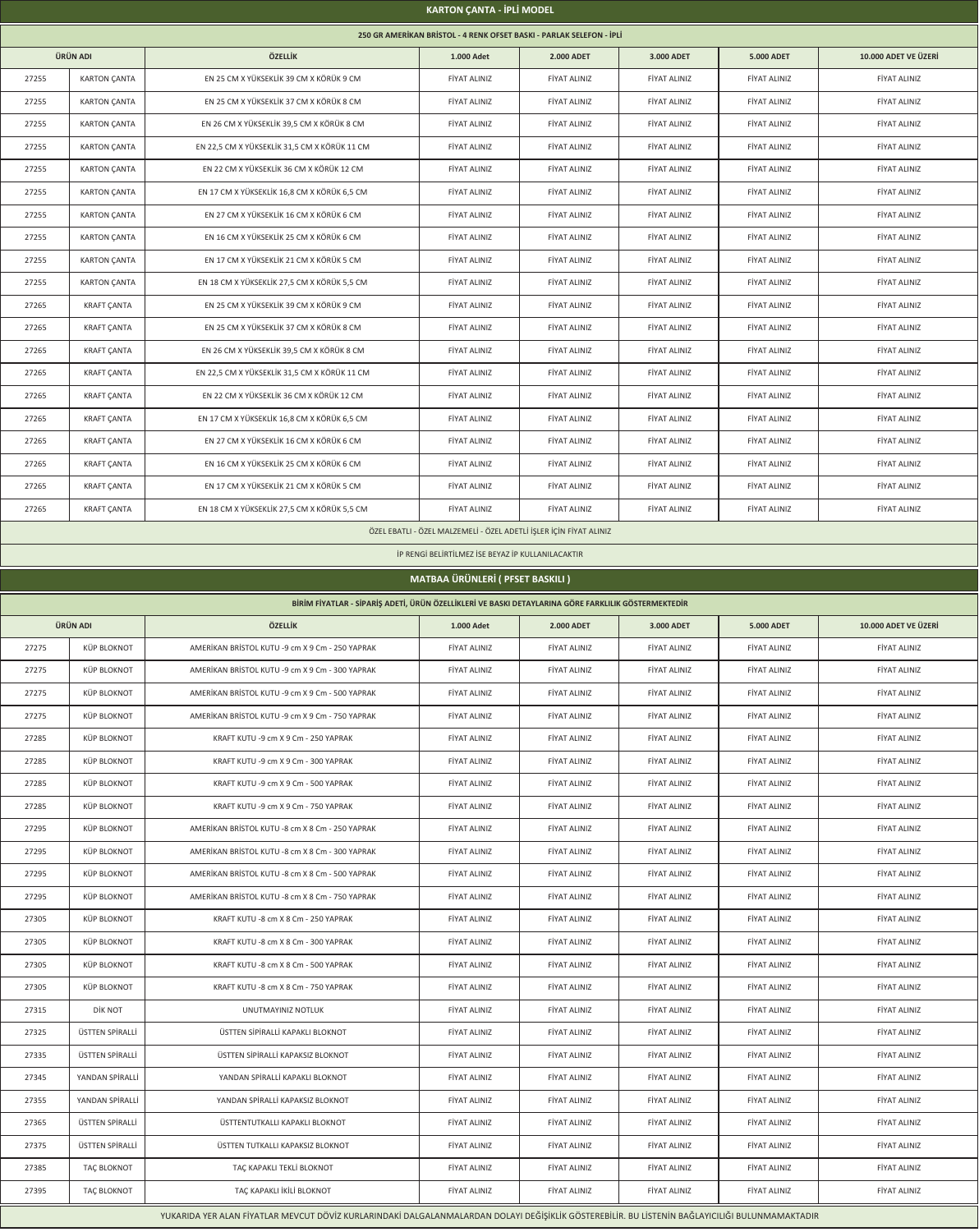KARTON ÇANTA - İPLİ MODEL

250 GR AMERIKAN BRISTOL - 4 RENK OFSET BASKI - PARLAK SELEFON - İPLİ

|       | ÜRÜN ADI            | ÖZELLİK                                      | 1.000 Adet                                                        | <b>2.000 ADET</b>   | 3.000 ADET          | <b>5.000 ADET</b>   | 10.000 ADET VE ÜZERİ |
|-------|---------------------|----------------------------------------------|-------------------------------------------------------------------|---------------------|---------------------|---------------------|----------------------|
| 27255 | <b>KARTON CANTA</b> | EN 25 CM X YÜKSEKLİK 39 CM X KÖRÜK 9 CM      | <b>FİYAT ALINIZ</b>                                               | <b>FİYAT ALINIZ</b> | <b>FİYAT ALINIZ</b> | FİYAT ALINIZ        | FİYAT ALINIZ         |
| 27255 | <b>KARTON CANTA</b> | EN 25 CM X YÜKSEKLİK 37 CM X KÖRÜK 8 CM      | <b>FİYAT ALINIZ</b>                                               | FİYAT ALINIZ        | <b>FİYAT ALINIZ</b> | FİYAT ALINIZ        | FİYAT ALINIZ         |
| 27255 | <b>KARTON CANTA</b> | EN 26 CM X YÜKSEKLİK 39,5 CM X KÖRÜK 8 CM    | FİYAT ALINIZ                                                      | <b>FİYAT ALINIZ</b> | FİYAT ALINIZ        | FİYAT ALINIZ        | FİYAT ALINIZ         |
| 27255 | <b>KARTON CANTA</b> | EN 22.5 CM X YÜKSEKLİK 31.5 CM X KÖRÜK 11 CM | FİYAT ALINIZ                                                      | <b>FİYAT ALINIZ</b> | <b>FİYAT ALINIZ</b> | FİYAT ALINIZ        | FİYAT ALINIZ         |
| 27255 | <b>KARTON CANTA</b> | EN 22 CM X YÜKSEKLİK 36 CM X KÖRÜK 12 CM     | FİYAT ALINIZ                                                      | <b>FİYAT ALINIZ</b> | <b>FİYAT ALINIZ</b> | FİYAT ALINIZ        | FİYAT ALINIZ         |
| 27255 | <b>KARTON CANTA</b> | EN 17 CM X YÜKSEKLİK 16,8 CM X KÖRÜK 6,5 CM  | <b>FİYAT ALINIZ</b>                                               | FİYAT ALINIZ        | FİYAT ALINIZ        | FİYAT ALINIZ        | FIYAT ALINIZ         |
| 27255 | <b>KARTON CANTA</b> | EN 27 CM X YÜKSEKLİK 16 CM X KÖRÜK 6 CM      | FİYAT ALINIZ                                                      | <b>FİYAT ALINIZ</b> | <b>FİYAT ALINIZ</b> | FİYAT ALINIZ        | FİYAT ALINIZ         |
| 27255 | <b>KARTON CANTA</b> | EN 16 CM X YÜKSEKLİK 25 CM X KÖRÜK 6 CM      | FİYAT ALINIZ                                                      | <b>FİYAT ALINIZ</b> | <b>FİYAT ALINIZ</b> | <b>FİYAT ALINIZ</b> | FİYAT ALINIZ         |
| 27255 | <b>KARTON CANTA</b> | EN 17 CM X YÜKSEKLİK 21 CM X KÖRÜK 5 CM      | <b>FİYAT ALINIZ</b>                                               | FİYAT ALINIZ        | <b>FİYAT ALINIZ</b> | FİYAT ALINIZ        | FİYAT ALINIZ         |
| 27255 | <b>KARTON CANTA</b> | EN 18 CM X YÜKSEKLİK 27,5 CM X KÖRÜK 5,5 CM  | <b>FİYAT ALINIZ</b>                                               | <b>FİYAT ALINIZ</b> | FİYAT ALINIZ        | FİYAT ALINIZ        | FİYAT ALINIZ         |
| 27265 | <b>KRAFT CANTA</b>  | EN 25 CM X YÜKSEKLİK 39 CM X KÖRÜK 9 CM      | FİYAT ALINIZ                                                      | <b>FİYAT ALINIZ</b> | <b>FİYAT ALINIZ</b> | <b>FİYAT ALINIZ</b> | FİYAT ALINIZ         |
| 27265 | <b>KRAFT CANTA</b>  | EN 25 CM X YÜKSEKLİK 37 CM X KÖRÜK 8 CM      | FİYAT ALINIZ                                                      | <b>FİYAT ALINIZ</b> | <b>FİYAT ALINIZ</b> | <b>FİYAT ALINIZ</b> | <b>FİYAT ALINIZ</b>  |
| 27265 | <b>KRAFT CANTA</b>  | EN 26 CM X YÜKSEKLİK 39,5 CM X KÖRÜK 8 CM    | <b>FİYAT ALINIZ</b>                                               | FİYAT ALINIZ        | <b>FİYAT ALINIZ</b> | FİYAT ALINIZ        | FİYAT ALINIZ         |
| 27265 | <b>KRAFT CANTA</b>  | EN 22,5 CM X YÜKSEKLİK 31,5 CM X KÖRÜK 11 CM | FİYAT ALINIZ                                                      | <b>FİYAT ALINIZ</b> | FİYAT ALINIZ        | FİYAT ALINIZ        | FİYAT ALINIZ         |
| 27265 | <b>KRAFT CANTA</b>  | EN 22 CM X YÜKSEKLİK 36 CM X KÖRÜK 12 CM     | FİYAT ALINIZ                                                      | <b>FİYAT ALINIZ</b> | FİYAT ALINIZ        | FİYAT ALINIZ        | FİYAT ALINIZ         |
| 27265 | <b>KRAFT CANTA</b>  | EN 17 CM X YÜKSEKLİK 16,8 CM X KÖRÜK 6,5 CM  | FİYAT ALINIZ                                                      | <b>FİYAT ALINIZ</b> | <b>FİYAT ALINIZ</b> | <b>FİYAT ALINIZ</b> | FİYAT ALINIZ         |
| 27265 | <b>KRAFT CANTA</b>  | EN 27 CM X YÜKSEKLİK 16 CM X KÖRÜK 6 CM      | <b>FİYAT ALINIZ</b>                                               | <b>FİYAT ALINIZ</b> | <b>FİYAT ALINIZ</b> | FİYAT ALINIZ        | FİYAT ALINIZ         |
| 27265 | <b>KRAFT CANTA</b>  | EN 16 CM X YÜKSEKLİK 25 CM X KÖRÜK 6 CM      | <b>FİYAT ALINIZ</b>                                               | <b>FİYAT ALINIZ</b> | <b>FİYAT ALINIZ</b> | FIYAT ALINIZ        | FIYAT ALINIZ         |
| 27265 | <b>KRAFT CANTA</b>  | EN 17 CM X YÜKSEKLİK 21 CM X KÖRÜK 5 CM      | <b>FİYAT ALINIZ</b>                                               | <b>FİYAT ALINIZ</b> | FİYAT ALINIZ        | FİYAT ALINIZ        | FİYAT ALINIZ         |
| 27265 | <b>KRAFT CANTA</b>  | EN 18 CM X YÜKSEKLİK 27,5 CM X KÖRÜK 5,5 CM  | FİYAT ALINIZ                                                      | <b>FİYAT ALINIZ</b> | FİYAT ALINIZ        | FİYAT ALINIZ        | FİYAT ALINIZ         |
|       |                     |                                              | ÖZEL EDATLI, ÖZEL MALZEMELİ, ÖZEL ADETLİ İCLED İÇİN EİVAT ALINUZ. |                     |                     |                     |                      |

IP RENGI BELIRTILMEZ ISE BEYAZ IP KULLANILACAKTIR

MATBAA ÜRÜNLERİ ( PFSET BASKILI )

|       |                    | BİRİM FİYATLAR - SİPARİŞ ADETİ, ÜRÜN ÖZELLİKLERİ VE BASKI DETAYLARINA GÖRE FARKLILIK GÖSTERMEKTEDİR                                             |              |                     |                     |                   |                      |
|-------|--------------------|-------------------------------------------------------------------------------------------------------------------------------------------------|--------------|---------------------|---------------------|-------------------|----------------------|
|       | ÜRÜN ADI           | ÖZELLİK                                                                                                                                         | 1.000 Adet   | 2.000 ADET          | 3.000 ADET          | <b>5.000 ADET</b> | 10.000 ADET VE ÜZERİ |
| 27275 | KÜP BLOKNOT        | AMERİKAN BRİSTOL KUTU -9 cm X 9 Cm - 250 YAPRAK                                                                                                 | FİYAT ALINIZ | FİYAT ALINIZ        | <b>FİYAT ALINIZ</b> | FİYAT ALINIZ      | FİYAT ALINIZ         |
| 27275 | KÜP BLOKNOT        | AMERİKAN BRİSTOL KUTU -9 cm X 9 Cm - 300 YAPRAK                                                                                                 | FİYAT ALINIZ | <b>FİYAT ALINIZ</b> | <b>FİYAT ALINIZ</b> | FİYAT ALINIZ      | <b>FİYAT ALINIZ</b>  |
| 27275 | KÜP BLOKNOT        | AMERİKAN BRİSTOL KUTU -9 cm X 9 Cm - 500 YAPRAK                                                                                                 | FİYAT ALINIZ | FİYAT ALINIZ        | <b>FİYAT ALINIZ</b> | FİYAT ALINIZ      | FİYAT ALINIZ         |
| 27275 | KÜP BLOKNOT        | AMERİKAN BRİSTOL KUTU -9 cm X 9 Cm - 750 YAPRAK                                                                                                 | FİYAT ALINIZ | FİYAT ALINIZ        | <b>FİYAT ALINIZ</b> | FİYAT ALINIZ      | FİYAT ALINIZ         |
| 27285 | KÜP BLOKNOT        | KRAFT KUTU -9 cm X 9 Cm - 250 YAPRAK                                                                                                            | FİYAT ALINIZ | <b>FİYAT ALINIZ</b> | <b>FİYAT ALINIZ</b> | FİYAT ALINIZ      | <b>FİYAT ALINIZ</b>  |
| 27285 | KÜP BLOKNOT        | KRAFT KUTU -9 cm X 9 Cm - 300 YAPRAK                                                                                                            | FİYAT ALINIZ | <b>FİYAT ALINIZ</b> | <b>FİYAT ALINIZ</b> | FİYAT ALINIZ      | FİYAT ALINIZ         |
| 27285 | KÜP BLOKNOT        | KRAFT KUTU -9 cm X 9 Cm - 500 YAPRAK                                                                                                            | FİYAT ALINIZ | <b>FİYAT ALINIZ</b> | <b>FİYAT ALINIZ</b> | FİYAT ALINIZ      | FİYAT ALINIZ         |
| 27285 | KÜP BLOKNOT        | KRAFT KUTU -9 cm X 9 Cm - 750 YAPRAK                                                                                                            | FİYAT ALINIZ | <b>FİYAT ALINIZ</b> | <b>FİYAT ALINIZ</b> | FİYAT ALINIZ      | FİYAT ALINIZ         |
| 27295 | <b>KÜP BLOKNOT</b> | AMERİKAN BRİSTOL KUTU -8 cm X 8 Cm - 250 YAPRAK                                                                                                 | FİYAT ALINIZ | <b>FİYAT ALINIZ</b> | <b>FİYAT ALINIZ</b> | FİYAT ALINIZ      | FİYAT ALINIZ         |
| 27295 | KÜP BLOKNOT        | AMERÍKAN BRÍSTOL KUTU -8 cm X 8 Cm - 300 YAPRAK                                                                                                 | FİYAT ALINIZ | FİYAT ALINIZ        | <b>FİYAT ALINIZ</b> | FİYAT ALINIZ      | FİYAT ALINIZ         |
| 27295 | KÜP BLOKNOT        | AMERIKAN BRISTOL KUTU -8 cm X 8 Cm - 500 YAPRAK                                                                                                 | FİYAT ALINIZ | FİYAT ALINIZ        | <b>FİYAT ALINIZ</b> | FİYAT ALINIZ      | FİYAT ALINIZ         |
| 27295 | KÜP BLOKNOT        | AMERİKAN BRİSTOL KUTU -8 cm X 8 Cm - 750 YAPRAK                                                                                                 | FİYAT ALINIZ | <b>FİYAT ALINIZ</b> | FIYAT ALINIZ        | FİYAT ALINIZ      | FİYAT ALINIZ         |
| 27305 | KÜP BLOKNOT        | KRAFT KUTU -8 cm X 8 Cm - 250 YAPRAK                                                                                                            | FİYAT ALINIZ | FİYAT ALINIZ        | <b>FİYAT ALINIZ</b> | FİYAT ALINIZ      | <b>FİYAT ALINIZ</b>  |
| 27305 | KÜP BLOKNOT        | KRAFT KUTU -8 cm X 8 Cm - 300 YAPRAK                                                                                                            | FİYAT ALINIZ | <b>FİYAT ALINIZ</b> | <b>FİYAT ALINIZ</b> | FİYAT ALINIZ      | FİYAT ALINIZ         |
| 27305 | KÜP BLOKNOT        | KRAFT KUTU -8 cm X 8 Cm - 500 YAPRAK                                                                                                            | FİYAT ALINIZ | FİYAT ALINIZ        | FİYAT ALINIZ        | FİYAT ALINIZ      | <b>FİYAT ALINIZ</b>  |
| 27305 | KÜP BLOKNOT        | KRAFT KUTU -8 cm X 8 Cm - 750 YAPRAK                                                                                                            | FİYAT ALINIZ | <b>FİYAT ALINIZ</b> | <b>FİYAT ALINIZ</b> | FİYAT ALINIZ      | <b>FİYAT ALINIZ</b>  |
| 27315 | DİK NOT            | UNUTMAYINIZ NOTLUK                                                                                                                              | FİYAT ALINIZ | FİYAT ALINIZ        | <b>FİYAT ALINIZ</b> | FİYAT ALINIZ      | FİYAT ALINIZ         |
| 27325 | ÜSTTEN SPİRALLİ    | ÜSTTEN SİPİRALLİ KAPAKLI BLOKNOT                                                                                                                | FİYAT ALINIZ | <b>FİYAT ALINIZ</b> | <b>FİYAT ALINIZ</b> | FİYAT ALINIZ      | <b>FİYAT ALINIZ</b>  |
| 27335 | ÜSTTEN SPİRALLİ    | ÜSTTEN SİPİRALLİ KAPAKSIZ BLOKNOT                                                                                                               | FİYAT ALINIZ | <b>FİYAT ALINIZ</b> | <b>FİYAT ALINIZ</b> | FİYAT ALINIZ      | FİYAT ALINIZ         |
| 27345 | YANDAN SPİRALLİ    | YANDAN SPİRALLİ KAPAKLI BLOKNOT                                                                                                                 | FİYAT ALINIZ | <b>FİYAT ALINIZ</b> | FİYAT ALINIZ        | FİYAT ALINIZ      | FİYAT ALINIZ         |
| 27355 | YANDAN SPİRALLİ    | YANDAN SPİRALLİ KAPAKSIZ BLOKNOT                                                                                                                | FİYAT ALINIZ | FİYAT ALINIZ        | FİYAT ALINIZ        | FİYAT ALINIZ      | <b>FİYAT ALINIZ</b>  |
| 27365 | ÜSTTEN SPİRALLİ    | ÜSTTENTUTKALLI KAPAKLI BLOKNOT                                                                                                                  | FİYAT ALINIZ | FİYAT ALINIZ        | <b>FİYAT ALINIZ</b> | FİYAT ALINIZ      | FİYAT ALINIZ         |
| 27375 | ÜSTTEN SPİRALLİ    | ÜSTTEN TUTKALLI KAPAKSIZ BLOKNOT                                                                                                                | FİYAT ALINIZ | <b>FİYAT ALINIZ</b> | <b>FİYAT ALINIZ</b> | FİYAT ALINIZ      | <b>FİYAT ALINIZ</b>  |
| 27385 | <b>TAC BLOKNOT</b> | TAC KAPAKLI TEKLİ BLOKNOT                                                                                                                       | FİYAT ALINIZ | FİYAT ALINIZ        | FİYAT ALINIZ        | FİYAT ALINIZ      | FİYAT ALINIZ         |
| 27395 | TAÇ BLOKNOT        | TAÇ KAPAKLI İKİLİ BLOKNOT                                                                                                                       | FİYAT ALINIZ | <b>FİYAT ALINIZ</b> | FİYAT ALINIZ        | FİYAT ALINIZ      | FİYAT ALINIZ         |
|       |                    | YUKARIDA YER ALAN FİYATLAR MEVCUT DÖVİZ KURLARINDAKİ DALGALANMALARDAN DOLAYI DEĞİŞİKLİK GÖSTEREBİLİR. BU LİSTENİN BAĞLAYICILIĞI BULUNMAMAKTADIR |              |                     |                     |                   |                      |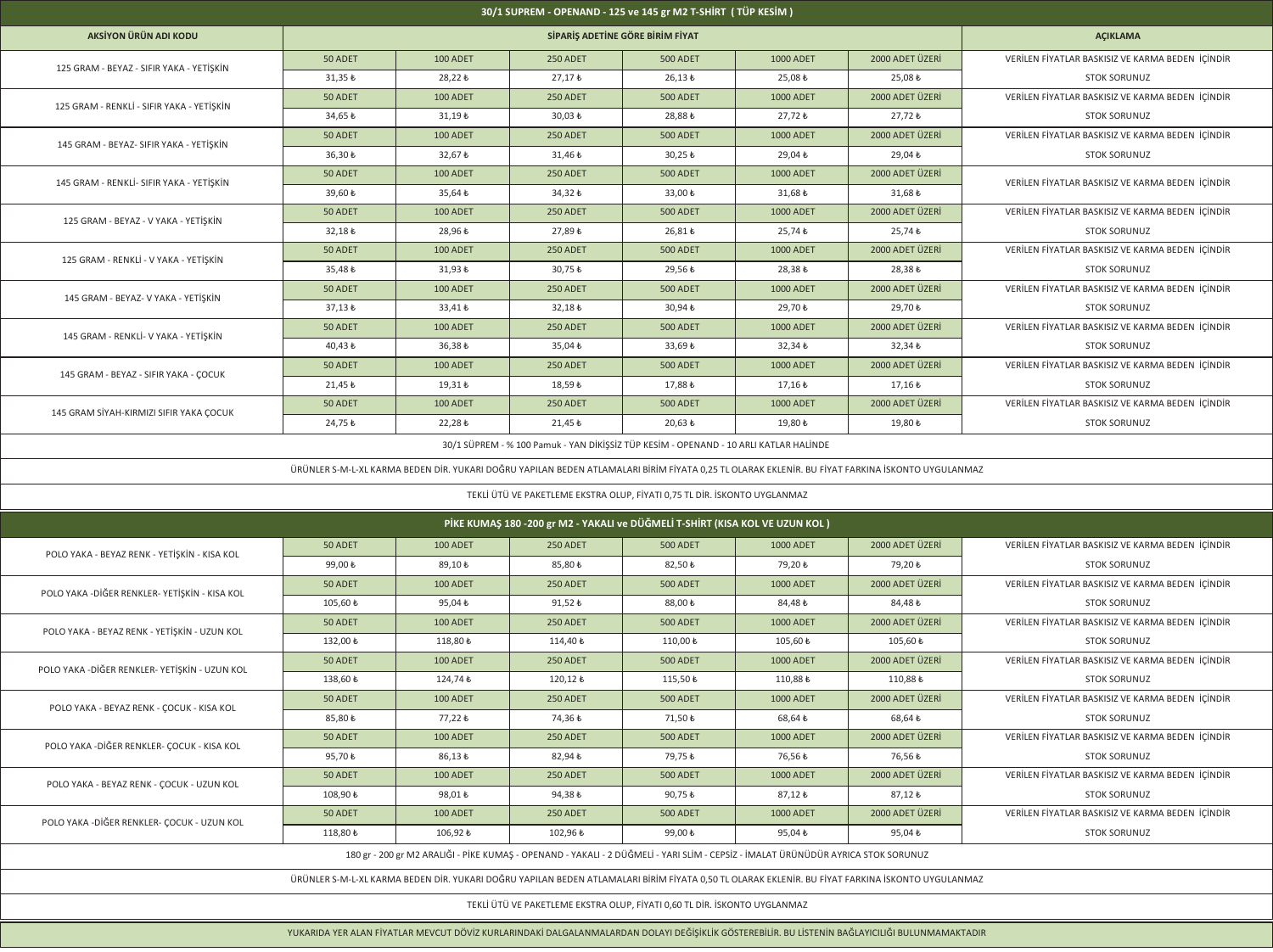|                                           |                               |          |           | 30/1 SUPREM - OPENAND - 125 ve 145 gr M2 T-SHİRT (TÜP KESİM) |                   |                 |                                                  |
|-------------------------------------------|-------------------------------|----------|-----------|--------------------------------------------------------------|-------------------|-----------------|--------------------------------------------------|
| <b>AKSİYON ÜRÜN ADI KODU</b>              |                               |          |           | SİPARİŞ ADETİNE GÖRE BİRİM FİYAT                             |                   |                 | <b>ACIKLAMA</b>                                  |
| 125 GRAM - BEYAZ - SIFIR YAKA - YETİŞKİN  | 50 ADET                       | 100 ADET | 250 ADET  | <b>500 ADET</b>                                              | <b>1000 ADET</b>  | 2000 ADET ÜZERİ | VERİLEN FİYATLAR BASKISIZ VE KARMA BEDEN İÇİNDİR |
|                                           | 31.35 ₺                       | 28.22 ₺  | $27.17 +$ | 26.13 k                                                      | 25.08 ₺           | 25.08 ₺         | <b>STOK SORUNUZ</b>                              |
| 125 GRAM - RENKLİ - SIFIR YAKA - YETİSKİN | 50 ADET                       | 100 ADET | 250 ADET  | <b>500 ADET</b>                                              | <b>1000 ADET</b>  | 2000 ADET ÜZERİ | VERİLEN FİYATLAR BASKISIZ VE KARMA BEDEN İCİNDİR |
|                                           | 34,65 ₺                       | 31,19 ₺  | 30,03 ₺   | 28,88 ₺                                                      | 27,72 ₺           | 27,72 ₺         | <b>STOK SORUNUZ</b>                              |
| 145 GRAM - BEYAZ- SIFIR YAKA - YETİSKİN   | 50 ADET                       | 100 ADET | 250 ADET  | <b>500 ADET</b>                                              | <b>1000 ADET</b>  | 2000 ADET ÜZERİ | VERİLEN FİYATLAR BASKISIZ VE KARMA BEDEN İCİNDİR |
|                                           | 36,30 ₺                       | 32,67 ₺  | 31,46 ₺   | 30,25 ₺                                                      | 29,04 ₺           | 29,04 ₺         | <b>STOK SORUNUZ</b>                              |
| 145 GRAM - RENKLİ- SIFIR YAKA - YETİŞKİN  | 50 ADET                       | 100 ADET | 250 ADET  | <b>500 ADET</b>                                              | <b>1000 ADET</b>  | 2000 ADET ÜZERİ | VERİLEN FİYATLAR BASKISIZ VE KARMA BEDEN İÇİNDİR |
|                                           | 39,60 ₺                       | 35,64 ₺  | 34,32 ₺   | 33,00 ₺                                                      | 31,68 ₺           | 31,68 ₺         |                                                  |
| 125 GRAM - BEYAZ - V YAKA - YETİSKİN      | 50 ADET                       | 100 ADET | 250 ADET  | <b>500 ADET</b>                                              | <b>1000 ADET</b>  | 2000 ADET ÜZERİ | VERİLEN FİYATLAR BASKISIZ VE KARMA BEDEN İÇİNDİR |
|                                           | 32,18 ₺                       | 28,96 ₺  | 27,89 ₺   | 26,81 ₺                                                      | 25.74 ₺           | 25,74 ₺         | <b>STOK SORUNUZ</b>                              |
| 125 GRAM - RENKLİ - V YAKA - YETİŞKİN     | 50 ADET                       | 100 ADET | 250 ADET  | <b>500 ADET</b>                                              | <b>1000 ADET</b>  | 2000 ADET ÜZERİ | VERİLEN FİYATLAR BASKISIZ VE KARMA BEDEN İÇİNDİR |
|                                           | 35,48 ₺                       | 31,93 ₺  | 30,75 ₺   | 29,56 ₺                                                      | 28.38 ₺           | 28,38 ₺         | <b>STOK SORUNUZ</b>                              |
| 145 GRAM - BEYAZ- V YAKA - YETİSKİN       | 50 ADET                       | 100 ADET | 250 ADET  | <b>500 ADET</b>                                              | <b>1000 ADET</b>  | 2000 ADET ÜZERİ | VERİLEN FİYATLAR BASKISIZ VE KARMA BEDEN İÇİNDİR |
|                                           | 37.13 ₺                       | 33.41 k  | 32.18 ₺   | 30.94 も                                                      | 29.70 ₺           | 29.70 ₺         | <b>STOK SORUNUZ</b>                              |
| 145 GRAM - RENKLİ- V YAKA - YETİSKİN      | 50 ADET                       | 100 ADET | 250 ADET  | <b>500 ADET</b>                                              | <b>1000 ADET</b>  | 2000 ADET ÜZERİ | VERİLEN FİYATLAR BASKISIZ VE KARMA BEDEN İÇİNDİR |
|                                           | 40,43 ₺                       | 36,38 ₺  | 35,04 ₺   | 33,69 ₺                                                      | $32,34 \text{ k}$ | 32,34 ₺         | <b>STOK SORUNUZ</b>                              |
| 145 GRAM - BEYAZ - SIFIR YAKA - COCUK     | 50 ADET                       | 100 ADET | 250 ADET  | <b>500 ADET</b>                                              | 1000 ADET         | 2000 ADET ÜZERİ | VERİLEN FİYATLAR BASKISIZ VE KARMA BEDEN İCİNDİR |
|                                           | $21.45 \text{ } \pm \text{ }$ | 19.31 ₺  | 18.59 ₺   | 17.88 ₺                                                      | 17.16 ₺           | 17,16 ₺         | <b>STOK SORUNUZ</b>                              |
| 145 GRAM SİYAH-KIRMIZI SIFIR YAKA ÇOCUK   | 50 ADET                       | 100 ADET | 250 ADET  | <b>500 ADET</b>                                              | <b>1000 ADET</b>  | 2000 ADET ÜZERİ | VERİLEN FİYATLAR BASKISIZ VE KARMA BEDEN İCİNDİR |
|                                           | 24,75 ₺                       | 22,28 ₺  | 21,45 ₺   | 20,63 ₺                                                      | 19,80 ₺           | 19,80 ₺         | <b>STOK SORUNUZ</b>                              |

30/1 SÜPREM - % 100 Pamuk - YAN DİKİŞSİZ TÜP KESİM - OPENAND - 10 ARLI KATLAR HALİNDE

ÜRÜNLER S-M-L-XL KARMA BEDEN DİR. YUKARI DOĞRU YAPILAN BEDEN ATLAMALARI BİRİM FİYATA 0,25 TL OLARAK EKLENİR. BU FİYAT FARKINA İSKONTO UYGULANMAZ

TEKLİ ÜTÜ VE PAKETLEME EKSTRA OLUP, FİYATI 0,75 TL DİR. İSKONTO UYGLANMAZ

|                                               |          |          |             | PİKE KUMAŞ 180 -200 gr M2 - YAKALI ve DÜĞMELİ T-SHİRT (KISA KOL VE UZUN KOL) |                  |                 |                                                  |
|-----------------------------------------------|----------|----------|-------------|------------------------------------------------------------------------------|------------------|-----------------|--------------------------------------------------|
| POLO YAKA - BEYAZ RENK - YETİŞKİN - KISA KOL  | 50 ADET  | 100 ADET | 250 ADET    | 500 ADET                                                                     | <b>1000 ADET</b> | 2000 ADET ÜZERİ | VERİLEN FİYATLAR BASKISIZ VE KARMA BEDEN İÇİNDİR |
|                                               | 99,00 ₺  | 89,10 ₺  | 85,80 ₺     | 82.50 ₺                                                                      | 79,20 ₺          | 79,20 ₺         | <b>STOK SORUNUZ</b>                              |
| POLO YAKA -DİĞER RENKLER- YETİŞKİN - KISA KOL | 50 ADET  | 100 ADET | 250 ADET    | 500 ADET                                                                     | <b>1000 ADET</b> | 2000 ADET ÜZERİ | VERİLEN FİYATLAR BASKISIZ VE KARMA BEDEN İCİNDİR |
|                                               | 105,60 ₺ | 95,04 ₺  | 91,52 $\pm$ | 88,00 ₺                                                                      | 84,48 ₺          | 84,48 ₺         | <b>STOK SORUNUZ</b>                              |
| POLO YAKA - BEYAZ RENK - YETİŞKİN - UZUN KOL  | 50 ADET  | 100 ADET | 250 ADET    | <b>500 ADET</b>                                                              | <b>1000 ADET</b> | 2000 ADET ÜZERİ | VERİLEN FİYATLAR BASKISIZ VE KARMA BEDEN İCİNDİR |
|                                               | 132.00 ₺ | 118.80 ₺ | 114.40 ₺    | 110.00 ₺                                                                     | 105.60 ₺         | 105,60 ₺        | <b>STOK SORUNUZ</b>                              |
| POLO YAKA -DİĞER RENKLER- YETİSKİN - UZUN KOL | 50 ADET  | 100 ADET | 250 ADET    | 500 ADET                                                                     | <b>1000 ADET</b> | 2000 ADET ÜZERİ | VERİLEN FİYATLAR BASKISIZ VE KARMA BEDEN İÇİNDİR |
|                                               | 138,60 ₺ | 124.74 ₺ | 120,12 ₺    | 115.50 ₺                                                                     | 110.88 ₺         | 110,88 ₺        | <b>STOK SORUNUZ</b>                              |
| POLO YAKA - BEYAZ RENK - COCUK - KISA KOL     | 50 ADET  | 100 ADET | 250 ADET    | 500 ADET                                                                     | 1000 ADET        | 2000 ADET ÜZERİ | VERİLEN FİYATLAR BASKISIZ VE KARMA BEDEN İCİNDİR |
|                                               | 85,80 ₺  | 77.22 ₺  | 74.36 ₺     | 71,50 ₺                                                                      | 68.64 ₺          | 68.64 ₺         | <b>STOK SORUNUZ</b>                              |
| POLO YAKA -DİĞER RENKLER- ÇOCUK - KISA KOL    | 50 ADET  | 100 ADET | 250 ADET    | <b>500 ADET</b>                                                              | <b>1000 ADET</b> | 2000 ADET ÜZERİ | VERİLEN FİYATLAR BASKISIZ VE KARMA BEDEN İÇİNDİR |
|                                               | 95,70 ₺  | 86.13 k  | 82.94 ₺     | 79,75 ₺                                                                      | 76.56 ₺          | 76.56 ₺         | <b>STOK SORUNUZ</b>                              |
| POLO YAKA - BEYAZ RENK - COCUK - UZUN KOL     | 50 ADET  | 100 ADET | 250 ADET    | 500 ADET                                                                     | <b>1000 ADET</b> | 2000 ADET ÜZERİ | VERİLEN FİYATLAR BASKISIZ VE KARMA BEDEN İÇİNDİR |
|                                               | 108.90 ₺ | 98,01 ₺  | 94.38 ₺     | 90,75 ₺                                                                      | 87,12 ₺          | 87,12 ₺         | <b>STOK SORUNUZ</b>                              |
| POLO YAKA - DİĞER RENKLER- ÇOCUK - UZUN KOL   | 50 ADET  | 100 ADET | 250 ADET    | 500 ADET                                                                     | <b>1000 ADET</b> | 2000 ADET ÜZERİ | VERİLEN FİYATLAR BASKISIZ VE KARMA BEDEN İCİNDİR |
|                                               | 118,80 ₺ | 106,92 ₺ | 102,96 ₺    | 99,00 ₺                                                                      | 95,04 ₺          | 95,04 ₺         | <b>STOK SORUNUZ</b>                              |

180 gr - 200 gr M2 ARALIĞI - PİKE KUMAŞ - OPENAND - YAKALI - 2 DÜĞMELİ - YARI SLİM - CEPSİZ - İMALAT ÜRÜNÜDÜR AYRICA STOK SORUNUZ

ÜRÜNLER S-M-L-XL KARMA BEDEN DİR. YUKARI DOĞRU YAPILAN BEDEN ATLAMALARI BİRİM FİYATA 0,50 TL OLARAK EKLENİR. BU FİYAT FARKINA İSKONTO UYGULANMAZ

TEKLI ÜTÜ VE PAKETLEME EKSTRA OLUP, FİYATI 0,60 TL DİR. İSKONTO UYGLANMAZ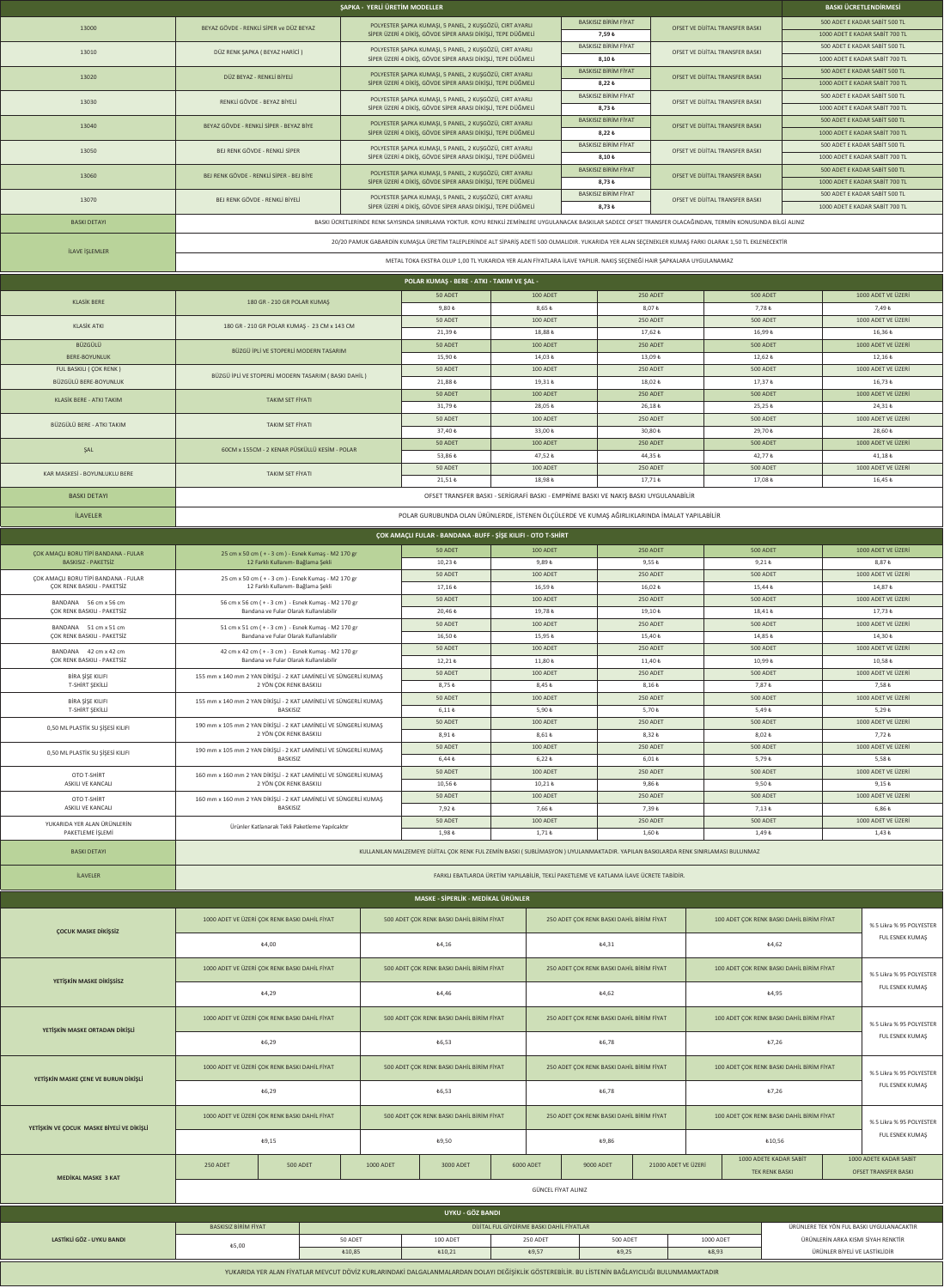|                                                                    |                                                                                                                                                 |                  | SAPKA - YERLI URETIM MODELLER                                                                                                                                                                                                                                                                                             |                  |                                                       |                                                                                       |                     |                                 |                                           | <b>BASKI UCRETLENDIRMESI</b>                                                    |
|--------------------------------------------------------------------|-------------------------------------------------------------------------------------------------------------------------------------------------|------------------|---------------------------------------------------------------------------------------------------------------------------------------------------------------------------------------------------------------------------------------------------------------------------------------------------------------------------|------------------|-------------------------------------------------------|---------------------------------------------------------------------------------------|---------------------|---------------------------------|-------------------------------------------|---------------------------------------------------------------------------------|
| 13000                                                              | BEYAZ GÖVDE - RENKLİ SİPER ve DÜZ BEYAZ                                                                                                         |                  | POLYESTER SAPKA KUMASI, 5 PANEL, 2 KUSGÖZÜ, CIRT AYARLI<br>SİPER ÜZERİ 4 DİKİŞ, GÖVDE SİPER ARASI DİKİŞLİ, TEPE DÜĞMELİ                                                                                                                                                                                                   |                  |                                                       | <b>BASKISIZ BİRİM FİYAT</b><br>7,59 ₺                                                 |                     | OFSET VE DİJİTAL TRANSFER BASKI |                                           | 500 ADET E KADAR SABİT 500 TL<br>1000 ADET E KADAR SABİT 700 TL                 |
| 13010                                                              | DÜZ RENK ŞAPKA ( BEYAZ HARİCİ )                                                                                                                 |                  | POLYESTER ŞAPKA KUMAŞI, 5 PANEL, 2 KUŞGÖZÜ, CIRT AYARLI                                                                                                                                                                                                                                                                   |                  |                                                       | <b>BASKISIZ BİRİM FİYAT</b>                                                           |                     | OFSET VE DİJİTAL TRANSFER BASKI |                                           | 500 ADET E KADAR SABİT 500 TL                                                   |
| 13020                                                              | DÜZ BEYAZ - RENKLİ BİYELİ                                                                                                                       |                  | SİPER ÜZERİ 4 DİKİŞ, GÖVDE SİPER ARASI DİKİŞLİ, TEPE DÜĞMELİ<br>POLYESTER ŞAPKA KUMAŞI, 5 PANEL, 2 KUŞGÖZÜ, CIRT AYARLI                                                                                                                                                                                                   |                  |                                                       | 8,10 k<br><b>BASKISIZ BİRİM FİYAT</b>                                                 |                     | OFSET VE DİJİTAL TRANSFER BASKI |                                           | 1000 ADET E KADAR SABİT 700 TL<br>500 ADET E KADAR SABİT 500 TL                 |
|                                                                    |                                                                                                                                                 |                  | SİPER ÜZERİ 4 DİKİŞ, GÖVDE SİPER ARASI DİKİŞLİ, TEPE DÜĞMELİ<br>POLYESTER ŞAPKA KUMAŞI, 5 PANEL, 2 KUŞGÖZÜ, CIRT AYARLI                                                                                                                                                                                                   |                  |                                                       | 8,22 ₺<br><b>BASKISIZ BİRİM FİYAT</b>                                                 |                     |                                 |                                           | 1000 ADET E KADAR SABİT 700 TL<br>500 ADET E KADAR SABİT 500 TL                 |
| 13030                                                              | RENKLİ GÖVDE - BEYAZ BİYELİ                                                                                                                     |                  | SİPER ÜZERİ 4 DİKİŞ, GÖVDE SİPER ARASI DİKİŞLİ, TEPE DÜĞMELİ                                                                                                                                                                                                                                                              |                  |                                                       | 8.73 k<br><b>BASKISIZ BİRİM FİYAT</b>                                                 |                     | OFSET VE DİJİTAL TRANSFER BASKI |                                           | 1000 ADET E KADAR SABİT 700 TL<br>500 ADET E KADAR SABİT 500 TL                 |
| 13040                                                              | BEYAZ GÖVDE - RENKLİ SİPER - BEYAZ BİYE                                                                                                         |                  | POLYESTER ŞAPKA KUMAŞI, 5 PANEL, 2 KUŞGÖZÜ, CIRT AYARLI<br>SİPER ÜZERİ 4 DİKİŞ, GÖVDE SİPER ARASI DİKİŞLİ, TEPE DÜĞMELİ                                                                                                                                                                                                   |                  |                                                       | 8,22 ₺                                                                                |                     | OFSET VE DIJITAL TRANSFER BASKI |                                           | 1000 ADET E KADAR SABİT 700 TL                                                  |
| 13050                                                              | BEJ RENK GÖVDE - RENKLİ SİPER                                                                                                                   |                  | POLYESTER ŞAPKA KUMAŞI, 5 PANEL, 2 KUŞGÖZÜ, CIRT AYARLI<br>SİPER ÜZERİ 4 DİKİŞ, GÖVDE SİPER ARASI DİKİŞLİ, TEPE DÜĞMELİ                                                                                                                                                                                                   |                  |                                                       | <b>BASKISIZ BİRİM FİYAT</b><br>8,10 ₺                                                 |                     | OFSET VE DİJİTAL TRANSFER BASKI |                                           | 500 ADET E KADAR SABİT 500 TL<br>1000 ADET E KADAR SABİT 700 TL                 |
| 13060                                                              | BEJ RENK GÖVDE - RENKLİ SİPER - BEJ BİYE                                                                                                        |                  | POLYESTER SAPKA KUMASI, 5 PANEL, 2 KUSGÖZÜ, CIRT AYARLI                                                                                                                                                                                                                                                                   |                  |                                                       | <b>BASKISIZ BİRİM FİYAT</b>                                                           |                     | OFSET VE DUITAL TRANSFER BASKI  |                                           | 500 ADET E KADAR SABİT 500 TL                                                   |
| 13070                                                              | BEJ RENK GÖVDE - RENKLİ BİYELİ                                                                                                                  |                  | SİPER ÜZERİ 4 DİKİŞ, GÖVDE SİPER ARASI DİKİŞLİ, TEPE DÜĞMELİ<br>POLYESTER ŞAPKA KUMAŞI, 5 PANEL, 2 KUŞGÖZÜ, CIRT AYARLI                                                                                                                                                                                                   |                  |                                                       | 8,73 ₺<br><b>BASKISIZ BİRİM FİYAT</b>                                                 |                     | OFSET VE DİJİTAL TRANSFER BASKI |                                           | 1000 ADET E KADAR SABİT 700 TL<br>500 ADET E KADAR SABİT 500 TL                 |
|                                                                    |                                                                                                                                                 |                  | SİPER ÜZERİ 4 DİKİŞ, GÖVDE SİPER ARASI DİKİŞLİ, TEPE DÜĞMELİ                                                                                                                                                                                                                                                              |                  |                                                       | 8,73 ₺                                                                                |                     |                                 |                                           | 1000 ADET E KADAR SABİT 700 TL                                                  |
| <b>BASKI DETAYI</b>                                                |                                                                                                                                                 |                  | BASKI ÜCRETLERINDE RENK SAYISINDA SINIRLAMA YOKTUR. KOYU RENKLİ ZEMİNLERE UYGULANACAK BASKILAR SADECE OFSET TRANSFER OLACAĞINDAN, TERMİN KONUSUNDA BİLGİ ALINIZ<br>20/20 PAMUK GABARDİN KUMAŞLA ÜRETİM TALEPLERİNDE ALT SİPARİŞ ADETİ 500 OLMALIDIR. YUKARIDA YER ALAN SEÇENEKLER KUMAŞ FARKI OLARAK 1,50 TL EKLENECEKTİR |                  |                                                       |                                                                                       |                     |                                 |                                           |                                                                                 |
| <b>İLAVE İŞLEMLER</b>                                              |                                                                                                                                                 |                  | METAL TOKA EKSTRA OLUP 1,00 TL YUKARIDA YER ALAN FİYATLARA İLAVE YAPILIR. NAKIŞ SEÇENEĞİ HAIR ŞAPKALARA UYGULANAMAZ                                                                                                                                                                                                       |                  |                                                       |                                                                                       |                     |                                 |                                           |                                                                                 |
|                                                                    |                                                                                                                                                 |                  | POLAR KUMAŞ - BERE - ATKI - TAKIM VE ŞAL -                                                                                                                                                                                                                                                                                |                  |                                                       |                                                                                       |                     |                                 |                                           |                                                                                 |
| <b>KLASİK BERE</b>                                                 | 180 GR - 210 GR POLAR KUMAŞ                                                                                                                     |                  | 50 ADET                                                                                                                                                                                                                                                                                                                   |                  | 100 ADET                                              | 250 ADET                                                                              |                     | 500 ADET                        |                                           | 1000 ADET VE ÜZERİ                                                              |
|                                                                    |                                                                                                                                                 |                  | 9,80 k<br>50 ADET                                                                                                                                                                                                                                                                                                         |                  | 8,65 k<br>100 ADET                                    | 8,07 ₺<br>250 ADET                                                                    |                     | 7,78 ₺<br>500 ADET              |                                           | 7,49 ₺<br>1000 ADET VE ÜZERİ                                                    |
| <b>KLASİK ATKI</b>                                                 | 180 GR - 210 GR POLAR KUMAŞ - 23 CM x 143 CM                                                                                                    |                  | 21,39 ₺                                                                                                                                                                                                                                                                                                                   |                  | 18.88 ₺                                               | 17,62 ₺                                                                               |                     | 16,99 ₺                         |                                           | 16.36 ₺                                                                         |
| BÜZGÜLÜ<br><b>BERE-BOYUNLUK</b>                                    | BÜZGÜ İPLİ VE STOPERLİ MODERN TASARIM                                                                                                           |                  | 50 ADET<br>15,90 ₺                                                                                                                                                                                                                                                                                                        |                  | 100 ADET<br>14,03 ₺                                   | 250 ADET<br>13,09 ₺                                                                   |                     | 500 ADET<br>12,62 ₺             |                                           | 1000 ADET VE ÜZERİ<br>12,16 ₺                                                   |
| FUL BASKILI ( ÇOK RENK )<br>BÜZGÜLÜ BERE-BOYUNLUK                  | BÜZGÜ İPLİ VE STOPERLİ MODERN TASARIM (BASKI DAHİL)                                                                                             |                  | 50 ADET<br>21,88 ₺                                                                                                                                                                                                                                                                                                        |                  | 100 ADET<br>19,31 ₺                                   | 250 ADET<br>18,02 ₺                                                                   |                     | 500 ADET<br>17,37 ₺             |                                           | 1000 ADET VE ÜZERİ<br>16,73 ₺                                                   |
| KLASİK BERE - ATKI TAKIM                                           | TAKIM SET FİYATI                                                                                                                                |                  | 50 ADET                                                                                                                                                                                                                                                                                                                   |                  | 100 ADET                                              | 250 ADET                                                                              |                     | 500 ADET                        |                                           | 1000 ADET VE ÜZERİ                                                              |
|                                                                    |                                                                                                                                                 |                  | 31,79 ₺<br>50 ADET                                                                                                                                                                                                                                                                                                        |                  | 28,05 ₺<br>100 ADET                                   | 26,18 ₺<br>250 ADET                                                                   |                     | 25,25 ₺<br>500 ADET             |                                           | 24,31 ₺<br>1000 ADET VE ÜZERİ                                                   |
| BÜZGÜLÜ BERE - ATKI TAKIM                                          | TAKIM SET FİYATI                                                                                                                                |                  | 37,40 ₺                                                                                                                                                                                                                                                                                                                   |                  | 33,00 ₺                                               | 30,80 ₺                                                                               |                     | 29,70 ₺                         |                                           | 28,60 ₺                                                                         |
| <b>ŞAL</b>                                                         | 60CM x 155CM - 2 KENAR PÜSKÜLLÜ KESİM - POLAR                                                                                                   |                  | 50 ADET<br>53,86 ₺                                                                                                                                                                                                                                                                                                        |                  | 100 ADET<br>47,52 ₺                                   | 250 ADET<br>44,35 ₺                                                                   |                     | 500 ADET<br>42,77 ₺             |                                           | 1000 ADET VE ÜZERİ<br>41,18 ₺                                                   |
| KAR MASKESİ - BOYUNLUKLU BERE                                      | TAKIM SET FİYATI                                                                                                                                |                  | 50 ADET<br>21,51 ₺                                                                                                                                                                                                                                                                                                        |                  | 100 ADET<br>18,98 ₺                                   | 250 ADET<br>17,71 ₺                                                                   |                     | 500 ADET<br>17,08 ₺             |                                           | 1000 ADET VE ÜZERİ<br>16,45 ₺                                                   |
| <b>BASKI DETAYI</b>                                                |                                                                                                                                                 |                  |                                                                                                                                                                                                                                                                                                                           |                  |                                                       | OFSET TRANSFER BASKI - SERİGRAFİ BASKI - EMPRİME BASKI VE NAKIŞ BASKI UYGULANABİLİR   |                     |                                 |                                           |                                                                                 |
| İLAVELER                                                           |                                                                                                                                                 |                  | POLAR GURUBUNDA OLAN ÜRÜNLERDE, İSTENEN ÖLÇÜLERDE VE KUMAŞ AĞIRLIKLARINDA İMALAT YAPILABİLİR                                                                                                                                                                                                                              |                  |                                                       |                                                                                       |                     |                                 |                                           |                                                                                 |
|                                                                    |                                                                                                                                                 |                  | ÇOK AMAÇLI FULAR - BANDANA -BUFF - ŞİŞE KILIFI - OTO T-SHİRT                                                                                                                                                                                                                                                              |                  |                                                       |                                                                                       |                     |                                 |                                           |                                                                                 |
| ÇOK AMAÇLI BORU TİPİ BANDANA - FULAR<br><b>BASKISIZ - PAKETSİZ</b> | 25 cm x 50 cm (+ - 3 cm) - Esnek Kumaş - M2 170 gr<br>12 Farklı Kullanım- Bağlama Şekli                                                         |                  | 50 ADET                                                                                                                                                                                                                                                                                                                   |                  | 100 ADET                                              | 250 ADET                                                                              |                     | 500 ADET                        |                                           | 1000 ADET VE ÜZERİ                                                              |
| ÇOK AMAÇLI BORU TİPİ BANDANA - FULAR                               | 25 cm x 50 cm (+-3 cm) - Esnek Kumaş - M2 170 gr                                                                                                |                  | 10.23 ₺<br>50 ADET                                                                                                                                                                                                                                                                                                        |                  | 9,89 k<br>100 ADET                                    | 9,55 $\pm$<br>250 ADET                                                                |                     | $9.21 +$<br>500 ADET            |                                           | 8,87 ₺<br>1000 ADET VE ÜZERİ                                                    |
| <b>COK RENK BASKILI - PAKETSİZ</b>                                 | 12 Farklı Kullanım- Bağlama Şekli                                                                                                               |                  | 17,16₺<br>50 ADET                                                                                                                                                                                                                                                                                                         |                  | 16,59 ₺<br>100 ADET                                   | 16,02 ₺<br>250 ADET                                                                   |                     | 15,44 ₺<br>500 ADET             |                                           | 14,87 ₺<br>1000 ADET VE ÜZERİ                                                   |
| BANDANA 56 cm x 56 cm<br>ÇOK RENK BASKILI - PAKETSİZ               | 56 cm x 56 cm ( + - 3 cm ) - Esnek Kumas - M2 170 er<br>Bandana ve Fular Olarak Kullanılabilir                                                  |                  | 20,46 ₺                                                                                                                                                                                                                                                                                                                   |                  | 19,78 ₺                                               | 19,10 ₺                                                                               |                     | $18,41 \text{ }\mathrm{t}$      |                                           | 17,73 ₺                                                                         |
| BANDANA 51 cm x 51 cm<br><b>ÇOK RENK BASKILI - PAKETSİZ</b>        | 51 cm x 51 cm (+-3 cm) - Esnek Kumaş - M2 170 gr<br>Bandana ve Fular Olarak Kullanılabilir                                                      |                  | 50 ADET<br>16,50 ₺                                                                                                                                                                                                                                                                                                        |                  | 100 ADET<br>15,95 ₺                                   | 250 ADET<br>15.40 ₺                                                                   |                     | 500 ADET<br>14.85 ₺             |                                           | 1000 ADET VE ÜZERİ<br>14,30 ₺                                                   |
| BANDANA 42 cm x 42 cm<br>COK RENK BASKILI - PAKETSİZ               | 42 cm x 42 cm (+-3 cm) - Esnek Kumaş - M2 170 gr<br>Bandana ve Fular Olarak Kullanılabilir                                                      |                  | 50 ADET<br>12,21 ₺                                                                                                                                                                                                                                                                                                        |                  | 100 ADET<br>11,80 ₺                                   | 250 ADET<br>11,40 ₺                                                                   |                     | 500 ADET<br>10,99 ₺             |                                           | 1000 ADET VE ÜZERİ<br>10,58 ₺                                                   |
| BİRA ŞİŞE KILIFI                                                   | 155 mm x 140 mm 2 YAN DİKİŞLİ - 2 KAT LAMİNELİ VE SÜNGERLİ KUMAŞ                                                                                |                  | 50 ADET                                                                                                                                                                                                                                                                                                                   |                  | 100 ADET                                              | 250 ADET                                                                              |                     | 500 ADET                        |                                           | 1000 ADET VE ÜZERİ                                                              |
| T-SHİRT ŞEKİLLİ<br>BİRA ŞİŞE KILIFI                                | 2 YÖN ÇOK RENK BASKILI<br>155 mm x 140 mm 2 YAN DİKİŞLİ - 2 KAT LAMİNELİ VE SÜNGERLİ KUMAŞ                                                      |                  | 8,75 ₺<br>50 ADET                                                                                                                                                                                                                                                                                                         |                  | 8,45 ₺<br>100 ADET                                    | 8,16 k<br>250 ADET                                                                    |                     | 7,87 ₺<br>500 ADET              |                                           | 7,58 ₺<br>1000 ADET VE ÜZERİ                                                    |
| <b>T-SHİRT ŞEKİLLİ</b>                                             | BASKISIZ                                                                                                                                        |                  | $6,11 \text{ }\mathbf{6}$                                                                                                                                                                                                                                                                                                 |                  | 5,90 k                                                | 5,70 ₺                                                                                |                     | $5,49 \text{ } \&$              |                                           | 5,296                                                                           |
| 0,50 ML PLASTİK SU ŞİŞESİ KILIFI                                   | 190 mm x 105 mm 2 YAN DİKİŞLİ - 2 KAT LAMİNELİ VE SÜNGERLİ KUMAŞ<br>2 YÖN ÇOK RENK BASKILI                                                      |                  | 50 ADET<br>$8,91 \text{ t}$                                                                                                                                                                                                                                                                                               |                  | 100 ADET<br>$8,61$ &                                  | 250 ADET<br>8,32 ₺                                                                    |                     | 500 ADET<br>8,02 ₺              |                                           | 1000 ADET VE ÜZERİ<br>7,72 ₺                                                    |
| 0,50 ML PLASTİK SU ŞİŞESİ KILIFI                                   | 190 mm x 105 mm 2 YAN DİKİŞLİ - 2 KAT LAMİNELİ VE SÜNGERLİ KUMAŞ<br><b>BASKISIZ</b>                                                             |                  | 50 ADET<br>$6,44 \text{ } k$                                                                                                                                                                                                                                                                                              |                  | 100 ADET<br>6,226                                     | 250 ADET<br>6,016                                                                     |                     | 500 ADET<br>5,796               |                                           | 1000 ADET VE ÜZERİ<br>5,58 k                                                    |
| OTO T-SHİRT                                                        | 160 mm x 160 mm 2 YAN DİKİŞLİ - 2 KAT LAMİNELİ VE SÜNGERLİ KUMAŞ                                                                                |                  | 50 ADET                                                                                                                                                                                                                                                                                                                   |                  | 100 ADET                                              | 250 ADET                                                                              |                     | 500 ADET                        |                                           | 1000 ADET VE ÜZERİ                                                              |
| ASKILI VE KANCALI<br>OTO T-SHİRT                                   | 2 YÖN ÇOK RENK BASKILI<br>160 mm x 160 mm 2 YAN DİKİŞLİ - 2 KAT LAMİNELİ VE SÜNGERLİ KUMAŞ                                                      |                  | 10,56 ₺<br>50 ADET                                                                                                                                                                                                                                                                                                        |                  | 10,21 ₺<br>100 ADET                                   | $9,86 \text{ } \&$<br>250 ADET                                                        |                     | 9,50 k<br>500 ADET              |                                           | 9,15 k<br>1000 ADET VE ÜZERİ                                                    |
| ASKILI VE KANCALI                                                  | BASKISIZ                                                                                                                                        |                  | 7,92 ₺<br>50 ADET                                                                                                                                                                                                                                                                                                         |                  | 7,66 ₺<br>100 ADET                                    | 7,39 ₺<br>250 ADET                                                                    |                     | 7,136<br>500 ADET               |                                           | 6,866<br>1000 ADET VE ÜZERİ                                                     |
| YUKARIDA YER ALAN ÜRÜNLERİN<br>PAKETLEME İŞLEMİ                    | Ürünler Katlanarak Tekli Paketleme Yapılcaktır                                                                                                  |                  | 1,98 k                                                                                                                                                                                                                                                                                                                    |                  | 1,714                                                 | 1.60 k                                                                                |                     | 1,49 k                          |                                           | 1,43 k                                                                          |
| <b>BASKI DETAYI</b>                                                |                                                                                                                                                 |                  | KULLANILAN MALZEMEYE DİJİTAL ÇOK RENK FUL ZEMİN BASKI ( SUBLİMASYON ) UYULANMAKTADIR. YAPILAN BASKILARDA RENK SINIRLAMASI BULUNMAZ                                                                                                                                                                                        |                  |                                                       |                                                                                       |                     |                                 |                                           |                                                                                 |
| <b>İLAVELER</b>                                                    |                                                                                                                                                 |                  |                                                                                                                                                                                                                                                                                                                           |                  |                                                       | FARKLI EBATLARDA ÜRETİM YAPILABİLİR. TEKLİ PAKETLEME VE KATLAMA İLAVE ÜCRETE TABİDİR. |                     |                                 |                                           |                                                                                 |
|                                                                    |                                                                                                                                                 |                  | MASKE - SİPERLİK - MEDİKAL ÜRÜNLER                                                                                                                                                                                                                                                                                        |                  |                                                       |                                                                                       |                     |                                 |                                           |                                                                                 |
|                                                                    | 1000 ADET VE ÜZERİ ÇOK RENK BASKI DAHİL FİYAT                                                                                                   |                  | 500 ADET ÇOK RENK BASKI DAHİL BİRİM FİYAT                                                                                                                                                                                                                                                                                 |                  |                                                       | 250 ADET ÇOK RENK BASKI DAHİL BİRİM FİYAT                                             |                     |                                 | 100 ADET ÇOK RENK BASKI DAHİL BİRİM FİYAT |                                                                                 |
| ÇOCUK MASKE DİKİŞSİZ                                               |                                                                                                                                                 |                  |                                                                                                                                                                                                                                                                                                                           |                  |                                                       |                                                                                       |                     |                                 |                                           | % 5 Likra % 95 POLYESTER<br>FUL ESNEK KUMAS                                     |
|                                                                    | ₺4,00                                                                                                                                           |                  | <b>Ł4,16</b>                                                                                                                                                                                                                                                                                                              |                  |                                                       | <b>Ł4,31</b>                                                                          |                     |                                 | ₺4,62                                     |                                                                                 |
| YETİŞKİN MASKE DİKİŞSİSZ                                           | 1000 ADET VE ÜZERİ ÇOK RENK BASKI DAHİL FİYAT                                                                                                   |                  | 500 ADET ÇOK RENK BASKI DAHİL BİRİM FİYAT                                                                                                                                                                                                                                                                                 |                  |                                                       | 250 ADET ÇOK RENK BASKI DAHİL BİRİM FİYAT                                             |                     |                                 | 100 ADET ÇOK RENK BASKI DAHİL BİRİM FİYAT | % 5 Likra % 95 POLYESTER                                                        |
|                                                                    | ₺4,29                                                                                                                                           |                  | <b>Ł4,46</b>                                                                                                                                                                                                                                                                                                              |                  |                                                       | £4,62                                                                                 |                     |                                 | <b>£4,95</b>                              | FUL ESNEK KUMAŞ                                                                 |
|                                                                    | 1000 ADET VE ÜZERİ ÇOK RENK BASKI DAHİL FİYAT                                                                                                   |                  | 500 ADET ÇOK RENK BASKI DAHİL BİRİM FİYAT                                                                                                                                                                                                                                                                                 |                  |                                                       | 250 ADET ÇOK RENK BASKI DAHİL BİRİM FİYAT                                             |                     |                                 | 100 ADET ÇOK RENK BASKI DAHİL BİRİM FİYAT |                                                                                 |
| YETİŞKİN MASKE ORTADAN DİKİŞLİ                                     | ₺6,29                                                                                                                                           |                  | <b>Ł6,53</b>                                                                                                                                                                                                                                                                                                              |                  |                                                       | ₺6,78                                                                                 |                     |                                 | ₺7,26                                     | % 5 Likra % 95 POLYESTER<br>FUL ESNEK KUMAŞ                                     |
|                                                                    |                                                                                                                                                 |                  |                                                                                                                                                                                                                                                                                                                           |                  |                                                       |                                                                                       |                     |                                 |                                           |                                                                                 |
| YETİŞKİN MASKE ÇENE VE BURUN DİKİŞLİ                               | 1000 ADET VE ÜZERİ ÇOK RENK BASKI DAHİL FİYAT                                                                                                   |                  | 500 ADET ÇOK RENK BASKI DAHİL BİRİM FİYAT                                                                                                                                                                                                                                                                                 |                  |                                                       | 250 ADET ÇOK RENK BASKI DAHİL BİRİM FİYAT                                             |                     |                                 | 100 ADET ÇOK RENK BASKI DAHİL BİRİM FİYAT | % 5 Likra % 95 POLYESTER                                                        |
|                                                                    | ₺6,29                                                                                                                                           |                  | <b>Ł6,53</b>                                                                                                                                                                                                                                                                                                              |                  |                                                       | ₺6,78                                                                                 |                     |                                 | ₺7,26                                     | FUL ESNEK KUMAŞ                                                                 |
|                                                                    | 1000 ADET VE ÜZERİ ÇOK RENK BASKI DAHİL FİYAT                                                                                                   |                  | 500 ADET ÇOK RENK BASKI DAHİL BİRİM FİYAT                                                                                                                                                                                                                                                                                 |                  |                                                       | 250 ADET ÇOK RENK BASKI DAHİL BİRİM FİYAT                                             |                     |                                 | 100 ADET ÇOK RENK BASKI DAHİL BİRİM FİYAT | % 5 Likra % 95 POLYESTER                                                        |
| YETİŞKİN VE ÇOCUK MASKE BİYELİ VE DİKİŞLİ                          | ₺9,15                                                                                                                                           |                  | ₺9,50                                                                                                                                                                                                                                                                                                                     |                  |                                                       | ₺9,86                                                                                 |                     |                                 | ₺10,56                                    | FUL ESNEK KUMAŞ                                                                 |
|                                                                    | 250 ADET<br>500 ADET                                                                                                                            | <b>1000 ADET</b> | <b>3000 ADET</b>                                                                                                                                                                                                                                                                                                          | <b>6000 ADET</b> |                                                       | 9000 ADET                                                                             |                     |                                 | 1000 ADETE KADAR SABİT                    | 1000 ADETE KADAR SABİT                                                          |
| <b>MEDİKAL MASKE 3 KAT</b>                                         |                                                                                                                                                 |                  |                                                                                                                                                                                                                                                                                                                           |                  |                                                       |                                                                                       | 21000 ADET VE ÜZERİ |                                 | <b>TEK RENK BASKI</b>                     | OFSET TRANSFER BASKI                                                            |
|                                                                    |                                                                                                                                                 |                  |                                                                                                                                                                                                                                                                                                                           |                  | GÜNCEL FİYAT ALINIZ                                   |                                                                                       |                     |                                 |                                           |                                                                                 |
|                                                                    |                                                                                                                                                 |                  | UYKU - GÖZ BANDI                                                                                                                                                                                                                                                                                                          |                  |                                                       |                                                                                       |                     |                                 |                                           |                                                                                 |
| LASTİKLİ GÖZ - UYKU BANDI                                          | <b>BASKISIZ BİRİM FİYAT</b><br>₺5,00                                                                                                            | 50 ADET          | 100 ADET                                                                                                                                                                                                                                                                                                                  |                  | DİJİTAL FUL GİYDİRME BASKI DAHİL FİYATLAR<br>250 ADET | 500 ADET                                                                              |                     | 1000 ADET                       |                                           | ÜRÜNLERE TEK YÖN FUL BASKI UYGULANACAKTIR<br>ÜRÜNLERİN ARKA KISMI SİYAH RENKTİR |
|                                                                    |                                                                                                                                                 | ₺10,85           | ₺10.21                                                                                                                                                                                                                                                                                                                    |                  | ₺9.57                                                 | ₺9.25                                                                                 |                     | ₺8,93                           |                                           | ÜRÜNLER BİYELİ VE LASTİKLİDİR                                                   |
|                                                                    | YUKARIDA YER ALAN FİYATLAR MEVCUT DÖVİZ KURLARINDAKİ DALGALANMALARDAN DOLAYI DEĞİŞİKLİK GÖSTEREBİLİR. BU LİSTENİN BAĞLAYICILIĞI BULUNMAMAKTADIR |                  |                                                                                                                                                                                                                                                                                                                           |                  |                                                       |                                                                                       |                     |                                 |                                           |                                                                                 |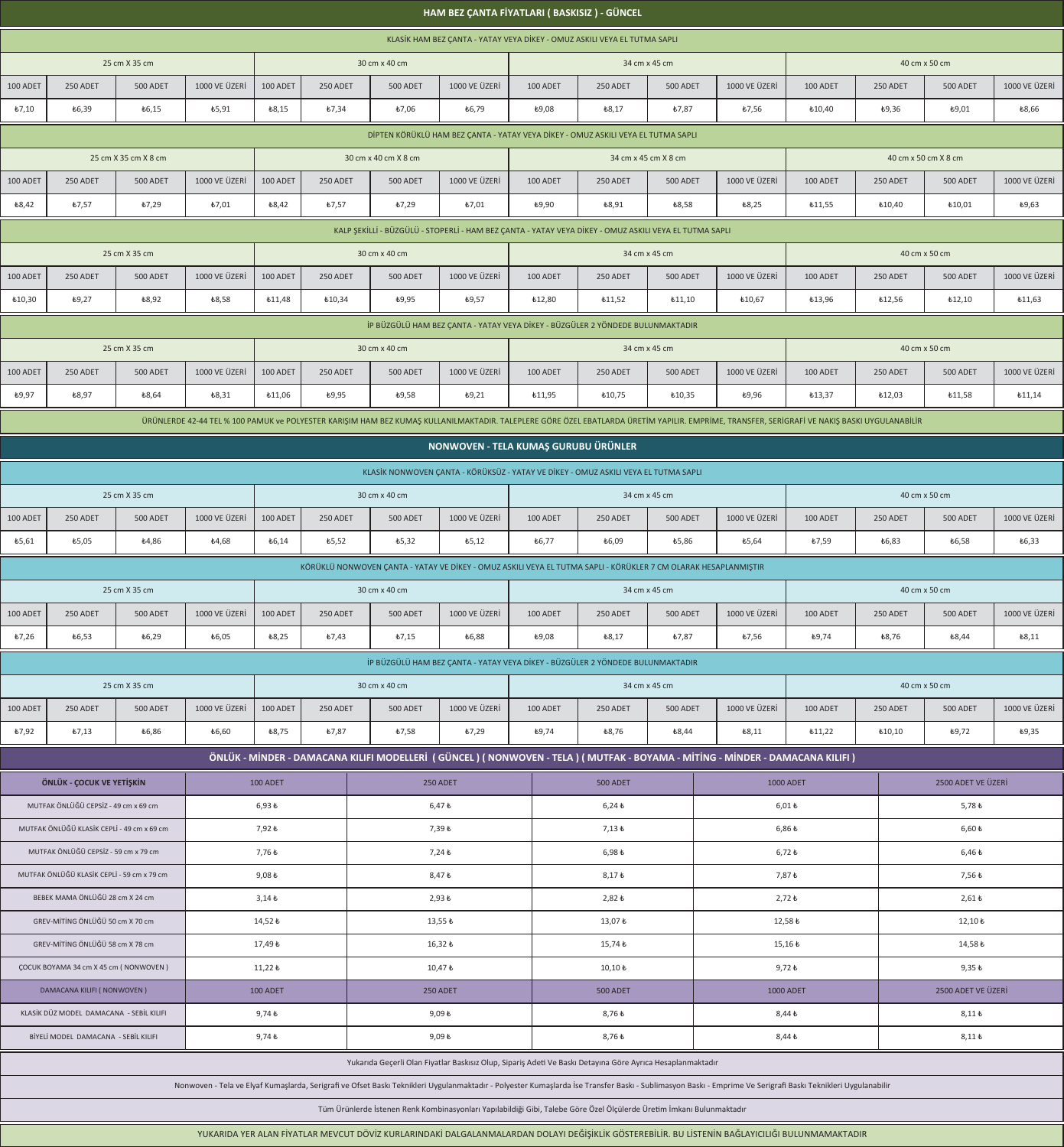#### **HAM BEZ ÇANTA FİYATLARI ( BASKISIZ ) - GÜNCEL**

|          |                                                                               |                      |               |                               |          |                                                                                                                             | KLASIK HAM BEZ ÇANTA - YATAY VEYA DIKEY - OMUZ ASKILI VEYA EL TUTMA SAPLI |               |                           |                      |               |                      |                                                                                                                                                                                                                                                                                                                                                                                                                                                                                                                                                      |                    |               |
|----------|-------------------------------------------------------------------------------|----------------------|---------------|-------------------------------|----------|-----------------------------------------------------------------------------------------------------------------------------|---------------------------------------------------------------------------|---------------|---------------------------|----------------------|---------------|----------------------|------------------------------------------------------------------------------------------------------------------------------------------------------------------------------------------------------------------------------------------------------------------------------------------------------------------------------------------------------------------------------------------------------------------------------------------------------------------------------------------------------------------------------------------------------|--------------------|---------------|
|          |                                                                               | 25 cm X 35 cm        |               |                               |          | 30 cm x 40 cm                                                                                                               |                                                                           |               |                           | 34 cm x 45 cm        |               |                      |                                                                                                                                                                                                                                                                                                                                                                                                                                                                                                                                                      | 40 cm x 50 cm      |               |
| 100 ADET | 250 ADET                                                                      | 500 ADET             | 1000 VE ÜZERİ | 100 ADET                      | 250 ADET | 500 ADET                                                                                                                    | 1000 VE ÜZERİ                                                             | 100 ADET      | 250 ADET                  | 500 ADET             | 1000 VE ÜZERİ | 100 ADET             | 250 ADET                                                                                                                                                                                                                                                                                                                                                                                                                                                                                                                                             | 500 ADET           | 1000 VE ÜZERİ |
| ₺7,10    | ₺6,39                                                                         | ₺6,15                | ₺5,91         | ₺8,15                         | ₺7,34    | ₺7,06                                                                                                                       | ₺6,79                                                                     | ₺9,08         | ₺8,17                     | ₺7,87                | ₺7,56         | ₺10,40               | ₺9,36                                                                                                                                                                                                                                                                                                                                                                                                                                                                                                                                                | ₺9,01              | ₺8,66         |
|          |                                                                               |                      |               |                               |          | DİPTEN KÖRÜKLÜ HAM BEZ ÇANTA - YATAY VEYA DİKEY - OMUZ ASKILI VEYA EL TUTMA SAPLI                                           |                                                                           |               |                           |                      |               |                      |                                                                                                                                                                                                                                                                                                                                                                                                                                                                                                                                                      |                    |               |
|          |                                                                               | 25 cm X 35 cm X 8 cm |               |                               |          | 30 cm x 40 cm X 8 cm                                                                                                        |                                                                           |               |                           | 34 cm x 45 cm X 8 cm |               |                      |                                                                                                                                                                                                                                                                                                                                                                                                                                                                                                                                                      |                    |               |
| 100 ADET | 250 ADET                                                                      | 500 ADET             | 1000 VE ÜZERİ | 100 ADET                      | 250 ADET | 500 ADET                                                                                                                    | 1000 VE ÜZERİ                                                             | 100 ADET      | 250 ADET                  | 500 ADET             | 1000 VE ÜZERİ | 100 ADET             | 250 ADET                                                                                                                                                                                                                                                                                                                                                                                                                                                                                                                                             | 500 ADET           | 1000 VE ÜZERİ |
| ₺8,42    | ₺7,57                                                                         | ₺7,29                | ₺7,01         | ₺8,42                         | ₺7,57    | ₺7,29                                                                                                                       | ₺7,01                                                                     | ₺9,90         | ₺8,91                     | ₺8,58                | ₺8,25         | ₺11,55               | 40 cm x 50 cm X 8 cm<br>₺10,40<br>₺10,01<br>40 cm x 50 cm<br>250 ADET<br>500 ADET<br>₺12,56<br>₺12,10<br>40 cm x 50 cm<br>250 ADET<br>500 ADET<br>₺12,03<br>₺11,58<br>ÜRÜNLERDE 42-44 TEL % 100 PAMUK ve POLYESTER KARIŞIM HAM BEZ KUMAŞ KULLANILMAKTADIR. TALEPLERE GÖRE ÖZEL EBATLARDA ÜRETİM YAPILIR. EMPRİME, TRANSFER, SERİGRAFİ VE NAKIŞ BASKI UYGULANABİLİR<br>40 cm x 50 cm<br>250 ADET<br>500 ADET<br>₺6,83<br>₺6,58<br>40 cm x 50 cm<br>250 ADET<br>500 ADET<br>₺8,76<br>₺8,44<br>40 cm x 50 cm<br>250 ADET<br>500 ADET<br>₺10,10<br>₺9,72 |                    |               |
|          |                                                                               |                      |               |                               |          | KALP SEKİLLİ - BÜZGÜLÜ - STOPERLİ - HAM BEZ ÇANTA - YATAY VEYA DİKEY - OMUZ ASKILI VEYA EL TUTMA SAPLI                      |                                                                           |               |                           |                      |               |                      |                                                                                                                                                                                                                                                                                                                                                                                                                                                                                                                                                      |                    |               |
|          |                                                                               | 25 cm X 35 cm        |               |                               |          | 30 cm x 40 cm                                                                                                               |                                                                           |               |                           | 34 cm x 45 cm        |               |                      |                                                                                                                                                                                                                                                                                                                                                                                                                                                                                                                                                      |                    |               |
| 100 ADET | 250 ADET                                                                      | 500 ADET             | 1000 VE ÜZERİ | 100 ADET                      | 250 ADET | 500 ADET                                                                                                                    | 1000 VE ÜZERİ                                                             | 100 ADET      | 250 ADET                  | 500 ADET             | 1000 VE ÜZERİ | 100 ADET             |                                                                                                                                                                                                                                                                                                                                                                                                                                                                                                                                                      |                    | 1000 VE ÜZERİ |
| ₺10,30   | ₺9,27                                                                         | ₺8,92                | ₺8,58         | ₺11,48                        | ₺10,34   | ₺9,95                                                                                                                       | ₺9,57                                                                     | ₺12,80        | ₺11,52                    | ₺11,10               | ₺10,67        | ₺13,96               |                                                                                                                                                                                                                                                                                                                                                                                                                                                                                                                                                      |                    | <b>£11,63</b> |
|          |                                                                               |                      |               |                               |          | İP BÜZGÜLÜ HAM BEZ ÇANTA - YATAY VEYA DİKEY - BÜZGÜLER 2 YÖNDEDE BULUNMAKTADIR                                              |                                                                           |               |                           |                      |               |                      |                                                                                                                                                                                                                                                                                                                                                                                                                                                                                                                                                      |                    |               |
|          |                                                                               | 25 cm X 35 cm        |               |                               |          | 30 cm x 40 cm                                                                                                               |                                                                           |               |                           | 34 cm x 45 cm        |               |                      |                                                                                                                                                                                                                                                                                                                                                                                                                                                                                                                                                      |                    |               |
| 100 ADET | 250 ADET                                                                      | 500 ADET             | 1000 VE ÜZERİ | 100 ADET                      | 250 ADET | 500 ADET                                                                                                                    | 1000 VE ÜZERİ                                                             | 100 ADET      | 250 ADET                  | 500 ADET             | 1000 VE ÜZERİ | 100 ADET             |                                                                                                                                                                                                                                                                                                                                                                                                                                                                                                                                                      |                    | 1000 VE ÜZERİ |
| ₺9,97    | ₺8,97                                                                         | ₺8,64                | ₺8,31         | ₺11,06                        | ₺9,95    | ₺9,58                                                                                                                       | ₺9,21                                                                     | <b>£11,95</b> | ₺10,75                    | ₺10,35               | ₺9,96         | ₺13,37               |                                                                                                                                                                                                                                                                                                                                                                                                                                                                                                                                                      |                    | ₺11,14        |
|          |                                                                               |                      |               |                               |          |                                                                                                                             |                                                                           |               |                           |                      |               |                      |                                                                                                                                                                                                                                                                                                                                                                                                                                                                                                                                                      |                    |               |
|          |                                                                               |                      |               |                               |          |                                                                                                                             | NONWOVEN - TELA KUMAŞ GURUBU ÜRÜNLER                                      |               |                           |                      |               |                      |                                                                                                                                                                                                                                                                                                                                                                                                                                                                                                                                                      |                    |               |
|          |                                                                               |                      |               |                               |          | KLASİK NONWOVEN ÇANTA - KÖRÜKSÜZ - YATAY VE DİKEY - OMUZ ASKILI VEYA EL TUTMA SAPLI                                         |                                                                           |               |                           |                      |               |                      |                                                                                                                                                                                                                                                                                                                                                                                                                                                                                                                                                      |                    |               |
|          |                                                                               | 25 cm X 35 cm        |               |                               |          | 30 cm x 40 cm                                                                                                               |                                                                           |               |                           | 34 cm x 45 cm        |               |                      |                                                                                                                                                                                                                                                                                                                                                                                                                                                                                                                                                      |                    |               |
| 100 ADET | 250 ADET                                                                      | 500 ADET             | 1000 VE ÜZERİ | 100 ADET                      | 250 ADET | 500 ADET                                                                                                                    | 1000 VE ÜZERİ                                                             | 100 ADET      | 250 ADET                  | 500 ADET             | 1000 VE ÜZERİ | 100 ADET             |                                                                                                                                                                                                                                                                                                                                                                                                                                                                                                                                                      |                    | 1000 VE ÜZERİ |
| ₺5,61    | ₺5,05                                                                         | ₺4,86                | ₺4,68         | ₺6,14                         | ₺5,52    | ₺5,32                                                                                                                       | ₺5,12                                                                     | ₺6,77         | ₺6,09                     | ₺5,86                | ₺5,64         | ₺7,59                |                                                                                                                                                                                                                                                                                                                                                                                                                                                                                                                                                      |                    | ₺6,33         |
|          |                                                                               |                      |               |                               |          | KÖRÜKLÜ NONWOVEN ÇANTA - YATAY VE DİKEY - OMUZ ASKILI VEYA EL TUTMA SAPLI - KÖRÜKLER 7 CM OLARAK HESAPLANMIŞTIR             |                                                                           |               |                           |                      |               |                      |                                                                                                                                                                                                                                                                                                                                                                                                                                                                                                                                                      |                    |               |
|          |                                                                               | 25 cm X 35 cm        |               |                               |          | 30 cm x 40 cm                                                                                                               |                                                                           |               |                           | 34 cm x 45 cm        |               |                      |                                                                                                                                                                                                                                                                                                                                                                                                                                                                                                                                                      |                    |               |
| 100 ADET | 250 ADET                                                                      | 500 ADET             | 1000 VE ÜZERİ | 100 ADET                      | 250 ADET | 500 ADET                                                                                                                    | 1000 VE ÜZERİ                                                             | 100 ADET      | 250 ADET                  | 500 ADET             | 1000 VE ÜZERİ | 100 ADET             |                                                                                                                                                                                                                                                                                                                                                                                                                                                                                                                                                      |                    | 1000 VE ÜZERİ |
| ₺7,26    | ₺6,53                                                                         | ₺6,29                | ₺6,05         | ₺8,25                         | ₺7,43    | ₺7,15                                                                                                                       | ₺6,88                                                                     | ₺9,08         | ₺8,17                     | ₺7,87                | ₺7,56         | ₺9,74                |                                                                                                                                                                                                                                                                                                                                                                                                                                                                                                                                                      |                    | ₺8,11         |
|          |                                                                               |                      |               |                               |          | İP BÜZGÜLÜ HAM BEZ ÇANTA - YATAY VEYA DİKEY - BÜZGÜLER 2 YÖNDEDE BULUNMAKTADIR                                              |                                                                           |               |                           |                      |               |                      |                                                                                                                                                                                                                                                                                                                                                                                                                                                                                                                                                      |                    |               |
|          |                                                                               | 25 cm X 35 cm        |               |                               |          | 30 cm x 40 cm                                                                                                               |                                                                           |               |                           | 34 cm x 45 cm        |               |                      |                                                                                                                                                                                                                                                                                                                                                                                                                                                                                                                                                      |                    |               |
| 100 ADET | 250 ADET                                                                      | 500 ADET             | 1000 VE ÜZERİ | 100 ADET                      | 250 ADET | 500 ADET                                                                                                                    | 1000 VE ÜZERİ                                                             | 100 ADET      | 250 ADET                  | 500 ADET             | 1000 VE ÜZERİ | 100 ADET             |                                                                                                                                                                                                                                                                                                                                                                                                                                                                                                                                                      |                    | 1000 VE ÜZERİ |
| ₺7,92    | ₺7,13                                                                         | ₺6,86                | ₺6,60         | ₺8,75                         | ₺7,87    | ₺7,58                                                                                                                       | ₺7,29                                                                     | ₺9,74         | ₺8,76                     | ₺8,44                | ₺8,11         | ₺11,22               |                                                                                                                                                                                                                                                                                                                                                                                                                                                                                                                                                      |                    | ₺9,35         |
|          |                                                                               |                      |               |                               |          | ÖNLÜK - MİNDER - DAMACANA KILIFI MODELLERİ (GÜNCEL) (NONWOVEN - TELA) (MUTFAK - BOYAMA - MİTİNG - MİNDER - DAMACANA KILIFI) |                                                                           |               |                           |                      |               |                      |                                                                                                                                                                                                                                                                                                                                                                                                                                                                                                                                                      |                    |               |
|          | ÖNLÜK - ÇOCUK VE YETİŞKİN                                                     |                      |               | 100 ADET                      |          |                                                                                                                             | 250 ADET                                                                  |               | 500 ADET                  |                      |               | 1000 ADET            |                                                                                                                                                                                                                                                                                                                                                                                                                                                                                                                                                      | 2500 ADET VE ÜZERİ |               |
|          | MUTFAK ÖNLÜĞÜ CEPSİZ - 49 cm x 69 cm                                          |                      |               | 6,93 k                        |          |                                                                                                                             | $6,47 \text{ } \&$                                                        |               | $6,24 \text{ } \&$        |                      |               | $6,01 \; \text{&}$   |                                                                                                                                                                                                                                                                                                                                                                                                                                                                                                                                                      | 5,78 ₺             |               |
|          | MUTFAK ÖNLÜĞÜ KLASİK CEPLİ - 49 cm x 69 cm                                    |                      |               | 7,92 ₺                        |          |                                                                                                                             | 7,39 ₺                                                                    |               | $7,13 \; \text{t}$        |                      |               | $6,86 \text{ } \&$   |                                                                                                                                                                                                                                                                                                                                                                                                                                                                                                                                                      | $6,60 \text{ } \&$ |               |
|          | MUTFAK ÖNLÜĞÜ CEPSİZ - 59 cm x 79 cm                                          |                      |               | 7,76 ₺                        |          |                                                                                                                             | 7,24 ₺                                                                    |               | $6,98 \text{ } \text{\&}$ |                      |               | $6,72 \&$            |                                                                                                                                                                                                                                                                                                                                                                                                                                                                                                                                                      | $6,46 \text{ }$    |               |
|          | MUTFAK ÖNLÜĞÜ KLASİK CEPLİ - 59 cm x 79 cm<br>BEBEK MAMA ÖNLÜĞÜ 28 cm X 24 cm |                      |               | $9,08*$<br>$3,14 \text{ } \&$ |          |                                                                                                                             | 8,47 ₺<br>$2,93 \text{ } \&$                                              |               | 8,17 k<br>2,82 ₺          |                      |               | 7,87 ₺<br>2,72 ₺     |                                                                                                                                                                                                                                                                                                                                                                                                                                                                                                                                                      | 7,56 ₺<br>2,614    |               |
|          | GREV-MİTİNG ÖNLÜĞÜ 50 cm X 70 cm                                              |                      |               | 14,52 ₺                       |          |                                                                                                                             | 13,55 ₺                                                                   |               | 13,07 ₺                   |                      |               | 12,58 ₺              |                                                                                                                                                                                                                                                                                                                                                                                                                                                                                                                                                      | 12,10 ₺            |               |
|          | GREV-MİTİNG ÖNLÜĞÜ 58 cm X 78 cm                                              |                      |               | 17,49 ₺                       |          |                                                                                                                             | 16,32 ₺                                                                   |               | 15,74 ₺                   |                      | 15,16 ₺       |                      |                                                                                                                                                                                                                                                                                                                                                                                                                                                                                                                                                      | 14,58 ₺            |               |
|          | ÇOCUK BOYAMA 34 cm X 45 cm ( NONWOVEN )                                       |                      |               | 11,22 ₺                       |          |                                                                                                                             | 10,47 ₺                                                                   |               | 10,10 ₺                   |                      |               | $9,72 \&$            |                                                                                                                                                                                                                                                                                                                                                                                                                                                                                                                                                      | 9,35 k             |               |
|          | DAMACANA KILIFI ( NONWOVEN )                                                  |                      |               | 100 ADET                      |          |                                                                                                                             | 250 ADET                                                                  |               | <b>500 ADET</b>           |                      |               | 1000 ADET            |                                                                                                                                                                                                                                                                                                                                                                                                                                                                                                                                                      | 2500 ADET VE ÜZERİ |               |
|          | KLASİK DÜZ MODEL DAMACANA - SEBİL KILIFI                                      |                      |               | $9,74 \text{ } \&$            |          |                                                                                                                             | $9,09$ $\pm$                                                              |               | 8,76 ₺                    |                      |               | $8,44 \text{ } \pm $ |                                                                                                                                                                                                                                                                                                                                                                                                                                                                                                                                                      | $8,11 \text{ } \&$ |               |
|          | BİYELİ MODEL DAMACANA - SEBİL KILIFI                                          |                      |               | $9,74 \text{ } \&$            |          |                                                                                                                             | $9,09$ $\pm$                                                              |               | 8,76 ₺                    |                      |               | $8,44 \text{ } \&$   |                                                                                                                                                                                                                                                                                                                                                                                                                                                                                                                                                      | $8,11 \text{ } \&$ |               |
|          |                                                                               |                      |               |                               |          | Yukarıda Geçerli Olan Fiyatlar Baskısız Olup, Sipariş Adeti Ve Baskı Detayına Göre Ayrıca Hesaplanmaktadır                  |                                                                           |               |                           |                      |               |                      |                                                                                                                                                                                                                                                                                                                                                                                                                                                                                                                                                      |                    |               |
|          |                                                                               |                      |               |                               |          |                                                                                                                             |                                                                           |               |                           |                      |               |                      |                                                                                                                                                                                                                                                                                                                                                                                                                                                                                                                                                      |                    |               |

Nonwoven - Tela ve Elyaf Kumaşlarda, Serigrafi ve Ofset Baskı Teknikleri Uygulanmaktadır - Polyester Kumaşlarda İse Transfer Baskı - Sublimasyon Baskı - Emprime Ve Serigrafi Baskı Teknikleri Uygulanabilir

Tüm Ürünlerde İstenen Renk Kombinasyonları Yapılabildiği Gibi, Talebe Göre Özel Ölçülerde Üretim İmkanı Bulunmaktadır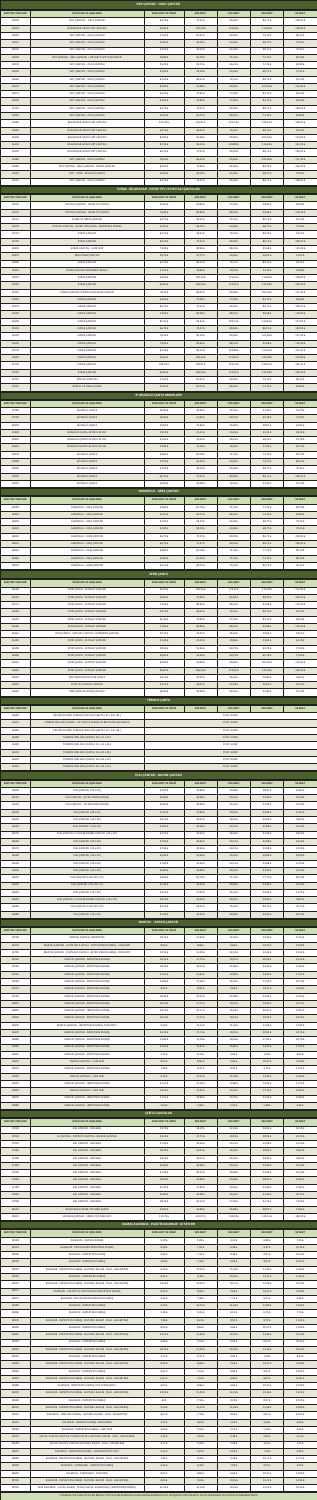| <b>AKSİYON YENİ KOD</b> | ÜRÜN ADI VE AÇIKLAMA                                                                                                    | SIRT ÇANTASI - OKUL ÇANTASI<br>1000 ADET VE ÜZERİ                  | <b>500 ADET</b>             | <b>250 ADET</b>              | 100 ADET                    | 50 ADET           |
|-------------------------|-------------------------------------------------------------------------------------------------------------------------|--------------------------------------------------------------------|-----------------------------|------------------------------|-----------------------------|-------------------|
| 14000                   | SIRT CANTASI - OKUL CANTASI                                                                                             | 66,70 ₺                                                            | 73,37 ₺                     | 80,04 ₺                      | 86,71 ₺                     | 100,05₺           |
| 14010                   | BİLGİSAYAR GÖZLÜ SIRT ÇANTASI                                                                                           | 92,00 ₺                                                            | 101,20₺                     | 110,40 ₺                     | 119,60 ₺                    | 138,00 ₺          |
| 14020                   | SIRT CANTASI - OKUL CANTASI                                                                                             | 57,50 ₺                                                            | 63,256                      | 69,00 ₺                      | 74,75 ₺                     | 86,25 ₺           |
| 14022                   | SIRT ÇANTASI - OKUL ÇANTASI                                                                                             | 52,90 ₺                                                            | 58,19 ₺                     | 63,48 ₺                      | 68,77 ₺                     | 79,35 ₺           |
| 14030                   | SIRT ÇANTASI - OKUL ÇANTASI                                                                                             | 52,90 ₺                                                            | 58,19 ₺                     | 63,48 ₺                      | 68,77 ₺                     | 79,35 ₺           |
| 14040                   | SIRT ÇANTASI - OKUL ÇANTASI + SIRTLIKTA CEP TELEFONLUK                                                                  | 59,80 ₺                                                            | 65,78 ₺                     | 71,76 ₺                      | 77,74 ₺                     | 89,70 ₺           |
| 14052                   | SIRT ÇANTASI - OKUL ÇANTASI                                                                                             | 55,20 ₺                                                            | 60,72 ₺                     | 66,24 ₺                      | 71,76 ₺                     | 82,80 ₺           |
| 14050                   | SIRT ÇANTASI - OKUL ÇANTASI                                                                                             | 52,90 ₺                                                            | 58,19 ₺                     | 63,48 ₺                      | 68,77 ₺                     | 79,35 ₺           |
| 14060                   | SIRT ÇANTASI - OKUL ÇANTASI                                                                                             | 62,10 ₺                                                            | 68,31 ₺                     | 74,52 ₺                      | 80,73 ₺                     | 93,15 ₺           |
| 14070                   | SIRT ÇANTASI - OKUL ÇANTASI                                                                                             | 82,80 ₺                                                            | 91,08 $\pm$                 | 99,36も                       | 107,64 ₺                    | 124,20 ₺          |
| 14072                   | SIRT ÇANTASI - OKUL ÇANTASI                                                                                             | 64,40 ₺                                                            | 70,84 ₺                     | 77,28 ₺                      | 83,72 ₺                     | 96,60 ₺           |
| 14090                   | SIRT ÇANTASI - OKUL ÇANTASI                                                                                             | 64,40 ₺                                                            | 70,84 ₺                     | 77,28 ₺                      | 83,72 ₺                     | 96,60 ₺           |
| 14150                   | SIRT CANTASI - OKUL CANTASI                                                                                             | 66,70 ₺                                                            | 73,37 ₺                     | 80,04 ₺                      | 86,71 ₺                     | 100,05 ₺          |
| 14350                   | SIRT ÇANTASI - OKUL ÇANTASI                                                                                             | 55,20 ₺                                                            | 60,72 ₺                     | 66,24 ₺                      | 71,76 ₺                     | 82,80 ₺           |
| 14380                   | BİLGİSAYAR GÖZLÜ SIRT ÇANTASI                                                                                           | 112,70 ₺                                                           | 123,97 ₺                    | 135,24 ₺                     | 146,51 ₺                    | 169,05 ₺          |
| 14382                   | BİLGİSAYAR GÖZLÜ SIRT ÇANTASI                                                                                           | $62,10*$                                                           | 68,31 ₺                     | 74,52 ₺                      | 80,73 ₺                     | 93,15 ₺           |
| 14400                   | BİLGİSAYAR GÖZLÜ SIRT ÇANTASI                                                                                           | 82,80 ₺                                                            | 91,08 ₺                     | 99,36 ₺                      | 107,64 ₺                    | 124,20 ₺          |
| 14410                   | BİLGİSAYAR GÖZLÜ SIRT ÇANTASI                                                                                           | 87,40 ₺                                                            | 96,14 ₺                     | 104,88 ₺                     | $113,62*$                   | 131,10₺           |
| 14450                   | BİLGİSAYAR GÖZLÜ SIRT ÇANTASI                                                                                           | 66,70 ₺                                                            | 73,37 ₺                     | 80,04 ₺                      | 86,71 ₺                     | 100,05 ₺          |
| 14480                   | SIRT ÇANTASI - OKUL ÇANTASI                                                                                             | 78,20 ₺                                                            | 86,02 ₺                     | 93,84 ₺                      | 101,66 ₺                    | 117,30 ₺          |
| 14485                   | SIRT ÇANTASI - OKUL ÇANTASI - BAYAN ÇANTASI                                                                             | 69,00 ₺                                                            | 75,90 ₺                     | 82,80 ₺                      | 89,70 ₺                     | 103,50 ₺          |
| 14487                   | SIRT - SPOR - BÜZGÜLÜ ÇANTA                                                                                             | 52,90 ₺                                                            | 58,19 ₺                     | 63,48 ₺                      | 68,77 ₺                     | 79,35 ₺           |
| 14520                   | SIRT ÇANTASI - OKUL ÇANTASI                                                                                             | 66,70 ₺<br>EVRAK - BİLGİSAYAR - HEYBE TİPİ VE POSTACI ÇANTALARI    | 73,37 ₺                     | 80,04 ₺                      | 86,71 ₺                     | 100,05 ₺          |
| <b>AKSİYON YENİ KOD</b> | ÜRÜN ADI VE AÇIKLAMA                                                                                                    | 1000 ADET VE ÜZERİ                                                 | <b>500 ADET</b>             | <b>250 ADET</b>              | 100 ADET                    | 50 ADET           |
| 14550                   | POSTACI ÇANTASI - HEYBE TİPİ ÇANTA                                                                                      | 46,00 ₺                                                            | 50,60 ₺                     | 55,20 ₺                      | 59,80 ₺                     | 69,00 ₺           |
| 14552                   | POSTACI ÇANTASI - HEYBE TİPİ ÇANTA                                                                                      | 73,60 ₺                                                            | 80,96 ₺                     | 88,32 ₺                      | 95,68 ₺                     | 110,40 ₺          |
| 14554                   | EVRAK VE OMUZ ÇANTASI                                                                                                   | 62,10 ₺                                                            | 68,31 ₺                     | 74,52 ₺                      | 80,73 ₺                     | 93,15 ₺           |
| 14570                   | POSTACI ÇANTASI - HEYBE TİPİ ÇANTA - İMPERTEKS KUMAŞ                                                                    | 52,90 ₺                                                            | 58,19 ₺                     | 63,48 ₺                      | 68,77 ₺                     | 79,35 ₺           |
| 14710                   | <b>EVRAK ÇANTASI</b>                                                                                                    | $62,10*$                                                           | 68,31 ₺                     | 74,52 ₺                      | 80,73 ₺                     | 93,15 ₺           |
| 14730                   | <b>EVRAK CANTASI</b>                                                                                                    | 66,70 ₺                                                            | 73,37 ₺                     | 80,04 ₺                      | 86,71も                      | 100,05₺           |
| 14810                   | EVRAK ÇANTASI - SUNİ DERİ                                                                                               | 73,60 ₺                                                            | 80,96 ₺                     | 88,32 ₺                      | 95,68 ₺                     | 110,40 ₺          |
| 14870                   | MİNİ EVRAK ÇANTASI                                                                                                      | 20,70 ₺                                                            | 22,77 ₺                     | 24,84 ₺                      | 26,91 ₺                     | 31,05 ₺           |
| 14890                   | <b>EVRAK ÇANTASI</b>                                                                                                    | 62,10 ₺                                                            | 68,31 ₺                     | 74,52 ₺                      | 80,73 ₺                     | 93,15 ₺           |
| 14950                   | EVRAK ÇANTASI EKONOMİK MODEL                                                                                            | 17,25 ₺                                                            | 18,98 ₺                     | 20,70 ₺                      | 22,43 ₺                     | 25,88 ₺           |
| 15010                   | EVRAK ÇANTASI                                                                                                           | 92,00 ₺                                                            | 101,20 ₺                    | 110,40 ₺                     | 119,60 ₺                    | 138,00 ₺          |
| 15030                   | EVRAK ÇANTASI                                                                                                           | 96,60 ₺                                                            | 106,26 ₺                    | 115,92 ₺                     | 125,58 ₺                    | 144,90 ₺          |
| 14405                   | EVRAK ÇANTASI VE MİNİ BİLGİSAYAR ÇANTASI                                                                                | 78,20 ₺                                                            | 86,02 ₺                     | 93,84 ₺                      | 101,66 ₺                    | 117,30 ₺          |
| 15350                   | EVRAK ÇANTASI                                                                                                           | 64,40 ₺                                                            | 70,84 ₺                     | 77,28₺                       | 83,72 ₺                     | 96,60 ₺           |
| 15370                   | EVRAK ÇANTASI                                                                                                           | 66,70 ₺                                                            | 73,37 ₺                     | 80,04 ₺                      | 86,71 ₺                     | 100,05 ₺          |
| 15390                   | <b>EVRAK ÇANTASI</b>                                                                                                    | 73,60 ₺                                                            | 80,96 ₺                     | 88,32 ₺                      | 95,68 ₺                     | 110,40 ₺          |
| 15490                   | EVRAK ÇANTASI                                                                                                           | 85,10 ₺                                                            | 93,61 ₺                     | 102,12 ₺                     | 110,63 ₺                    | 127,65 ₺          |
| 15510                   | EVRAK ÇANTASI                                                                                                           | 66,70 ₺                                                            | 73,37 ₺                     | 80,04 ₺                      | 86,71 ₺                     | 100,05 ₺          |
| 15530                   | EVRAK ÇANTASI                                                                                                           | 78,20 ₺                                                            | 86,02 ₺                     | 93,84 \$                     | 101,66 ₺                    | 117,30 ₺          |
| 15550                   | EVRAK ÇANTASI                                                                                                           | 73,60 ₺                                                            | 80,96 ₺                     | 88,32 ₺                      | 95,68 ₺                     | 110,40 ₺          |
| 15570                   | EVRAK ÇANTASI                                                                                                           | 87,40 ₺                                                            | 96,14 ₺                     | 104,88 ₺                     | 113,62 ₺                    | 131,10 ₺          |
| 15630                   | <b>EVRAK ÇANTASI</b>                                                                                                    | 96,60 ₺                                                            | 106,26₺                     | 115,92 ₺                     | 125,58 ₺                    | 144,90 ₺          |
| 15730                   | <b>EVRAK ÇANTASI</b>                                                                                                    | 108,10 ₺                                                           | 118,91 ₺                    | 129,72 ₺                     | 140,53 ₺                    | 162,15 ₺          |
| 15750                   | <b>EVRAK ÇANTASI</b>                                                                                                    | 96,60 ₺                                                            | 106,26 ₺                    | 115,92 ₺                     | 125,58 ₺                    | 144,90 ₺          |
| 15770                   | POSTACI ÇANTASI                                                                                                         | 57,50 ₺                                                            | 63,256                      | 69,00 ₺                      | 74,75 ₺                     | 86,25 ₺           |
| 15535                   | MİNİ EL VE ASKILI ÇANTA                                                                                                 | 55,20 ₺                                                            | 60,72 ₺                     | 66,24 ₺                      | 71,76 ₺                     | 82,80 ₺           |
| <b>AKSİYON YENİ KOD</b> | ÜRÜN ADI VE AÇIKLAMA                                                                                                    | İP BÜZGÜLÜ ÇANTA MODELLERİ<br>1000 ADET VE ÜZERİ                   | <b>500 ADET</b>             | <b>250 ADET</b>              | 100 ADET                    | 50 ADET           |
| 15780                   | BÜZGÜLÜ ÇANTA                                                                                                           | 36,80 ₺                                                            | 40,48 ₺                     | 44,16₺                       | 47,84 ₺                     | 55,20 ₺           |
| 15790                   | BÜZGÜLÜ ÇANTA                                                                                                           | 50,60 ₺                                                            | 55,66 ₺                     | 60,72 ₺                      | 65,78 ₺                     | 75,90 ₺           |
| 15810                   | BÜZGÜLÜ ÇANTA                                                                                                           | 29,90 ₺                                                            | 32,89 ₺                     | 35,88 ₺                      | 38,87 ₺                     | 44,85 ₺           |
| 15820                   | BÜZGÜLÜ ÇANTA 30 CM X 40 CM                                                                                             | 19,55 ₺                                                            | 21,51 ₺                     | 23,46 ₺                      | 25,42 ₺                     | 29,33 ₺           |
| 15830                   | BÜZGÜLÜ ÇANTA 35 CM X 45 CM                                                                                             | 21,85 ₺                                                            | 24,04 ₺                     | 26,22 ₺                      | 28,41 ₺                     | 32,78 ₺           |
| 15850                   | BÜZGÜLÜ ÇANTA 30 CM X 40 CM                                                                                             | 13,80 ₺                                                            | 15,18 ₺                     | 16,56 ₺                      | 17,94 ₺                     | 20,70 ₺           |
| 15870                   | BÜZGÜLÜ ÇANTA                                                                                                           | 59,80 ₺                                                            | 65,78 ₺                     | 71,76 ₺                      | 77,74 ₺                     | 89,70 ₺           |
| 15880                   | BÜZGÜLÜ ÇANTA                                                                                                           | 57,50 ₺                                                            | 63,256                      | 69,00 ₺                      | 74,75 ₺                     | 86,25 ₺           |
| 15890                   | BÜZGÜLÜ ÇANTA                                                                                                           | 52,90 ₺                                                            | 58,19 ₺                     | 63,48 ₺                      | 68,77 ₺                     | 79,35 ₺           |
| 15910                   | BÜZGÜLÜ ÇANTA                                                                                                           | 66,70 ₺                                                            | 73,37 ₺                     | 80,04 ₺                      | 86,71も                      | 100,05₺           |
| 15930                   | BÜZGÜLÜ ÇANTA                                                                                                           | 36,80 ₺                                                            | 40,48 ₺                     | 44,16 ₺                      | 47,84 \$                    | 55,20 ₺           |
|                         |                                                                                                                         | ANAOKULU - KREŞ ÇANTASI                                            |                             |                              |                             |                   |
| <b>AKSİYON YENİ KOD</b> | ÜRÜN ADI VE AÇIKLAMA                                                                                                    | 1000 ADET VE ÜZERİ                                                 | <b>500 ADET</b>             | <b>250 ADET</b>              | 100 ADET                    | 50 ADET           |
| 16000                   | ANAOKULU - KREŞ ÇANTASI                                                                                                 | 59,80 ₺                                                            | 65,78 ₺                     | 71,76 ₺                      | 77,74 ₺                     | 89,70 ₺           |
| 16010                   | ANAOKULU - KREŞ ÇANTASI                                                                                                 | 55,20 ₺                                                            | 60,72 ₺                     | 66,24 ₺                      | 71,76 ₺                     | 82,80 ₺           |
| 16020                   | ANAOKULU - KREŞ ÇANTASI                                                                                                 | 52,90 ₺                                                            | 58,19 ₺                     | 63,48 ₺                      | 68,77 ₺                     | 79,35 ₺           |
| 16030                   | ANAOKULU - KREŞ ÇANTASI                                                                                                 | 52,90 ₺                                                            | 58,19 ₺                     | 63,48 ₺                      | 68,77 ₺                     | 79,35 ₺           |
| 16040                   | ANAOKULU - KRES CANTASI                                                                                                 | 66,70 ₺                                                            | 73,37 ₺                     | 80,04 ₺                      | 86,71 ₺                     | 100,05 ₺          |
| 16045                   | ANAOKULU - KREŞ ÇANTASI                                                                                                 | 66,70 ₺                                                            | 73,37 ₺                     | 80,04 ₺                      | 86,71 ₺                     | 100,05 ₺          |
| 16050                   | ANAOKULU - KREŞ ÇANTASI                                                                                                 | 59,80 ₺                                                            | 65,78 ₺                     | 71,76 ₺                      | 77,74 ₺                     | 89,70 ₺           |
| 16060                   | ANAOKULU - KRES CANTASI                                                                                                 | 59,80 ₺                                                            | 65,78 ₺                     | 71,76 ₺                      | 77,74 ₺                     | 89,70 ₺           |
| 16070                   | ANAOKULU - KREŞ ÇANTASI                                                                                                 | 62,10 ₺<br><b>SPOR ÇANTA</b>                                       | 68,31 ₺                     | 74,52 ₺                      | 80,73 ₺                     | 93,15 ₺           |
| <b>AKSİYON YENİ KOD</b> | ÜRÜN ADI VE AÇIKLAMA                                                                                                    | 1000 ADET VE ÜZERİ                                                 | <b>500 ADET</b>             | <b>250 ADET</b>              | <b>100 ADET</b>             | 50 ADET           |
| 16100                   | SPOR ÇANTA - SEYEHAT ÇANTASI                                                                                            | 96,60 ₺                                                            | 106,26 ₺                    | 115,92 ₺                     | 125,58 ₺                    | 144,90 ₺          |
| 16102                   | SPOR ÇANTA - SEYEHAT ÇANTASI                                                                                            | 69,00 ₺                                                            | 75,90 ₺                     | 82,80 ₺                      | 89,70 ₺                     | 103,50 ₺          |
| 16112                   | SPOR ÇANTA - SEYEHAT ÇANTASI                                                                                            | 73,60 ₺                                                            | 80,96 ₺                     | 88,32 ₺                      | 95,68 ₺                     | 110,40 ₺          |
| 16140                   | SPOR ÇANTA - SEYEHAT ÇANTASI                                                                                            | $62,10*$                                                           | 68,31₺                      | 74,52 ₺                      | 80,73 ₺                     | 93,15 ₺           |
| 16150                   | SPOR ÇANTA - SEYEHAT ÇANTASI                                                                                            | 64,40 ₺                                                            | 70,84 ₺                     | 77,28 ₺                      | 83,72 ₺                     | 96,60 ₺           |
| 16160                   | SPOR ÇANTA - SEYEHAT ÇANTASI                                                                                            | 73,60 ₺                                                            | 80,96 ₺                     | 88,32 ₺                      | 95,68 ₺                     | 110,40 ₺          |
| 16162                   | SPOR ÇANTA - SEYEHAT ÇANTASI - KRAMPON ÇANTASI                                                                          | 39,10 ₺                                                            | 43,01 ₺                     | 46,92 ₺                      | 50,83 ₺                     | 58,65 ₺           |
| 16180                   | SPOR ÇANTA - SEYEHAT ÇANTASI                                                                                            | 41,40 ₺                                                            | 45,54 ₺                     | 49,68 ₺                      | 53,82 ₺                     | 62,10 k           |
| 16190                   | SPOR ÇANTA - SEYEHAT ÇANTASI                                                                                            | 50,60 ₺                                                            | 55,66 ₺                     | 60,72 ₺                      | 65,78 ₺                     | 75,90 ₺           |
| 16300                   | SPOR ÇANTA - SEYEHAT ÇANTASI                                                                                            | 50,60 ₺                                                            | 55,66 ₺                     | 60,72 ₺                      | 65,78 ₺                     | 75,90 ₺           |
| 16310                   | SPOR ÇANTA - SEYEHAT ÇANTASI                                                                                            | 82,80 ₺                                                            | 91,08 ₺                     | 99,36 ₺                      | 107,64 ₺                    | 124,20 ₺          |
| 16320                   | SPOR ÇANTA - SEYEHAT ÇANTASI                                                                                            | 96,60 ₺                                                            | 106,26 ₺                    | 115,92 ₺                     | 125,58 ₺                    | 144,90 ₺          |
| 16330                   | KATLANIR PRATİK SPOR ÇANTA                                                                                              | 39,10 ₺                                                            | 43,01 ₺                     | 46,92 ₺                      | 50,83 ₺                     | 58,65 ₺           |
| 16325                   | SPOR VE SEYAHAT ÇANTASI                                                                                                 | 43,70 ₺                                                            | 48,07 ₺                     | 52,44 ₺                      | 56,81 ₺                     | 65,55 ₺           |
| 16342                   | MİNİ SPOR VE OMUZ ÇANTASI                                                                                               | 36,80 ₺                                                            | 40,48 ₺                     | 44,16 ₺                      | 47,84 ₺                     | 55,20 ₺           |
| <b>AKSİYON YENİ KOD</b> | ÜRÜN ADI VE AÇIKLAMA                                                                                                    | <b>TERMOS ÇANTA</b><br>1000 ADET VE ÜZERİ                          | <b>500 ADET</b>             | <b>250 ADET</b>              | 100 ADET                    | 50 ADET           |
| 16340<br>16355          | EKSTRA ASTARLI TERMOS ÖZELLİKLİ ÇANTA (25 x 18 x 20)<br>TERMOS ÖZELLİKLİ ÇANTA - UST KALİTE KUMAŞ VE METALİZE KAPLAMALI |                                                                    |                             | FİYAT ALINIZ<br>FİYAT ALINIZ |                             |                   |
| 16360                   | EKSTRA ASTARLI TERMOS ÖZELLİKLİ ÇANTA (25 x 18 x 26)                                                                    |                                                                    |                             | FİYAT ALINIZ                 |                             |                   |
| 16380<br>16390          | TERMOS ÖZELLİKLİ ÇANTA (20 x 15 x 25)<br>TERMOS ÖZELLİKLİ ÇANTA (11 x 19 x 26)                                          |                                                                    |                             | <b>FİYAT ALINIZ</b>          |                             |                   |
|                         |                                                                                                                         |                                                                    |                             | FİYAT ALINIZ                 |                             |                   |
| 16410<br>16430          | TERMOS ÖZELLİKLİ ÇANTA (14 x 24 x 26)<br>TERMOS ÖZELLİKLİ ÇANTA (18 x 20 x 25)                                          |                                                                    |                             | FİYAT ALINIZ<br>FİYAT ALINIZ |                             |                   |
| 16450                   | TERMOS ÖZELLİKLİ ÇANTA (18 x 20 x 25)                                                                                   | PLAJ ÇANTASI - BAYAN ÇANTASI                                       |                             | <b>FİYAT ALINIZ</b>          |                             |                   |
| <b>AKSİYON YENİ KOD</b> | ÜRÜN ADI VE AÇIKLAMA                                                                                                    | 1000 ADET VE ÜZERİ                                                 | <b>500 ADET</b>             | <b>250 ADET</b>              | 100 ADET                    | 50 ADET           |
| 16500                   | PLAJ ÇANTASI (30 x 40)                                                                                                  | 29,90 ₺                                                            | 32,89 ₺                     | 35,88 ₺                      | 38,87 ₺                     | 44,85 ₺           |
| 16502                   | PLAJ ÇANTASI - KETEN DESEN KUMAŞ                                                                                        | 36,80 ₺                                                            | 40,48 ₺                     | 44,16₺                       | 47,84 ₺                     | 55,20 ₺           |
| 16503                   | PLAJ ÇANTASI - KETEN DESEN KUMAŞ                                                                                        | 36,80 ₺                                                            | 40,48 ₺                     | 44,16₺                       | 47,84 ₺                     | 55,20 ₺           |
| 16520                   | PLAJ ÇANTASI (28 x 33)                                                                                                  | 25,30 ₺                                                            | 27,83 ₺                     | 30,36 ₺                      | 32,89 ₺                     | 37,95 ₺           |
| 16530                   | PLAJ ÇANTASI (30 x 40)                                                                                                  | 39,10 ₺                                                            | 43,01 ₺                     | 46,92 ₺                      | 50,83 ₺                     | 58,65 ₺           |
| 16540                   | PLAJ ÇANTASI (30 x 40)                                                                                                  | 27,60 ₺                                                            | 30,36 ₺                     | 33,12₺                       | 35,88 ₺                     | 41,40 ₺           |
| 16550                   | PLAJ ÇANTASI + İLAVE MALZEME ÇANTALI (30 x 40)                                                                          | 32,20 ₺                                                            | 35,42 ₺                     | 38,64 \$                     | 41,86 ₺                     | 48,30 ₺           |
| 16560                   | PLAJ ÇANTASI (30 x 40)                                                                                                  | 27,60 ₺                                                            | 30,36 ₺                     | 33,12 ₺                      | 35,88 ₺                     | 41,40 ₺           |
| 16570                   | PLAJ ÇANTASI (30 x 40)                                                                                                  | 27,60 ₺                                                            | 30,36 ₺                     | 33,12 ₺                      | 35,88 ₺                     | 41,40 ₺           |
| 16580                   | PLAJ ÇANTASI (30 x 40)                                                                                                  | 46,00 ₺                                                            | 50,60 ₺                     | 55,20 ₺                      | 59,80 ₺                     | 69,00 ₺           |
| 16590                   | PLAJ ÇANTASI (30 x 40)                                                                                                  | 27,60 ₺                                                            | 30,36 ₺                     | 33,12 ₺                      | 35,88 ₺                     | 41,40 ₺           |
| 16600                   | PLAJ ÇANTASI (30 x 40)                                                                                                  | 36,80 ₺                                                            | 40,48 ₺                     | 44,16₺                       | 47,84 ₺                     | 55,20 ₺           |
| 16620                   | PLAJ ÇANTASI (30 x 40 x 10)                                                                                             | 59,80 ₺                                                            | 65,78 ₺                     | 71,76 ₺                      | 77,74 ₺                     | 89,70 ₺           |
| 16630                   | PLAJ ÇANTASI (30 x 40 x 9)                                                                                              | 41,40 ₺                                                            | 45,54 ₺                     | 49,68 ₺                      | 53,82 ₺                     | 62,10 k           |
| 16640                   | PLAJ ÇANTASI (30 x 40)                                                                                                  | 34,50 ₺                                                            | 37,95 ₺                     | 41,40 ₺                      | 44,85 ₺                     | 51,75 ₺           |
| 16650                   | PLAJ ÇANTASI + İLAVE MALZEME ÇANTALI (30 x 40)                                                                          | 39,10 ₺                                                            | 43,01₺                      | 46,92 ₺                      | 50,83 ₺                     | 58,65 ₺           |
| 16660                   | PLAJ ÇANTASI (30 x 40 x 10)                                                                                             | $62,10*$                                                           | 68,31 ₺                     | 74,52 ₺                      | 80,73 ₺                     | 93,15 ₺           |
| 16680                   | PLAJ ÇANTASI (30 x 40)                                                                                                  | 41,40 ₺                                                            | 45,54 ₺                     | 49,68 ₺                      | 53,82 ₺                     | 62,10 k           |
| <b>AKSİYON YENİ KOD</b> | ÜRÜN ADI VE AÇIKLAMA                                                                                                    | MAKYAJ - BAYAN ÇANTASI<br>1000 ADET VE ÜZERİ                       | <b>500 ADET</b>             | <b>250 ADET</b>              | 100 ADET                    | 50 ADET           |
| 16700                   | MAKYAJ ÇANTASI - İMPERTEKS                                                                                              | 10,35 ₺                                                            | 11,39 ₺                     | 12,42 ₺                      | 13,46 ₺                     | 15,53 ₺           |
| 16702                   | MAKYAJ ÇANTASI - İÇ BÖLÜM 2 GÖZLÜ - KETEN DESEN KUMAŞ - UFAK BOY                                                        | $8,05 \; \text{*}$                                                 | 8,86 ₺                      | $9,66 \text{ } \frac{1}{2}$  | 10,47 ₺                     | 12,08 ₺           |
| 16703                   | MAKYAJ ÇANTASI - İÇ BÖLÜM 2 GÖZLÜ - KETEN DESEN KUMAŞ - ORTA BOY                                                        | 10,35 ₺                                                            | 11,39 ₺                     | 12,42 ₺                      | 13,46 ₺                     | 15,53 ₺           |
| 16720                   | MAKYAJ ÇANTASI - İMPERTEKS KUMAŞ                                                                                        | 16,10 ₺                                                            | 17,71 ₺                     | 19,32 ₺                      | 20,93 ₺                     | 24,15 ₺           |
| 16740                   | MAKYAJ ÇANTASI - İMPERTEKS KUMAŞ                                                                                        | 18,40 ₺                                                            | 20,24 ₺                     | 22,08 ₺                      | 23,92 ₺                     | 27,60 ₺           |
| 16742                   | MAKYAJ ÇANTASI - İMPERTEKS KUMAŞ                                                                                        | 11,50 ₺                                                            | 12,65 ₺                     | 13,80 ₺                      | 14,95 ₺                     | 17,25 ₺           |
| 16760                   | MAKYAJ ÇANTASI - İMPERTEKS KUMAŞ                                                                                        | 13,80 ₺                                                            | 15,18 ₺                     | 16,56₺                       | 17,94 ₺                     | 20,70 ₺           |
| 16770                   | MAKYAJ ÇANTASI - İMPERTEKS KUMAŞ                                                                                        | $8,05 \; \text{&}$                                                 | 8,86 ₺                      | $9,66 \text{ } \frac{1}{2}$  | 10,47 ₺                     | 12,08 ₺           |
| 16790                   | MAKYAJ ÇANTASI - İMPERTEKS KUMAŞ                                                                                        | 18,40 ₺                                                            | 20,24 ₺                     | 22,08 ₺                      | 23,92 ₺                     | 27,60 ₺           |
| 16810                   | MAKYAJ ÇANTASI - İMPERTEKS KUMAŞ                                                                                        | 16,10 ₺                                                            | 17,71 ₺                     | 19,32 ₺                      | 20,93 ₺                     | 24,15 ₺           |
| 16820                   | MAKYAJ ÇANTASI - İMPERTEKS KUMAŞ                                                                                        | 20,70 ₺                                                            | 22,77 ₺                     | 24,84 \$                     | 26,91 ₺                     | 31,05 ₺           |
| 16840                   | MAKYAJ ÇANTASI - İMPERTEKS KUMAŞ                                                                                        | 16,10 ₺                                                            | $17,71 \text{ } \&$         | 19,32 ₺                      | 20,93 ₺                     | 24,15 ₺           |
| 16850                   | MAKYAJ ÇANTASI - İMPERTEKS KUMAŞ (SUNİ DERİ)                                                                            | 9,20 $\pm$                                                         | 10,12 ₺                     | 11,04 ₺                      | 11,96 ₺                     | 13,80 ₺           |
| 16870                   | MAKYAJ CANTASI - İMPERTEKS KUMAŞ                                                                                        | 16,10 ₺                                                            | $17,71*$                    | 19,32 ₺                      | 20,93 ₺                     | 24,15 ₺           |
| 16880                   | MAKYAJ ÇANTASI - İMPERTEKS KUMAŞ                                                                                        | 13,80 ₺                                                            | 15,18 ₺                     | 16,56 ₺                      | 17,94 ₺                     | 20,70 ₺           |
| 16900                   | MAKYAJ ÇANTASI - İMPERTEKS KUMAŞ                                                                                        | 11,50 ₺                                                            | 12,65 ₺                     | 13,80 ₺                      | 14,95 ₺                     | 17,25 ₺           |
| 16910                   | MAKYAJ ÇANTASI - İMPERTEKS KUMAŞ                                                                                        | 5,75 ₺                                                             | $6,33 \;$ $\&$              | 6,90 ₺                       | 7,48 ₺                      | 8,63 ₺            |
| 16910                   | MAKYAJ ÇANTASI - SUNİ DERI                                                                                              | $8,05 \; \text{*}$                                                 | 8,86 ₺                      | $9,66 \text{ } \frac{1}{2}$  | 10,47 ₺                     | 12,08 ₺           |
| 16930                   | MAKYAJ ÇANTASI - İMPERTEKS KUMAŞ                                                                                        | 7,48 ₺                                                             | $8,22 \;$ b                 | 8,97 ₺                       | 9,72 $\pm$                  | $11,21*$          |
| 16930                   | MAKYAJ ÇANTASI - SUNİ DERİ                                                                                              | 9,20 $\pm$                                                         | $10,12 \;$ b                | 11,04 ₺                      | 11,96 ₺                     | 13,80 ₺           |
| 16950                   | MAKYAJ CANTASI - İMPERTEKS KUMAŞ                                                                                        | 11,50 ₺                                                            | 12,65 ₺                     | 13,80 ₺                      | 14,95 ₺                     | 17,25 ₺           |
| 16950                   | MAKYAJ ÇANTASI - SUNİ DERİ                                                                                              | $13,23 \text{ } \frac{1}{2}$                                       | 14,55 ₺                     | 15,87 ₺                      | 17,19 ₺                     | 19,84 ₺           |
| 16970                   | MAKYAJ ÇANTASI - İMPERTEKS KUMAŞ                                                                                        | 17,25 ₺                                                            | 18,98 ₺                     | 20,70 ₺                      | 22,43 ₺                     | 25,88 ₺           |
| 16980                   | MAKYAJ ÇANTASI - İMPERTEKS KUMAŞ                                                                                        | 4,60 ₺                                                             | $5,06 \text{ } \frac{1}{2}$ | $5,52*$                      | 5,98 ₺                      | 6,90 k            |
| <b>AKSİYON YENİ KOD</b> | ÜRÜN ADI VE AÇIKLAMA                                                                                                    | ÇEŞİTLİ ÇANTALAR<br>1000 ADET VE ÜZERİ                             | <b>500 ADET</b>             | <b>250 ADET</b>              | <b>100 ADET</b>             | 50 ADET           |
| 17000                   | <b>BEL ÇANTASI - FREEBAG</b>                                                                                            | 43,70 ₺                                                            | 48,07 ₺                     | 52,44 ₺                      | 56,81 ₺                     | 65,55 ₺           |
| 17002                   | EL ÇANTASI - PORTFÖY ÇANTASI - MAKYAJ ÇANTASI                                                                           | 16,10 ₺                                                            | $17,71 \text{ } \&$         | 19,32 ₺                      | 20,93 ₺                     | 24,15 ₺           |
| 17010                   | BEL ÇANTASI - FREEBAG                                                                                                   | 27,60 ₺                                                            | 30,36 ₺                     | 33,12 ₺                      | 35,88 ₺                     | 41,40 ₺           |
| 17200                   | <b>BEL CANTASI - FREEBAG</b>                                                                                            | 39,10 ₺                                                            | 43,01 ₺                     | 46,92 ₺                      | 50,83 ₺                     | 58,65 ₺           |
| 17300                   | <b>BEL ÇANTASI - FREEBAG</b>                                                                                            | 39,10 ₺                                                            | 43,01 ₺                     | 46,92 ₺                      | 50,83 ₺                     | 58,65 ₺           |
| 17400                   | <b>BEL ÇANTASI - FREEBAG</b>                                                                                            | 36,80 ₺                                                            | 40,48 ₺                     | 44,16 ₺                      | 47,84 ₺                     | 55,20 ₺           |
| 17500                   | <b>BEL CANTASI - FREEBAG</b>                                                                                            | 41,40 ₺                                                            | 45,54 ₺                     | 49,68 ₺                      | 53,82 ₺                     | 62,10 ₺           |
| 17600                   | <b>BEL CANTASI - FREEBAG</b>                                                                                            | 29,90 ₺                                                            | 32,89 ₺                     | 35,88 ₺                      | 38,87 ₺                     | 44,85 ₺           |
| 17700                   | BEL ÇANTASI - FREEBAG                                                                                                   | 25,30 ₺                                                            | 27,83 ₺                     | 30,36 ₺                      | 32,89 ₺                     | 37,95 ₺           |
| 17800                   | <b>BEL ÇANTASI - FREEBAG</b>                                                                                            | 36,80 ₺                                                            | 40,48 ₺                     | 44,16 ₺                      | 47,84 ₺                     | 55,20 ₺           |
| 17900                   | BEL ÇANTASI - FREEBAG                                                                                                   | 48,30 ₺                                                            | 53,13 ₺                     | 57,96 ₺                      | 62,79 ₺                     | 72,45 ₺           |
| 18110                   | OMUZ ASKILI HEYBE TİPİ MİNİ ÇANTA                                                                                       | 29,90 ₺                                                            | 32,89 ₺                     | 35,88 ₺                      | 38,87 ₺                     | 44,85 ₺           |
| 18112                   | SECCADE CANTASI - TAKKE VE TESBİH SETİ                                                                                  | 112,70 ₺                                                           | 123,97 \$                   | 135,24 ₺                     | 146,51 ₺                    | 169,05 ₺          |
| <b>AKSİYON YENİ KOD</b> | ÜRÜN ADI VE AÇIKLAMA                                                                                                    | KUMAŞ KALEMLİK - PLASTİK KALEMLİK VE SETLERİ<br>1000 ADET VE ÜZERİ | <b>500 ADET</b>             | <b>250 ADET</b>              | <b>100 ADET</b>             | 50 ADET           |
| 18190                   | KALEMLİK - KANVAS KUMAŞ                                                                                                 | 5,296                                                              | $5,82 \; \text{*}$          | 6,356                        | 6,8816                      | 7,94 ₺            |
| 18191                   | KALEMLİK - KETEN DESEN İMPERTEKS KUMAŞ                                                                                  | $6,90 \text{ } \frac{1}{2}$                                        | 7,59 ₺                      | 8,28 ₺                       | 8,97 ₺                      | 10,35 ₺           |
| 18200                   | KALEMLİK - İMPERTEKS KUMAŞ                                                                                              | 6,90 ₺                                                             | 7,59 ₺                      | 8,28 ₺                       | 8,97 ₺                      | 10,35 ₺           |
| 18240                   | KALEMLİK - İMPERTEKS KUMAŞ                                                                                              | 6,90 k                                                             | 7,59 ₺                      | 8,28 ₺                       | 8,97 ₺                      | 10,35 ₺           |
| 18250                   | KALEMLİK - İMPERTEKS KUMAŞ - NATUREL KALEM - SİLGİ - KALEMTRAŞ                                                          | 9,20 ₺                                                             | 10,12 ₺                     | 11,04 ₺                      | 11,96 ₺                     | 13,80 ₺           |
| 18260                   | KALEMLİK - İMPERTEKS KUMAŞ                                                                                              | $8,63*$                                                            | $9,49*$                     | 10,35 ₺                      | $11,21 \text{ } \&$         | 12,94 ₺           |
| 18270                   | KALEMLİK - İMPERTEKS KUMAŞ - NATUREL KALEM - SİLGİ - KALEMTRAŞ                                                          | 10,93 ₺                                                            | 12,02 ₺                     | 13,114                       | 14,20 ₺                     | 16,39 ₺           |
| 18271                   | KALEMLİK - LASTİKLİ VE KETEN DESEN İMPERTEKS KUMAŞ                                                                      | $8,05*$                                                            | 8,86 ₺                      | $9,66 \text{ } \frac{1}{2}$  | 10,47 ₺                     | 12,08 ₺           |
| 18273                   | KALEMLİK -KETEN DESEN İMPERTEKS KUMAŞ                                                                                   | $6,44 \text{ } \frac{1}{2}$                                        | 7,08 ₺                      | 7,73 ₺                       | 8,376                       | $9,66 \text{ k}$  |
| 18280                   | KALEMLİK - İMPERTEKS KUMAŞ                                                                                              | 9,20 k                                                             | 10,12 ₺                     | 11,04 ₺                      | 11,96 ₺                     | 13,80 ₺           |
| 18360                   | KALEMLİK - İMPERTEKS KUMAŞ                                                                                              | $5,18*$                                                            | $5,69+$                     | 6,214                        | 6,736                       | 7,76 ₺            |
| 18370                   | KALEMLİK - İMPERTEKS KUMAŞ - NATUREL KALEM - SİLGİ - KALEMTRAŞ                                                          | 7,48₺                                                              | $8,22 \; \text{*}$          | 8,97 ₺                       | $9,72*$                     | $11,21*$          |
| 18400                   | KALEMLİK - İMPERTEKS KUMAŞ                                                                                              | 8,05 ₺                                                             | 8,86 ₺                      | $9,66 \text{ } \frac{1}{2}$  | 10,47 ₺                     | 12,08 ₺           |
| 18410                   | KALEMLİK - İMPERTEKS KUMAŞ - NATUREL KALEM - SİLGİ - KALEMTRAŞ                                                          | 10,35 ₺                                                            | 11,39 ₺                     | 12,42 ₺                      | 13,46 ₺                     | 15,53 ₺           |
| 18420                   | KALEMLİK - İMPERTEKS KUMAŞ                                                                                              | 6,90 ₺                                                             | 7,59 ₺                      | 8,28 ₺                       | 8,97 ₺                      | 10,35 ₺           |
| 18430                   | KALEMLİK - İMPERTEKS KUMAŞ - NATUREL KALEM - SİLGİ - KALEMTRAŞ                                                          | 10,35 ₺                                                            | 11,39 ₺                     | $12,42 \; \text{*}$          | 13,46 ₺                     | 15,53 ₺           |
| 18440                   | KALEMLİK - İMPERTEKS KUMAŞ                                                                                              | 5,75 k                                                             | 6,3316                      | 6,90 k                       | 7,48 ₺                      | $8,63 \text{ } k$ |
| 18450                   | KALEMLİK - İMPERTEKS KUMAŞ - NATUREL KALEM - SİLGİ - KALEMTRAŞ                                                          | $8,05 \; \text{&}$                                                 | 8,86 ₺                      | $9,66 \text{ } \frac{1}{2}$  | 10,47 ₺                     | 12,08 ₺           |
| 18460                   | KALEMLİK - İMPERTEKS KUMAŞ                                                                                              | 6,676                                                              | 7,34 ₺                      | 8,00 ₺                       | 8,67 ₺                      | 10,01 ₺           |
| 18470                   | KALEMLİK - İMPERTEKS KUMAŞ - NATUREL KALEM - SİLGİ - KALEMTRAŞ                                                          | 6,676                                                              | 7,34 ₺                      | 8,00 ₺                       | $8,67*$                     | 10,01₺            |
| 18480                   | KALEMLİK - İMPERTEKS KUMAŞ (TEK FERMUARLI)                                                                              | 8,05 ₺                                                             | 8,86 ₺                      | $9,66 \text{ } \frac{1}{2}$  | 10,47 ₺                     | 12,08 ₺           |
| 18490                   | KALEMLİK - İMPERTEKS KUMAŞ - NATUREL KALEM - SİLGİ - KALEMTRAŞ                                                          | 10,35 ₺                                                            | 11,39 ₺                     | 12,42 ₺                      | 13,46 ₺                     | 15,53 ₺           |
| 18500                   | KALEMLİK - İMPERTEKS KUMAŞ                                                                                              | AAS                                                                | 7,59 ₺                      | 8,28 ₺                       | 8,97 ₺                      | 10,35 ₺           |
| 18510                   | KALEMLİK - İMPERTEKS KUMAŞ - NATUREL KALEM - SİLGİ - KALEMTRAŞ                                                          | 9,20 $\pm$                                                         | $10,12 \;$ b                | $11,04*$                     | 11,96 ₺                     | 13,80 ₺           |
| 18552                   | KALEMLİK - HAM BEZ KUMAŞ - NATUREL KALEM - SİLGİ - KALEMTRAŞ                                                            | 6,676                                                              | 7,34 ₺                      | $8,00*$                      | $8,67*$                     | 10,01₺            |
| 18554                   | KALEMLİK - HAM BEZ KUMAŞ -FERMUARLI                                                                                     | 4,376                                                              | 4,814                       | $5,24*$                      | $5,68*$                     | 6,566             |
| 18560                   | KALEMLİK - İMPERTEKS KUMAŞ - SUNİ DERİ                                                                                  | 4,60 ₺                                                             | $5,06 \text{ } \frac{1}{2}$ | $5,52*$                      | $5,98 \text{ } \frac{1}{2}$ | 6,90 ₺            |
| 18570                   | ŞEFFAF JELATİN -KARTON- PLASTİK CETVEL- NATUREL KALEM - SİLGİ - KALEMTRAŞ                                               | 4,49 ₺                                                             | 4,935                       | $5,38*$                      | $5,83 \text{ } \frac{1}{2}$ | 6,736             |
| 18580                   | ŞEFFAF JELATİN -KARTON-NATUREL KALEM - SİLGİ - KALEMTRAŞ                                                                | 3,576                                                              | $3,92 \; \text{*}$          | 4,28 ₺                       | 4,63 ₺                      | 5,35 k            |
| 18670                   | KALEMLİK - İMPERTEKS KUMAŞ - SUNİ DERİ AYNI FİYAT                                                                       | $5,52 \; \&$                                                       | $6,07$ $*$                  | $6,62 \;$ b                  | $7,18*$                     | $8,28*$           |
| 18680                   | KALEMLİK - İMPERTEKS KUMAŞ - NATUREL KALEM - SİLGİ - KALEMTRAŞ                                                          | 7,82 ₺                                                             | $8,60*$                     | $9,38*$                      | 10,17 ₺                     | 11,73 ₺           |
| 18690                   | KALEMLİK - FERMUARLI - İMPERTEKS KUMAŞ                                                                                  | $6,33 \; \text{*}$                                                 | $6,96 \text{ } \frac{1}{2}$ | 7,59₺                        | $8,22 \; \text{*}$          | 9,49 k            |
| 18690                   | KALEMLİK - FERMUARLI - SUNİ DERİ                                                                                        | 8,05 ₺                                                             | 8,86 ₺                      | $9,66 \text{ } \frac{1}{2}$  | 10,47 ₺                     | 12,08₺            |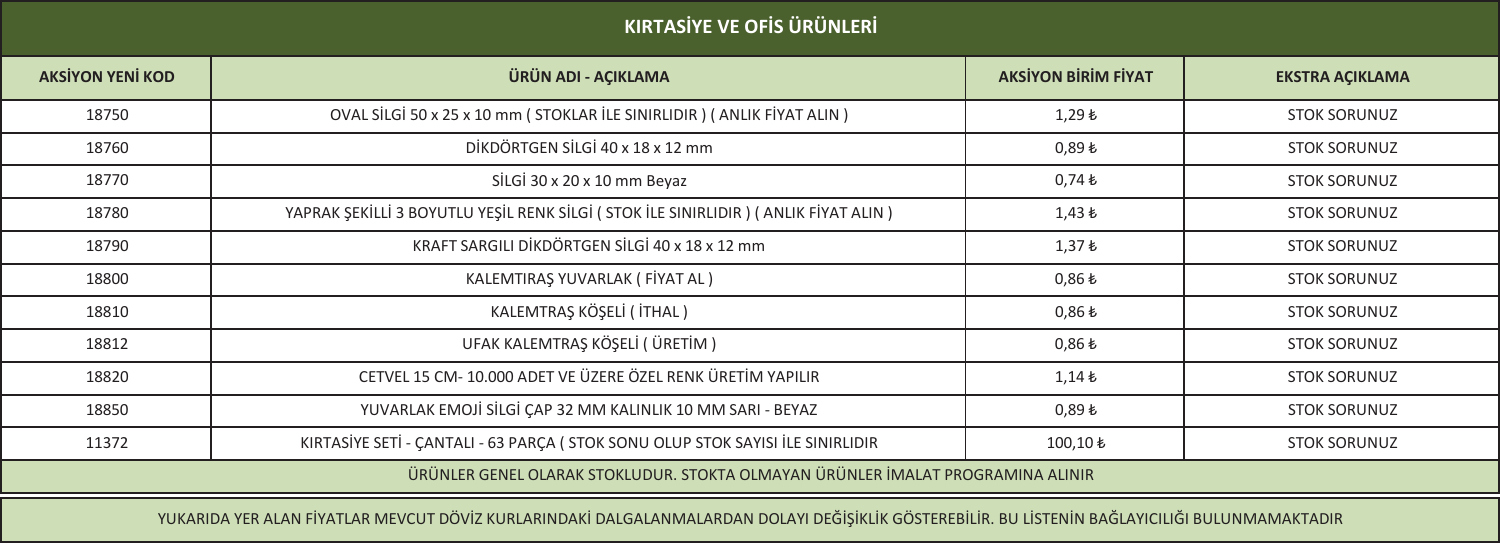#### KIRTASİYE VE OFİS ÜRÜNLERİ

| <b>AKSİYON YENİ KOD</b>                                                         | ÜRÜN ADI - AÇIKLAMA                                                                    | <b>AKSİYON BİRİM FİYAT</b> | <b>EKSTRA ACIKLAMA</b> |  |  |  |  |  |
|---------------------------------------------------------------------------------|----------------------------------------------------------------------------------------|----------------------------|------------------------|--|--|--|--|--|
| 18750                                                                           | OVAL SİLGİ 50 x 25 x 10 mm ( STOKLAR İLE SINIRLIDIR ) ( ANLIK FİYAT ALIN )             | $1,29 \text{ t}$           | <b>STOK SORUNUZ</b>    |  |  |  |  |  |
| 18760                                                                           | DİKDÖRTGEN SİLGİ 40 x 18 x 12 mm                                                       | 0,8915                     | <b>STOK SORUNUZ</b>    |  |  |  |  |  |
| 18770                                                                           | SİLGİ 30 x 20 x 10 mm Beyaz                                                            | 0,74k                      | <b>STOK SORUNUZ</b>    |  |  |  |  |  |
| 18780                                                                           | YAPRAK SEKİLLİ 3 BOYUTLU YESİL RENK SİLGİ ( STOK İLE SINIRLIDIR ) ( ANLIK FİYAT ALIN ) | $1,43 \; \texttt{k}$       | <b>STOK SORUNUZ</b>    |  |  |  |  |  |
| 18790                                                                           | KRAFT SARGILI DİKDÖRTGEN SİLGİ 40 x 18 x 12 mm                                         | 1,37 k                     | <b>STOK SORUNUZ</b>    |  |  |  |  |  |
| 18800                                                                           | KALEMTIRAS YUVARLAK ( FİYAT AL )                                                       | 0,86も                      | <b>STOK SORUNUZ</b>    |  |  |  |  |  |
| 18810                                                                           | KALEMTRAŞ KÖŞELİ (İTHAL)                                                               | $0,86 \; \text{t}$         | <b>STOK SORUNUZ</b>    |  |  |  |  |  |
| 18812                                                                           | UFAK KALEMTRAŞ KÖŞELİ ( ÜRETİM )                                                       | 0,8615                     | <b>STOK SORUNUZ</b>    |  |  |  |  |  |
| 18820                                                                           | CETVEL 15 CM- 10.000 ADET VE ÜZERE ÖZEL RENK ÜRETİM YAPILIR                            | 1,14k                      | <b>STOK SORUNUZ</b>    |  |  |  |  |  |
| 18850                                                                           | YUVARLAK EMOJİ SİLGİ CAP 32 MM KALINLIK 10 MM SARI - BEYAZ                             | 0,8915                     | <b>STOK SORUNUZ</b>    |  |  |  |  |  |
| 11372                                                                           | KIRTASİYE SETİ - CANTALI - 63 PARCA ( STOK SONU OLUP STOK SAYISI İLE SINIRLIDIR        | 100,10₺                    | <b>STOK SORUNUZ</b>    |  |  |  |  |  |
| ÜRÜNLER GENEL OLARAK STOKLUDUR. STOKTA OLMAYAN ÜRÜNLER İMALAT PROGRAMINA ALINIR |                                                                                        |                            |                        |  |  |  |  |  |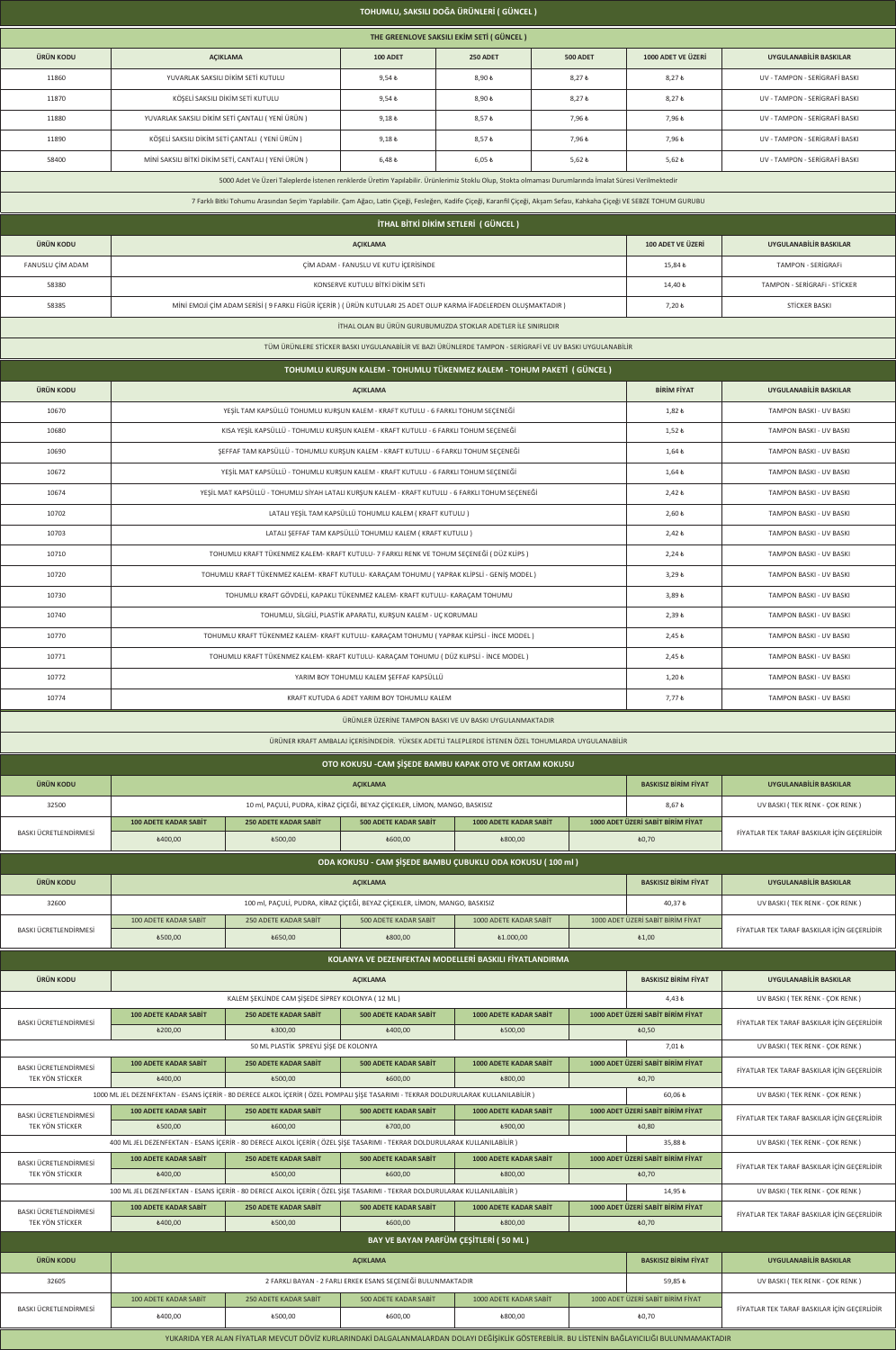8,90 ₺ 8,27 ₺ 8,27 ₺ 8,27 ₺ KÖbEL7 SAKSILI D7K7M SET7 KUTULU 9,54 ༥ 8,90 ༥ 8,Ϯϳ ༥ 8,Ϯϳ ༥ UV - TAMPON - SER7GRAF7 BASKI  $6,48$  &  $6,05$  &  $5,62$  & KÖŞELİ SAKSILI DİKİM SETİ ÇANTALI ( YENİ ÜRÜN ) 9,18 ₿ 9,18 ₿ 8,57 ₺ 3,59 ₺ 1,996 ₺ UV - TAMPON - SERİGRAFİ BASKI YUVARLAK SAKSILI DİKİM SETİ ÇANTALI ( YENİ ÜRÜN ) 9,18 ₺ │ 8,57 ₺ │ 6,87 ₺ │ 1,96 ₺ 5000 Adet Ve Üzeri Taleplerde İstenen renklerde Üretim Yapılabilir. Ürünlerimiz Stoklu Olup, Stokta olmaması Durumlarında İmalat Süresi Verilmektedir UV - TAMPON - SERİGRAFİ BASKI UV - TAMPON - SERİGRAFİ BASKI **THE GREENLOVE SAKSILI EKIM SETI ( GÜNCEL )** ÜRÜN KODU | AÇIKLAMA 1000 ADET | 250 ADET | 500 ADET | 1000 ADET VE ÜZER 11860 5.62 ₺ UV - TAMPON - SERIGRAFI BASKI **UYGULANAB7>7R BASKILAR** 11890  $11870$ 11880 58400 MINI SAKSILI BITKI DIKIM SETI. CANTALI ( YENI ÜRÜN ) 7,96 ₺ YUVARLAK SAKSILI DİKİM SETİ KUTULU 9,54 ₺

**TOHUMLU, SAKSILI DOĞA ÜRÜNLERİ ( GÜNCEL )** 

14,40 ₺ TAMPON - SERİGRAFI - STİCKER TAMPON - SERİGRAFI MINI EMOJI ÇIM ADAM SERISI ( 9 FARKLI FIGÜR İÇERIR ) ( ÜRÜN KUTULARI 25 ADET OLUP KARMA IFADELERDEN OLUŞMAKTADIR ) 7,20 k STİCKER BASKI **7THAL B7TK7 7K7M SETLER7 ( GÜNCEL ) ÜRÜN KODU** ITHAL OLAN BU ÜRÜN GURUBUMUZDA STOKLAR ADETLER İLE SINIRLIDIR 7 Farklı Bitki Tohumu Arasından Seçim Yapılabilir. Çam Ağacı, Latin Çiçeği, Fesleğen, Kadife Çiçeği, Araanfil Çiçeği, Akşam Sefası, Kahkaha Çiçeği VE SEBZE TOHUM GURUBU 58385 TÜM ÜRÜNLERE STİCKER BASKI UYGULANABİLİR VE BAZI ÜRÜNLERDE TAMPON - SERİGRAFİ VE UV BASKI UYGULANABİLİR FANUSLU ÇİM ADAM 58380 **AÇIKLAMA** ÇİM ADAM - FANUSLU VE KUTU İÇERİSİNDE KONSERVE KUTULU BİTKİ DİKİM SETI 100 ADET VE ÜZERİ **VE ELELELELELELELELELELELE KILDI UYGULANABİLİR BASKILAR**  $15.84 \text{ } \frac{1}{2}$ 

TAMPON BASKI - UV BASKI TAMPON BASKI - UV BASKI YARIM BOY TOHUMLU KALEM SEFFAF KAPSÜLLÜ 1,20 1,20 ± 1,20 ± 1,20 ± 1,20 TAMPON BASKI - UV BASKI 10702 10680 ϭϬϳϳ0 TAMPON BASKI - UV BASKI TOHUMLU KRAFT TÜKENMEZ KALEM- KRAFT KUTULU- KARAÇAM TOHUMU ( YAPRAK KL7PSL7 - 7NCE MODEL ) TOHUMLU KRAFT TÜKENMEZ KALEM- KRAFT KUTULU- ϳ FARKLI RENK VE TOHUM SEÇENE)7 ( DÜZ KL7PS ) ϭϬϳϭ0 2,24 ༥ ϭϬϳϮ0 TOHUMLU KRAFT TÜKENMEZ KALEM- KRAFT KUTULU- KARAÇAM TOHUMU ( YAPRAK KL7PSL7 - GEN7b MODEL ) 3,29 ༥ TAMPON BASKI - UV BASKI 10740 TOHUMLU KRAFT TÜKENMEZ KALEM- KRAFT KUTULU- KARAÇAM TOHUMU ( DÜZ KLIPSLI - INCE MODEL ) 2,45 ₺<br>2,45 ₺ TAMPON BASKI - UV BASKI 10690 bEFFAF TAM KAPSÜLLÜ - TOHUMLU KURSUN KALEM - KRAFT KUTULU - 6 FARKLI TOHUM SEÇENEĞİ **AÇIKLAMA** YEb7L TAM KAPSÜLLÜ TOHUMLU KURbUN KALEM - KRAFT KUTULU - 6 FARKLI TOHUM SEÇENE)7 ϭϬϲϳ0 1,82 ༥ **TOHUMLU KURbUN KALEM - TOHUMLU TÜKENMEZ KALEM - TOHUM PAKET7 ( GÜNCEL )** ÜRÜN KODU | UYGULANABİLİR BASKILAR**DU ALMAN BASKILAR BASKILAR BASKILAR BASKILAR** TAMPON BASKI - UV BASKI TOHUMLU KRAFT GÖVDELİ, KAPAKLI TÜKENMEZ KALEM- KRAFT KUTULU- KARAÇAM TOHUMU 3,39 ₺ 3,89 ₺ TAMPON BASKI - UV BASKI TAMPON BASKI - UV BASKI **OGTZ** YEŞİL MAT KAPSÜLLÜ - TOHUMLU KURŞUN KALEM - KRAFT KUTULU - 6 FARKLI TOHUM SEÇENEĞİ **1,64 1,64** € 1,64 € 1,64 € 1,64 € 1,64 € 1,64 € 1,64 € 1,64 € 1,64 € 1,64 € 1,64 € 1,64 € 1,64 € 1,64 € 1,64 € 1,64 € 1,64 € 1, YESİL MAT KAPSÜLLÜ - TOHUMLU SİYAH LATALI KURSUN KALEM - KRAFT KUTULU - 6 FARKLI TOHUM SEÇENEĞİ TARAFT KUTULU - 2,42 ₺ TAMPON BASKI - UV BASKI 10674 LATALI YEŞİL TAM KAPSÜLLÜ TOHUMLU KALEM ( KRAFT KUTULU ) 2,60 ₺ ϭϬϳϬ3 LATALI bEFFAF TAM KAPSÜLLÜ TOHUMLU KALEM ( KRAFT KUTULU ) 2,42 ༥ TAMPON BASKI - UV BASKI TAMPON BASKI - UV BASKI TAMPON BASKI - UV BASKI TAMPON BASKI - UV BASKI  $2,45 \pm$ KISA YESİL KAPSÜLLÜ - TOHUMLU KURSUN KALEM - KRAFT KUTULU - 6 FARKLI TOHUM SECENEĞİ NARAFT TOHUM SELEMELEDI ADA TOHUMLU, SİLGİLİ, PLASTİK APARATLI, KURŞUN KALEM - UÇ KORUMALI 2,39 ₺ 2,39 ₺ 10772 TO THE SAMPON BASKI - UV BASKI KRAFT KUTUDA 6 ADET YARIM BOY TOHUMLU KALEM **1999 - TAMPON BASKI - UV BASKI - UV BASKI** 

ÜRÜNLER ÜZERİNE TAMPON BASKI VE UV BASKI UYGULANMAKTADIR

ÜRÜNER KRAFT AMBALAJ İÇERİSİNDEDİR. YÜKSEK ADETLİ TALEPLERDE İSTENEN ÖZEL TOHUMLARDA UYGULANABİLİR

| OTO KOKUSU - CAM ŞİŞEDE BAMBU KAPAK OTO VE ORTAM KOKUSU   |                              |                                                                                                                                   |                                                                             |                               |  |                                   |                                             |  |  |  |  |
|-----------------------------------------------------------|------------------------------|-----------------------------------------------------------------------------------------------------------------------------------|-----------------------------------------------------------------------------|-------------------------------|--|-----------------------------------|---------------------------------------------|--|--|--|--|
| <b>ÜRÜN KODU</b>                                          |                              |                                                                                                                                   | <b>BASKISIZ BIRIM FIYAT</b>                                                 | <b>UYGULANABİLİR BASKILAR</b> |  |                                   |                                             |  |  |  |  |
| 32500                                                     |                              | $8,67$ $*$                                                                                                                        | UV BASKI (TEK RENK - COK RENK)                                              |                               |  |                                   |                                             |  |  |  |  |
|                                                           | <b>100 ADETE KADAR SABIT</b> | <b>250 ADETE KADAR SABIT</b>                                                                                                      | <b>500 ADETE KADAR SABIT</b>                                                | 1000 ADETE KADAR SABİT        |  | 1000 ADET ÜZERİ SABİT BİRİM FİYAT |                                             |  |  |  |  |
| BASKI ÜCRETLENDİRMESİ                                     | ₺400,00                      | ₺500,00                                                                                                                           | ₺600,00                                                                     | ₺800,00                       |  | ₺0,70                             | FİYATLAR TEK TARAF BASKILAR İÇİN GEÇERLİDİR |  |  |  |  |
| ODA KOKUSU - CAM ŞİŞEDE BAMBU ÇUBUKLU ODA KOKUSU (100 ml) |                              |                                                                                                                                   |                                                                             |                               |  |                                   |                                             |  |  |  |  |
| <b>ÜRÜN KODU</b>                                          |                              |                                                                                                                                   | <b>AÇIKLAMA</b>                                                             |                               |  | <b>BASKISIZ BIRIM FIYAT</b>       | UYGULANABİLİR BASKILAR                      |  |  |  |  |
| 32600                                                     |                              |                                                                                                                                   | 100 ml, PAÇULİ, PUDRA, KİRAZ ÇİÇEĞİ, BEYAZ ÇİÇEKLER, LİMON, MANGO, BASKISIZ |                               |  | 40,37 ₺                           | UV BASKI (TEK RENK - ÇOK RENK)              |  |  |  |  |
|                                                           | 100 ADETE KADAR SABİT        | 250 ADETE KADAR SABİT                                                                                                             | <b>500 ADETE KADAR SABIT</b>                                                | 1000 ADETE KADAR SABİT        |  | 1000 ADET ÜZERİ SABİT BİRİM FİYAT |                                             |  |  |  |  |
| BASKI ÜCRETLENDİRMESİ                                     | ₺500,00                      | ₺650,00                                                                                                                           | ₺800,00                                                                     | ₺1.000,00                     |  | ₺1,00                             | FİYATLAR TEK TARAF BASKILAR İÇİN GEÇERLİDİR |  |  |  |  |
|                                                           |                              |                                                                                                                                   | KOLANYA VE DEZENFEKTAN MODELLERİ BASKILI FİYATLANDIRMA                      |                               |  |                                   |                                             |  |  |  |  |
| <b>ÜRÜN KODU</b>                                          |                              |                                                                                                                                   | <b>AÇIKLAMA</b>                                                             |                               |  | <b>BASKISIZ BIRIM FIYAT</b>       | <b>UYGULANABİLİR BASKILAR</b>               |  |  |  |  |
|                                                           |                              | KALEM SEKLINDE CAM SISEDE SIPREY KOLONYA (12 ML)                                                                                  |                                                                             |                               |  | $4,43 \t{t}$                      | UV BASKI (TEK RENK - COK RENK)              |  |  |  |  |
|                                                           | <b>100 ADETE KADAR SABIT</b> | <b>250 ADETE KADAR SABIT</b>                                                                                                      | <b>500 ADETE KADAR SABIT</b>                                                | 1000 ADETE KADAR SABİT        |  | 1000 ADET ÜZERİ SABİT BİRİM FİYAT |                                             |  |  |  |  |
| BASKI ÜCRETLENDİRMESİ                                     | ₺200,00                      | ₺300,00                                                                                                                           | ₺400,00                                                                     | ₺500,00                       |  | ₺0,50                             | FİYATLAR TEK TARAF BASKILAR İÇİN GEÇERLİDİR |  |  |  |  |
|                                                           |                              | 50 ML PLASTİK SPREYLİ ŞİŞE DE KOLONYA                                                                                             |                                                                             |                               |  | 7,01 ₺                            | UV BASKI (TEK RENK - COK RENK)              |  |  |  |  |
| BASKI ÜCRETLENDİRMESİ                                     | <b>100 ADETE KADAR SABIT</b> | <b>250 ADETE KADAR SABIT</b>                                                                                                      | <b>500 ADETE KADAR SABIT</b>                                                | 1000 ADETE KADAR SABİT        |  | 1000 ADET ÜZERİ SABİT BİRİM FİYAT |                                             |  |  |  |  |
| TEK YÖN STİCKER                                           | ₺400,00                      | ₺500,00                                                                                                                           | ₺600,00                                                                     | ₺800,00                       |  | ₺0,70                             | FİYATLAR TEK TARAF BASKILAR İÇİN GEÇERLİDİR |  |  |  |  |
|                                                           |                              | 1000 ML JEL DEZENFEKTAN - ESANS İÇERİR - 80 DERECE ALKOL İÇERİR (ÖZEL POMPALI ŞİŞE TASARIMI - TEKRAR DOLDURULARAK KULLANILABİLİR) |                                                                             |                               |  | 60,06 ₺                           | UV BASKI (TEK RENK - COK RENK)              |  |  |  |  |
| BASKI ÜCRETLENDİRMESİ                                     | 100 ADETE KADAR SABİT        | <b>250 ADETE KADAR SABIT</b>                                                                                                      | <b>500 ADETE KADAR SABIT</b>                                                | 1000 ADETE KADAR SABİT        |  | 1000 ADET ÜZERİ SABİT BİRİM FİYAT |                                             |  |  |  |  |
| TEK YÖN STİCKER                                           | ₺500,00                      | ₺600,00                                                                                                                           | ₺700,00                                                                     | ₺900,00                       |  | ₺0,80                             | FİYATLAR TEK TARAF BASKILAR İÇİN GEÇERLİDİR |  |  |  |  |
|                                                           |                              | 400 ML JEL DEZENFEKTAN - ESANS İÇERİR - 80 DERECE ALKOL İÇERİR (ÖZEL ŞİŞE TASARIMI - TEKRAR DOLDURULARAK KULLANILABİLİR )         |                                                                             |                               |  | 35,88 ₺                           | UV BASKI (TEK RENK - ÇOK RENK)              |  |  |  |  |
| BASKI ÜCRETLENDİRMESİ                                     | <b>100 ADETE KADAR SABIT</b> | <b>250 ADETE KADAR SABİT</b>                                                                                                      | <b>500 ADETE KADAR SABIT</b>                                                | 1000 ADETE KADAR SABİT        |  | 1000 ADET ÜZERİ SABİT BİRİM FİYAT |                                             |  |  |  |  |
| TEK YÖN STİCKER                                           | ₺400,00                      | ₺500,00                                                                                                                           | ₺600,00                                                                     | ₺800,00                       |  | ₺0,70                             | FİYATLAR TEK TARAF BASKILAR İÇİN GEÇERLİDİR |  |  |  |  |
|                                                           |                              | 100 ML JEL DEZENFEKTAN - ESANS İÇERİR - 80 DERECE ALKOL İÇERİR (ÖZEL ŞİŞE TASARIMI - TEKRAR DOLDURULARAK KULLANILABİLİR)          |                                                                             |                               |  | 14,95 ₺                           | UV BASKI (TEK RENK - COK RENK)              |  |  |  |  |
| BASKI ÜCRETLENDİRMESİ                                     | <b>100 ADETE KADAR SABİT</b> | <b>250 ADETE KADAR SABIT</b>                                                                                                      | <b>500 ADETE KADAR SABIT</b>                                                | 1000 ADETE KADAR SABİT        |  | 1000 ADET ÜZERİ SABİT BİRİM FİYAT | FİYATLAR TEK TARAF BASKILAR İÇİN GEÇERLİDİR |  |  |  |  |
| TEK YÖN STİCKER                                           | ₺400,00                      | ₺0,70                                                                                                                             |                                                                             |                               |  |                                   |                                             |  |  |  |  |
|                                                           |                              |                                                                                                                                   | BAY VE BAYAN PARFÜM ÇEŞİTLERİ (50 ML)                                       |                               |  |                                   |                                             |  |  |  |  |
| <b>ÜRÜN KODU</b>                                          |                              | <b>BASKISIZ BİRİM FİYAT</b>                                                                                                       | <b>UYGULANABİLİR BASKILAR</b>                                               |                               |  |                                   |                                             |  |  |  |  |
| 32605                                                     |                              |                                                                                                                                   | 2 FARKLI BAYAN - 2 FARLI ERKEK ESANS SEÇENEĞİ BULUNMAKTADIR                 |                               |  | 59,85 ₺                           | UV BASKI (TEK RENK - COK RENK)              |  |  |  |  |
| BASKI ÜCRETLENDİRMESİ                                     | <b>100 ADETE KADAR SABIT</b> | 250 ADETE KADAR SABİT                                                                                                             | 500 ADETE KADAR SABİT                                                       | 1000 ADETE KADAR SABİT        |  | 1000 ADET ÜZERİ SABİT BİRİM FİYAT |                                             |  |  |  |  |
|                                                           | ₺400,00                      | ₺500,00                                                                                                                           | ₺600,00                                                                     | ₺800,00                       |  | ₺0,70                             | FİYATLAR TEK TARAF BASKILAR İÇİN GEÇERLİDİR |  |  |  |  |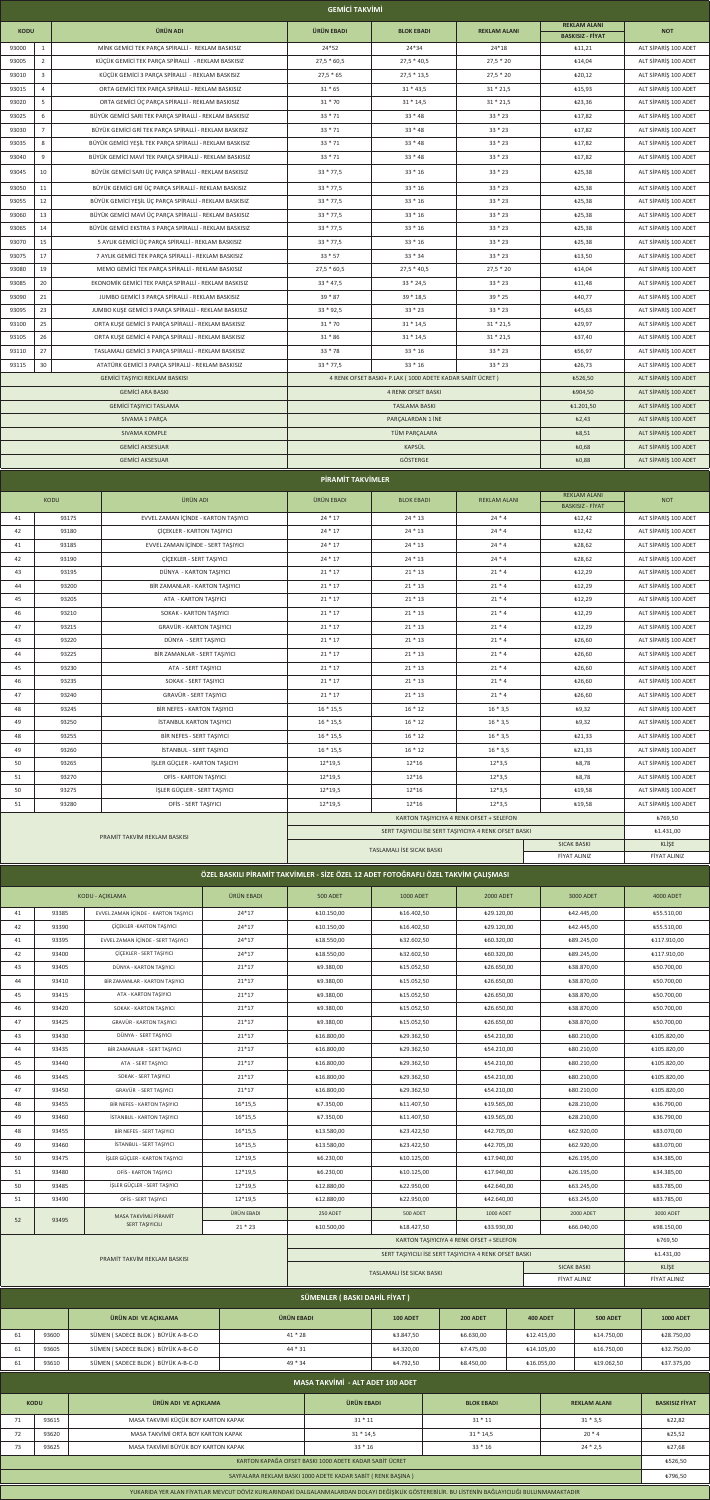| <b>KODU</b> |                         | <b>ÜRÜN ADI</b>                                         | <b>ÜRÜN EBADI</b>        | <b>BLOK EBADI</b><br><b>REKLAM ALANI</b>                 |             | <b>REKLAM ALANI</b><br><b>BASKISIZ - FİYAT</b> | <b>NOT</b>           |
|-------------|-------------------------|---------------------------------------------------------|--------------------------|----------------------------------------------------------|-------------|------------------------------------------------|----------------------|
| 93000       | $\mathbf{1}$            | MİNK GEMİCİ TEK PARÇA SPİRALLİ - REKLAM BASKISIZ        | 24*52                    | 24*34                                                    | $24*18$     | ₺11,21                                         | ALT SİPARİŞ 100 ADET |
| 93005       | $\overline{2}$          | KÜÇÜK GEMİCİ TEK PARÇA SPİRALLİ - REKLAM BASKISIZ       | $27,5*60,5$              | $27.5 * 40.5$                                            | $27,5*20$   | ₺14,04                                         | ALT SİPARİŞ 100 ADET |
| 93010       | $\overline{\mathbf{3}}$ | KÜÇÜK GEMİCİ 3 PARCA SPİRALLİ - REKLAM BASKISIZ         | $27,5*65$                | $27.5 * 13.5$                                            | $27,5 * 20$ | ₺20,12                                         | ALT SIPARIS 100 ADET |
| 93015       | $\overline{4}$          | ORTA GEMİCİ TEK PARÇA SPİRALLİ - REKLAM BASKISIZ        | $31 * 65$                | $31 * 43,5$                                              | $31 * 21,5$ | ₺15,93                                         | ALT SİPARİŞ 100 ADET |
| 93020       | 5                       | ORTA GEMİCİ ÜÇ PARÇA SPİRALLİ - REKLAM BASKISIZ         | $31 * 70$                | $31 * 14,5$                                              | $31 * 21,5$ | ₺23,36                                         | ALT SİPARİŞ 100 ADET |
| 93025       | 6                       | BÜYÜK GEMİCİ SARI TEK PARÇA SPİRALLİ - REKLAM BASKISIZ  | $33 * 71$                | $33 * 48$                                                | $33 * 23$   | <b>£17,82</b>                                  | ALT SİPARİŞ 100 ADET |
| 93030       | $\overline{7}$          | BÜYÜK GEMİCİ GRİ TEK PARÇA SPİRALLİ - REKLAM BASKISIZ   | 33 * 71                  | $33 * 48$                                                | $33 * 23$   | ₺17,82                                         | ALT SİPARİŞ 100 ADET |
| 93035       | 8                       | BÜYÜK GEMİCİ YEŞİL TEK PARÇA SPİRALLİ - REKLAM BASKISIZ | $33 * 71$                | $33 * 48$                                                | $33 * 23$   | \$17,82                                        | ALT SİPARİŞ 100 ADET |
| 93040       | $\overline{9}$          | BÜYÜK GEMİCİ MAVİ TEK PARÇA SPİRALLİ - REKLAM BASKISIZ  | $33 * 71$                | $33 * 48$                                                | $33 * 23$   | ₺17,82                                         | ALT SİPARİŞ 100 ADET |
| 93045       | 10                      | BÜYÜK GEMİCİ SARI ÜÇ PARÇA SPİRALLİ - REKLAM BASKISIZ   | $33 * 77,5$              | $33 * 16$                                                | $33 * 23$   | ₺25,38                                         | ALT SİPARİŞ 100 ADET |
| 93050       | 11                      | BÜYÜK GEMİCİ GRİ ÜÇ PARÇA SPİRALLİ - REKLAM BASKISIZ    | $33 * 77,5$              | $33 * 16$                                                | $33 * 23$   | ₺25,38                                         | ALT SİPARİŞ 100 ADET |
| 93055       | 12                      | BÜYÜK GEMİCİ YEŞİL ÜÇ PARÇA SPİRALLİ - REKLAM BASKISIZ  | $33 * 77.5$              | $33 * 16$                                                | $33 * 23$   | ₺25,38                                         | ALT SİPARİŞ 100 ADET |
| 93060       | 13                      | BÜYÜK GEMİCİ MAVİ ÜÇ PARÇA SPİRALLİ - REKLAM BASKISIZ   | $33 * 77,5$              | $33 * 16$<br>$33 * 23$                                   |             | ₺25,38                                         | ALT SİPARİŞ 100 ADET |
| 93065       | 14                      | BÜYÜK GEMİCİ EKSTRA 3 PARÇA SPİRALLİ - REKLAM BASKISIZ  | 33 * 77,5                | $33 * 16$<br>$33 * 23$                                   |             | ₺25,38                                         | ALT SIPARIS 100 ADET |
| 93070       | 15                      | 5 AYLIK GEMİCİ ÜÇ PARÇA SPİRALLİ - REKLAM BASKISIZ      | $33 * 77,5$              | $33 * 16$                                                | $33 * 23$   | ₺25,38                                         | ALT SİPARİŞ 100 ADET |
| 93075       | 17                      | 7 AYLIK GEMİCİ TEK PARÇA SPİRALLİ - REKLAM BASKISIZ     | $33 * 57$                | $33 * 34$                                                | $33 * 23$   | ₺13,50                                         | ALT SİPARİŞ 100 ADET |
| 93080       | 19                      | MEMO GEMİCİ TEK PARÇA SPİRALLİ - REKLAM BASKISIZ        | $27,5*60,5$              | $27.5 * 40.5$                                            | $27,5 * 20$ | ₺14,04                                         | ALT SİPARİŞ 100 ADET |
| 93085       | 20                      | EKONOMÍK GEMÍCÍ TEK PARÇA SPÍRALLÍ - REKLAM BASKISIZ    | $33 * 47,5$              | $33 * 24,5$                                              | $33 * 23$   | \$11,48                                        | ALT SİPARİŞ 100 ADET |
| 93090       | 21                      | JUMBO GEMICI 3 PARCA SPIRALLI - REKLAM BASKISIZ         | 39 * 87                  | $39 * 18,5$                                              | 39 * 25     | ₺40,77                                         | ALT SİPARİŞ 100 ADET |
| 93095       | 23                      | JUMBO KUSE GEMICI 3 PARCA SPIRALLI - REKLAM BASKISIZ    | $33 * 92,5$              | $33 * 23$                                                | $33 * 23$   | ₺45,63                                         | ALT SIPARIS 100 ADET |
| 93100       | 25                      | ORTA KUSE GEMICI 3 PARCA SPİRALLİ - REKLAM BASKISIZ     | $31 * 70$                | $31 * 14,5$                                              | $31 * 21,5$ | ₺29,97                                         | ALT SİPARİŞ 100 ADET |
| 93105       | 26                      | ORTA KUSE GEMICI 4 PARCA SPİRALLİ - REKLAM BASKISIZ     | $31 * 86$                | $31 * 14,5$                                              | $31 * 21,5$ | ₺37,40                                         | ALT SİPARİŞ 100 ADET |
| 93110       | 27                      | TASLAMALI GEMİCİ 3 PARÇA SPİRALLİ - REKLAM BASKISIZ     | $33 * 78$                | $33 * 16$                                                | $33 * 23$   | ₺56,97                                         | ALT SİPARİŞ 100 ADET |
| 93115       | 30                      | ATATÜRK GEMİCİ 3 PARÇA SPİRALLİ - REKLAM BASKISIZ       | $33 * 77,5$              | $33 * 16$                                                | $33 * 23$   | ₺26,73                                         | ALT SİPARİŞ 100 ADET |
|             |                         | GEMICI TAŞIYICI REKLAM BASKISI                          |                          | 4 RENK OFSET BASKI+ P.LAK (1000 ADETE KADAR SABIT ÜCRET) |             | ₺526,50                                        | ALT SIPARIS 100 ADET |
|             |                         | <b>GEMICI ARA BASKI</b>                                 |                          | <b>4 RENK OFSET BASKI</b>                                |             | ₺904,50                                        | ALT SIPARIS 100 ADET |
|             |                         | <b>GEMİCİ TAŞIYICI TASLAMA</b>                          |                          | <b>TASLAMA BASKI</b>                                     |             | ₺1.201,50                                      | ALT SIPARIS 100 ADET |
|             |                         | SIVAMA 1 PARCA                                          |                          | PARCALARDAN 1 INE                                        |             | ₺2,43                                          | ALT SİPARİŞ 100 ADET |
|             |                         | SIVAMA KOMPLE                                           |                          | TÜM PARÇALARA                                            |             | ₺8,51                                          | ALT SİPARİŞ 100 ADET |
|             |                         | <b>GEMICI AKSESUAR</b>                                  |                          | KAPSÜL                                                   |             | ₺0,68                                          | ALT SIPARIS 100 ADET |
|             |                         | <b>GEMICI AKSESUAR</b>                                  |                          | GÖSTERGE                                                 |             | ₺0,88                                          | ALT SİPARİŞ 100 ADET |
|             |                         |                                                         | <b>PİRAMİT TAKVİMLER</b> |                                                          |             |                                                |                      |

**GEMICI TAKVIMI** 

|    | <b>KODU</b> | ÜRÜN ADI                             | <b>ÜRÜN EBADI</b> | <b>BLOK EBADI</b>                                      | <b>REKLAM ALANI</b>                      | <b>REKLAM ALANI</b>     | <b>NOT</b>           |
|----|-------------|--------------------------------------|-------------------|--------------------------------------------------------|------------------------------------------|-------------------------|----------------------|
|    |             |                                      |                   |                                                        |                                          | <b>BASKISIZ - FİYAT</b> |                      |
| 41 | 93175       | EVVEL ZAMAN İÇİNDE - KARTON TAŞIYICI | $24 * 17$         | $24 * 13$                                              | $24 * 4$                                 | \$12,42                 | ALT SİPARİŞ 100 ADET |
| 42 | 93180       | CİÇEKLER - KARTON TAŞIYICI           | $24 * 17$         | $24 * 13$                                              | $24 * 4$                                 | \$12,42                 | ALT SİPARİŞ 100 ADET |
| 41 | 93185       | EVVEL ZAMAN İÇİNDE - SERT TAŞIYICI   | $24 * 17$         | $24 * 13$                                              | $24 * 4$                                 | ₺28,62                  | ALT SİPARİŞ 100 ADET |
| 42 | 93190       | CİCEKLER - SERT TAŞIYICI             | $24 * 17$         | $24 * 13$                                              | $24 * 4$                                 | ₺28,62                  | ALT SİPARİŞ 100 ADET |
| 43 | 93195       | DÜNYA - KARTON TAŞIYICI              | $21 * 17$         | $21 * 13$                                              | $21 * 4$                                 | \$12,29                 | ALT SİPARİŞ 100 ADET |
| 44 | 93200       | BİR ZAMANLAR - KARTON TAŞIYICI       | $21 * 17$         | $21 * 13$                                              | $21 * 4$                                 | \$12,29                 | ALT SIPARIS 100 ADET |
| 45 | 93205       | ATA - KARTON TASIYICI                | $21 * 17$         | $21 * 13$                                              | $21 * 4$                                 | \$12,29                 | ALT SİPARİŞ 100 ADET |
| 46 | 93210       | SOKAK - KARTON TAŞIYICI              | $21 * 17$         | $21 * 13$                                              | $21 * 4$                                 | ₺12,29                  | ALT SİPARİŞ 100 ADET |
| 47 | 93215       | <b>GRAVÜR - KARTON TASIYICI</b>      | $21 * 17$         | $21 * 13$                                              | $21 * 4$                                 | \$12,29                 | ALT SİPARİŞ 100 ADET |
| 43 | 93220       | DÜNYA - SERT TAŞIYICI                | $21 * 17$         | $21 * 13$                                              | $21 * 4$                                 | ₺26,60                  | ALT SİPARİŞ 100 ADET |
| 44 | 93225       | BİR ZAMANLAR - SERT TAŞIYICI         | $21 * 17$         | $21 * 13$                                              | $21 * 4$                                 | ₺26,60                  | ALT SİPARİŞ 100 ADET |
| 45 | 93230       | ATA - SERT TAŞIYICI                  | $21 * 17$         | $21 * 13$                                              | $21 * 4$                                 | ₺26,60                  | ALT SİPARİŞ 100 ADET |
| 46 | 93235       | SOKAK - SERT TASIYICI                | $21 * 17$         | $21 * 13$                                              | $21 * 4$                                 | <b>\$26.60</b>          | ALT SIPARIS 100 ADET |
| 47 | 93240       | GRAVÜR - SERT TAŞIYICI               | $21 * 17$         | $21 * 13$                                              | $21 * 4$                                 | ₺26,60                  | ALT SİPARİŞ 100 ADET |
| 48 | 93245       | BİR NEFES - KARTON TAŞIYICI          | $16 * 15,5$       | $16 * 12$                                              | $16 * 3.5$                               | ₺9,32                   | ALT SIPARIS 100 ADET |
| 49 | 93250       | <b>İSTANBUL KARTON TAŞIYICI</b>      | $16 * 15,5$       | $16 * 12$                                              | $16 * 3.5$                               | ₺9,32                   | ALT SİPARİŞ 100 ADET |
| 48 | 93255       | BİR NEFES - SERT TAŞIYICI            | $16 * 15,5$       | $16 * 12$                                              | $16 * 3.5$                               | \$21,33                 | ALT SIPARIS 100 ADET |
| 49 | 93260       | İSTANBUL - SERT TAŞIYICI             | $16 * 15,5$       | $16 * 12$                                              | $16 * 3.5$                               | <b>£21,33</b>           | ALT SIPARIS 100 ADET |
| 50 | 93265       | İSLER GÜÇLER - KARTON TAŞICIYI       | $12*19,5$         | $12*16$                                                | $12*3,5$                                 | ₺8,78                   | ALT SİPARİŞ 100 ADET |
| 51 | 93270       | OFİS - KARTON TAŞIYICI               | $12*19,5$         | $12*16$                                                | $12*3,5$                                 | ₺8,78                   | ALT SİPARİŞ 100 ADET |
| 50 | 93275       | İSLER GÜÇLER - SERT TAŞIYICI         | $12*19,5$         | $12*16$                                                | $12*3,5$                                 | ₺19,58                  | ALT SİPARİŞ 100 ADET |
| 51 | 93280       | OFİS - SERT TAŞIYICI                 | $12*19,5$         | $12*16$                                                | $12*3,5$                                 | \$19,58                 | ALT SİPARİŞ 100 ADET |
|    |             |                                      |                   |                                                        | KARTON TASIYICIYA 4 RENK OFSET + SELEFON |                         | ₺769.50              |
|    |             | PRAMÍT TAKVÍM REKLAM BASKISI         |                   | SERT TASIYICILI İSE SERT TAŞIYICIYA 4 RENK OFSET BASKI |                                          |                         | \$1.431,00           |
|    |             |                                      |                   | <b>TASLAMALI İSE SICAK BASKI</b>                       |                                          | <b>SICAK BASKI</b>      | KLİSE                |
|    |             |                                      |                   | FİYAT ALINIZ                                           |                                          |                         |                      |

| ÖZEL BASKILI PİRAMİT TAKVİMLER - SİZE ÖZEL 12 ADET FOTOĞRAFLI ÖZEL TAKVİM ÇALIŞMASI |                                                                                                |                                                                          |                                                      |                                                        |                           |            |                                                        |                 |            |                     |                  |                       |
|-------------------------------------------------------------------------------------|------------------------------------------------------------------------------------------------|--------------------------------------------------------------------------|------------------------------------------------------|--------------------------------------------------------|---------------------------|------------|--------------------------------------------------------|-----------------|------------|---------------------|------------------|-----------------------|
|                                                                                     | ÜRÜN EBADI<br>KODU - AÇIKLAMA<br>500 ADET<br><b>1000 ADET</b><br><b>2000 ADET</b><br>3000 ADET |                                                                          |                                                      |                                                        |                           |            |                                                        |                 |            |                     | <b>4000 ADET</b> |                       |
| 41                                                                                  | 93385                                                                                          | EVVEL ZAMAN İÇİNDE - KARTON TAŞIYICI                                     | $24*17$                                              | ₺10.150,00                                             | ₺16.402,50                |            | ₺29.120,00                                             |                 |            | ₺42.445,00          |                  | ₺55.510,00            |
| 42                                                                                  | 93390                                                                                          | ÇİÇEKLER - KARTON TAŞIYICI                                               | $24*17$                                              | ₺10.150,00                                             | \$16.402,50               |            | ₺29.120,00                                             |                 |            | ₺42.445,00          |                  | ₺55.510,00            |
| 41                                                                                  | 93395                                                                                          | EVVEL ZAMAN İÇİNDE - SERT TAŞIYICI                                       | $24*17$                                              | ₺18.550,00                                             | ₺32.602,50                |            | ₺60.320,00                                             |                 |            | ₺89.245,00          |                  | \$117.910,00          |
| 42                                                                                  | 93400                                                                                          | ÇİÇEKLER - SERT TAŞIYICI                                                 | 24*17                                                | ₺18.550,00                                             | ₺32.602,50                |            | ₺60.320,00<br>₺89.245,00                               |                 |            |                     |                  | \$117.910,00          |
| 43                                                                                  | 93405                                                                                          | DÜNYA - KARTON TAŞIYICI                                                  | $21*17$                                              | ₺9.380,00                                              | ₺15.052,50                |            | ₺26.650,00                                             |                 |            | ₺38.870,00          |                  | ₺50.700,00            |
| 44                                                                                  | 93410                                                                                          | BİR ZAMANLAR - KARTON TAŞIYICI                                           | $21*17$                                              | ₺9.380,00                                              | ₺15.052,50                |            | ₺26.650,00                                             |                 |            | ₺38.870,00          |                  | ₺50.700,00            |
| 45                                                                                  | 93415                                                                                          | ATA - KARTON TAŞIYICI                                                    | $21*17$                                              | ₺9.380,00                                              | ₺15.052,50                |            | ₺26.650,00                                             |                 |            | ₺38.870,00          |                  | ₺50.700,00            |
| 46                                                                                  | 93420                                                                                          | SOKAK - KARTON TAŞIYICI                                                  | $21*17$                                              | ₺9.380,00                                              | ₺15.052,50                |            | ₺26.650,00                                             |                 |            | ₺38.870,00          |                  | ₺50.700,00            |
| 47                                                                                  | 93425                                                                                          | GRAVÜR - KARTON TAŞIYICI                                                 | $21*17$                                              | ₺9.380,00                                              | ₺15.052,50                |            | ₺26.650,00                                             |                 |            | ₺38.870,00          |                  | ₺50.700,00            |
| 43                                                                                  | 93430                                                                                          | DÜNYA - SERT TAŞIYICI                                                    | $21*17$                                              | ₺16.800,00                                             | \$29.362,50               |            | ₺54.210,00                                             |                 |            | ₺80.210,00          |                  | ₺105.820,00           |
| 44                                                                                  | 93435                                                                                          | BİR ZAMANLAR - SERT TAŞIYICI                                             | $21*17$                                              | ₺16.800,00                                             | ₺29.362,50                |            | ₺54.210,00                                             |                 |            | ₺80.210,00          |                  | ₺105.820,00           |
| 45                                                                                  | 93440                                                                                          | ATA - SERT TAŞIYICI                                                      | $21*17$                                              | ₺16.800,00                                             | \$29.362,50               |            | ₺54.210,00                                             |                 |            | ₺80.210,00          |                  | ₺105.820,00           |
| 46                                                                                  | 93445                                                                                          | SOKAK - SERT TAŞIYICI                                                    | $21*17$                                              | ₺16.800,00                                             | \$29.362,50               |            | ₺54.210,00                                             |                 |            | ₺80.210,00          |                  | ₺105.820,00           |
| 47                                                                                  | 93450                                                                                          | GRAVÜR - SERT TAŞIYICI                                                   | $21*17$                                              | ₺16.800,00                                             | ₺29.362,50                |            | ₺54.210,00                                             |                 |            | ₺80.210,00          |                  | ₺105.820,00           |
| 48                                                                                  | 93455                                                                                          | BİR NEFES - KARTON TAŞIYICI                                              | $16*15,5$                                            | ₺7.350,00                                              | ₺11.407,50                |            | ₺19.565,00                                             |                 |            | ₺28.210,00          |                  | ₺36.790,00            |
| 49                                                                                  | 93460                                                                                          | İSTANBUL - KARTON TAŞIYICI                                               | $16*15,5$                                            | ₺19.565,00                                             |                           |            | ₺28.210,00                                             |                 | ₺36.790,00 |                     |                  |                       |
| 48                                                                                  | 93455                                                                                          | BİR NEFES - SERT TAŞIYICI                                                | $16*15,5$<br>₺13.580,00<br>₺23.422,50<br>₺42.705,00  |                                                        |                           |            |                                                        |                 | ₺62.920,00 |                     | ₺83.070,00       |                       |
| 49                                                                                  | 93460                                                                                          | İSTANBUL - SERT TAŞIYICI                                                 | $16*15,5$<br>₺13.580,00<br>\$23.422,50<br>₺42.705,00 |                                                        |                           |            |                                                        |                 |            | ₺62.920,00          |                  | ₺83.070,00            |
| 50                                                                                  | 93475                                                                                          | İSLER GÜÇLER - KARTON TAŞIYICI                                           | 12*19,5<br>₺6.230,00<br>₺10.125,00<br>₺17.940,00     |                                                        |                           |            |                                                        | ₺26.195,00      |            |                     | ₺34.385,00       |                       |
| 51                                                                                  | 93480                                                                                          | OFİS - KARTON TAŞIYICI                                                   | $12*19,5$<br>₺6.230,00<br>₺10.125,00                 |                                                        | ₺17.940,00                |            | ₺26.195,00                                             |                 | ₺34.385,00 |                     |                  |                       |
| 50                                                                                  | 93485                                                                                          | İŞLER GÜÇLER - SERT TAŞIYICI                                             | 12*19,5                                              | ₺12.880,00<br>₺42.640,00<br>₺22.950,00                 |                           | ₺63.245,00 |                                                        |                 |            | ₺83.785,00          |                  |                       |
| 51                                                                                  | 93490                                                                                          | OFİS - SERT TAŞIYICI                                                     | $12*19,5$                                            | ₺12.880,00<br>₺22.950,00<br>₺42.640,00                 |                           |            |                                                        |                 | ₺63.245,00 |                     |                  | ₺83.785,00            |
| 52                                                                                  | 93495                                                                                          | ÜRÜN EBADI<br>250 ADET<br>500 ADET<br>1000 ADET<br>MASA TAKVİMLİ PİRAMİT |                                                      |                                                        |                           |            |                                                        |                 | 2000 ADET  |                     | 3000 ADET        |                       |
|                                                                                     |                                                                                                | SERT TAŞIYICILI                                                          | $21 * 23$                                            | ₺10.500,00                                             | \$18.427,50               |            | ₺33.930,00                                             |                 |            | ₺66.040,00          |                  | ₺98.150,00            |
|                                                                                     |                                                                                                |                                                                          |                                                      |                                                        |                           |            | KARTON TAŞIYICIYA 4 RENK OFSET + SELEFON               |                 |            |                     |                  | ₺769,50               |
|                                                                                     |                                                                                                | PRAMIT TAKVIM REKLAM BASKISI                                             |                                                      |                                                        |                           |            | SERT TAŞIYICILI İSE SERT TAŞIYICIYA 4 RENK OFSET BASKI |                 |            |                     |                  | \$1.431,00            |
|                                                                                     |                                                                                                |                                                                          |                                                      |                                                        | TASLAMALI İSE SICAK BASKI |            |                                                        |                 |            | <b>SICAK BASKI</b>  |                  | <b>KLIŞE</b>          |
|                                                                                     |                                                                                                |                                                                          |                                                      |                                                        |                           |            |                                                        |                 |            | FİYAT ALINIZ        |                  | FİYAT ALINIZ          |
|                                                                                     |                                                                                                |                                                                          |                                                      | SÜMENLER (BASKI DAHIL FİYAT)                           |                           |            |                                                        |                 |            |                     |                  |                       |
|                                                                                     |                                                                                                | ÜRÜN ADI VE AÇIKLAMA                                                     |                                                      | <b>ÜRÜN EBADI</b>                                      | 100 ADET                  |            | <b>200 ADET</b>                                        | <b>400 ADET</b> |            | <b>500 ADET</b>     |                  | <b>1000 ADET</b>      |
| 61                                                                                  | 93600                                                                                          | SÜMEN (SADECE BLOK) BÜYÜK A-B-C-D                                        |                                                      | 41 * 28                                                | ₺3.847,50                 |            | ₺6.630,00                                              | ₺12.415,00      |            | \$14.750,00         |                  | ₺28.750,00            |
| 61                                                                                  | 93605                                                                                          | SÜMEN (SADECE BLOK) BÜYÜK A-B-C-D                                        |                                                      | 44 * 31                                                | ₺4.320,00                 |            | ₺7.475,00                                              | ₺14.105,00      |            | ₺16.750,00          |                  | ₺32.750,00            |
| 61                                                                                  | 93610                                                                                          | SÜMEN (SADECE BLOK) BÜYÜK A-B-C-D                                        |                                                      | 49 * 34                                                | ₺4.792,50                 |            | ₺8.450,00                                              | ₺16.055,00      |            | ₺19.062,50          |                  | ₺37.375,00            |
|                                                                                     |                                                                                                |                                                                          |                                                      | MASA TAKVİMİ - ALT ADET 100 ADET                       |                           |            |                                                        |                 |            |                     |                  |                       |
|                                                                                     | <b>KODU</b>                                                                                    | ÜRÜN ADI VE AÇIKLAMA                                                     |                                                      | <b>ÜRÜN EBADI</b>                                      |                           |            | <b>BLOK EBADI</b>                                      |                 |            | <b>REKLAM ALANI</b> |                  | <b>BASKISIZ FİYAT</b> |
| 71                                                                                  | 93615                                                                                          | MASA TAKVİMİ KÜÇÜK BOY KARTON KAPAK                                      |                                                      | $31 * 11$                                              |                           |            | $31 * 11$                                              |                 |            | $31 * 3,5$          |                  | ₺22,82                |
| 72                                                                                  | 93620                                                                                          | MASA TAKVIMI ORTA BOY KARTON KAPAK                                       |                                                      | $31 * 14,5$                                            |                           |            | $31 * 14,5$                                            |                 |            | $20 * 4$            |                  | ₺25,52                |
| 73                                                                                  | 93625                                                                                          | MASA TAKVİMİ BÜYÜK BOY KARTON KAPAK                                      |                                                      | $33 * 16$                                              |                           |            | $33 * 16$                                              |                 |            | $24 * 2,5$          |                  | ₺27,68                |
|                                                                                     |                                                                                                |                                                                          |                                                      | KARTON KAPAĞA OFSET BASKI 1000 ADETE KADAR SABİT ÜCRET |                           |            |                                                        |                 |            |                     |                  | ₺526,50               |
|                                                                                     |                                                                                                |                                                                          |                                                      |                                                        |                           |            |                                                        |                 |            |                     |                  | ₺796,50               |
| SAYFALARA REKLAM BASKI 1000 ADETE KADAR SABİT (RENK BAŞINA)                         |                                                                                                |                                                                          |                                                      |                                                        |                           |            |                                                        |                 |            |                     |                  |                       |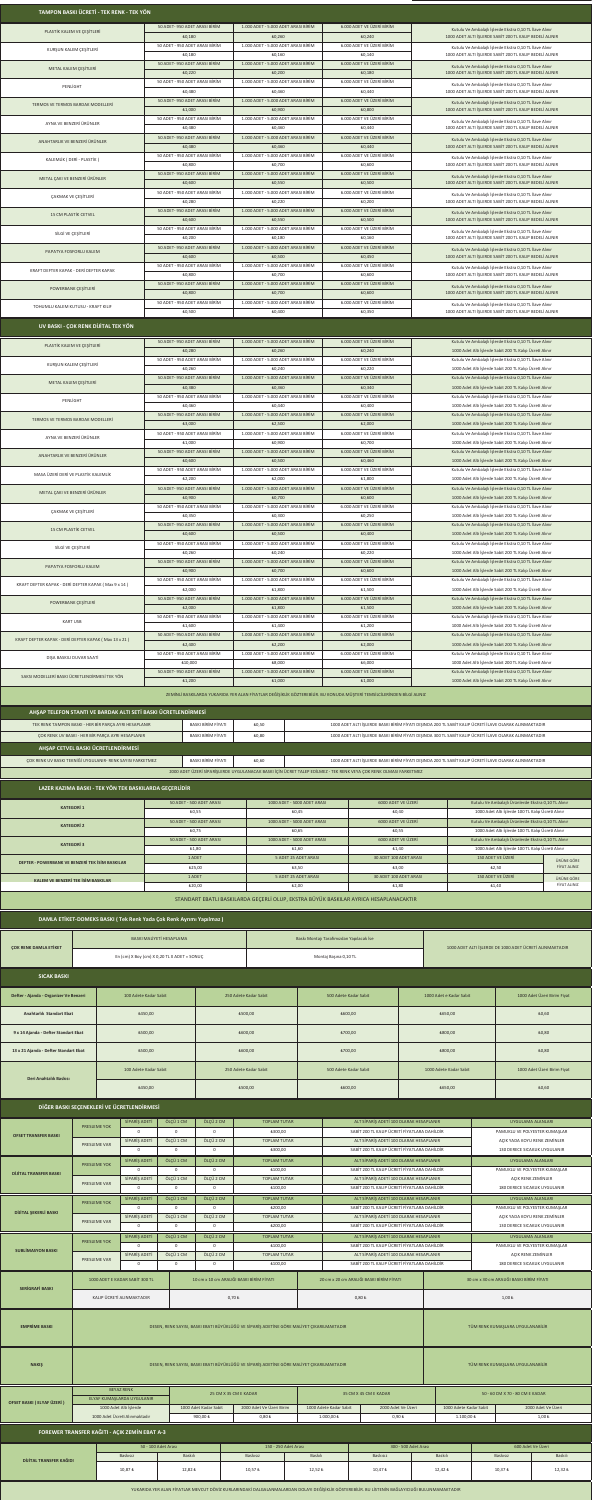AHŞAP CETVEL BASKI ÜCRETLENDİRMESİ COK RENK UV BASKI TEKNIĞI UYGULANIR- RENK SAYISI FARKETMEZ BASKI BIRIM FIYATI ₹0,60 1000 ADET ALTI İŞLERDE BASKI BİRİM FİYATI DIŞINDA 200 TL SABİT KALIP ÜCRETİ İLAVE OLARAK ALINMAKTADIR  $\blacksquare$ 2000 ADET ÜZERI SIPARIŞLERDE UYGULANACAK BASKI IÇIN ÜCRET TALEP EDİLMEZ - TEK RENK VEYA ÇOK RENK OLMASI FARKETMEZ **LAZER KAZIMA BASKI - TEK YÖN TEK BASKILARDA GEÇERL7D7R**

| TAMPON BASKI UCRETI - TEK RENK - TEK YON                                                                   |                                          |                                                 |                                               |  |                                                                                                                        |                                                                                                                                                                                                                |  |  |
|------------------------------------------------------------------------------------------------------------|------------------------------------------|-------------------------------------------------|-----------------------------------------------|--|------------------------------------------------------------------------------------------------------------------------|----------------------------------------------------------------------------------------------------------------------------------------------------------------------------------------------------------------|--|--|
| PLASTIK KALEM VE ÇEŞİTLERİ                                                                                 | 50 ADET- 950 ADET ARASI BİRİM            |                                                 | 1.000 ADET - 5.000 ADET ARASI BİRİM           |  | 6.000 ADET VE ÜZERİ BİRİM                                                                                              | Kutulu Ve Ambalajlı İşlerde Ekstra 0,10 TL İlave Alınır                                                                                                                                                        |  |  |
|                                                                                                            | ₺0,180<br>50 ADET - 950 ADET ARASI BİRİM |                                                 | ₺0,260<br>1.000 ADET - 5.000 ADET ARASI BİRİM |  | ₺0,240<br>6.000 ADET VE ÜZERİ BİRİM                                                                                    | 1000 ADET ALTI İŞLERDE SABİT 200 TL KALIP BEDELİ ALINIR                                                                                                                                                        |  |  |
| KURŞUN KALEM ÇEŞİTLERİ                                                                                     | ₺0,180                                   |                                                 | <b>£0,160</b>                                 |  | ₺0,140                                                                                                                 | Kutulu Ve Ambalailı İslerde Ekstra 0.10 TL İlave Alınır<br>1000 ADET ALTI İŞLERDE SABİT 200 TL KALIP BEDELİ ALINIR                                                                                             |  |  |
| METAL KALEM ÇEŞİTLERİ                                                                                      | 50 ADET- 950 ADET ARASI BİRİM<br>₺0,220  |                                                 | 1.000 ADET - 5.000 ADET ARASI BİRİM<br>₺0,200 |  | 6.000 ADET VE ÜZERİ BİRİM<br>₺0,180                                                                                    | Kutulu Ve Ambalajlı İşlerde Ekstra 0,10 TL İlave Alınır<br>1000 ADET ALTI İŞLERDE SABİT 200 TL KALIP BEDELİ ALINIR                                                                                             |  |  |
| PENLIGHT                                                                                                   | 50 ADET - 950 ADET ARASI BİRİM           |                                                 | 1.000 ADET - 5.000 ADET ARASI BİRİM           |  | 6.000 ADET VE ÜZERİ BİRİM                                                                                              | Kutulu Ve Ambalajlı İşlerde Ekstra 0,10 TL İlave Alınır                                                                                                                                                        |  |  |
|                                                                                                            | ₺0,480<br>50 ADET- 950 ADET ARASI BİRİM  |                                                 | ₺0,460                                        |  | ₺0,440<br>6.000 ADET VE ÜZERİ BİRİM                                                                                    | 1000 ADET ALTI İŞLERDE SABİT 200 TL KALIP BEDELİ ALINIR                                                                                                                                                        |  |  |
| TERMOS VE TERMOS BARDAK MODELLERÍ                                                                          | ₺1,000                                   |                                                 | 1.000 ADET - 5.000 ADET ARASI BİRİM<br>₺0,900 |  | ₺0,800                                                                                                                 | Kutulu Ve Ambalajlı İşlerde Ekstra 0,10 TL İlave Alınır<br>1000 ADET ALTI İŞLERDE SABİT 200 TL KALIP BEDELİ ALINIR                                                                                             |  |  |
| AYNA VE BENZERİ ÜRÜNLER                                                                                    | 50 ADET - 950 ADET ARASI BİRİM           |                                                 | 1.000 ADET - 5.000 ADET ARASI BİRİM           |  | 6.000 ADET VE ÜZERİ BİRİM                                                                                              | Kutulu Ve Ambalajlı İşlerde Ekstra 0,10 TL İlave Alınır                                                                                                                                                        |  |  |
|                                                                                                            | ₺0,480<br>50 ADET- 950 ADET ARASI BİRİM  |                                                 | ₺0,460<br>1.000 ADET - 5.000 ADET ARASI BİRİM |  | ₺0,440<br>6.000 ADET VE ÜZERİ BİRİM                                                                                    | 1000 ADET ALTI İŞLERDE SABİT 200 TL KALIP BEDELİ ALINIR<br>Kutulu Ve Ambalajlı İşlerde Ekstra 0,10 TL İlave Alınır                                                                                             |  |  |
| ANAHTARLIK VE BENZERİ ÜRÜNLER                                                                              | ₺0,480                                   |                                                 | ₺0,460                                        |  | ₺0,440                                                                                                                 | 1000 ADET ALTI İŞLERDE SABİT 200 TL KALIP BEDELİ ALINIR                                                                                                                                                        |  |  |
| KALEMLİK (DERİ - PLASTİK)                                                                                  | 50 ADET - 950 ADET ARASI BİRİM<br>₺0,800 |                                                 | 1.000 ADET - 5.000 ADET ARASI BİRİM<br>₺0.700 |  | 6.000 ADET VE ÜZERİ BİRİM<br>₺0,600                                                                                    | Kutulu Ve Ambalajlı İşlerde Ekstra 0,10 TL İlave Alınır<br>1000 ADET ALTI İŞLERDE SABİT 200 TL KALIP BEDELİ ALINIR                                                                                             |  |  |
| METAL ÇAKI VE BENZERİ ÜRÜNLER                                                                              | 50 ADET- 950 ADET ARASI BİRİM            |                                                 | 1.000 ADET - 5.000 ADET ARASI BİRİM           |  | 6.000 ADET VE ÜZERİ BİRİM                                                                                              | Kutulu Ve Ambalajlı İşlerde Ekstra 0,10 TL İlave Alınır                                                                                                                                                        |  |  |
|                                                                                                            | ₺0,600<br>50 ADET - 950 ADET ARASI BİRİM |                                                 | ₺0,550<br>1.000 ADET - 5.000 ADET ARASI BİRİM |  | ₺0,500<br>6.000 ADET VE ÜZERİ BİRİM                                                                                    | 1000 ADET ALTI İŞLERDE SABİT 200 TL KALIP BEDELİ ALINIR                                                                                                                                                        |  |  |
| ÇAKMAK VE ÇEŞİTLERİ                                                                                        | ₺0,280                                   |                                                 | ₺0,220                                        |  | ₺0,200                                                                                                                 | Kutulu Ve Ambalajlı İşlerde Ekstra 0,10 TL İlave Alınır<br>1000 ADET ALTI İŞLERDE SABİT 200 TL KALIP BEDELİ ALINIR                                                                                             |  |  |
| 15 CM PLASTİK CETVEL                                                                                       | 50 ADET- 950 ADET ARASI BİRİM            |                                                 | 1.000 ADET - 5.000 ADET ARASI BİRİM           |  | 6.000 ADET VE ÜZERİ BİRİM                                                                                              | Kutulu Ve Ambalajlı İşlerde Ekstra 0,10 TL İlave Alınır<br>1000 ADET ALTI İŞLERDE SABİT 200 TL KALIP BEDELİ ALINIR                                                                                             |  |  |
|                                                                                                            | ₺0,600<br>50 ADET - 950 ADET ARASI BİRİM |                                                 | ₺0,550<br>1.000 ADET - 5.000 ADET ARASI BİRİM |  | ₺0,500<br>6.000 ADET VE ÜZERİ BİRİM                                                                                    | Kutulu Ve Ambalajlı İşlerde Ekstra 0,10 TL İlave Alınır                                                                                                                                                        |  |  |
| SİLGİ VE ÇEŞİTLERİ                                                                                         | ₺0,200                                   |                                                 | ₺0,180                                        |  | ₺0,160                                                                                                                 | 1000 ADET ALTI İŞLERDE SABİT 200 TL KALIP BEDELİ ALINIR                                                                                                                                                        |  |  |
| PAPATYA FOSFORLU KALEM                                                                                     | 50 ADET- 950 ADET ARASI BİRİM<br>₺0,600  |                                                 | 1.000 ADET - 5.000 ADET ARASI BİRİM<br>₺0,500 |  | 6.000 ADET VE ÜZERİ BİRİM<br>₺0,450                                                                                    | Kutulu Ve Ambalajlı İşlerde Ekstra 0,10 TL İlave Alınır<br>1000 ADET ALTI İŞLERDE SABİT 200 TL KALIP BEDELİ ALINIR                                                                                             |  |  |
| KRAFT DEFTER KAPAK - DERİ DEFTER KAPAK                                                                     | 50 ADET - 950 ADET ARASI BİRİM           |                                                 | 1.000 ADET - 5.000 ADET ARASI BİRİM           |  | 6.000 ADET VE ÜZERİ BİRİM                                                                                              | Kutulu Ve Ambalajlı İşlerde Ekstra 0,10 TL İlave Alınır                                                                                                                                                        |  |  |
|                                                                                                            | ₺0,800<br>50 ADET- 950 ADET ARASI BİRİM  |                                                 | ₺0,700<br>1.000 ADET - 5.000 ADET ARASI BİRİM |  | ₺0,600<br>6.000 ADET VE ÜZERİ BİRİM                                                                                    | 1000 ADET ALTI İŞLERDE SABİT 200 TL KALIP BEDELİ ALINIR                                                                                                                                                        |  |  |
| POWERBANK ÇEŞİTLERİ                                                                                        | ₺0,800                                   |                                                 | ₺0,700                                        |  | ₺0,600                                                                                                                 | Kutulu Ve Ambalajlı İşlerde Ekstra 0,10 TL İlave Alınır<br>1000 ADET ALTI İŞLERDE SABİT 200 TL KALIP BEDELİ ALINIR                                                                                             |  |  |
| TOHUMLU KALEM KUTUSU - KRAFT KILIF                                                                         | 50 ADET - 950 ADET ARASI BİRİM<br>₺0,500 |                                                 | 1.000 ADET - 5.000 ADET ARASI BİRİM<br>₺0,400 |  | 6.000 ADET VE ÜZERİ BİRİM<br>₺0,350                                                                                    | Kutulu Ve Ambalajlı İşlerde Ekstra 0,10 TL İlave Alınır<br>1000 ADET ALTI İŞLERDE SABİT 200 TL KALIP BEDELİ ALINIR                                                                                             |  |  |
|                                                                                                            |                                          |                                                 |                                               |  |                                                                                                                        |                                                                                                                                                                                                                |  |  |
| UV BASKI - ÇOK RENK DİJİTAL TEK YÖN                                                                        |                                          |                                                 |                                               |  |                                                                                                                        |                                                                                                                                                                                                                |  |  |
| PLASTİK KALEM VE ÇEŞİTLERİ                                                                                 | 50 ADET- 950 ADET ARASI BİRİM<br>₺0,280  |                                                 | 1.000 ADET - 5.000 ADET ARASI BİRİM<br>₺0,260 |  | 6.000 ADET VE ÜZERİ BİRİM<br>₺0,240                                                                                    | Kutulu Ve Ambalajlı İşlerde Ekstra 0,10 TL İlave Alınır<br>1000 Adet Altı İşlerde Sabit 200 TL Kalıp Ücreti Alınır                                                                                             |  |  |
| KURŞUN KALEM ÇEŞİTLERİ                                                                                     | 50 ADET - 950 ADET ARASI BİRİM           |                                                 | 1.000 ADET - 5.000 ADET ARASI BİRİM           |  | 6.000 ADET VE ÜZERİ BİRİM                                                                                              | Kutulu Ve Ambalajlı İşlerde Ekstra 0,10 TL İlave Alınır                                                                                                                                                        |  |  |
|                                                                                                            | ₺0,260<br>50 ADET- 950 ADET ARASI BİRİM  |                                                 | ₺0,240<br>1.000 ADET - 5.000 ADET ARASI BİRİM |  | ₺0,220<br>6.000 ADET VE ÜZERİ BİRİM                                                                                    | 1000 Adet Altı İşlerde Sabit 200 TL Kalıp Ücreti Alınır<br>Kutulu Ve Ambalajlı İşlerde Ekstra 0,10 TL İlave Alınır                                                                                             |  |  |
| METAL KALEM ÇEŞİTLERİ                                                                                      | ₺0,380                                   |                                                 | ₺0,360                                        |  | ₺0,340                                                                                                                 | 1000 Adet Altı İşlerde Sabit 200 TL Kalıp Ücreti Alınır                                                                                                                                                        |  |  |
| PENLIGHT                                                                                                   | 50 ADET - 950 ADET ARASI BİRİM           |                                                 | 1.000 ADET - 5.000 ADET ARASI BİRİM           |  | 6.000 ADET VE ÜZERİ BİRİM                                                                                              | Kutulu Ve Ambalajlı İşlerde Ekstra 0,10 TL İlave Alınır                                                                                                                                                        |  |  |
|                                                                                                            | ₺0,460<br>50 ADET- 950 ADET ARASI BİRİM  |                                                 | ₺0,440<br>1.000 ADET - 5.000 ADET ARASI BİRİM |  | ₺0,400<br>6.000 ADET VE ÜZERİ BİRİM                                                                                    | 1000 Adet Altı İşlerde Sabit 200 TL Kalıp Ücreti Alınır<br>Kutulu Ve Ambalajlı İşlerde Ekstra 0,10 TL İlave Alınır                                                                                             |  |  |
| TERMOS VE TERMOS BARDAK MODELLERÍ                                                                          | ₺3,000                                   |                                                 | ₺2,500                                        |  | ₺2,000                                                                                                                 | 1000 Adet Altı İşlerde Sabit 200 TL Kalıp Ücreti Alınır                                                                                                                                                        |  |  |
| AYNA VE BENZERİ ÜRÜNLER                                                                                    | 50 ADET - 950 ADET ARASI BİRİM<br>₺1,000 |                                                 | 1.000 ADET - 5.000 ADET ARASI BİRİM<br>₺0,900 |  | 6.000 ADET VE ÜZERİ BİRİM<br>₺0,700                                                                                    | Kutulu Ve Ambalajlı İşlerde Ekstra 0,10 TL İlave Alınır<br>1000 Adet Altı İşlerde Sabit 200 TL Kalıp Ücreti Alınır                                                                                             |  |  |
| ANAHTARI IK VE BENZERÎ ÜRÜNI FR                                                                            | 50 ADET- 950 ADET ARASI BİRİM            |                                                 | 1.000 ADET - 5.000 ADET ARASI BİRİM           |  | 6.000 ADET VE ÜZERİ BİRİM                                                                                              | Kutulu Ve Ambalajlı İşlerde Ekstra 0,10 TL İlave Alınır                                                                                                                                                        |  |  |
|                                                                                                            | ₺0.600<br>50 ADET - 950 ADET ARASI BİRİM |                                                 | ₺0.500<br>1.000 ADET - 5.000 ADET ARASI BİRİM |  | ₺0,460<br>6.000 ADET VE ÜZERİ BİRİM                                                                                    | 1000 Adet Altı İşlerde Sabit 200 TL Kalıp Ücreti Alınır<br>Kutulu Ve Ambalajlı İşlerde Ekstra 0,10 TL İlave Alınır                                                                                             |  |  |
| MASA ÜZERİ DERİ VE PLASTİK KALEMLİK                                                                        | ₺2,200                                   |                                                 | ₺2,000                                        |  | ₺1,800                                                                                                                 | 1000 Adet Altı İşlerde Sabit 200 TL Kalıp Ücreti Alınır                                                                                                                                                        |  |  |
| METAL ÇAKI VE BENZERİ ÜRÜNLER                                                                              | 50 ADET- 950 ADET ARASI BİRİM            |                                                 | 1.000 ADET - 5.000 ADET ARASI BİRİM           |  | 6.000 ADET VE ÜZERİ BİRİM                                                                                              | Kutulu Ve Ambalajlı İşlerde Ekstra 0,10 TL İlave Alınır<br>1000 Adet Altı İşlerde Sabit 200 TL Kalıp Ücreti Alınır                                                                                             |  |  |
|                                                                                                            | ₺0,900<br>50 ADET - 950 ADET ARASI BİRİM |                                                 | ₺0,700<br>1.000 ADET - 5.000 ADET ARASI BİRİM |  | ₺0,600<br>6.000 ADET VE ÜZERİ BİRİM                                                                                    | Kutulu Ve Ambalajlı İşlerde Ekstra 0,10 TL İlave Alınır                                                                                                                                                        |  |  |
| <b>CAKMAK VE CESİTLERİ</b>                                                                                 | ₺0,350                                   |                                                 | ₺0,300                                        |  | ₺0,250                                                                                                                 | 1000 Adet Altı İşlerde Sabit 200 TL Kalıp Ücreti Alınır                                                                                                                                                        |  |  |
| <b>15 CM PLASTİK CETVEL</b>                                                                                | 50 ADET- 950 ADET ARASI BİRİM<br>₺0,600  |                                                 | 1.000 ADET - 5.000 ADET ARASI BİRİM<br>₺0,500 |  | 6.000 ADET VE ÜZERİ BİRİM<br>₺0,400                                                                                    | Kutulu Ve Ambalajlı İşlerde Ekstra 0,10 TL İlave Alınır<br>1000 Adet Altı İşlerde Sabit 200 TL Kalıp Ücreti Alınır                                                                                             |  |  |
| SİLGİ VE ÇEŞİTLERİ                                                                                         | 50 ADET - 950 ADET ARASI BİRİM           |                                                 | 1.000 ADET - 5.000 ADET ARASI BİRİM           |  | 6.000 ADET VE ÜZERİ BİRİM                                                                                              | Kutulu Ve Ambalajlı İşlerde Ekstra 0,10 TL İlave Alınır                                                                                                                                                        |  |  |
|                                                                                                            | ₺0,260<br>50 ADET- 950 ADET ARASI BİRİM  |                                                 | ₺0,240<br>1.000 ADET - 5.000 ADET ARASI BİRİM |  | ₺0,220<br>6.000 ADET VE ÜZERİ BİRİM                                                                                    | 1000 Adet Altı İşlerde Sabit 200 TL Kalıp Ücreti Alınır<br>Kutulu Ve Ambalajlı İşlerde Ekstra 0,10 TL İlave Alınır                                                                                             |  |  |
| PAPATYA FOSFORLU KALEM                                                                                     | ₺0,900                                   |                                                 | ₺0,700                                        |  | ₺0,600                                                                                                                 | 1000 Adet Altı İşlerde Sabit 200 TL Kalıp Ücreti Alınır                                                                                                                                                        |  |  |
| KRAFT DEFTER KAPAK - DERİ DEFTER KAPAK (Max 9 x 14)                                                        | 50 ADET - 950 ADET ARASI BİRİM<br>₺2,000 |                                                 | 1.000 ADET - 5.000 ADET ARASI BİRİM<br>₺1,800 |  | 6.000 ADET VE ÜZERİ BİRİM<br>₺1,500                                                                                    | Kutulu Ve Ambalajlı İşlerde Ekstra 0,10 TL İlave Alınır<br>1000 Adet Altı İşlerde Sabit 200 TL Kalıp Ücreti Alınır                                                                                             |  |  |
| POWERBANK ÇEŞİTLERİ                                                                                        | 50 ADET- 950 ADET ARASI BİRİM            |                                                 | 1.000 ADET - 5.000 ADET ARASI BİRİM           |  | 6.000 ADET VE ÜZERİ BİRİM                                                                                              | Kutulu Ve Ambalajlı İşlerde Ekstra 0,10 TL İlave Alınır                                                                                                                                                        |  |  |
|                                                                                                            | ₺2,000<br>50 ADET - 950 ADET ARASI BİRİM |                                                 | ₺1,800<br>1.000 ADET - 5.000 ADET ARASI BİRİM |  | ₺1,500<br>6.000 ADET VE ÜZERİ BİRİM                                                                                    | 1000 Adet Altı İşlerde Sabit 200 TL Kalıp Ücreti Alınır<br>Kutulu Ve Ambalajlı İşlerde Ekstra 0,10 TL İlave Alınır                                                                                             |  |  |
| <b>KART USB</b>                                                                                            | ₺1,600                                   |                                                 | ₺1,400                                        |  | ₺1,200                                                                                                                 | 1000 Adet Altı İşlerde Sabit 200 TL Kalıp Ücreti Alınır                                                                                                                                                        |  |  |
| KRAFT DEFTER KAPAK - DERİ DEFTER KAPAK (Max 13 x 21)                                                       | 50 ADET- 950 ADET ARASI BİRİM            |                                                 | 1.000 ADET - 5.000 ADET ARASI BİRİM           |  | 6.000 ADET VE ÜZERİ BİRİM                                                                                              | Kutulu Ve Ambalajlı İşlerde Ekstra 0,10 TL İlave Alınır                                                                                                                                                        |  |  |
|                                                                                                            | ₺2,400<br>50 ADET - 950 ADET ARASI BİRİM |                                                 | ₺2,200<br>1.000 ADET - 5.000 ADET ARASI BİRİM |  | ₺2,000<br>6.000 ADET VE ÜZERİ BİRİM                                                                                    | 1000 Adet Altı İşlerde Sabit 200 TL Kalıp Ücreti Alınır<br>Kutulu Ve Ambalajlı İşlerde Ekstra 0,10 TL İlave Alınır                                                                                             |  |  |
| DIŞA BASKILI DUVAR SAATİ                                                                                   | ₺10,000                                  |                                                 | ₺8,000                                        |  | ₺6,000                                                                                                                 | 1000 Adet Altı İşlerde Sabit 200 TL Kalıp Ücreti Alınır                                                                                                                                                        |  |  |
| SAKSI MODELLERİ BASKI ÜCRETLENDİRMESİ TEK YÖN                                                              | 50 ADET- 950 ADET ARASI BİRİM<br>₺1,200  |                                                 | 1.000 ADET - 5.000 ADET ARASI BİRİM<br>₺1,000 |  | 6.000 ADET VE ÜZERİ BİRİM<br>₺1,000                                                                                    | Kutulu Ve Ambalajlı İşlerde Ekstra 0,10 TL İlave Alınır<br>1000 Adet Altı İşlerde Sabit 200 TL Kalıp Ücreti Alınır                                                                                             |  |  |
|                                                                                                            |                                          |                                                 |                                               |  | ZEMİNLİ BASKILARDA YUKARIDA YER ALAN FİYATLAR DEĞİŞİKLİK GÖZTEREBİLİR. BU KONUDA MÜŞTERİ TEMSİLCİLERİNDEN BİLGİ ALINIZ |                                                                                                                                                                                                                |  |  |
|                                                                                                            |                                          |                                                 |                                               |  |                                                                                                                        |                                                                                                                                                                                                                |  |  |
| AHŞAP TELEFON STANTI VE BARDAK ALTI SETİ BASKI ÜCRETLENDİRMESİ                                             |                                          |                                                 |                                               |  |                                                                                                                        |                                                                                                                                                                                                                |  |  |
| TEK RENK TAMPON BASKI - HER BİR PARÇA AYRI HESAPLANIR<br>ÇOK RENK UV BASKI - HER BİR PARÇA AYRI HESAPLANIR |                                          | <b>BASKI BİRİM FİYATI</b><br>BASKI BİRİM FİYATI | ₺0,50<br>₺0,80                                |  |                                                                                                                        | 1000 ADET ALTI İŞLERDE BASKI BİRİM FİYATI DIŞINDA 200 TL SABİT KALIP ÜCRETİ İLAVE OLARAK ALINMAKTADIR<br>1000 ADET ALTI İŞLERDE BASKI BİRİM FİYATI DIŞINDA 300 TL SABİT KALIP ÜCRETİ İLAVE OLARAK ALINMAKTADIR |  |  |
|                                                                                                            |                                          |                                                 |                                               |  |                                                                                                                        |                                                                                                                                                                                                                |  |  |

| <b>KATEGORI 1</b>                               | 50 ADET - 500 ADET ARASI | 1000 ADET - 5000 ADET ARASI | 6000 ADET VE ÜZERİ     | Kutulu Ve Ambalajlı Ürünlerde Ekstra 0,10 TL Alınır |              |  |  |
|-------------------------------------------------|--------------------------|-----------------------------|------------------------|-----------------------------------------------------|--------------|--|--|
|                                                 | <b>£0.55</b>             | ₺0.45                       | ₺0.40                  | 1000 Adet Altı İşlerde 100 TL Kalıp Ücreti Alınır   |              |  |  |
| <b>KATEGORI 2</b>                               | 50 ADET - 500 ADET ARASI | 1000 ADET - 5000 ADET ARASI | 6000 ADET VE ÜZERİ     | Kutulu Ve Ambalajlı Ürünlerde Ekstra 0,10 TL Alınır |              |  |  |
|                                                 | <b>ŧ0.75</b>             | ₺0.65                       | ₺0.55                  | 1000 Adet Altı İşlerde 100 TL Kalıp Ücreti Alınır   |              |  |  |
| <b>KATEGORI3</b>                                | 50 ADET - 500 ADET ARASI | 1000 ADET - 5000 ADET ARASI | 6000 ADET VE ÜZERİ     | Kutulu Ve Ambalajlı Ürünlerde Ekstra 0,10 TL Alınır |              |  |  |
|                                                 | <b>£1.80</b>             | ₺1.60                       | ₺1.40                  | 1000 Adet Altı İşlerde 100 TL Kalıp Ücreti Alınır   |              |  |  |
| DEFTER - POWERBANK VE BENZERİ TEK İSİM BASKILAR | 1 ADET                   | 5 ADET 25 ADET ARASI        | 30 ADET 100 ADET ARASI | 150 ADET VE ÜZERİ                                   | ÜRÜNE GÖRE   |  |  |
|                                                 | ₺25,00                   | ₺3.50                       | ₺3.00                  | ₺2.50                                               | FİYAT ALINIZ |  |  |
| KALEM VE BENZERÎ TEK ÎSÎM BASKILAR              | 1 ADET                   | 5 ADET 25 ADET ARASI        | 30 ADET 100 ADET ARASI | 150 ADET VE ÜZERİ                                   | ÜRÜNE GÖRE   |  |  |
|                                                 | ₺20,00                   | ₺2.00                       | ₺1.80                  | ₺1.40                                               | FİYAT ALINIZ |  |  |
|                                                 |                          |                             |                        |                                                     |              |  |  |

|                                        |                                                                                                                               |                           | DAMLA ETİKET-DOMEKS BASKI (Tek Renk Yada Çok Renk Ayrımı Yapılmaz) |                          |                          |                                                                                           |                       |                                              |                                                                                         |                                          |                                                         |                               |                                                     |                               |
|----------------------------------------|-------------------------------------------------------------------------------------------------------------------------------|---------------------------|--------------------------------------------------------------------|--------------------------|--------------------------|-------------------------------------------------------------------------------------------|-----------------------|----------------------------------------------|-----------------------------------------------------------------------------------------|------------------------------------------|---------------------------------------------------------|-------------------------------|-----------------------------------------------------|-------------------------------|
|                                        |                                                                                                                               |                           |                                                                    | BASKI MALİYETİ HESAPLAMA |                          |                                                                                           |                       | Baskı Montajı Tarafimızdan Yapılacak İse     |                                                                                         |                                          |                                                         |                               |                                                     |                               |
| ÇOK RENK DAMLA ETİKET                  |                                                                                                                               |                           | En (cm) X Boy (cm) X 0,20 TL X ADET = SONUÇ                        |                          |                          |                                                                                           | Montaj Başına 0,10 TL |                                              |                                                                                         |                                          | 1000 ADET ALTI İŞLERDE DE 1000 ADET ÜCRETİ ALINMAKTADIR |                               |                                                     |                               |
| <b>SICAK BASKI</b>                     |                                                                                                                               |                           |                                                                    |                          |                          |                                                                                           |                       |                                              |                                                                                         |                                          |                                                         |                               |                                                     |                               |
| Defter - Ajanda - Organizer Ve Benzeri |                                                                                                                               |                           | 100 Adete Kadar Sabit                                              |                          |                          | 250 Adete Kadar Sabit                                                                     |                       | 500 Adete Kadar Sabit                        |                                                                                         |                                          | 1000 Adet e Kadar Sabit                                 |                               |                                                     | 1000 Adet Üzeri Birim Fiyat   |
| Anahtarlık Standart Ebat               |                                                                                                                               |                           | ₺450,00                                                            |                          |                          | ₺500,00                                                                                   |                       | ₺600,00                                      |                                                                                         |                                          | ₺650,00                                                 |                               |                                                     | ₺0,60                         |
| 9 x 14 Ajanda - Defter Standart Ebat   |                                                                                                                               |                           | ₺500,00                                                            |                          |                          | ₺600,00                                                                                   |                       | ₺700,00                                      |                                                                                         |                                          | ₺800,00                                                 |                               |                                                     | ₺0,80                         |
| 13 x 21 Ajanda - Defter Standart Ebat  |                                                                                                                               |                           | ₺500,00                                                            |                          |                          | ₺600,00                                                                                   |                       | ₺700,00                                      |                                                                                         |                                          | ₺800,00                                                 |                               |                                                     | ₺0,80                         |
|                                        |                                                                                                                               |                           | 100 Adete Kadar Sabit                                              |                          |                          | 250 Adete Kadar Sabit                                                                     |                       | 500 Adete Kadar Sabit                        |                                                                                         |                                          | 1000 Adete Kadar Sabit                                  |                               |                                                     | 1000 Adet Üzeri Birim Fiyat   |
| Deri Anahtalık Baskısı                 |                                                                                                                               |                           | ₺450,00                                                            |                          |                          | ₺500,00                                                                                   |                       | ₺600,00                                      |                                                                                         |                                          | ₺650,00                                                 |                               |                                                     | ₺0,60                         |
|                                        |                                                                                                                               |                           | DİĞER BASKI SEÇENEKLERİ VE ÜCRETLENDİRMESİ                         |                          |                          |                                                                                           |                       |                                              |                                                                                         |                                          |                                                         |                               |                                                     |                               |
|                                        |                                                                                                                               |                           | SİPARİŞ ADETİ                                                      | ÖLÇÜ 1 CM                | ÖLÇÜ 2 CM                | <b>TOPLAM TUTAR</b>                                                                       |                       |                                              | ALT SİPARİŞ ADETİ 100 OLARAK HESAPLANIR                                                 |                                          |                                                         |                               | UYGULAMA ALANLARI                                   |                               |
| <b>OFSET TRANSFER BASKI</b>            | <b>PRESLEME YOK</b>                                                                                                           |                           | $\mathbb O$                                                        | $\mathbb O$              | $\mathbb O$              | ₺300,00                                                                                   |                       |                                              | SABİT 200 TL KALIP ÜCRETİ FİYATLARA DAHİLDİR                                            |                                          |                                                         |                               |                                                     | PAMUKLU VE POLYESTER KUMAŞLAR |
|                                        | PRESLEME VAR                                                                                                                  |                           | SİPARİŞ ADETİ                                                      | ÖLÇÜ 1 CM                | ÖLÇÜ 2 CM                |                                                                                           | <b>TOPLAM TUTAR</b>   |                                              | ALT SİPARİŞ ADETİ 100 OLARAK HESAPLANIR                                                 |                                          |                                                         |                               | AÇIK YADA KOYU RENK ZEMİNLER                        |                               |
|                                        |                                                                                                                               |                           | $\mathbb O$                                                        | $\mathbb O$              | $\circ$                  |                                                                                           | ₺300,00               |                                              | SABİT 200 TL KALIP ÜCRETİ FİYATLARA DAHİLDİR                                            |                                          |                                                         |                               | 130 DERECE SICAKLIK UYGULANIR                       |                               |
|                                        | PRESLEME YOK                                                                                                                  |                           | SİPARİŞ ADETİ                                                      | ÖLÇÜ 1 CM                | ÖLÇÜ 2 CM                | <b>TOPLAM TUTAR</b>                                                                       |                       | ALT SİPARİŞ ADETİ 100 OLARAK HESAPLANIR      |                                                                                         |                                          |                                                         | UYGULAMA ALANLARI             |                                                     |                               |
| DİJİTAL TRANSFER BASKI                 |                                                                                                                               |                           | $\mathbb O$                                                        | $\circ$<br>ÖLÇÜ 1 CM     | $\mathbb O$<br>ÖLÇÜ 2 CM | ₺100,00                                                                                   |                       |                                              | SABİT 200 TL KALIP ÜCRETİ FİYATLARA DAHİLDİR<br>ALT SİPARİŞ ADETİ 100 OLARAK HESAPLANIR |                                          |                                                         |                               |                                                     | PAMUKLU VE POLYESTER KUMAŞLAR |
|                                        | PRESLEME VAR                                                                                                                  |                           | SİPARİŞ ADETİ<br>$\mathbb O$                                       | $\mathbb O$              | $\mathsf 0$              | <b>TOPLAM TUTAR</b><br>₺100,00                                                            |                       |                                              | SABİT 200 TL KALIP ÜCRETİ FİYATLARA DAHİLDİR                                            |                                          |                                                         |                               | AÇIK RENK ZEMİNLER<br>180 DERECE SICAKLIK UYGULANIR |                               |
|                                        |                                                                                                                               |                           | SİPARİŞ ADETİ                                                      | ÖLÇÜ 1 CM                | ÖLÇÜ 2 CM                |                                                                                           | <b>TOPLAM TUTAR</b>   |                                              | ALT SİPARİŞ ADETİ 100 OLARAK HESAPLANIR                                                 |                                          | <b>UYGULAMA ALANLARI</b>                                |                               |                                                     |                               |
|                                        | <b>PRESLEME YOK</b>                                                                                                           |                           | $\mathbb O$                                                        | $\circ$                  | $\Omega$                 | ₺200,00                                                                                   |                       |                                              | SABİT 200 TL KALIP ÜCRETİ FİYATLARA DAHİLDİR                                            |                                          |                                                         |                               |                                                     | PAMUKLU VE POLYESTER KUMAŞLAR |
| DİJİTAL ŞEKERLİ BASKI                  |                                                                                                                               |                           | SİPARİŞ ADET                                                       | ÖLÇÜ 1 CM                | ÖLÇÜ 2 CM                |                                                                                           | <b>TOPLAM TUTAR</b>   |                                              | ALT SİPARİŞ ADETİ 100 OLARAK HESAPLANIR                                                 |                                          |                                                         |                               | AÇIK YADA KOYU RENK ZEMİNLER                        |                               |
|                                        | PRESLEME VAR                                                                                                                  |                           | $\mathbb O$                                                        | $\circ$                  | 0                        |                                                                                           | ₺200,00               |                                              | SABİT 200 TL KALIP ÜCRETİ FİYATLARA DAHİLDİR                                            |                                          |                                                         |                               | 130 DERECE SICAKLIK UYGULANIR                       |                               |
|                                        |                                                                                                                               |                           | SİPARİŞ ADETİ                                                      | ÖLÇÜ 1 CM                | ÖLÇÜ 2 CM                | <b>TOPLAM TUTAR</b>                                                                       |                       | ALT SİPARİŞ ADETİ 100 OLARAK HESAPLANIR      |                                                                                         |                                          |                                                         | UYGULAMA ALANLARI             |                                                     |                               |
|                                        | PRESLEME YOK                                                                                                                  |                           | $\mathbb O$                                                        | $\mathbb O$              | $\mathbb O$              | ₺100,00                                                                                   |                       |                                              | SABİT 200 TL KALIP ÜCRETİ FİYATLARA DAHİLDİR                                            |                                          |                                                         |                               |                                                     | PAMUKLU VE POLYESTER KUMAŞLAR |
| <b>SUBLİMASYON BASKI</b>               |                                                                                                                               |                           | SİPARİŞ ADETİ                                                      | ÖLÇÜ 1 CM                | ÖLÇÜ 2 CM                | <b>TOPLAM TUTAR</b>                                                                       |                       | ALT SİPARİŞ ADETİ 100 OLARAK HESAPLANIR      |                                                                                         |                                          |                                                         |                               | AÇIK RENK ZEMİNLER                                  |                               |
|                                        | PRESLEME VAR                                                                                                                  |                           | $\mathbb O$                                                        | $\mathbb O$              | $\mathbb O$              | ₺100,00                                                                                   |                       | SABİT 200 TL KALIP ÜCRETİ FİYATLARA DAHİLDİR |                                                                                         |                                          |                                                         | 180 DERECE SICAKLIK UYGULANIR |                                                     |                               |
|                                        |                                                                                                                               |                           | 1000 ADET E KADAR SABİT 300 TL                                     |                          |                          | 10 cm x 10 cm ARALIĞI BASKI BİRİM FİYATI                                                  |                       |                                              | 20 cm x 20 cm ARALIĞI BASKI BİRİM FİYATI                                                | 30 cm x 30 cm ARALIĞI BASKI BİRİM FİYATI |                                                         |                               |                                                     |                               |
| <b>SERİGRAFİ BASKI</b>                 |                                                                                                                               | KALIP ÜCRETİ ALINMAKTADIR |                                                                    |                          |                          | 0,70 k                                                                                    |                       |                                              | 0,80 k                                                                                  |                                          |                                                         | 1,00 k                        |                                                     |                               |
| <b>EMPRİME BASKI</b>                   |                                                                                                                               |                           |                                                                    |                          |                          | DESEN, RENK SAYISI, BASKI EBATI BÜYÜKLÜĞÜ VE SİPARİŞ ADETİNE GÖRE MALİYET ÇIKARILMAKTADIR |                       |                                              |                                                                                         |                                          |                                                         |                               | TÜM RENK KUMAŞLARA UYGULANABİLİR                    |                               |
| <b>NAKIŞ</b>                           | DESEN, RENK SAYISI, BASKI EBATI BÜYÜKLÜĞÜ VE SİPARİŞ ADETİNE GÖRE MALİYET ÇIKARILMAKTADIR<br>TÜM RENK KUMAŞLARA UYGULANABİLİR |                           |                                                                    |                          |                          |                                                                                           |                       |                                              |                                                                                         |                                          |                                                         |                               |                                                     |                               |
|                                        |                                                                                                                               |                           | <b>BEYAZ RENK</b><br>ELYAF KUMAŞLARDA UYGULANIR                    |                          |                          | 25 CM X 35 CM E KADAR                                                                     |                       |                                              | 35 CM X 45 CM E KADAR                                                                   |                                          |                                                         |                               | 50 - 60 CM X 70 - 80 CM E KADAR                     |                               |
| OFSET BASKI (ELYAF ÜZERİ)              |                                                                                                                               |                           | 1000 Adet Altı İşlerde                                             |                          | 1000 Adet Kadar Sabit    | 2000 Adet Ve Üzeri Birim                                                                  |                       | 1000 Adete Kadar Sabit                       | 2000 Adet Ve Üzeri                                                                      |                                          | 1000 Adete Kadar Sabit                                  |                               |                                                     | 2000 Adet Ve Üzeri            |
|                                        |                                                                                                                               |                           | 1000 Adet Ücreti Alınmaktadır                                      |                          | 900,00 ₺                 | $0,80 \text{ } \text{\&}$                                                                 |                       | 1.000,00 ₺                                   | 0,90 k                                                                                  |                                          | 1.100,00 ₺                                              |                               |                                                     | 1,00 k                        |
|                                        |                                                                                                                               |                           | FOREWER TRANSFER KAĞITI - AÇIK ZEMİN EBAT A-3                      |                          |                          |                                                                                           |                       |                                              |                                                                                         |                                          |                                                         |                               |                                                     |                               |
|                                        |                                                                                                                               |                           |                                                                    | 50 - 100 Adet Arası      |                          | 150 - 250 Adet Arası                                                                      |                       |                                              |                                                                                         | 300 - 500 Adet Arası                     |                                                         |                               |                                                     | 600 Adet Ve Üzeri             |
| DİJİTAL TRANSFER KAĞIDI                |                                                                                                                               |                           | Baskısız                                                           | Baskılı                  |                          | Baskısız                                                                                  | Baskılı               |                                              | Baskısız                                                                                |                                          | Baskılı                                                 |                               | Baskısız                                            | Baskılı                       |
|                                        |                                                                                                                               |                           | 10,87 ₺                                                            | 12,82 ₺                  |                          | 10,57 ₺                                                                                   | 12,52 ₺               |                                              | 10,47 ₺                                                                                 |                                          | 12,42 ₺                                                 |                               | 10,37 ₺                                             | 12,32 ₺                       |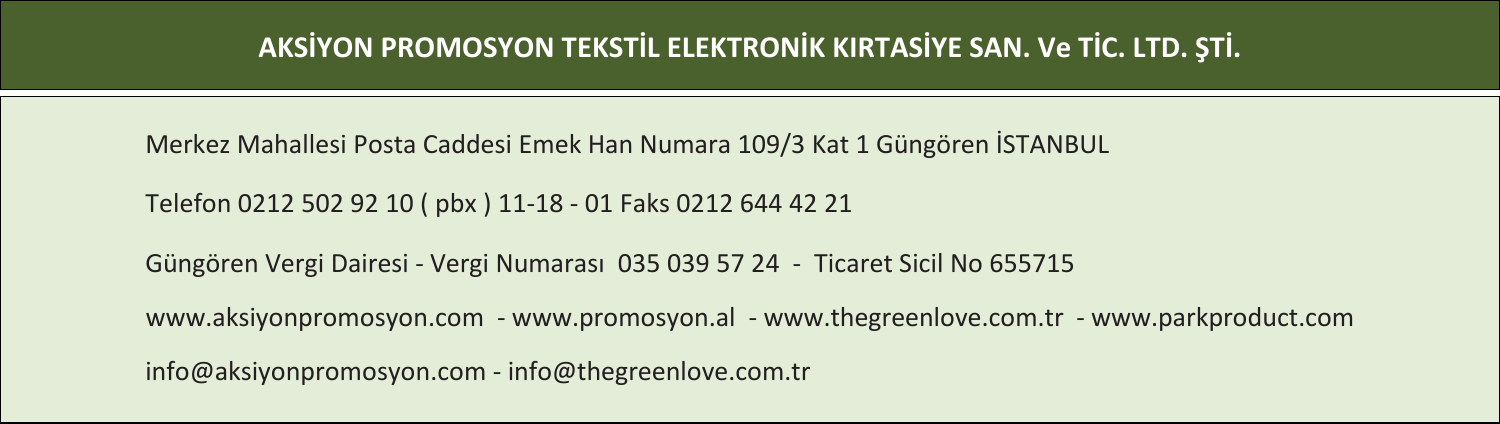# **AKSİYON PROMOSYON TEKSTİL ELEKTRONİK KIRTASİYE SAN. VE TİC. LTD. STİ.**

#### Merkez Mahallesi Posta Caddesi Emek Han Numara 109/3 Kat 1 Güngören 7STANBUL

## Telefon 0212 502 92 10 ( pbx ) 11-18 - 01 Faks 0212 644 42 21

Güngören Vergi Dairesi - Vergi Numarası 035 039 57 24 - Ticaret Sicil No 655715

www.aksiyonpromosyon.com - www.promosyon.al - www.thegreenlove.com.tr - www.parkproduct.com

info@aksiyonpromosyon.com - info@thegreenlove.com.tr